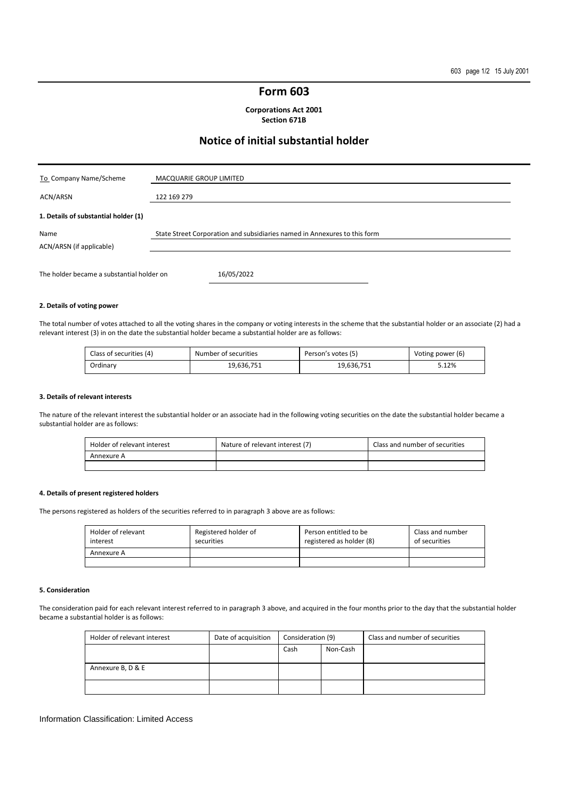## **Form 603**

**Corporations Act 2001 Section 671B** 

# **Notice of initial substantial holder**

| To Company Name/Scheme               | MACQUARIE GROUP LIMITED                                                   |
|--------------------------------------|---------------------------------------------------------------------------|
| ACN/ARSN                             | 122 169 279                                                               |
| 1. Details of substantial holder (1) |                                                                           |
| Name<br>ACN/ARSN (if applicable)     | State Street Corporation and subsidiaries named in Annexures to this form |
|                                      |                                                                           |

#### **2. Details of voting power**

The total number of votes attached to all the voting shares in the company or voting interests in the scheme that the substantial holder or an associate (2) had a relevant interest (3) in on the date the substantial holder became a substantial holder are as follows:

| Class of securities (4) | Number of securities | Person's votes (5) | Voting power (6) |
|-------------------------|----------------------|--------------------|------------------|
| Ordinary                | 19.636.751           | 19.636.751         | 5.12%            |

#### **3. Details of relevant interests**

The nature of the relevant interest the substantial holder or an associate had in the following voting securities on the date the substantial holder became a substantial holder are as follows:

| Holder of relevant interest | Nature of relevant interest (7) | Class and number of securities |
|-----------------------------|---------------------------------|--------------------------------|
| Annexure A                  |                                 |                                |
|                             |                                 |                                |

#### **4. Details of present registered holders**

The persons registered as holders of the securities referred to in paragraph 3 above are as follows:

| Holder of relevant<br>interest | Registered holder of<br>securities | Person entitled to be<br>registered as holder (8) | Class and number<br>of securities |
|--------------------------------|------------------------------------|---------------------------------------------------|-----------------------------------|
| Annexure A                     |                                    |                                                   |                                   |
|                                |                                    |                                                   |                                   |

#### **5. Consideration**

The consideration paid for each relevant interest referred to in paragraph 3 above, and acquired in the four months prior to the day that the substantial holder became a substantial holder is as follows:

| Holder of relevant interest | Date of acquisition | Consideration (9) |          | Class and number of securities |
|-----------------------------|---------------------|-------------------|----------|--------------------------------|
|                             |                     | Cash              | Non-Cash |                                |
|                             |                     |                   |          |                                |
| Annexure B, D & E           |                     |                   |          |                                |
|                             |                     |                   |          |                                |

#### Information Classification: Limited Access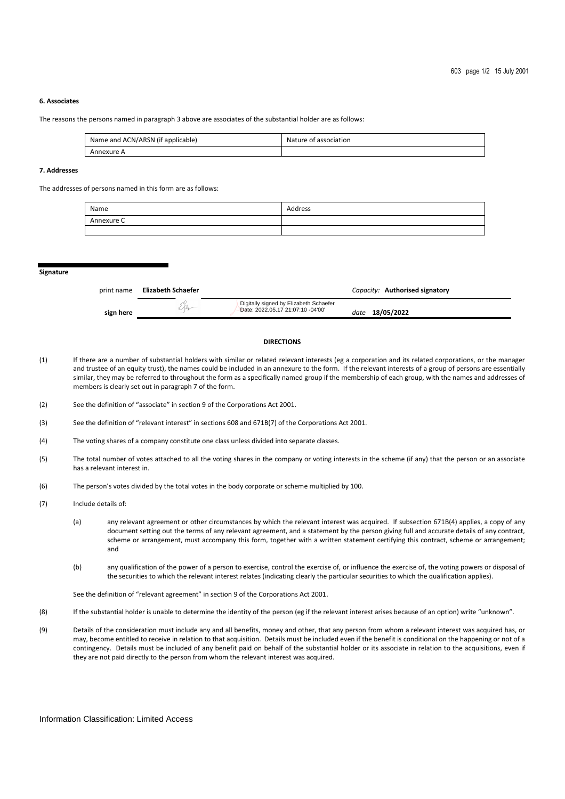#### **6. Associates**

The reasons the persons named in paragraph 3 above are associates of the substantial holder are as follows:

| Name and ACN/ARSN (if applicable) | Nature of association |
|-----------------------------------|-----------------------|
| Annexure A                        |                       |

#### **7. Addresses**

The addresses of persons named in this form are as follows:

| Name       | Address |
|------------|---------|
| Annexure C |         |
|            |         |

**Signature** 

| print name | Elizabeth Schaefer |                                                                             | Capacity: Authorised signatory |  |
|------------|--------------------|-----------------------------------------------------------------------------|--------------------------------|--|
| sign here  | $\mathcal{M}$      | Digitally signed by Elizabeth Schaefer<br>Date: 2022.05.17 21:07:10 -04'00' | date 18/05/2022                |  |

### **DIRECTIONS**

- (1) If there are a number of substantial holders with similar or related relevant interests (eg a corporation and its related corporations, or the manager and trustee of an equity trust), the names could be included in an annexure to the form. If the relevant interests of a group of persons are essentially similar, they may be referred to throughout the form as a specifically named group if the membership of each group, with the names and addresses of members is clearly set out in paragraph 7 of the form.
- (2) See the definition of "associate" in section 9 of the Corporations Act 2001.

(3) See the definition of "relevant interest" in sections 608 and 671B(7) of the Corporations Act 2001.

- (4) The voting shares of a company constitute one class unless divided into separate classes.
- (5) The total number of votes attached to all the voting shares in the company or voting interests in the scheme (if any) that the person or an associate has a relevant interest in.
- (6) The person's votes divided by the total votes in the body corporate or scheme multiplied by 100.
- (7) Include details of:
	- (a) any relevant agreement or other circumstances by which the relevant interest was acquired. If subsection 671B(4) applies, a copy of any document setting out the terms of any relevant agreement, and a statement by the person giving full and accurate details of any contract, scheme or arrangement, must accompany this form, together with a written statement certifying this contract, scheme or arrangement; and
	- (b) any qualification of the power of a person to exercise, control the exercise of, or influence the exercise of, the voting powers or disposal of the securities to which the relevant interest relates (indicating clearly the particular securities to which the qualification applies).

See the definition of "relevant agreement" in section 9 of the Corporations Act 2001.

- (8) If the substantial holder is unable to determine the identity of the person (eg if the relevant interest arises because of an option) write "unknown".
- (9) Details of the consideration must include any and all benefits, money and other, that any person from whom a relevant interest was acquired has, or may, become entitled to receive in relation to that acquisition. Details must be included even if the benefit is conditional on the happening or not of a contingency. Details must be included of any benefit paid on behalf of the substantial holder or its associate in relation to the acquisitions, even if they are not paid directly to the person from whom the relevant interest was acquired.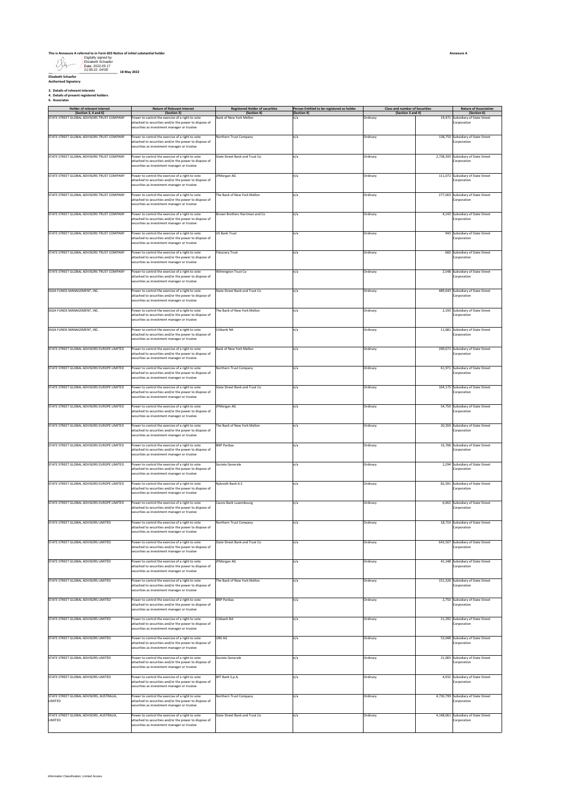#### **This is Annexure A referred to in Form 603 Notice of initial substantial holder**

Digitally signed by Elizabeth Schaefer Date: 2022.05.17 21:09:22 -04'00'

**\_\_\_\_\_\_\_\_\_\_\_\_\_\_\_\_\_\_\_\_\_\_\_\_\_\_\_\_\_\_\_\_\_\_\_\_\_\_ 18 May 2022 Elizabeth Schaefer Authorised Signatory**

**3. Details of relevant interests 4. Details of present registered holders 6. Associates**

| <b>Holder of relevant interest</b>                                 | <b>Nature of Relevant Interest</b>                                                                                                                                                                     | <b>Registered Holder of securities</b> | Person Entitled to be registered as holder | <b>Class and number of Securities</b> | <b>Nature of Association</b>                                    |
|--------------------------------------------------------------------|--------------------------------------------------------------------------------------------------------------------------------------------------------------------------------------------------------|----------------------------------------|--------------------------------------------|---------------------------------------|-----------------------------------------------------------------|
| (Section 3, 4 and 6)<br>STATE STREET GLOBAL ADVISORS TRUST COMPANY | (Section 3)<br>Power to control the exercise of a right to vote<br>ttached to securities and/or the power to dispose of<br>ecurities as investment manager or trustee                                  | (Section 4)<br>Bank of New York Mellon | (Section 4)<br>n/a                         | (Section 3 and 4)<br>Ordinary         | (Section 6)<br>19,471 Subsidiary of State Street<br>Corporation |
| STATE STREET GLOBAL ADVISORS TRUST COMPANY                         | Power to control the exercise of a right to vote<br>attached to securities and/or the power to dispose of<br>ecurities as investment manager or trustee                                                | Northern Trust Company                 | n/a                                        | Ordinary                              | 138,750 Subsidiary of State Street<br>Corporation               |
| STATE STREET GLOBAL ADVISORS TRUST COMPANY                         | Power to control the exercise of a right to vote<br>attached to securities and/or the power to dispose of<br>securities as investment manager or trustee                                               | State Street Bank and Trust Co         | n/a                                        | Ordinary                              | 2,738,393 Subsidiary of State Street<br>Corporation             |
| STATE STREET GLOBAL ADVISORS TRUST COMPANY                         | Power to control the exercise of a right to vote<br>attached to securities and/or the power to dispose of<br>ecurities as investment manager or trustee                                                | JPMorgan AG                            | n/a                                        | Ordinary                              | 111,072 Subsidiary of State Street<br>Corporation               |
| STATE STREET GLOBAL ADVISORS TRUST COMPANY                         | Power to control the exercise of a right to vote<br>ttached to securities and/or the power to dispose of<br>securities as investment manager or trustee                                                | The Bank of New York Mellon            | n/a                                        | Ordinary                              | 277,003 Subsidiary of State Street<br>Corporation               |
| STATE STREET GLOBAL ADVISORS TRUST COMPANY                         | Power to control the exercise of a right to vote<br>attached to securities and/or the power to dispose of<br>securities as investment manager or trustee                                               | Brown Brothers Harriman and Co         | n/a                                        | Ordinary                              | 4,143 Subsidiary of State Street<br>Corporation                 |
| STATE STREET GLOBAL ADVISORS TRUST COMPANY                         | Power to control the exercise of a right to vote<br>attached to securities and/or the power to dispose of<br>ecurities as investment manager or trustee                                                | <b>US Bank Trust</b>                   | n/a                                        | Ordinary                              | 943 Subsidiary of State Street<br>Corporation                   |
| STATE STREET GLOBAL ADVISORS TRUST COMPANY                         | Power to control the exercise of a right to vote<br>attached to securities and/or the power to dispose of<br>securities as investment manager or trustee                                               | <b>Fiduciary Trust</b>                 | n/a                                        | Ordinary                              | 660 Subsidiary of State Street<br>Corporation                   |
| STATE STREET GLOBAL ADVISORS TRUST COMPANY                         | Power to control the exercise of a right to vote<br>ttached to securities and/or the power to dispose of<br>securities as investment manager or trustee                                                | Wilmington Trust Co                    | n/a                                        | Ordinary                              | 2,548 Subsidiary of State Street<br>Corporation                 |
| SSGA FUNDS MANAGEMENT, INC.                                        | Yower to control the exercise of a right to vote<br>attached to securities and/or the power to dispose of<br>securities as investment manager or trustee                                               | State Street Bank and Trust Co         | n/a                                        | Ordinary                              | 489,643 Subsidiary of State Street<br>Corporation               |
| SSGA FUNDS MANAGEMENT, INC.                                        | Power to control the exercise of a right to vote<br>attached to securities and/or the power to dispose of<br>ecurities as investment manager or trustee                                                | The Bank of New York Mellon            | n/a                                        | Ordinary                              | 2,193 Subsidiary of State Street<br>Corporation                 |
| SSGA FUNDS MANAGEMENT, INC.                                        | Power to control the exercise of a right to vote<br>sttached to securities and/or the power to dispose of<br>ecurities as investment manager or trustee                                                | Citibank NA                            | n/a                                        | Ordinary                              | 11,681 Subsidiary of State Street<br>Corporation                |
| STATE STREET GLOBAL ADVISORS EUROPE LIMITED                        | Power to control the exercise of a right to vote<br>ttached to securities and/or the power to dispose of<br>securities as investment manager or trustee                                                | Bank of New York Mellon                | n/a                                        | Ordinary                              | 209,671 Subsidiary of State Street<br>Corporation               |
| STATE STREET GLOBAL ADVISORS EUROPE LIMITED                        | Power to control the exercise of a right to vote<br>attached to securities and/or the power to dispose of<br>ecurities as investment manager or trustee                                                | Northern Trust Company                 | n/a                                        | Ordinary                              | 61,971 Subsidiary of State Street<br>Corporation                |
| STATE STREET GLOBAL ADVISORS EUROPE LIMITED                        | Power to control the exercise of a right to vote<br>attached to securities and/or the power to dispose of<br>ecurities as investment manager or trustee                                                | State Street Bank and Trust Co         | n/a                                        | Ordinary                              | 164,175 Subsidiary of State Street<br>Corporation               |
| STATE STREET GLOBAL ADVISORS EUROPE LIMITED                        | Power to control the exercise of a right to vote<br>attached to securities and/or the power to dispose of<br>ecurities as investment manager or trustee                                                | JPMorgan AG                            | n/a                                        | Ordinary                              | 54,759 Subsidiary of State Street<br>Corporation                |
| STATE STREET GLOBAL ADVISORS EUROPE LIMITED                        | Power to control the exercise of a right to vote<br>attached to securities and/or the power to dispose of                                                                                              | The Bank of New York Mellon            | n/a                                        | Ordinary                              | 20,359 Subsidiary of State Street<br>Corporation                |
| STATE STREET GLOBAL ADVISORS EUROPE LIMITED                        | securities as investment manager or trustee<br>Power to control the exercise of a right to vote<br>attached to securities and/or the power to dispose of<br>ecurities as investment manager or trustee | <b>BNP Paribas</b>                     | n/a                                        | Ordinary                              | 33,708 Subsidiary of State Street<br>Corporation                |
| STATE STREET GLOBAL ADVISORS EUROPE LIMITED                        | Power to control the exercise of a right to vote<br>attached to securities and/or the power to dispose of<br>securities as investment manager or trustee                                               | Societe Generale                       | n/a                                        | Ordinary                              | 2,294 Subsidiary of State Street<br>Corporation                 |
| STATE STREET GLOBAL ADVISORS EUROPE LIMITED                        | Power to control the exercise of a right to vote<br>attached to securities and/or the power to dispose of<br>ecurities as investment manager or trustee                                                | Nykredit Bank A.S.                     | n/a                                        | Ordinary                              | 82,591 Subsidiary of State Street<br>Corporation                |
| STATE STREET GLOBAL ADVISORS EUROPE LIMITED                        | Power to control the exercise of a right to vote<br>attached to securities and/or the power to dispose of<br>securities as investment manager or trustee                                               | Caceis Bank Luxembourg                 | n/a                                        | Ordinary                              | 6,462 Subsidiary of State Street<br>Corporation                 |
| STATE STREET GLOBAL ADVISORS LIMITED                               | Power to control the exercise of a right to vote<br>attached to securities and/or the power to dispose of<br>prurities as investment manager or truste                                                 | Northern Trust Company                 | n/a                                        | Ordinary                              | 18,719 Subsidiary of State Street<br>Corporation                |
| STATE STREET GLOBAL ADVISORS LIMITED                               | Power to control the exercise of a right to vote<br>ttached to securities and/or the power to dispose of<br>securities as investment manager or trustee                                                | State Street Bank and Trust Co.        | n/a                                        | Ordinary                              | 643,507 Subsidiary of State Street<br>Corporation               |
| STATE STREET GLOBAL ADVISORS LIMITED                               | Yower to control the exercise of a right to vote<br>attached to securities and/or the power to dispose of<br>securities as investment manager or trustee                                               | PMorgan AG                             | n/a                                        | <b>Ordinary</b>                       | 41,148 Subsidiary of State Street<br>Corporation                |
| STATE STREET GLOBAL ADVISORS LIMITED                               | Power to control the exercise of a right to vote<br>attached to securities and/or the power to dispose of<br>securities as investment manager or trustee                                               | The Bank of New York Mellon            | n/a                                        | Ordinary                              | 151,326 Subsidiary of State Street<br>Corporation               |
| STATE STREET GLOBAL ADVISORS LIMITED                               | Power to control the exercise of a right to vote<br>attached to securities and/or the power to dispose of<br>securities as investment manager or trustee                                               | <b>BNP Paribas</b>                     | ٦/a                                        | Ordinary                              | 2,750 Subsidiary of State Street<br>Corporation                 |
| STATE STREET GLOBAL ADVISORS LIMITED                               | Power to control the exercise of a right to vote<br>ttached to securities and/or the power to dispose of<br>securities as investment manager or trustee                                                | Citibank NA                            | n/a                                        | Ordinary                              | 21,292 Subsidiary of State Street<br>Corporation                |
| STATE STREET GLOBAL ADVISORS LIMITED                               | ower to control the exercise of a right to vote<br>attached to securities and/or the power to dispose of<br>securities as investment manager or trustee                                                | UBS AG                                 | ı/a                                        | Ordinary                              | 53,048 Subsidiary of State Street<br>Corporation                |
| STATE STREET GLOBAL ADVISORS LIMITED                               | Power to control the exercise of a right to vote<br>attached to securities and/or the power to dispose of<br>securities as investment manager or trustee                                               | Societe Generale                       | n/a                                        | Ordinary                              | 21,003 Subsidiary of State Street<br>Corporation                |
| STATE STREET GLOBAL ADVISORS LIMITED                               | Power to control the exercise of a right to vote<br>attached to securities and/or the power to dispose of<br>ecurities as investment manager or trustee                                                | BFF Bank S.p.A.                        | n/a                                        | Ordinary                              | 4,932 Subsidiary of State Street<br>Corporation                 |
| STATE STREET GLOBAL ADVISORS, AUSTRALIA,<br>LIMITED                | Power to control the exercise of a right to vote<br>attached to securities and/or the power to dispose of<br>securities as investment manager or trustee                                               | Northern Trust Company                 | n/a                                        | Ordinary                              | 4,730,799 Subsidiary of State Street<br>Corporation             |
| STATE STREET GLOBAL ADVISORS, AUSTRALIA,<br>LIMITED                | Power to control the exercise of a right to vote<br>attached to securities and/or the power to dispose of<br>securities as investment manager or trustee                                               | State Street Bank and Trust Co         | n/a                                        | Ordinary                              | 4,148,061 Subsidiary of State Street<br>Corporation             |

**Annexure A**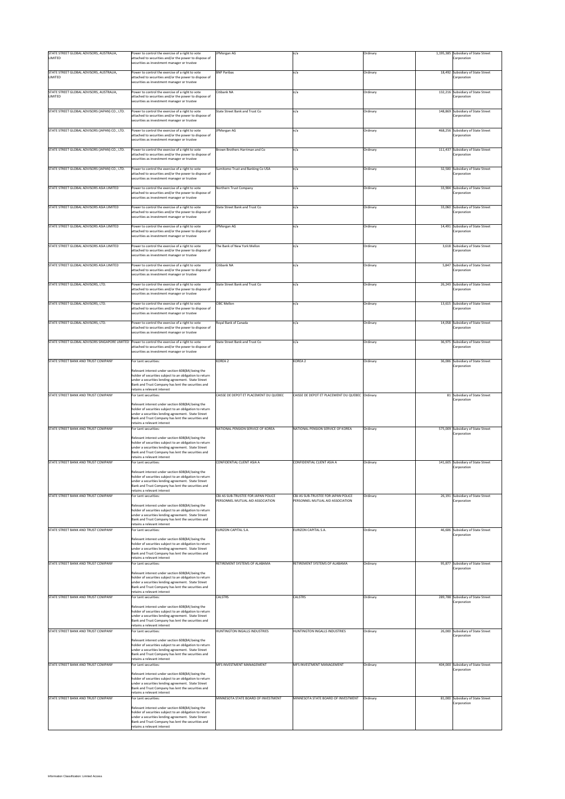| STATE STREET GLOBAL ADVISORS, AUSTRALIA,<br>LIMITED                                             | Power to control the exercise of a right to vote<br>attached to securities and/or the power to dispose of<br>securities as investment manager or trustee                                                                                                                        | JPMorgan AG                                                             | n/a                                                                     | Ordinary | 1,195,385 Subsidiary of State Street<br>Corporation |
|-------------------------------------------------------------------------------------------------|---------------------------------------------------------------------------------------------------------------------------------------------------------------------------------------------------------------------------------------------------------------------------------|-------------------------------------------------------------------------|-------------------------------------------------------------------------|----------|-----------------------------------------------------|
| STATE STREET GLOBAL ADVISORS, AUSTRALIA,<br>LIMITED                                             | Power to control the exercise of a right to vote<br>attached to securities and/or the power to dispose of<br>securities as investment manager or trustee                                                                                                                        | <b>BNP Paribas</b>                                                      | n/a                                                                     | Ordinary | 18,492 Subsidiary of State Street<br>Corporation    |
| STATE STREET GLOBAL ADVISORS, AUSTRALIA,<br>LIMITED                                             | Power to control the exercise of a right to vote<br>attached to securities and/or the power to dispose of<br>securities as investment manager or trustee                                                                                                                        | Citibank NA                                                             | n/a                                                                     | Ordinary | 132,216 Subsidiary of State Street<br>Corporation   |
| STATE STREET GLOBAL ADVISORS (JAPAN) CO., LTD.                                                  | Power to control the exercise of a right to vote<br>attached to securities and/or the power to dispose of<br>securities as investment manager or trustee                                                                                                                        | State Street Bank and Trust Co                                          | n/a                                                                     | Ordinary | 148,869 Subsidiary of State Street<br>Corporation   |
| STATE STREET GLOBAL ADVISORS (JAPAN) CO., LTD.                                                  | Power to control the exercise of a right to vote<br>attached to securities and/or the power to dispose of<br>securities as investment manager or trustee                                                                                                                        | JPMorgan AG                                                             | n/a                                                                     | Ordinary | 468,256 Subsidiary of State Street<br>corporation   |
| STATE STREET GLOBAL ADVISORS (JAPAN) CO., LTD.                                                  | Power to control the exercise of a right to vote<br>attached to securities and/or the power to dispose of<br>securities as investment manager or trustee                                                                                                                        | Brown Brothers Harriman and Co                                          | n/a                                                                     | Ordinary | 111,437 Subsidiary of State Street<br>Corporation   |
| STATE STREET GLOBAL ADVISORS (JAPAN) CO., LTD.                                                  | Power to control the exercise of a right to vote<br>attached to securities and/or the power to dispose of<br>securities as investment manager or trustee                                                                                                                        | umitomo Trust and Banking Co USA                                        | n/a                                                                     | Ordinary | 32,500 Subsidiary of State Street<br>Corporation    |
| STATE STREET GLOBAL ADVISORS ASIA LIMITED                                                       | Power to control the exercise of a right to vote<br>attached to securities and/or the power to dispose of<br>ecurities as investment manager or trustee                                                                                                                         | Northern Trust Company                                                  | n/a                                                                     | Ordinary | 33,904 Subsidiary of State Street<br>Corporation    |
| STATE STREET GLOBAL ADVISORS ASIA LIMITED                                                       | Power to control the exercise of a right to vote<br>attached to securities and/or the power to dispose of<br>securities as investment manager or trustee                                                                                                                        | State Street Bank and Trust Co                                          | n/a                                                                     | Ordinary | 33,060 Subsidiary of State Street<br>Corporation    |
| STATE STREET GLOBAL ADVISORS ASIA LIMITED                                                       | Power to control the exercise of a right to vote<br>attached to securities and/or the power to dispose of<br>securities as investment manager or trustee                                                                                                                        | <b>JPMorgan AG</b>                                                      | n/a                                                                     | Ordinary | 14,491 Subsidiary of State Street<br>corporation    |
| STATE STREET GLOBAL ADVISORS ASIA LIMITED                                                       | Power to control the exercise of a right to vote<br>attached to securities and/or the power to dispose of<br>securities as investment manager or trustee                                                                                                                        | he Bank of New York Mellon                                              | n/a                                                                     | Ordinary | 3,618 Subsidiary of State Street<br>Corporation     |
| STATE STREET GLOBAL ADVISORS ASIA LIMITED                                                       | Power to control the exercise of a right to vote<br>attached to securities and/or the power to dispose of<br>securities as investment manager or trustee                                                                                                                        | Citibank NA                                                             | n/a                                                                     | Ordinary | 5.847 Subsidiary of State Street<br>Corporation     |
| STATE STREET GLOBAL ADVISORS, LTD.                                                              | Power to control the exercise of a right to vote<br>attached to securities and/or the power to dispose of<br>ecurities as investment manager or trustee                                                                                                                         | State Street Bank and Trust Co                                          | n/a                                                                     | Ordinary | 26,243 Subsidiary of State Street<br>Corporation    |
| STATE STREET GLOBAL ADVISORS, LTD.                                                              | Power to control the exercise of a right to vote<br>attached to securities and/or the power to dispose of<br>securities as investment manager or trustee                                                                                                                        | <b>CIRC Mellon</b>                                                      | n/a                                                                     | Ordinary | 13,615 Subsidiary of State Street<br>Corporation    |
| STATE STREET GLOBAL ADVISORS, LTD.                                                              | Power to control the exercise of a right to vote<br>attached to securities and/or the power to dispose of<br>securities as investment manager or trustee                                                                                                                        | oyal Bank of Canada                                                     | n/a                                                                     | Ordinary | 14,058 Subsidiary of State Street<br>Corporation    |
| STATE STREET GLOBAL ADVISORS SINGAPORE LIMITED Power to control the exercise of a right to vote | attached to securities and/or the power to dispose of<br>securities as investment manager or trustee                                                                                                                                                                            | State Street Bank and Trust Co                                          | n/a                                                                     | Ordinary | 36,975 Subsidiary of State Street<br>Corporation    |
| STATE STREET BANK AND TRUST COMPANY                                                             | For Lent securities:<br>Relevant interest under section 608(8A) being the                                                                                                                                                                                                       | KOREA 2                                                                 | KOREA <sub>2</sub>                                                      | Ordinary | 36,006 Subsidiary of State Street<br>Corporation    |
|                                                                                                 | holder of securities subject to an obligation to return<br>under a securities lending agreement. State Street<br>Bank and Trust Company has lent the securities and<br>retains a relevant interest                                                                              |                                                                         |                                                                         |          |                                                     |
| STATE STREET BANK AND TRUST COMPANY                                                             | For Lent securities:                                                                                                                                                                                                                                                            | CAISSE DE DEPOT ET PLACEMENT DU QUEBEC                                  | CAISSE DE DEPOT ET PLACEMENT DU QUEBEC Ordinary                         |          | 81 Subsidiary of State Street                       |
|                                                                                                 | Relevant interest under section 608(8A) being the<br>holder of securities subject to an obligation to return<br>under a securities lending agreement. State Street<br>Bank and Trust Company has lent the securities and<br>retains a relevant interest                         |                                                                         |                                                                         |          | crporation                                          |
| STATE STREET BANK AND TRUST COMPANY                                                             | For Lent securities:                                                                                                                                                                                                                                                            | NATIONAL PENSION SERVICE OF KOREA                                       | NATIONAL PENSION SERVICE OF KOREA                                       | Ordinary | 575,009 Subsidiary of State Street<br>Corporation   |
| STATE STREET BANK AND TRUST COMPANY                                                             | Relevant interest under section 608(8A) being the<br>holder of securities subject to an obligation to return<br>under a securities lending agreement. State Street<br>Bank and Trust Company has lent the securities and<br>retains a relevant interest<br>or Lent securities:  | CONFIDENTIAL CLIENT ASIA A                                              | CONFIDENTIAL CLIENT ASIA A                                              | Ordinary | 141,605 Subsidiary of State Street                  |
|                                                                                                 | Relevant interest under section 608(8A) being the<br>er of securities subject to an obligation to return<br>under a securities lending agreement. State Street<br>Bank and Trust Company has lent the securities and<br>retains a relevant interest                             |                                                                         |                                                                         |          | Corporation                                         |
| STATE STREET BANK AND TRUST COMPANY                                                             | For Lent securities:                                                                                                                                                                                                                                                            | CBJ AS SUB-TRUSTEE FOR JAPAN POLICE<br>PERSONNEL MUTUAL AID ASSOCIATION | CBJ AS SUB-TRUSTEE FOR JAPAN POLICE<br>PERSONNEL MUTUAL AID ASSOCIATION | Ordinary | 26,191 Subsidiary of State Street<br>Corporation    |
| STATE STREET BANK AND TRUST COMPANY                                                             | Relevant interest under section 608(8A) being the<br>holder of securities subject to an obligation to return<br>under a securities lending agreement. State Street<br>Bank and Trust Company has lent the securities and<br>retains a relevant interest                         |                                                                         |                                                                         |          |                                                     |
|                                                                                                 | For Lent securities:<br>Relevant interest under section 608(8A) being the<br>holder of securities subject to an obligation to return<br>under a securities lending agreement. State Street<br>Bank and Trust Company has lent the securities and<br>retains a relevant interest | EURIZON CAPITAL S.A.                                                    | EURIZON CAPITAL S.A.                                                    | Ordinary | 46,606 Subsidiary of State Street<br>Corporation    |
| STATE STREET BANK AND TRUST COMPANY                                                             | For Lent securities:                                                                                                                                                                                                                                                            | RETIREMENT SYSTEMS OF ALABAMA                                           | RETIREMENT SYSTEMS OF ALABAMA                                           | Ordinary | 95,877 Subsidiary of State Street<br>Corporation    |
|                                                                                                 | Relevant interest under section 608(8A) being the<br>holder of securities subject to an obligation to return<br>under a securities lending agreement. State Street<br>Bank and Trust Company has lent the securities and<br>retains a relevant interest                         |                                                                         |                                                                         |          |                                                     |
| STATE STREET BANK AND TRUST COMPANY                                                             | For Lent securities:                                                                                                                                                                                                                                                            | CALSTRS                                                                 | CALSTRS                                                                 | Ordinary | 289,788 Subsidiary of State Street<br>Corporation   |
|                                                                                                 | Relevant interest under section 608(8A) being the<br>holder of securities subject to an obligation to return<br>nder a securities lending agreement. State Street<br>Bank and Trust Company has lent the securities and<br>retains a relevant interest                          |                                                                         |                                                                         |          |                                                     |
| STATE STREET BANK AND TRUST COMPANY                                                             | For Lent securities:                                                                                                                                                                                                                                                            | HUNTINGTON INGALLS INDUSTRIES                                           | <b>HUNTINGTON INGALLS INDUSTRIES</b>                                    | Ordinary | 26,000 Subsidiary of State Street<br>corporation    |
|                                                                                                 | Relevant interest under section 608(8A) being the<br>holder of securities subject to an obligation to return<br>under a securities lending agreement. State Street<br>Bank and Trust Company has lent the securities and<br>retains a relevant interest                         |                                                                         |                                                                         |          |                                                     |
| STATE STREET BANK AND TRUST COMPANY                                                             | or Lent securities:                                                                                                                                                                                                                                                             | MFS INVESTMENT MANAGEMENT                                               | MFS INVESTMENT MANAGEMENT                                               | Ordinary | 404,000 Subsidiary of State Street<br>Corporation   |
|                                                                                                 | Relevant interest under section 608(8A) being the<br>nolder of securities subject to an obligation to return<br>under a securities lending agreement. State Street<br>Bank and Trust Company has lent the securities and<br>etains a relevant interest                          |                                                                         |                                                                         |          |                                                     |
| STATE STREET BANK AND TRUST COMPANY                                                             | or Lent securities:                                                                                                                                                                                                                                                             | AINNESOTA STATE BOARD OF INVESTMENT                                     | MINNESOTA STATE BOARD OF INVESTMENT                                     | Ordinary | 81,000 Subsidiary of State Street<br>Corporation    |
|                                                                                                 | Relevant interest under section 608(8A) being the<br>holder of securities subject to an obligation to return<br>under a securities lending agreement. State Street<br>Bank and Trust Company has lent the securities and<br>etains a relevant interest                          |                                                                         |                                                                         |          |                                                     |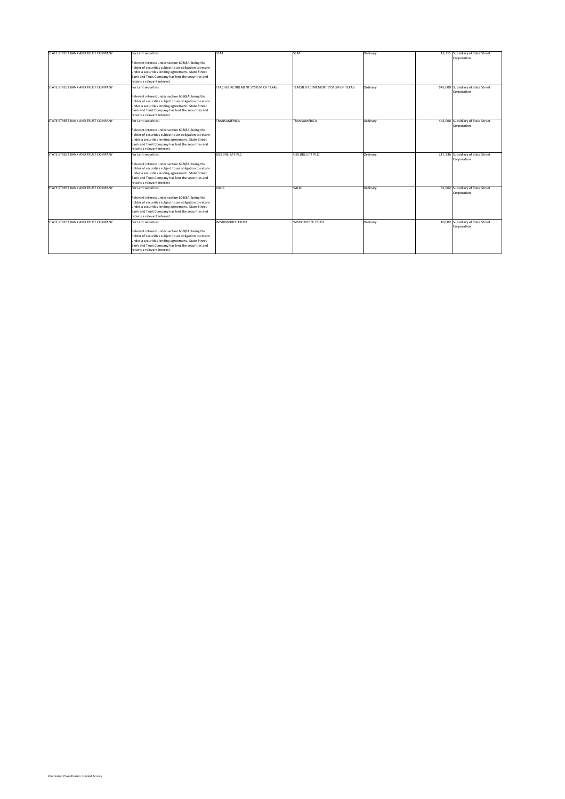| STATE STREET BANK AND TRUST COMPANY | For Lent securities:                                                              | SEA1                               | SEA1                               | Ordinary | 13,311 Subsidiary of State Street  |
|-------------------------------------|-----------------------------------------------------------------------------------|------------------------------------|------------------------------------|----------|------------------------------------|
|                                     |                                                                                   |                                    |                                    |          | Corporation                        |
|                                     | Relevant interest under section 608(8A) being the                                 |                                    |                                    |          |                                    |
|                                     | holder of securities subject to an obligation to return                           |                                    |                                    |          |                                    |
|                                     | under a securities lending agreement. State Street                                |                                    |                                    |          |                                    |
|                                     | Bank and Trust Company has lent the securities and                                |                                    |                                    |          |                                    |
|                                     | retains a relevant interest                                                       |                                    |                                    |          |                                    |
| STATE STREET BANK AND TRUST COMPANY | For Lent securities:                                                              | TEACHER RETIREMENT SYSTEM OF TEXAS | TEACHER RETIREMENT SYSTEM OF TEXAS | Ordinary | 643,000 Subsidiary of State Street |
|                                     | Relevant interest under section 608(8A) being the                                 |                                    |                                    |          | Corporation                        |
|                                     | holder of securities subject to an obligation to return                           |                                    |                                    |          |                                    |
|                                     | under a securities lending agreement. State Street                                |                                    |                                    |          |                                    |
|                                     | Bank and Trust Company has lent the securities and                                |                                    |                                    |          |                                    |
|                                     | retains a relevant interest                                                       |                                    |                                    |          |                                    |
| STATE STREET BANK AND TRUST COMPANY | For Lent securities:                                                              | TRANSAMERICA                       | TRANSAMERICA                       | Ordinary | 442,000 Subsidiary of State Street |
|                                     |                                                                                   |                                    |                                    |          | Corporation                        |
|                                     | Relevant interest under section 608(8A) being the                                 |                                    |                                    |          |                                    |
|                                     | holder of securities subject to an obligation to return                           |                                    |                                    |          |                                    |
|                                     | under a securities lending agreement. State Street                                |                                    |                                    |          |                                    |
|                                     | Bank and Trust Company has lent the securities and                                |                                    |                                    |          |                                    |
|                                     | retains a relevant interest                                                       |                                    |                                    |          |                                    |
| STATE STREET BANK AND TRUST COMPANY | For Lent securities:                                                              | UBS (IRL) ETF PLC                  | UBS (IRL) ETF PLC                  | Ordinary | 217,236 Subsidiary of State Street |
|                                     |                                                                                   |                                    |                                    |          | Corporation                        |
|                                     | Relevant interest under section 608(8A) being the                                 |                                    |                                    |          |                                    |
|                                     | holder of securities subject to an obligation to return                           |                                    |                                    |          |                                    |
|                                     | under a securities lending agreement. State Street                                |                                    |                                    |          |                                    |
|                                     | Bank and Trust Company has lent the securities and                                |                                    |                                    |          |                                    |
|                                     | retains a relevant interest                                                       |                                    |                                    |          |                                    |
| STATE STREET BANK AND TRUST COMPANY | For Lent securities:                                                              | VALIC                              | VALIC                              | Ordinary | 31,000 Subsidiary of State Street  |
|                                     |                                                                                   |                                    |                                    |          | Corporation                        |
|                                     | Relevant interest under section 608(8A) being the                                 |                                    |                                    |          |                                    |
|                                     | holder of securities subject to an obligation to return                           |                                    |                                    |          |                                    |
|                                     | under a securities lending agreement. State Street                                |                                    |                                    |          |                                    |
|                                     | Bank and Trust Company has lent the securities and                                |                                    |                                    |          |                                    |
|                                     | retains a relevant interest                                                       |                                    |                                    |          |                                    |
| STATE STREET BANK AND TRUST COMPANY | For Lent securities:                                                              | <b>WISDOMTREE TRUST</b>            | <b>WISDOMTREE TRUST</b>            | Ordinary | 10,000 Subsidiary of State Street  |
|                                     |                                                                                   |                                    |                                    |          | Corporation                        |
|                                     |                                                                                   |                                    |                                    |          |                                    |
|                                     | Relevant interest under section 608(8A) being the                                 |                                    |                                    |          |                                    |
|                                     | holder of securities subject to an obligation to return                           |                                    |                                    |          |                                    |
|                                     | under a securities lending agreement. State Street                                |                                    |                                    |          |                                    |
|                                     | Bank and Trust Company has lent the securities and<br>retains a relevant interest |                                    |                                    |          |                                    |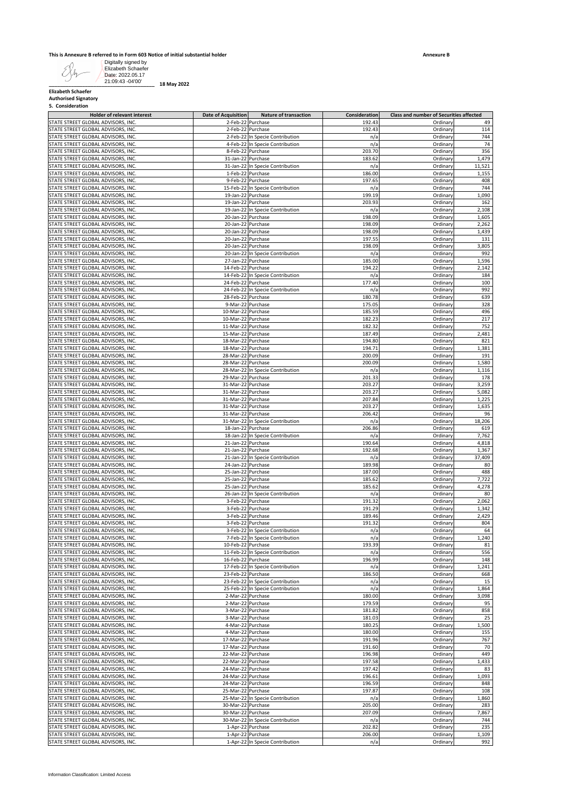#### **This is Annexure B referred to in Form 603 Notice of initial substantial holder**

|                                                                              | Elizabeth Schaefer<br>Date: 2022.05.17<br>21:09:43 -04'00' | 18 May 2022                              |                                                        |                         |                                         |                 |
|------------------------------------------------------------------------------|------------------------------------------------------------|------------------------------------------|--------------------------------------------------------|-------------------------|-----------------------------------------|-----------------|
| <b>Elizabeth Schaefer</b><br><b>Authorised Signatory</b><br>5. Consideration |                                                            |                                          |                                                        |                         |                                         |                 |
| STATE STREET GLOBAL ADVISORS, INC                                            | <b>Holder of relevant interest</b>                         | <b>Date of Acquisition</b>               | <b>Nature of transaction</b><br>2-Feb-22 Purchase      | Consideration<br>192.43 | Class and number of Securities affected |                 |
| STATE STREET GLOBAL ADVISORS, INC.                                           |                                                            |                                          | 2-Feb-22 Purchase                                      | 192.43                  | Ordinary<br>Ordinary                    | 49<br>114       |
| STATE STREET GLOBAL ADVISORS, INC.                                           |                                                            |                                          | 2-Feb-22 In Specie Contribution                        | n/a                     | Ordinary                                | 744             |
| STATE STREET GLOBAL ADVISORS, INC.                                           |                                                            |                                          | 4-Feb-22 In Specie Contribution                        | n/a                     | Ordinary                                | 74              |
| STATE STREET GLOBAL ADVISORS, INC.                                           |                                                            |                                          | 8-Feb-22 Purchase                                      | 203.70                  | Ordinary                                | 356             |
| STATE STREET GLOBAL ADVISORS, INC.<br>STATE STREET GLOBAL ADVISORS, INC.     |                                                            |                                          | 31-Jan-22 Purchase<br>31-Jan-22 In Specie Contribution | 183.62<br>n/a           | Ordinary<br>Ordinary                    | 1,479<br>11,521 |
| STATE STREET GLOBAL ADVISORS, INC.                                           |                                                            |                                          | 1-Feb-22 Purchase                                      | 186.00                  | Ordinary                                | 1,155           |
| STATE STREET GLOBAL ADVISORS, INC.                                           |                                                            |                                          | 9-Feb-22 Purchase                                      | 197.65                  | Ordinary                                | 408             |
| STATE STREET GLOBAL ADVISORS, INC.                                           |                                                            |                                          | 15-Feb-22 In Specie Contribution                       | n/a                     | Ordinary                                | 744             |
| STATE STREET GLOBAL ADVISORS, INC.<br>STATE STREET GLOBAL ADVISORS, INC.     |                                                            |                                          | 19-Jan-22 Purchase<br>19-Jan-22 Purchase               | 199.19<br>203.93        | Ordinary<br>Ordinary                    | 1,090<br>162    |
| STATE STREET GLOBAL ADVISORS, INC.                                           |                                                            |                                          | 19-Jan-22 In Specie Contribution                       | n/a                     | Ordinary                                | 2,108           |
| STATE STREET GLOBAL ADVISORS, INC.                                           |                                                            |                                          | 20-Jan-22 Purchase                                     | 198.09                  | Ordinary                                | 1,605           |
| STATE STREET GLOBAL ADVISORS, INC.                                           |                                                            |                                          | 20-Jan-22 Purchase                                     | 198.09                  | Ordinary                                | 2,262           |
| STATE STREET GLOBAL ADVISORS, INC.<br>STATE STREET GLOBAL ADVISORS, INC.     |                                                            |                                          | 20-Jan-22 Purchase<br>20-Jan-22 Purchase               | 198.09<br>197.55        | Ordinary<br>Ordinary                    | 1,439<br>131    |
| STATE STREET GLOBAL ADVISORS, INC.                                           |                                                            |                                          | 20-Jan-22 Purchase                                     | 198.09                  | Ordinary                                | 3,805           |
| STATE STREET GLOBAL ADVISORS, INC.                                           |                                                            |                                          | 20-Jan-22 In Specie Contribution                       | n/a                     | Ordinary                                | 992             |
| STATE STREET GLOBAL ADVISORS, INC.                                           |                                                            |                                          | 27-Jan-22 Purchase                                     | 185.00                  | Ordinary                                | 1,596           |
| STATE STREET GLOBAL ADVISORS, INC.<br>STATE STREET GLOBAL ADVISORS, INC.     |                                                            |                                          | 14-Feb-22 Purchase                                     | 194.22                  | Ordinary                                | 2,142<br>184    |
| STATE STREET GLOBAL ADVISORS, INC.                                           |                                                            |                                          | 14-Feb-22 In Specie Contribution<br>24-Feb-22 Purchase | n/a<br>177.40           | Ordinary<br>Ordinary                    | 100             |
| STATE STREET GLOBAL ADVISORS, INC.                                           |                                                            |                                          | 24-Feb-22 In Specie Contribution                       | n/a                     | Ordinary                                | 992             |
| STATE STREET GLOBAL ADVISORS, INC.                                           |                                                            |                                          | 28-Feb-22 Purchase                                     | 180.78                  | Ordinary                                | 639             |
| STATE STREET GLOBAL ADVISORS, INC.                                           |                                                            |                                          | 9-Mar-22 Purchase                                      | 175.05                  | Ordinary                                | 328             |
| STATE STREET GLOBAL ADVISORS, INC.                                           |                                                            | 10-Mar-22 Purchase                       |                                                        | 185.59<br>182.23        | Ordinary<br>Ordinary                    | 496<br>217      |
| STATE STREET GLOBAL ADVISORS, INC.<br>STATE STREET GLOBAL ADVISORS, INC.     |                                                            | 10-Mar-22 Purchase<br>11-Mar-22 Purchase |                                                        | 182.32                  | Ordinary                                | 752             |
| STATE STREET GLOBAL ADVISORS, INC.                                           |                                                            | 15-Mar-22 Purchase                       |                                                        | 187.49                  | Ordinary                                | 2,481           |
| STATE STREET GLOBAL ADVISORS, INC.                                           |                                                            | 18-Mar-22 Purchase                       |                                                        | 194.80                  | Ordinary                                | 821             |
| STATE STREET GLOBAL ADVISORS, INC.                                           |                                                            | 18-Mar-22 Purchase                       |                                                        | 194.71                  | Ordinary                                | 1,381           |
| STATE STREET GLOBAL ADVISORS, INC.<br>STATE STREET GLOBAL ADVISORS, INC.     |                                                            | 28-Mar-22 Purchase<br>28-Mar-22 Purchase |                                                        | 200.09<br>200.09        | Ordinary<br>Ordinary                    | 191<br>1,580    |
| STATE STREET GLOBAL ADVISORS, INC.                                           |                                                            |                                          | 28-Mar-22 In Specie Contribution                       | n/a                     | Ordinary                                | 1,116           |
| STATE STREET GLOBAL ADVISORS, INC.                                           |                                                            | 29-Mar-22 Purchase                       |                                                        | 201.33                  | Ordinary                                | 178             |
| STATE STREET GLOBAL ADVISORS, INC.                                           |                                                            | 31-Mar-22 Purchase                       |                                                        | 203.27                  | Ordinary                                | 3,259           |
| STATE STREET GLOBAL ADVISORS, INC.                                           |                                                            | 31-Mar-22 Purchase                       |                                                        | 203.27                  | Ordinary                                | 5,082           |
| STATE STREET GLOBAL ADVISORS, INC.<br>STATE STREET GLOBAL ADVISORS, INC.     |                                                            | 31-Mar-22 Purchase<br>31-Mar-22 Purchase |                                                        | 207.84<br>203.27        | Ordinary<br>Ordinary                    | 1,225<br>1,635  |
| STATE STREET GLOBAL ADVISORS, INC.                                           |                                                            | 31-Mar-22 Purchase                       |                                                        | 206.42                  | Ordinary                                | 96              |
| STATE STREET GLOBAL ADVISORS, INC.                                           |                                                            |                                          | 31-Mar-22 In Specie Contribution                       | n/a                     | Ordinary                                | 18,206          |
| STATE STREET GLOBAL ADVISORS, INC.                                           |                                                            |                                          | 18-Jan-22 Purchase                                     | 206.86                  | Ordinary                                | 619             |
| STATE STREET GLOBAL ADVISORS, INC.<br>STATE STREET GLOBAL ADVISORS, INC.     |                                                            |                                          | 18-Jan-22 In Specie Contribution<br>21-Jan-22 Purchase | n/a<br>190.64           | Ordinary<br>Ordinary                    | 7,762<br>4,818  |
| STATE STREET GLOBAL ADVISORS, INC.                                           |                                                            |                                          | 21-Jan-22 Purchase                                     | 192.68                  | Ordinary                                | 1,367           |
| STATE STREET GLOBAL ADVISORS, INC.                                           |                                                            |                                          | 21-Jan-22 In Specie Contribution                       | n/a                     | Ordinary                                | 37,409          |
| STATE STREET GLOBAL ADVISORS, INC.                                           |                                                            |                                          | 24-Jan-22 Purchase                                     | 189.98                  | Ordinary                                | 80              |
| STATE STREET GLOBAL ADVISORS, INC.                                           |                                                            |                                          | 25-Jan-22 Purchase                                     | 187.00                  | Ordinary                                | 488<br>7,722    |
| STATE STREET GLOBAL ADVISORS, INC.<br>STATE STREET GLOBAL ADVISORS, INC.     |                                                            |                                          | 25-Jan-22 Purchase<br>25-Jan-22 Purchase               | 185.62<br>185.62        | Ordinary<br>Ordinary                    | 4,278           |
| STATE STREET GLOBAL ADVISORS, INC.                                           |                                                            |                                          | 26-Jan-22 In Specie Contribution                       | n/a                     | Ordinary                                | 80              |
| STATE STREET GLOBAL ADVISORS, INC.                                           |                                                            |                                          | 3-Feb-22 Purchase                                      | 191.32                  | Ordinary                                | 2,062           |
| STATE STREET GLOBAL ADVISORS, INC.                                           |                                                            |                                          | 3-Feb-22 Purchase                                      | 191.29                  | Ordinary                                | 1,342           |
| STATE STREET GLOBAL ADVISORS, INC.<br>STATE STREET GLOBAL ADVISORS, INC.     |                                                            |                                          | 3-Feb-22 Purchase<br>3-Feb-22 Purchase                 | 189.46<br>191.32        | Ordinary<br>Ordinary                    | 2,429<br>804    |
| STATE STREET GLOBAL ADVISORS, INC.                                           |                                                            |                                          | 3-Feb-22 In Specie Contribution                        | n/a                     | Ordinary                                | 64              |
| STATE STREET GLOBAL ADVISORS, INC.                                           |                                                            |                                          | 7-Feb-22 In Specie Contribution                        | n/a                     | Ordinary                                | 1,240           |
| STATE STREET GLOBAL ADVISORS, INC.                                           |                                                            |                                          | 10-Feb-22 Purchase                                     | 193.39                  | Ordinary                                | 81              |
| STATE STREET GLOBAL ADVISORS, INC.<br>STATE STREET GLOBAL ADVISORS, INC.     |                                                            |                                          | 11-Feb-22 In Specie Contribution<br>16-Feb-22 Purchase | n/a<br>196.99           | Ordinary<br>Ordinary                    | 556<br>148      |
| STATE STREET GLOBAL ADVISORS, INC.                                           |                                                            |                                          | 17-Feb-22 In Specie Contribution                       | n/a                     | Ordinary                                | 1,241           |
| STATE STREET GLOBAL ADVISORS, INC.                                           |                                                            |                                          | 23-Feb-22 Purchase                                     | 186.50                  | Ordinary                                | 668             |
| STATE STREET GLOBAL ADVISORS, INC.                                           |                                                            |                                          | 23-Feb-22 In Specie Contribution                       | n/a                     | Ordinary                                | 15              |
| STATE STREET GLOBAL ADVISORS, INC.                                           |                                                            |                                          | 25-Feb-22 In Specie Contribution                       | n/a                     | Ordinary                                | 1,864           |
| STATE STREET GLOBAL ADVISORS, INC.<br>STATE STREET GLOBAL ADVISORS, INC.     |                                                            |                                          | 2-Mar-22 Purchase<br>2-Mar-22 Purchase                 | 180.00<br>179.59        | Ordinary<br>Ordinary                    | 3,098<br>95     |
| STATE STREET GLOBAL ADVISORS, INC.                                           |                                                            |                                          | 3-Mar-22 Purchase                                      | 181.82                  | Ordinary                                | 858             |
| STATE STREET GLOBAL ADVISORS, INC.                                           |                                                            |                                          | 3-Mar-22 Purchase                                      | 181.03                  | Ordinary                                | 25              |
| STATE STREET GLOBAL ADVISORS, INC.                                           |                                                            |                                          | 4-Mar-22 Purchase                                      | 180.25                  | Ordinary                                | 1,500           |
| STATE STREET GLOBAL ADVISORS, INC.                                           |                                                            |                                          | 4-Mar-22 Purchase                                      | 180.00                  | Ordinary                                | 155             |
| STATE STREET GLOBAL ADVISORS, INC.<br>STATE STREET GLOBAL ADVISORS, INC.     |                                                            | 17-Mar-22 Purchase<br>17-Mar-22 Purchase |                                                        | 191.96<br>191.60        | Ordinary<br>Ordinary                    | 767<br>70       |
| STATE STREET GLOBAL ADVISORS, INC.                                           |                                                            | 22-Mar-22 Purchase                       |                                                        | 196.98                  | Ordinary                                | 449             |
| STATE STREET GLOBAL ADVISORS, INC.                                           |                                                            | 22-Mar-22 Purchase                       |                                                        | 197.58                  | Ordinary                                | 1,433           |
| STATE STREET GLOBAL ADVISORS, INC.                                           |                                                            | 24-Mar-22 Purchase                       |                                                        | 197.42                  | Ordinary                                | 83              |
| STATE STREET GLOBAL ADVISORS, INC.<br>STATE STREET GLOBAL ADVISORS, INC.     |                                                            | 24-Mar-22 Purchase<br>24-Mar-22 Purchase |                                                        | 196.61<br>196.59        | Ordinary<br>Ordinary                    | 1,093<br>848    |
| STATE STREET GLOBAL ADVISORS, INC.                                           |                                                            | 25-Mar-22 Purchase                       |                                                        | 197.87                  | Ordinary                                | 108             |
| STATE STREET GLOBAL ADVISORS, INC.                                           |                                                            |                                          | 25-Mar-22 In Specie Contribution                       | n/a                     | Ordinary                                | 1,860           |
| STATE STREET GLOBAL ADVISORS, INC.                                           |                                                            | 30-Mar-22 Purchase                       |                                                        | 205.00                  | Ordinary                                | 283             |
| STATE STREET GLOBAL ADVISORS, INC.                                           |                                                            | 30-Mar-22 Purchase                       |                                                        | 207.09                  | Ordinary                                | 7,867           |
| STATE STREET GLOBAL ADVISORS, INC.                                           |                                                            |                                          | 30-Mar-22 In Specie Contribution                       | n/a                     | Ordinary                                | 744             |
| STATE STREET GLOBAL ADVISORS, INC.<br>STATE STREET GLOBAL ADVISORS, INC.     |                                                            |                                          | 1-Apr-22 Purchase<br>1-Apr-22 Purchase                 | 202.82<br>206.00        | Ordinary<br>Ordinary                    | 235<br>1,109    |
|                                                                              |                                                            |                                          |                                                        |                         | Ordinary                                | 992             |
| STATE STREET GLOBAL ADVISORS, INC.                                           |                                                            |                                          | 1-Apr-22 In Specie Contribution                        | n/a                     |                                         |                 |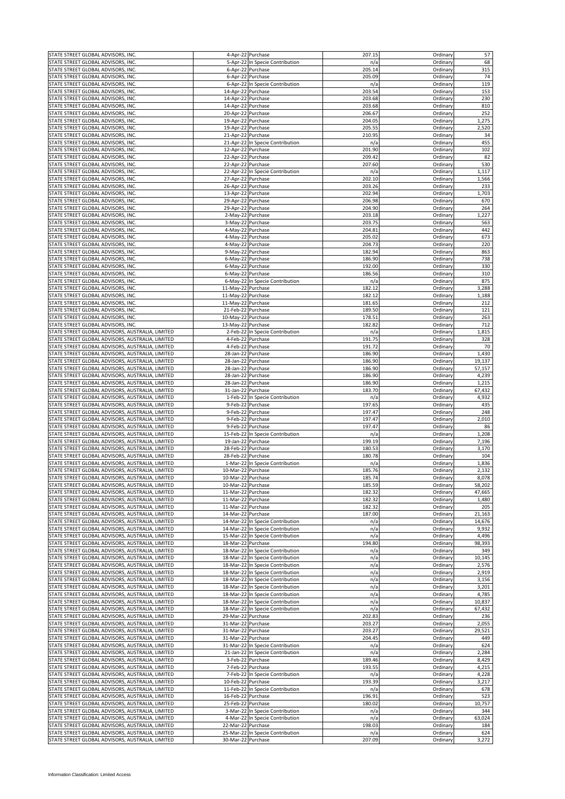| STATE STREET GLOBAL ADVISORS, INC.               |                                                  |                    | 4-Apr-22 Purchase                | 207.15 | Ordinary | 57     |
|--------------------------------------------------|--------------------------------------------------|--------------------|----------------------------------|--------|----------|--------|
| STATE STREET GLOBAL ADVISORS, INC.               |                                                  |                    | 5-Apr-22 In Specie Contribution  | n/a    | Ordinary | 68     |
| STATE STREET GLOBAL ADVISORS, INC.               |                                                  |                    | 6-Apr-22 Purchase                | 205.14 | Ordinary | 315    |
|                                                  |                                                  |                    |                                  |        |          |        |
| STATE STREET GLOBAL ADVISORS, INC.               |                                                  |                    | 6-Apr-22 Purchase                | 205.09 | Ordinary | 74     |
| TATE STREET GLOBAL ADVISORS, INC.                |                                                  |                    | 6-Apr-22 In Specie Contribution  | n/a    | Ordinary | 119    |
| STATE STREET GLOBAL ADVISORS, INC.               |                                                  | 14-Apr-22 Purchase |                                  | 203.54 | Ordinary | 153    |
| STATE STREET GLOBAL ADVISORS, INC.               |                                                  | 14-Apr-22 Purchase |                                  | 203.68 | Ordinary | 230    |
| STATE STREET GLOBAL ADVISORS, INC.               |                                                  | 14-Apr-22 Purchase |                                  | 203.68 | Ordinary | 810    |
| STATE STREET GLOBAL ADVISORS, INC.               |                                                  | 20-Apr-22 Purchase |                                  | 206.67 | Ordinary | 252    |
|                                                  |                                                  |                    |                                  |        |          |        |
| STATE STREET GLOBAL ADVISORS, INC.               |                                                  | 19-Apr-22 Purchase |                                  | 204.05 | Ordinary | 1,275  |
| STATE STREET GLOBAL ADVISORS, INC.               |                                                  | 19-Apr-22 Purchase |                                  | 205.55 | Ordinary | 2,520  |
| STATE STREET GLOBAL ADVISORS, INC.               |                                                  | 21-Apr-22 Purchase |                                  | 210.95 | Ordinary | 34     |
| STATE STREET GLOBAL ADVISORS, INC.               |                                                  |                    | 21-Apr-22 In Specie Contribution | n/a    | Ordinary | 455    |
| STATE STREET GLOBAL ADVISORS, INC.               |                                                  | 12-Apr-22 Purchase |                                  | 201.90 | Ordinary | 102    |
|                                                  |                                                  | 22-Apr-22 Purchase |                                  | 209.42 | Ordinan  | 82     |
| STATE STREET GLOBAL ADVISORS, INC.               |                                                  |                    |                                  |        |          |        |
| STATE STREET GLOBAL ADVISORS, INC.               |                                                  | 22-Apr-22          | Purchase                         | 207.60 | Ordinary | 530    |
| STATE STREET GLOBAL ADVISORS, INC.               |                                                  | 22-Apr-22          | In Specie Contribution           | n/a    | Ordinary | 1,117  |
| STATE STREET GLOBAL ADVISORS, INC.               |                                                  | 27-Apr-22 Purchase |                                  | 202.10 | Ordinary | 1,566  |
| STATE STREET GLOBAL ADVISORS, INC.               |                                                  | 26-Apr-22          | Purchase                         | 203.26 | Ordinary | 233    |
| STATE STREET GLOBAL ADVISORS, INC.               |                                                  | 13-Apr-22 Purchase |                                  | 202.94 | Ordinary | 1,703  |
| STATE STREET GLOBAL ADVISORS, INC.               |                                                  | 29-Apr-22 Purchase |                                  | 206.98 | Ordinary | 670    |
|                                                  |                                                  |                    |                                  |        |          |        |
| STATE STREET GLOBAL ADVISORS, INC.               |                                                  | 29-Apr-22 Purchase |                                  | 204.90 | Ordinary | 264    |
| STATE STREET GLOBAL ADVISORS, INC.               |                                                  | 2-May-22 Purchase  |                                  | 203.18 | Ordinary | 1,227  |
| STATE STREET GLOBAL ADVISORS, INC.               |                                                  | 3-May-22 Purchase  |                                  | 203.75 | Ordinary | 563    |
| STATE STREET GLOBAL ADVISORS, INC.               |                                                  | 4-May-22 Purchase  |                                  | 204.81 | Ordinary | 442    |
| STATE STREET GLOBAL ADVISORS, INC.               |                                                  | 4-May-22 Purchase  |                                  | 205.02 | Ordinary | 673    |
|                                                  |                                                  |                    |                                  |        |          | 220    |
| STATE STREET GLOBAL ADVISORS, INC.               |                                                  | 4-May-22 Purchase  |                                  | 204.73 | Ordinary |        |
| STATE STREET GLOBAL ADVISORS, INC.               |                                                  | 9-May-22 Purchase  |                                  | 182.94 | Ordinary | 863    |
| STATE STREET GLOBAL ADVISORS, INC.               |                                                  | 6-May-22 Purchase  |                                  | 186.90 | Ordinary | 738    |
| TATE STREET GLOBAL ADVISORS, INC.                |                                                  | 6-May-22 Purchase  |                                  | 192.00 | Ordinary | 330    |
| STATE STREET GLOBAL ADVISORS, INC                |                                                  | 6-May-22 Purchase  |                                  | 186.56 | Ordinary | 310    |
| STATE STREET GLOBAL ADVISORS, INC.               |                                                  |                    | 6-May-22 In Specie Contribution  | n/a    | Ordinary | 875    |
| STATE STREET GLOBAL ADVISORS, INC.               |                                                  | 11-May-22 Purchase |                                  | 182.12 | Ordinary | 3,288  |
|                                                  |                                                  |                    |                                  |        |          |        |
| STATE STREET GLOBAL ADVISORS, INC.               |                                                  | 11-May-22 Purchase |                                  | 182.12 | Ordinary | 1,188  |
| STATE STREET GLOBAL ADVISORS, INC.               |                                                  | 11-May-22 Purchase |                                  | 181.65 | Ordinary | 212    |
| STATE STREET GLOBAL ADVISORS, INC.               |                                                  | 21-Feb-22 Purchase |                                  | 189.50 | Ordinary | 121    |
| STATE STREET GLOBAL ADVISORS, INC.               |                                                  | 10-May-22 Purchase |                                  | 178.51 | Ordinary | 263    |
| STATE STREET GLOBAL ADVISORS, INC.               |                                                  | 13-May-22 Purchase |                                  | 182.82 | Ordinary | 712    |
|                                                  |                                                  |                    |                                  |        |          |        |
| STATE STREET GLOBAL ADVISORS, AUSTRALIA, LIMITED |                                                  |                    | 2-Feb-22 In Specie Contribution  | n/a    | Ordinary | 1,815  |
| STATE STREET GLOBAL ADVISORS, AUSTRALIA, LIMITED |                                                  | 4-Feb-22           | Purchase                         | 191.75 | Ordinary | 328    |
| STATE STREET GLOBAL ADVISORS, AUSTRALIA, LIMITED |                                                  | $4$ -Feb-22        | Purchase                         | 191.72 | Ordinary | 70     |
| STATE STREET GLOBAL ADVISORS, AUSTRALIA, LIMITED |                                                  | 28-Jan-22          | Purchase                         | 186.90 | Ordinary | 1,430  |
| STATE STREET GLOBAL ADVISORS, AUSTRALIA, LIMITED |                                                  | 28-Jan-22          | Purchase                         | 186.90 | Ordinary | 19,137 |
| STATE STREET GLOBAL ADVISORS, AUSTRALIA, LIMITED |                                                  | 28-Jan-22          | Purchase                         | 186.90 | Ordinary | 57,157 |
|                                                  |                                                  |                    |                                  |        |          |        |
| STATE STREET GLOBAL ADVISORS, AUSTRALIA, LIMITED |                                                  | 28-Jan-22          | Purchase                         | 186.90 | Ordinary | 4,239  |
| STATE STREET GLOBAL ADVISORS, AUSTRALIA, LIMITED |                                                  | 28-Jan-22          | Purchase                         | 186.90 | Ordinary | 1,215  |
| STATE STREET GLOBAL ADVISORS, AUSTRALIA, LIMITED |                                                  | 31-Jan-22 Purchase |                                  | 183.70 | Ordinary | 67,432 |
| STATE STREET GLOBAL ADVISORS, AUSTRALIA, LIMITED |                                                  | 1-Feb-22           | In Specie Contribution           | n/a    | Ordinary | 4,932  |
| STATE STREET GLOBAL ADVISORS, AUSTRALIA, LIMITED |                                                  | 9-Feb-22           | Purchase                         | 197.65 | Ordinary | 435    |
| STATE STREET GLOBAL ADVISORS, AUSTRALIA, LIMITED |                                                  | 9-Feb-22           | Purchase                         | 197.47 | Ordinary | 248    |
| STATE STREET GLOBAL ADVISORS, AUSTRALIA, LIMITED |                                                  | 9-Feb-22           | Purchase                         | 197.47 | Ordinary | 2,010  |
|                                                  |                                                  |                    |                                  |        |          |        |
| STATE STREET GLOBAL ADVISORS, AUSTRALIA, LIMITED |                                                  |                    | 9-Feb-22 Purchase                | 197.47 | Ordinary | 86     |
| STATE STREET GLOBAL ADVISORS, AUSTRALIA, LIMITED |                                                  |                    | 15-Feb-22 In Specie Contribution | n/a    | Ordinary | 1,208  |
| STATE STREET GLOBAL ADVISORS, AUSTRALIA, LIMITED |                                                  | 19-Jan-22 Purchase |                                  | 199.19 | Ordinary | 7,196  |
| STATE STREET GLOBAL ADVISORS, AUSTRALIA, LIMITED |                                                  | 28-Feb-22          | Purchase                         | 180.53 | Ordinary | 3,170  |
| STATE STREET GLOBAL ADVISORS, AUSTRALIA, LIMITED |                                                  | 28-Feb-22          | Purchase                         | 180.78 | Ordinary | 104    |
| STATE STREET GLOBAL ADVISORS, AUSTRALIA, LIMITED |                                                  |                    | 1-Mar-22 In Specie Contribution  | n/a    | Ordinary | 1,836  |
|                                                  |                                                  | 10-Mar-22 Purchase |                                  |        |          |        |
| STATE STREET GLOBAL ADVISORS, AUSTRALIA, LIMITED |                                                  |                    |                                  | 185.76 | Ordinary | 2,132  |
| STATE STREET GLOBAL ADVISORS, AUSTRALIA, LIMITED |                                                  | 10-Mar-22 Purchase |                                  | 185.74 | Ordinary | 8,078  |
| STATE STREET GLOBAL ADVISORS, AUSTRALIA, LIMITED |                                                  | 10-Mar-22 Purchase |                                  | 185.59 | Ordinary | 58,202 |
| STATE STREET GLOBAL ADVISORS, AUSTRALIA, LIMITED |                                                  | 11-Mar-22 Purchase |                                  | 182.32 | Ordinary | 47,665 |
| STATE STREET GLOBAL ADVISORS, AUSTRALIA, LIMITED |                                                  | 11-Mar-22 Purchase |                                  | 182.32 | Ordinary | 1,480  |
| STATE STREET GLOBAL ADVISORS, AUSTRALIA, LIMITED |                                                  | 11-Mar-22 Purchase |                                  | 182.32 | Ordinary | 205    |
| STATE STREET GLOBAL ADVISORS, AUSTRALIA, LIMITED |                                                  | 14-Mar-22 Purchase |                                  | 187.00 | Ordinary | 21,163 |
| STATE STREET GLOBAL ADVISORS, AUSTRALIA, LIMITED |                                                  |                    |                                  |        | Ordinary | 14,676 |
|                                                  |                                                  |                    | 14-Mar-22 In Specie Contribution | n/a    |          |        |
| STATE STREET GLOBAL ADVISORS, AUSTRALIA, LIMITED |                                                  |                    | 14-Mar-22 In Specie Contribution | n/a    | Ordinary | 9,932  |
| STATE STREET GLOBAL ADVISORS, AUSTRALIA, LIMITED |                                                  |                    | 15-Mar-22 In Specie Contribution | n/a    | Ordinary | 4,496  |
| STATE STREET GLOBAL ADVISORS, AUSTRALIA, LIMITED |                                                  | 18-Mar-22 Purchase |                                  | 194.80 | Ordinary | 98,393 |
| STATE STREET GLOBAL ADVISORS, AUSTRALIA, LIMITED |                                                  |                    | 18-Mar-22 In Specie Contribution | n/a    | Ordinary | 349    |
| STATE STREET GLOBAL ADVISORS, AUSTRALIA, LIMITED |                                                  |                    | 18-Mar-22 In Specie Contribution | n/a    | Ordinary | 10,145 |
| STATE STREET GLOBAL ADVISORS, AUSTRALIA, LIMITED |                                                  |                    | 18-Mar-22 In Specie Contribution | n/a    | Ordinary | 2,576  |
| STATE STREET GLOBAL ADVISORS, AUSTRALIA, LIMITED |                                                  |                    | 18-Mar-22 In Specie Contribution | n/a    | Ordinary | 2,919  |
|                                                  |                                                  |                    |                                  |        |          |        |
| STATE STREET GLOBAL ADVISORS, AUSTRALIA, LIMITED |                                                  |                    | 18-Mar-22 In Specie Contribution | n/a    | Ordinary | 3,156  |
| STATE STREET GLOBAL ADVISORS, AUSTRALIA, LIMITED |                                                  |                    | 18-Mar-22 In Specie Contribution | n/a    | Ordinary | 3,201  |
| STATE STREET GLOBAL ADVISORS, AUSTRALIA, LIMITED |                                                  |                    | 18-Mar-22 In Specie Contribution | n/a    | Ordinary | 4,785  |
| STATE STREET GLOBAL ADVISORS, AUSTRALIA, LIMITED |                                                  |                    | 18-Mar-22 In Specie Contribution | n/a    | Ordinary | 10,837 |
| STATE STREET GLOBAL ADVISORS, AUSTRALIA, LIMITED |                                                  |                    | 18-Mar-22 In Specie Contribution | n/a    | Ordinary | 67,432 |
| STATE STREET GLOBAL ADVISORS, AUSTRALIA, LIMITED |                                                  | 29-Mar-22 Purchase |                                  | 202.83 | Ordinary | 236    |
| STATE STREET GLOBAL ADVISORS, AUSTRALIA, LIMITED |                                                  | 31-Mar-22 Purchase |                                  | 203.27 | Ordinary | 2,055  |
|                                                  |                                                  |                    |                                  |        |          |        |
| STATE STREET GLOBAL ADVISORS, AUSTRALIA, LIMITED |                                                  | 31-Mar-22 Purchase |                                  | 203.27 | Ordinary | 29,521 |
| STATE STREET GLOBAL ADVISORS, AUSTRALIA, LIMITED |                                                  | 31-Mar-22 Purchase |                                  | 204.45 | Ordinary | 449    |
| STATE STREET GLOBAL ADVISORS, AUSTRALIA, LIMITED |                                                  |                    | 31-Mar-22 In Specie Contribution | n/a    | Ordinary | 624    |
| STATE STREET GLOBAL ADVISORS, AUSTRALIA, LIMITED |                                                  |                    | 21-Jan-22 In Specie Contribution | n/a    | Ordinary | 2,284  |
| STATE STREET GLOBAL ADVISORS, AUSTRALIA, LIMITED |                                                  |                    | 3-Feb-22 Purchase                | 189.46 | Ordinary | 8,429  |
| STATE STREET GLOBAL ADVISORS, AUSTRALIA, LIMITED |                                                  |                    | 7-Feb-22 Purchase                | 193.55 | Ordinary | 4,215  |
| STATE STREET GLOBAL ADVISORS, AUSTRALIA, LIMITED |                                                  |                    | 7-Feb-22 In Specie Contribution  | n/a    | Ordinary | 4,228  |
|                                                  |                                                  |                    |                                  |        |          |        |
| STATE STREET GLOBAL ADVISORS, AUSTRALIA, LIMITED |                                                  | 10-Feb-22 Purchase |                                  | 193.39 | Ordinary | 3,217  |
| STATE STREET GLOBAL ADVISORS, AUSTRALIA, LIMITED |                                                  |                    | 11-Feb-22 In Specie Contribution | n/a    | Ordinary | 678    |
| STATE STREET GLOBAL ADVISORS, AUSTRALIA, LIMITED |                                                  | 16-Feb-22 Purchase |                                  | 196.91 | Ordinary | 523    |
| STATE STREET GLOBAL ADVISORS, AUSTRALIA, LIMITED |                                                  | 25-Feb-22 Purchase |                                  | 180.02 | Ordinary | 10,757 |
| STATE STREET GLOBAL ADVISORS, AUSTRALIA, LIMITED |                                                  |                    | 3-Mar-22 In Specie Contribution  | n/a    | Ordinary | 344    |
| STATE STREET GLOBAL ADVISORS, AUSTRALIA, LIMITED |                                                  |                    | 4-Mar-22 In Specie Contribution  | n/a    | Ordinary | 63,024 |
| STATE STREET GLOBAL ADVISORS, AUSTRALIA, LIMITED |                                                  |                    |                                  | 198.03 |          |        |
|                                                  |                                                  | 22-Mar-22 Purchase |                                  |        | Ordinary | 184    |
| STATE STREET GLOBAL ADVISORS, AUSTRALIA, LIMITED |                                                  |                    | 25-Mar-22 In Specie Contribution | n/a    | Ordinary | 624    |
|                                                  | STATE STREET GLOBAL ADVISORS, AUSTRALIA, LIMITED | 30-Mar-22 Purchase |                                  | 207.09 | Ordinary | 3,272  |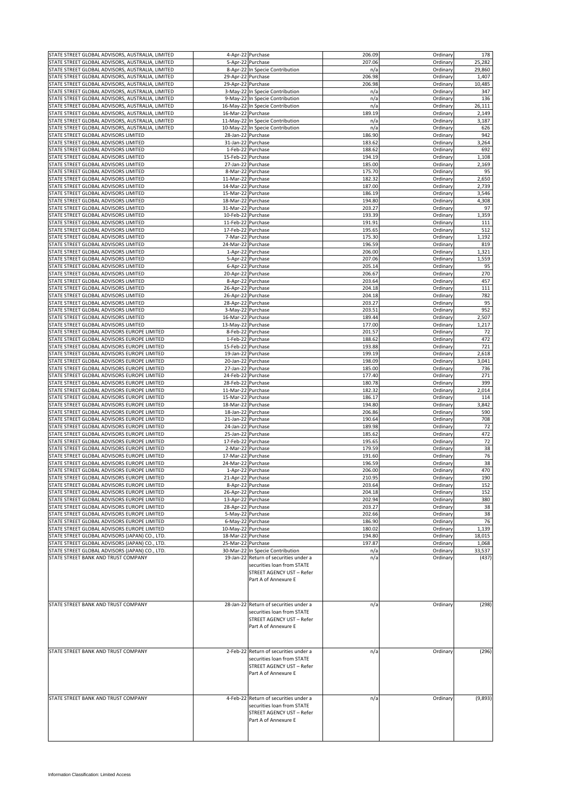| STATE STREET GLOBAL ADVISORS, AUSTRALIA, LIMITED                                                     |                                          | 4-Apr-22 Purchase                                                                                                         | 206.09           | Ordinary             | 178             |
|------------------------------------------------------------------------------------------------------|------------------------------------------|---------------------------------------------------------------------------------------------------------------------------|------------------|----------------------|-----------------|
| STATE STREET GLOBAL ADVISORS, AUSTRALIA, LIMITED                                                     | 5-Apr-22                                 | Purchase                                                                                                                  | 207.06           | Ordinary             | 25,282          |
| STATE STREET GLOBAL ADVISORS, AUSTRALIA, LIMITED                                                     |                                          | 8-Apr-22 In Specie Contribution                                                                                           | n/a              | Ordinary             | 29,860          |
| STATE STREET GLOBAL ADVISORS, AUSTRALIA, LIMITED                                                     | 29-Apr-22 Purchase                       |                                                                                                                           | 206.98           | Ordinary             | 1,407           |
| STATE STREET GLOBAL ADVISORS, AUSTRALIA, LIMITED                                                     | 29-Apr-22 Purchase                       |                                                                                                                           | 206.98           | Ordinary             | 10,485          |
| STATE STREET GLOBAL ADVISORS, AUSTRALIA, LIMITED                                                     |                                          | 3-May-22 In Specie Contribution                                                                                           | n/a              | Ordinary             | 347             |
| STATE STREET GLOBAL ADVISORS, AUSTRALIA, LIMITED                                                     |                                          | 9-May-22 In Specie Contribution                                                                                           | n/a              | Ordinary             | 136<br>26,111   |
| STATE STREET GLOBAL ADVISORS, AUSTRALIA, LIMITED<br>STATE STREET GLOBAL ADVISORS, AUSTRALIA, LIMITED | 16-Mar-22 Purchase                       | 16-May-22 In Specie Contribution                                                                                          | n/a<br>189.19    | Ordinary<br>Ordinary | 2,149           |
| STATE STREET GLOBAL ADVISORS, AUSTRALIA, LIMITED                                                     |                                          | 11-May-22 In Specie Contribution                                                                                          | n/a              | Ordinary             | 3,187           |
| STATE STREET GLOBAL ADVISORS, AUSTRALIA, LIMITED                                                     |                                          | 10-May-22 In Specie Contribution                                                                                          | n/a              | Ordinary             | 626             |
| STATE STREET GLOBAL ADVISORS LIMITED                                                                 | 28-Jan-22                                | Purchase                                                                                                                  | 186.90           | Ordinary             | 942             |
| STATE STREET GLOBAL ADVISORS LIMITED                                                                 | 31-Jan-22                                | Purchase                                                                                                                  | 183.62           | Ordinary             | 3,264           |
| STATE STREET GLOBAL ADVISORS LIMITED                                                                 |                                          | 1-Feb-22 Purchase                                                                                                         | 188.62           | Ordinary             | 692             |
| STATE STREET GLOBAL ADVISORS LIMITED                                                                 | 15-Feb-22                                | Purchase                                                                                                                  | 194.19           | Ordinary             | 1,108           |
| STATE STREET GLOBAL ADVISORS LIMITED                                                                 | 27-Jan-22 Purchase                       |                                                                                                                           | 185.00           | Ordinary             | 2,169           |
| STATE STREET GLOBAL ADVISORS LIMITED                                                                 | 8-Mar-22                                 | Purchase                                                                                                                  | 175.70           | Ordinary             | 95              |
| STATE STREET GLOBAL ADVISORS LIMITED                                                                 | 11-Mar-22 Purchase                       |                                                                                                                           | 182.32           | Ordinary             | 2,650           |
| STATE STREET GLOBAL ADVISORS LIMITED                                                                 | 14-Mar-22 Purchase                       |                                                                                                                           | 187.00           | Ordinary             | 2,739           |
| STATE STREET GLOBAL ADVISORS LIMITED<br>STATE STREET GLOBAL ADVISORS LIMITED                         | 15-Mar-22 Purchase<br>18-Mar-22 Purchase |                                                                                                                           | 186.19<br>194.80 | Ordinary<br>Ordinary | 3,546<br>4,308  |
| STATE STREET GLOBAL ADVISORS LIMITED                                                                 | 31-Mar-22 Purchase                       |                                                                                                                           | 203.27           | Ordinary             | 97              |
| STATE STREET GLOBAL ADVISORS LIMITED                                                                 | 10-Feb-22 Purchase                       |                                                                                                                           | 193.39           | Ordinary             | 1,359           |
| STATE STREET GLOBAL ADVISORS LIMITED                                                                 | 11-Feb-22 Purchase                       |                                                                                                                           | 191.91           | Ordinary             | 111             |
| STATE STREET GLOBAL ADVISORS LIMITED                                                                 | 17-Feb-22 Purchase                       |                                                                                                                           | 195.65           | Ordinary             | 512             |
| STATE STREET GLOBAL ADVISORS LIMITED                                                                 | 7-Mar-22                                 | Purchase                                                                                                                  | 175.30           | Ordinary             | 1,192           |
| STATE STREET GLOBAL ADVISORS LIMITED                                                                 | 24-Mar-22 Purchase                       |                                                                                                                           | 196.59           | Ordinary             | 819             |
| STATE STREET GLOBAL ADVISORS LIMITED                                                                 | 1-Apr-22 Purchase                        |                                                                                                                           | 206.00           | Ordinary             | 1,321           |
| STATE STREET GLOBAL ADVISORS LIMITED                                                                 |                                          | 5-Apr-22 Purchase                                                                                                         | 207.06           | Ordinary             | 1,559           |
| STATE STREET GLOBAL ADVISORS LIMITED<br>STATE STREET GLOBAL ADVISORS LIMITED                         | 20-Apr-22                                | 6-Apr-22 Purchase<br>Purchase                                                                                             | 205.14<br>206.67 | Ordinary<br>Ordinary | 95<br>270       |
| STATE STREET GLOBAL ADVISORS LIMITED                                                                 | 8-Apr-22 Purchase                        |                                                                                                                           | 203.64           | Ordinary             | 457             |
| STATE STREET GLOBAL ADVISORS LIMITED                                                                 | 26-Apr-22                                | Purchase                                                                                                                  | 204.18           | Ordinary             | 111             |
| STATE STREET GLOBAL ADVISORS LIMITED                                                                 | 26-Apr-22 Purchase                       |                                                                                                                           | 204.18           | Ordinary             | 782             |
| STATE STREET GLOBAL ADVISORS LIMITED                                                                 | 28-Apr-22 Purchase                       |                                                                                                                           | 203.27           | Ordinary             | 95              |
| STATE STREET GLOBAL ADVISORS LIMITED                                                                 | 3-May-22 Purchase                        |                                                                                                                           | 203.51           | Ordinary             | 952             |
| STATE STREET GLOBAL ADVISORS LIMITED                                                                 | 16-Mar-22 Purchase                       |                                                                                                                           | 189.44           | Ordinary             | 2,507           |
| STATE STREET GLOBAL ADVISORS LIMITED                                                                 | 13-May-22 Purchase                       |                                                                                                                           | 177.00           | Ordinary             | 1,217           |
| STATE STREET GLOBAL ADVISORS EUROPE LIMITED<br>STATE STREET GLOBAL ADVISORS EUROPE LIMITED           | 1-Feb-22                                 | 8-Feb-22 Purchase<br>Purchase                                                                                             | 201.57<br>188.62 | Ordinary<br>Ordinary | 72<br>472       |
| STATE STREET GLOBAL ADVISORS EUROPE LIMITED                                                          | 15-Feb-22 Purchase                       |                                                                                                                           | 193.88           | Ordinary             | 721             |
| STATE STREET GLOBAL ADVISORS EUROPE LIMITED                                                          | 19-Jan-22 Purchase                       |                                                                                                                           | 199.19           | Ordinary             | 2,618           |
| STATE STREET GLOBAL ADVISORS EUROPE LIMITED                                                          | 20-Jan-22                                | Purchase                                                                                                                  | 198.09           | Ordinary             | 3,041           |
| STATE STREET GLOBAL ADVISORS EUROPE LIMITED                                                          | 27-Jan-22                                | Purchase                                                                                                                  | 185.00           | Ordinary             | 736             |
| STATE STREET GLOBAL ADVISORS EUROPE LIMITED                                                          | 24-Feb-22                                | Purchase                                                                                                                  | 177.40           | Ordinary             | 271             |
| STATE STREET GLOBAL ADVISORS EUROPE LIMITED                                                          | 28-Feb-22                                | Purchase                                                                                                                  | 180.78           | Ordinary             | 399             |
| STATE STREET GLOBAL ADVISORS EUROPE LIMITED                                                          | 11-Mar-22                                | Purchase                                                                                                                  | 182.32           | Ordinary             | 2,014           |
| STATE STREET GLOBAL ADVISORS EUROPE LIMITED                                                          | 15-Mar-22                                | Purchase                                                                                                                  | 186.17           | Ordinary             | 114             |
| STATE STREET GLOBAL ADVISORS EUROPE LIMITED<br>STATE STREET GLOBAL ADVISORS EUROPE LIMITED           | 18-Mar-22<br>18-Jan-22 Purchase          | Purchase                                                                                                                  | 194.80<br>206.86 | Ordinary<br>Ordinary | 3,842<br>590    |
| STATE STREET GLOBAL ADVISORS EUROPE LIMITED                                                          | 21-Jan-22                                | Purchase                                                                                                                  | 190.64           | Ordinary             | 708             |
| STATE STREET GLOBAL ADVISORS EUROPE LIMITED                                                          | 24-Jan-22                                | Purchase                                                                                                                  | 189.98           | Ordinary             | 72              |
| STATE STREET GLOBAL ADVISORS EUROPE LIMITED                                                          | 25-Jan-22                                | Purchase                                                                                                                  | 185.62           | Ordinary             | 472             |
| STATE STREET GLOBAL ADVISORS EUROPE LIMITED                                                          | 17-Feb-22                                | Purchase                                                                                                                  | 195.65           | Ordinary             | 72              |
| STATE STREET GLOBAL ADVISORS EUROPE LIMITED                                                          | 2-Mar-22                                 | Purchase                                                                                                                  | 179.59           | Ordinary             | 38              |
| STATE STREET GLOBAL ADVISORS EUROPE LIMITED                                                          | 17-Mar-22                                | Purchase                                                                                                                  | 191.60           | Ordinary             | 76              |
| STATE STREET GLOBAL ADVISORS EUROPE LIMITED                                                          | 24-Mar-22 Purchase                       |                                                                                                                           | 196.59           | Ordinary             | 38              |
| STATE STREET GLOBAL ADVISORS EUROPE LIMITED                                                          |                                          | 1-Apr-22 Purchase                                                                                                         | 206.00           | Ordinary             | 470             |
| STATE STREET GLOBAL ADVISORS EUROPE LIMITED<br>STATE STREET GLOBAL ADVISORS EUROPE LIMITED           | 21-Apr-22 Purchase                       | 8-Apr-22 Purchase                                                                                                         | 210.95<br>203.64 | Ordinary<br>Ordinary | 190<br>152      |
| STATE STREET GLOBAL ADVISORS EUROPE LIMITED                                                          | 26-Apr-22 Purchase                       |                                                                                                                           | 204.18           | Ordinary             | 152             |
| STATE STREET GLOBAL ADVISORS EUROPE LIMITED                                                          | 13-Apr-22 Purchase                       |                                                                                                                           | 202.94           | Ordinary             | 380             |
| STATE STREET GLOBAL ADVISORS EUROPE LIMITED                                                          | 28-Apr-22 Purchase                       |                                                                                                                           | 203.27           | Ordinary             | 38              |
| STATE STREET GLOBAL ADVISORS EUROPE LIMITED                                                          | 5-May-22 Purchase                        |                                                                                                                           | 202.66           | Ordinary             | 38              |
| STATE STREET GLOBAL ADVISORS EUROPE LIMITED                                                          | 6-May-22 Purchase                        |                                                                                                                           | 186.90           | Ordinary             | 76              |
| STATE STREET GLOBAL ADVISORS EUROPE LIMITED                                                          | 10-May-22 Purchase                       |                                                                                                                           | 180.02           | Ordinary             | 1,139           |
| STATE STREET GLOBAL ADVISORS (JAPAN) CO., LTD.                                                       | 18-Mar-22 Purchase                       |                                                                                                                           | 194.80           | Ordinary             | 18,015          |
| STATE STREET GLOBAL ADVISORS (JAPAN) CO., LTD.<br>STATE STREET GLOBAL ADVISORS (JAPAN) CO., LTD.     | 25-Mar-22 Purchase                       | 30-Mar-22 In Specie Contribution                                                                                          | 197.87           | Ordinary<br>Ordinary | 1,068           |
| STATE STREET BANK AND TRUST COMPANY                                                                  |                                          | 19-Jan-22 Return of securities under a                                                                                    | n/a<br>n/a       | Ordinary             | 33,537<br>(437) |
|                                                                                                      |                                          | securities loan from STATE<br>STREET AGENCY UST - Refer<br>Part A of Annexure E                                           |                  |                      |                 |
| STATE STREET BANK AND TRUST COMPANY                                                                  |                                          | 28-Jan-22 Return of securities under a<br>securities loan from STATE<br>STREET AGENCY UST - Refer<br>Part A of Annexure E | n/a              | Ordinary             | (298)           |
| STATE STREET BANK AND TRUST COMPANY                                                                  |                                          | 2-Feb-22 Return of securities under a<br>securities loan from STATE<br>STREET AGENCY UST - Refer<br>Part A of Annexure E  | n/a              | Ordinary             | (296)           |
| STATE STREET BANK AND TRUST COMPANY                                                                  |                                          | 4-Feb-22 Return of securities under a<br>securities loan from STATE<br>STREET AGENCY UST - Refer<br>Part A of Annexure E  | n/a              | Ordinary             | (9,893)         |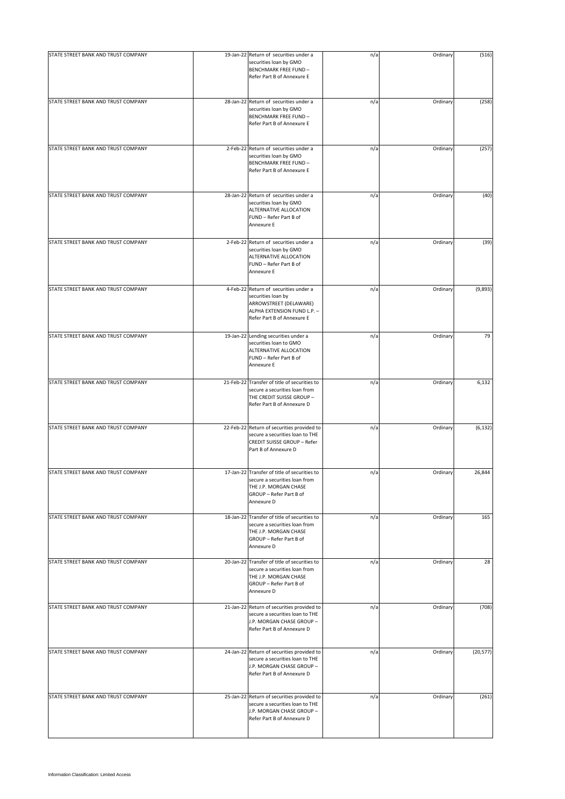| STATE STREET BANK AND TRUST COMPANY | 19-Jan-22 Return of securities under a<br>securities loan by GMO<br>BENCHMARK FREE FUND-<br>Refer Part B of Annexure E                             | n/a | Ordinary | (516)     |
|-------------------------------------|----------------------------------------------------------------------------------------------------------------------------------------------------|-----|----------|-----------|
| STATE STREET BANK AND TRUST COMPANY | 28-Jan-22 Return of securities under a<br>securities loan by GMO<br><b>BENCHMARK FREE FUND-</b><br>Refer Part B of Annexure E                      | n/a | Ordinary | (258)     |
| STATE STREET BANK AND TRUST COMPANY | 2-Feb-22 Return of securities under a<br>securities loan by GMO<br><b>BENCHMARK FREE FUND-</b><br>Refer Part B of Annexure E                       | n/a | Ordinary | (257)     |
| STATE STREET BANK AND TRUST COMPANY | 28-Jan-22 Return of securities under a<br>securities loan by GMO<br>ALTERNATIVE ALLOCATION<br>FUND - Refer Part B of<br>Annexure E                 | n/a | Ordinary | (40)      |
| STATE STREET BANK AND TRUST COMPANY | 2-Feb-22 Return of securities under a<br>securities loan by GMO<br>ALTERNATIVE ALLOCATION<br>FUND - Refer Part B of<br>Annexure E                  | n/a | Ordinary | (39)      |
| STATE STREET BANK AND TRUST COMPANY | 4-Feb-22 Return of securities under a<br>securities loan by<br>ARROWSTREET (DELAWARE)<br>ALPHA EXTENSION FUND L.P. -<br>Refer Part B of Annexure E | n/a | Ordinary | (9,893)   |
| STATE STREET BANK AND TRUST COMPANY | 19-Jan-22 Lending securities under a<br>securities loan to GMO<br>ALTERNATIVE ALLOCATION<br>FUND - Refer Part B of<br>Annexure E                   | n/a | Ordinary | 79        |
| STATE STREET BANK AND TRUST COMPANY | 21-Feb-22 Transfer of title of securities to<br>secure a securities loan from<br>THE CREDIT SUISSE GROUP -<br>Refer Part B of Annexure D           | n/a | Ordinary | 6,132     |
| STATE STREET BANK AND TRUST COMPANY | 22-Feb-22 Return of securities provided to<br>secure a securities loan to THE<br>CREDIT SUISSE GROUP - Refer<br>Part B of Annexure D               | n/a | Ordinary | (6, 132)  |
| STATE STREET BANK AND TRUST COMPANY | 17-Jan-22 Transfer of title of securities to<br>secure a securities loan from<br>THE J.P. MORGAN CHASE<br>GROUP - Refer Part B of<br>Annexure D    | n/a | Ordinary | 26,844    |
| STATE STREET BANK AND TRUST COMPANY | 18-Jan-22 Transfer of title of securities to<br>secure a securities loan from<br>THE J.P. MORGAN CHASE<br>GROUP - Refer Part B of<br>Annexure D    | n/a | Ordinary | 165       |
| STATE STREET BANK AND TRUST COMPANY | 20-Jan-22 Transfer of title of securities to<br>secure a securities loan from<br>THE J.P. MORGAN CHASE<br>GROUP - Refer Part B of<br>Annexure D    | n/a | Ordinary | 28        |
| STATE STREET BANK AND TRUST COMPANY | 21-Jan-22 Return of securities provided to<br>secure a securities loan to THE<br>J.P. MORGAN CHASE GROUP -<br>Refer Part B of Annexure D           | n/a | Ordinary | (708)     |
| STATE STREET BANK AND TRUST COMPANY | 24-Jan-22 Return of securities provided to<br>secure a securities loan to THE<br>J.P. MORGAN CHASE GROUP -<br>Refer Part B of Annexure D           | n/a | Ordinary | (20, 577) |
| STATE STREET BANK AND TRUST COMPANY | 25-Jan-22 Return of securities provided to<br>secure a securities loan to THE<br>J.P. MORGAN CHASE GROUP -<br>Refer Part B of Annexure D           | n/a | Ordinary | (261)     |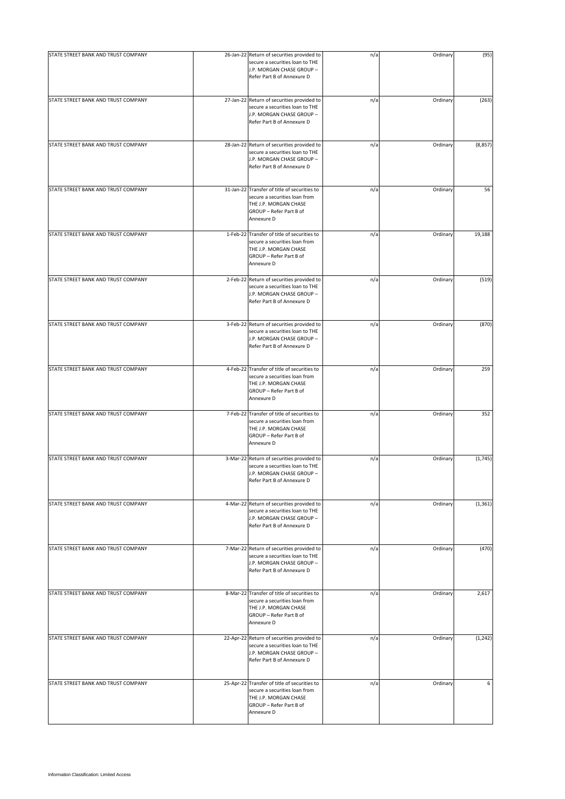| STATE STREET BANK AND TRUST COMPANY | 26-Jan-22 Return of securities provided to                                                                                                      | n/a | Ordinary | (95)     |
|-------------------------------------|-------------------------------------------------------------------------------------------------------------------------------------------------|-----|----------|----------|
|                                     | secure a securities loan to THE<br>J.P. MORGAN CHASE GROUP -<br>Refer Part B of Annexure D                                                      |     |          |          |
| STATE STREET BANK AND TRUST COMPANY | 27-Jan-22 Return of securities provided to<br>secure a securities loan to THE<br>J.P. MORGAN CHASE GROUP -<br>Refer Part B of Annexure D        | n/a | Ordinary | (263)    |
| STATE STREET BANK AND TRUST COMPANY | 28-Jan-22 Return of securities provided to<br>secure a securities loan to THE<br>J.P. MORGAN CHASE GROUP -<br>Refer Part B of Annexure D        | n/a | Ordinary | (8, 857) |
| STATE STREET BANK AND TRUST COMPANY | 31-Jan-22 Transfer of title of securities to<br>secure a securities loan from<br>THE J.P. MORGAN CHASE<br>GROUP - Refer Part B of<br>Annexure D | n/a | Ordinary | 56       |
| STATE STREET BANK AND TRUST COMPANY | 1-Feb-22 Transfer of title of securities to<br>secure a securities loan from<br>THE J.P. MORGAN CHASE<br>GROUP - Refer Part B of<br>Annexure D  | n/a | Ordinary | 19,188   |
| STATE STREET BANK AND TRUST COMPANY | 2-Feb-22 Return of securities provided to<br>secure a securities loan to THE<br>J.P. MORGAN CHASE GROUP -<br>Refer Part B of Annexure D         | n/a | Ordinary | (519)    |
| STATE STREET BANK AND TRUST COMPANY | 3-Feb-22 Return of securities provided to<br>secure a securities loan to THE<br>J.P. MORGAN CHASE GROUP -<br>Refer Part B of Annexure D         | n/a | Ordinary | (870)    |
| STATE STREET BANK AND TRUST COMPANY | 4-Feb-22 Transfer of title of securities to<br>secure a securities loan from<br>THE J.P. MORGAN CHASE<br>GROUP - Refer Part B of<br>Annexure D  | n/a | Ordinary | 259      |
| STATE STREET BANK AND TRUST COMPANY | 7-Feb-22 Transfer of title of securities to<br>secure a securities loan from<br>THE J.P. MORGAN CHASE<br>GROUP - Refer Part B of<br>Annexure D  | n/a | Ordinary | 352      |
| STATE STREET BANK AND TRUST COMPANY | 3-Mar-22 Return of securities provided to<br>secure a securities loan to THE<br>J.P. MORGAN CHASE GROUP -<br>Refer Part B of Annexure D         | n/a | Ordinary | (1,745)  |
| STATE STREET BANK AND TRUST COMPANY | 4-Mar-22 Return of securities provided to<br>secure a securities loan to THE<br>J.P. MORGAN CHASE GROUP -<br>Refer Part B of Annexure D         | n/a | Ordinary | (1, 361) |
| STATE STREET BANK AND TRUST COMPANY | 7-Mar-22 Return of securities provided to<br>secure a securities loan to THE<br>J.P. MORGAN CHASE GROUP -<br>Refer Part B of Annexure D         | n/a | Ordinary | (470)    |
| STATE STREET BANK AND TRUST COMPANY | 8-Mar-22 Transfer of title of securities to<br>secure a securities loan from<br>THE J.P. MORGAN CHASE<br>GROUP - Refer Part B of<br>Annexure D  | n/a | Ordinary | 2,617    |
| STATE STREET BANK AND TRUST COMPANY | 22-Apr-22 Return of securities provided to<br>secure a securities loan to THE<br>J.P. MORGAN CHASE GROUP -<br>Refer Part B of Annexure D        | n/a | Ordinary | (1, 242) |
| STATE STREET BANK AND TRUST COMPANY | 25-Apr-22 Transfer of title of securities to<br>secure a securities loan from<br>THE J.P. MORGAN CHASE<br>GROUP - Refer Part B of<br>Annexure D | n/a | Ordinary | 6        |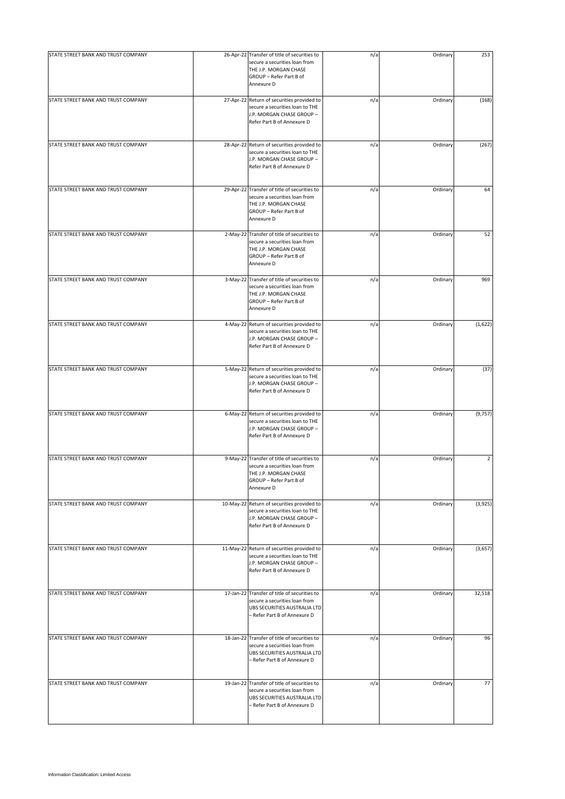| STATE STREET BANK AND TRUST COMPANY | 26-Apr-22 Transfer of title of securities to                                                                                                    | n/a | Ordinary | 253            |
|-------------------------------------|-------------------------------------------------------------------------------------------------------------------------------------------------|-----|----------|----------------|
|                                     | secure a securities loan from<br>THE J.P. MORGAN CHASE<br>GROUP - Refer Part B of<br>Annexure D                                                 |     |          |                |
| STATE STREET BANK AND TRUST COMPANY | 27-Apr-22 Return of securities provided to<br>secure a securities loan to THE<br>J.P. MORGAN CHASE GROUP -<br>Refer Part B of Annexure D        | n/a | Ordinary | (168)          |
| STATE STREET BANK AND TRUST COMPANY | 28-Apr-22 Return of securities provided to<br>secure a securities loan to THE<br>J.P. MORGAN CHASE GROUP -<br>Refer Part B of Annexure D        | n/a | Ordinary | (267)          |
| STATE STREET BANK AND TRUST COMPANY | 29-Apr-22 Transfer of title of securities to<br>secure a securities loan from<br>THE J.P. MORGAN CHASE<br>GROUP - Refer Part B of<br>Annexure D | n/a | Ordinary | 64             |
| STATE STREET BANK AND TRUST COMPANY | 2-May-22 Transfer of title of securities to<br>secure a securities loan from<br>THE J.P. MORGAN CHASE<br>GROUP - Refer Part B of<br>Annexure D  | n/a | Ordinary | 52             |
| STATE STREET BANK AND TRUST COMPANY | 3-May-22 Transfer of title of securities to<br>secure a securities loan from<br>THE J.P. MORGAN CHASE<br>GROUP - Refer Part B of<br>Annexure D  | n/a | Ordinary | 969            |
| STATE STREET BANK AND TRUST COMPANY | 4-May-22 Return of securities provided to<br>secure a securities loan to THE<br>J.P. MORGAN CHASE GROUP -<br>Refer Part B of Annexure D         | n/a | Ordinary | (1,622)        |
| STATE STREET BANK AND TRUST COMPANY | 5-May-22 Return of securities provided to<br>secure a securities loan to THE<br>J.P. MORGAN CHASE GROUP -<br>Refer Part B of Annexure D         | n/a | Ordinary | (37)           |
| STATE STREET BANK AND TRUST COMPANY | 6-May-22 Return of securities provided to<br>secure a securities loan to THE<br>J.P. MORGAN CHASE GROUP -<br>Refer Part B of Annexure D         | n/a | Ordinary | (9, 757)       |
| STATE STREET BANK AND TRUST COMPANY | 9-May-22 Transfer of title of securities to<br>secure a securities loan from<br>THE J.P. MORGAN CHASE<br>GROUP - Refer Part B of<br>Annexure D  | n/a | Ordinary | $\overline{2}$ |
| STATE STREET BANK AND TRUST COMPANY | 10-May-22 Return of securities provided to<br>secure a securities loan to THE<br>J.P. MORGAN CHASE GROUP -<br>Refer Part B of Annexure D        | n/a | Ordinary | (3,925)        |
| STATE STREET BANK AND TRUST COMPANY | 11-May-22 Return of securities provided to<br>secure a securities loan to THE<br>J.P. MORGAN CHASE GROUP -<br>Refer Part B of Annexure D        | n/a | Ordinary | (3,657)        |
| STATE STREET BANK AND TRUST COMPANY | 17-Jan-22 Transfer of title of securities to<br>secure a securities loan from<br>UBS SECURITIES AUSTRALIA LTD<br>– Refer Part B of Annexure D   | n/a | Ordinary | 32,518         |
| STATE STREET BANK AND TRUST COMPANY | 18-Jan-22 Transfer of title of securities to<br>secure a securities loan from<br>UBS SECURITIES AUSTRALIA LTD<br>- Refer Part B of Annexure D   | n/a | Ordinary | 96             |
| STATE STREET BANK AND TRUST COMPANY | 19-Jan-22 Transfer of title of securities to<br>secure a securities loan from<br>UBS SECURITIES AUSTRALIA LTD<br>- Refer Part B of Annexure D   | n/a | Ordinary | 77             |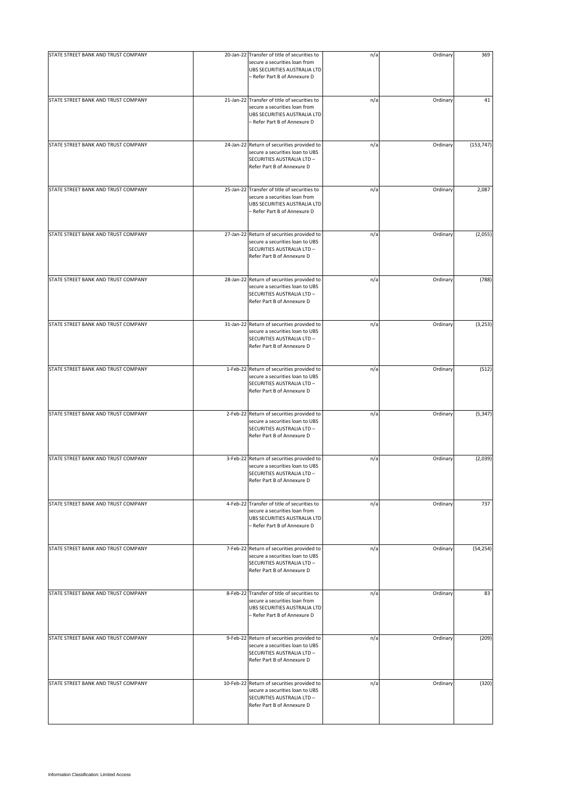| STATE STREET BANK AND TRUST COMPANY | 20-Jan-22 Transfer of title of securities to                                                                                                  | n/a | Ordinary | 369        |
|-------------------------------------|-----------------------------------------------------------------------------------------------------------------------------------------------|-----|----------|------------|
|                                     | secure a securities loan from<br>UBS SECURITIES AUSTRALIA LTD<br>- Refer Part B of Annexure D                                                 |     |          |            |
| STATE STREET BANK AND TRUST COMPANY | 21-Jan-22 Transfer of title of securities to<br>secure a securities loan from<br>UBS SECURITIES AUSTRALIA LTD<br>- Refer Part B of Annexure D | n/a | Ordinary | 41         |
| STATE STREET BANK AND TRUST COMPANY | 24-Jan-22 Return of securities provided to<br>secure a securities loan to UBS<br>SECURITIES AUSTRALIA LTD -<br>Refer Part B of Annexure D     | n/a | Ordinary | (153, 747) |
| STATE STREET BANK AND TRUST COMPANY | 25-Jan-22 Transfer of title of securities to<br>secure a securities loan from<br>UBS SECURITIES AUSTRALIA LTD<br>- Refer Part B of Annexure D | n/a | Ordinary | 2,087      |
| STATE STREET BANK AND TRUST COMPANY | 27-Jan-22 Return of securities provided to<br>secure a securities loan to UBS<br>SECURITIES AUSTRALIA LTD -<br>Refer Part B of Annexure D     | n/a | Ordinary | (2,055)    |
| STATE STREET BANK AND TRUST COMPANY | 28-Jan-22 Return of securities provided to<br>secure a securities loan to UBS<br>SECURITIES AUSTRALIA LTD -<br>Refer Part B of Annexure D     | n/a | Ordinary | (788)      |
| STATE STREET BANK AND TRUST COMPANY | 31-Jan-22 Return of securities provided to<br>secure a securities loan to UBS<br>SECURITIES AUSTRALIA LTD -<br>Refer Part B of Annexure D     | n/a | Ordinary | (3, 253)   |
| STATE STREET BANK AND TRUST COMPANY | 1-Feb-22 Return of securities provided to<br>secure a securities loan to UBS<br>SECURITIES AUSTRALIA LTD -<br>Refer Part B of Annexure D      | n/a | Ordinary | (512)      |
| STATE STREET BANK AND TRUST COMPANY | 2-Feb-22 Return of securities provided to<br>secure a securities loan to UBS<br>SECURITIES AUSTRALIA LTD -<br>Refer Part B of Annexure D      | n/a | Ordinary | (5, 347)   |
| STATE STREET BANK AND TRUST COMPANY | 3-Feb-22 Return of securities provided to<br>secure a securities loan to UBS<br>SECURITIES AUSTRALIA LTD -<br>Refer Part B of Annexure D      | n/a | Ordinary | (2,039)    |
| STATE STREET BANK AND TRUST COMPANY | 4-Feb-22 Transfer of title of securities to<br>secure a securities loan from<br>UBS SECURITIES AUSTRALIA LTD<br>- Refer Part B of Annexure D  | n/a | Ordinary | 737        |
| STATE STREET BANK AND TRUST COMPANY | 7-Feb-22 Return of securities provided to<br>secure a securities loan to UBS<br>SECURITIES AUSTRALIA LTD -<br>Refer Part B of Annexure D      | n/a | Ordinary | (54, 254)  |
| STATE STREET BANK AND TRUST COMPANY | 8-Feb-22 Transfer of title of securities to<br>secure a securities loan from<br>UBS SECURITIES AUSTRALIA LTD<br>- Refer Part B of Annexure D  | n/a | Ordinary | 83         |
| STATE STREET BANK AND TRUST COMPANY | 9-Feb-22 Return of securities provided to<br>secure a securities loan to UBS<br>SECURITIES AUSTRALIA LTD -<br>Refer Part B of Annexure D      | n/a | Ordinary | (209)      |
| STATE STREET BANK AND TRUST COMPANY | 10-Feb-22 Return of securities provided to<br>secure a securities loan to UBS<br>SECURITIES AUSTRALIA LTD -<br>Refer Part B of Annexure D     | n/a | Ordinary | (320)      |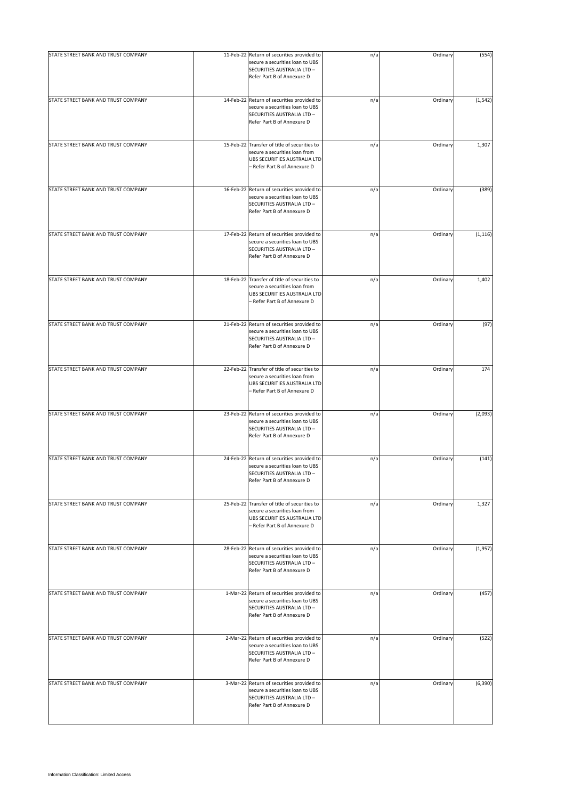| STATE STREET BANK AND TRUST COMPANY | 11-Feb-22 Return of securities provided to<br>secure a securities loan to UBS<br>SECURITIES AUSTRALIA LTD -<br>Refer Part B of Annexure D     | n/a | Ordinary | (554)    |
|-------------------------------------|-----------------------------------------------------------------------------------------------------------------------------------------------|-----|----------|----------|
| STATE STREET BANK AND TRUST COMPANY | 14-Feb-22 Return of securities provided to<br>secure a securities loan to UBS<br>SECURITIES AUSTRALIA LTD -<br>Refer Part B of Annexure D     | n/a | Ordinary | (1, 542) |
| STATE STREET BANK AND TRUST COMPANY | 15-Feb-22 Transfer of title of securities to<br>secure a securities loan from<br>UBS SECURITIES AUSTRALIA LTD<br>- Refer Part B of Annexure D | n/a | Ordinary | 1,307    |
| STATE STREET BANK AND TRUST COMPANY | 16-Feb-22 Return of securities provided to<br>secure a securities loan to UBS<br>SECURITIES AUSTRALIA LTD -<br>Refer Part B of Annexure D     | n/a | Ordinary | (389)    |
| STATE STREET BANK AND TRUST COMPANY | 17-Feb-22 Return of securities provided to<br>secure a securities loan to UBS<br>SECURITIES AUSTRALIA LTD -<br>Refer Part B of Annexure D     | n/a | Ordinary | (1, 116) |
| STATE STREET BANK AND TRUST COMPANY | 18-Feb-22 Transfer of title of securities to<br>secure a securities loan from<br>UBS SECURITIES AUSTRALIA LTD<br>- Refer Part B of Annexure D | n/a | Ordinary | 1,402    |
| STATE STREET BANK AND TRUST COMPANY | 21-Feb-22 Return of securities provided to<br>secure a securities loan to UBS<br>SECURITIES AUSTRALIA LTD -<br>Refer Part B of Annexure D     | n/a | Ordinary | (97)     |
| STATE STREET BANK AND TRUST COMPANY | 22-Feb-22 Transfer of title of securities to<br>secure a securities loan from<br>UBS SECURITIES AUSTRALIA LTD<br>- Refer Part B of Annexure D | n/a | Ordinary | 174      |
| STATE STREET BANK AND TRUST COMPANY | 23-Feb-22 Return of securities provided to<br>secure a securities loan to UBS<br>SECURITIES AUSTRALIA LTD -<br>Refer Part B of Annexure D     | n/a | Ordinary | (2,093)  |
| STATE STREET BANK AND TRUST COMPANY | 24-Feb-22 Return of securities provided to<br>secure a securities loan to UBS<br>SECURITIES AUSTRALIA LTD -<br>Refer Part B of Annexure D     | n/a | Ordinary | (141)    |
| STATE STREET BANK AND TRUST COMPANY | 25-Feb-22 Transfer of title of securities to<br>secure a securities loan from<br>UBS SECURITIES AUSTRALIA LTD<br>- Refer Part B of Annexure D | n/a | Ordinary | 1,327    |
| STATE STREET BANK AND TRUST COMPANY | 28-Feb-22 Return of securities provided to<br>secure a securities loan to UBS<br>SECURITIES AUSTRALIA LTD -<br>Refer Part B of Annexure D     | n/a | Ordinary | (1,957)  |
| STATE STREET BANK AND TRUST COMPANY | 1-Mar-22 Return of securities provided to<br>secure a securities loan to UBS<br>SECURITIES AUSTRALIA LTD -<br>Refer Part B of Annexure D      | n/a | Ordinary | (457)    |
| STATE STREET BANK AND TRUST COMPANY | 2-Mar-22 Return of securities provided to<br>secure a securities loan to UBS<br>SECURITIES AUSTRALIA LTD -<br>Refer Part B of Annexure D      | n/a | Ordinary | (522)    |
| STATE STREET BANK AND TRUST COMPANY | 3-Mar-22 Return of securities provided to<br>secure a securities loan to UBS<br>SECURITIES AUSTRALIA LTD -<br>Refer Part B of Annexure D      | n/a | Ordinary | (6, 390) |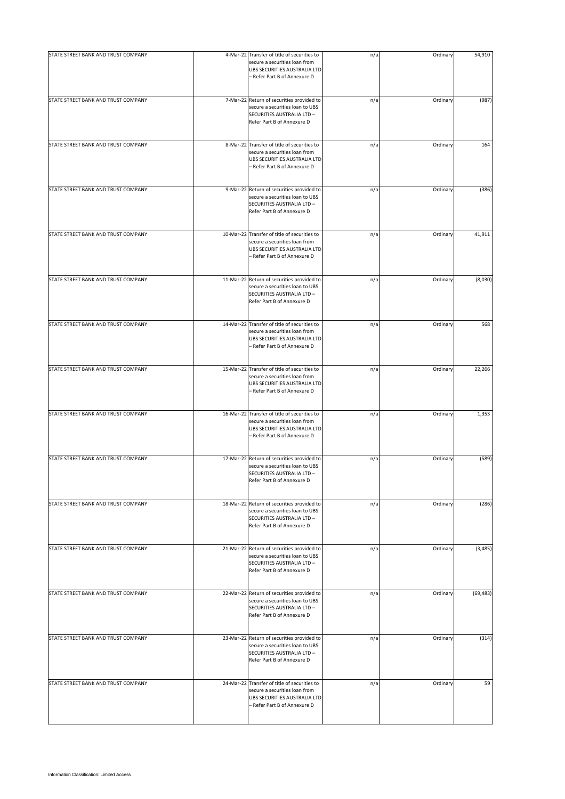| STATE STREET BANK AND TRUST COMPANY | 4-Mar-22 Transfer of title of securities to                                                                                                   | n/a | Ordinary | 54,910    |
|-------------------------------------|-----------------------------------------------------------------------------------------------------------------------------------------------|-----|----------|-----------|
|                                     | secure a securities loan from<br>UBS SECURITIES AUSTRALIA LTD<br>- Refer Part B of Annexure D                                                 |     |          |           |
| STATE STREET BANK AND TRUST COMPANY | 7-Mar-22 Return of securities provided to<br>secure a securities loan to UBS<br>SECURITIES AUSTRALIA LTD -<br>Refer Part B of Annexure D      | n/a | Ordinary | (987)     |
| STATE STREET BANK AND TRUST COMPANY | 8-Mar-22 Transfer of title of securities to<br>secure a securities loan from<br>UBS SECURITIES AUSTRALIA LTD<br>- Refer Part B of Annexure D  | n/a | Ordinary | 164       |
| STATE STREET BANK AND TRUST COMPANY | 9-Mar-22 Return of securities provided to<br>secure a securities loan to UBS<br>SECURITIES AUSTRALIA LTD -<br>Refer Part B of Annexure D      | n/a | Ordinary | (386)     |
| STATE STREET BANK AND TRUST COMPANY | 10-Mar-22 Transfer of title of securities to<br>secure a securities loan from<br>UBS SECURITIES AUSTRALIA LTD<br>- Refer Part B of Annexure D | n/a | Ordinary | 41,911    |
| STATE STREET BANK AND TRUST COMPANY | 11-Mar-22 Return of securities provided to<br>secure a securities loan to UBS<br>SECURITIES AUSTRALIA LTD -<br>Refer Part B of Annexure D     | n/a | Ordinary | (8,030)   |
| STATE STREET BANK AND TRUST COMPANY | 14-Mar-22 Transfer of title of securities to<br>secure a securities loan from<br>UBS SECURITIES AUSTRALIA LTD<br>- Refer Part B of Annexure D | n/a | Ordinary | 568       |
| STATE STREET BANK AND TRUST COMPANY | 15-Mar-22 Transfer of title of securities to<br>secure a securities loan from<br>UBS SECURITIES AUSTRALIA LTD<br>- Refer Part B of Annexure D | n/a | Ordinary | 22,266    |
| STATE STREET BANK AND TRUST COMPANY | 16-Mar-22 Transfer of title of securities to<br>secure a securities loan from<br>UBS SECURITIES AUSTRALIA LTD<br>- Refer Part B of Annexure D | n/a | Ordinary | 1,353     |
| STATE STREET BANK AND TRUST COMPANY | 17-Mar-22 Return of securities provided to<br>secure a securities loan to UBS<br>SECURITIES AUSTRALIA LTD -<br>Refer Part B of Annexure D     | n/a | Ordinary | (589)     |
| STATE STREET BANK AND TRUST COMPANY | 18-Mar-22 Return of securities provided to<br>secure a securities loan to UBS<br>SECURITIES AUSTRALIA LTD -<br>Refer Part B of Annexure D     | n/a | Ordinary | (286)     |
| STATE STREET BANK AND TRUST COMPANY | 21-Mar-22 Return of securities provided to<br>secure a securities loan to UBS<br>SECURITIES AUSTRALIA LTD -<br>Refer Part B of Annexure D     | n/a | Ordinary | (3, 485)  |
| STATE STREET BANK AND TRUST COMPANY | 22-Mar-22 Return of securities provided to<br>secure a securities loan to UBS<br>SECURITIES AUSTRALIA LTD -<br>Refer Part B of Annexure D     | n/a | Ordinary | (69, 483) |
| STATE STREET BANK AND TRUST COMPANY | 23-Mar-22 Return of securities provided to<br>secure a securities loan to UBS<br>SECURITIES AUSTRALIA LTD -<br>Refer Part B of Annexure D     | n/a | Ordinary | (314)     |
| STATE STREET BANK AND TRUST COMPANY | 24-Mar-22 Transfer of title of securities to<br>secure a securities loan from<br>UBS SECURITIES AUSTRALIA LTD<br>- Refer Part B of Annexure D | n/a | Ordinary | 59        |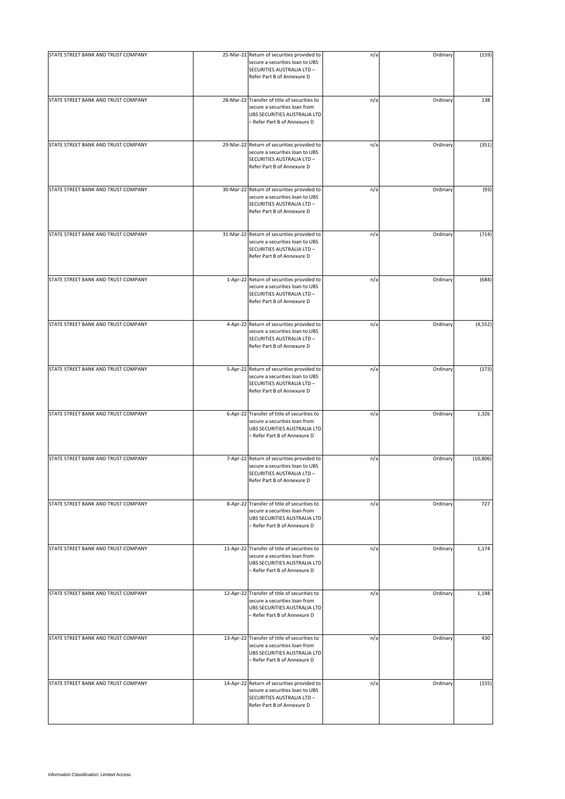| STATE STREET BANK AND TRUST COMPANY | 25-Mar-22 Return of securities provided to                                                                                                    | n/a | Ordinary | (159)     |
|-------------------------------------|-----------------------------------------------------------------------------------------------------------------------------------------------|-----|----------|-----------|
|                                     | secure a securities loan to UBS<br>SECURITIES AUSTRALIA LTD -<br>Refer Part B of Annexure D                                                   |     |          |           |
| STATE STREET BANK AND TRUST COMPANY | 28-Mar-22 Transfer of title of securities to<br>secure a securities loan from<br>UBS SECURITIES AUSTRALIA LTD<br>- Refer Part B of Annexure D | n/a | Ordinary | 138       |
| STATE STREET BANK AND TRUST COMPANY | 29-Mar-22 Return of securities provided to<br>secure a securities loan to UBS<br>SECURITIES AUSTRALIA LTD -<br>Refer Part B of Annexure D     | n/a | Ordinary | (351)     |
| STATE STREET BANK AND TRUST COMPANY | 30-Mar-22 Return of securities provided to<br>secure a securities loan to UBS<br>SECURITIES AUSTRALIA LTD -<br>Refer Part B of Annexure D     | n/a | Ordinary | (93)      |
| STATE STREET BANK AND TRUST COMPANY | 31-Mar-22 Return of securities provided to<br>secure a securities loan to UBS<br>SECURITIES AUSTRALIA LTD -<br>Refer Part B of Annexure D     | n/a | Ordinary | (714)     |
| STATE STREET BANK AND TRUST COMPANY | 1-Apr-22 Return of securities provided to<br>secure a securities loan to UBS<br>SECURITIES AUSTRALIA LTD -<br>Refer Part B of Annexure D      | n/a | Ordinary | (684)     |
| STATE STREET BANK AND TRUST COMPANY | 4-Apr-22 Return of securities provided to<br>secure a securities loan to UBS<br>SECURITIES AUSTRALIA LTD -<br>Refer Part B of Annexure D      | n/a | Ordinary | (4, 552)  |
| STATE STREET BANK AND TRUST COMPANY | 5-Apr-22 Return of securities provided to<br>secure a securities loan to UBS<br>SECURITIES AUSTRALIA LTD -<br>Refer Part B of Annexure D      | n/a | Ordinary | (173)     |
| STATE STREET BANK AND TRUST COMPANY | 6-Apr-22 Transfer of title of securities to<br>secure a securities loan from<br>UBS SECURITIES AUSTRALIA LTD<br>- Refer Part B of Annexure D  | n/a | Ordinary | 1,326     |
| STATE STREET BANK AND TRUST COMPANY | 7-Apr-22 Return of securities provided to<br>secure a securities loan to UBS<br>SECURITIES AUSTRALIA LTD -<br>Refer Part B of Annexure D      | n/a | Ordinary | (10, 806) |
| STATE STREET BANK AND TRUST COMPANY | 8-Apr-22 Transfer of title of securities to<br>secure a securities loan from<br>UBS SECURITIES AUSTRALIA LTD<br>- Refer Part B of Annexure D  | n/a | Ordinary | 727       |
| STATE STREET BANK AND TRUST COMPANY | 11-Apr-22 Transfer of title of securities to<br>secure a securities loan from<br>UBS SECURITIES AUSTRALIA LTD<br>- Refer Part B of Annexure D | n/a | Ordinary | 1,174     |
| STATE STREET BANK AND TRUST COMPANY | 12-Apr-22 Transfer of title of securities to<br>secure a securities loan from<br>UBS SECURITIES AUSTRALIA LTD<br>- Refer Part B of Annexure D | n/a | Ordinary | 1,148     |
| STATE STREET BANK AND TRUST COMPANY | 13-Apr-22 Transfer of title of securities to<br>secure a securities loan from<br>UBS SECURITIES AUSTRALIA LTD<br>- Refer Part B of Annexure D | n/a | Ordinary | 430       |
| STATE STREET BANK AND TRUST COMPANY | 14-Apr-22 Return of securities provided to<br>secure a securities loan to UBS<br>SECURITIES AUSTRALIA LTD -<br>Refer Part B of Annexure D     | n/a | Ordinary | (155)     |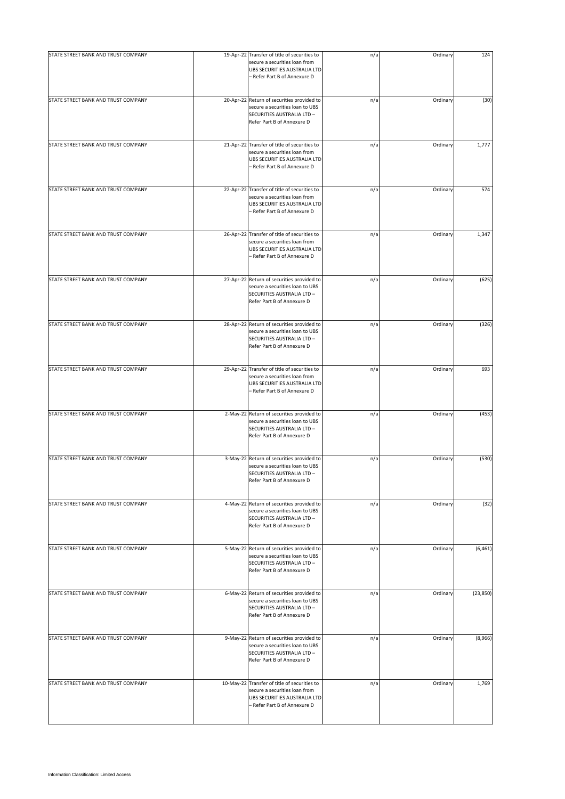| STATE STREET BANK AND TRUST COMPANY | 19-Apr-22 Transfer of title of securities to                                                                                                  | n/a | Ordinary | 124       |
|-------------------------------------|-----------------------------------------------------------------------------------------------------------------------------------------------|-----|----------|-----------|
|                                     | secure a securities loan from<br>UBS SECURITIES AUSTRALIA LTD<br>- Refer Part B of Annexure D                                                 |     |          |           |
| STATE STREET BANK AND TRUST COMPANY | 20-Apr-22 Return of securities provided to<br>secure a securities loan to UBS<br>SECURITIES AUSTRALIA LTD -<br>Refer Part B of Annexure D     | n/a | Ordinary | (30)      |
| STATE STREET BANK AND TRUST COMPANY | 21-Apr-22 Transfer of title of securities to<br>secure a securities loan from<br>UBS SECURITIES AUSTRALIA LTD<br>- Refer Part B of Annexure D | n/a | Ordinary | 1,777     |
| STATE STREET BANK AND TRUST COMPANY | 22-Apr-22 Transfer of title of securities to<br>secure a securities loan from<br>UBS SECURITIES AUSTRALIA LTD<br>- Refer Part B of Annexure D | n/a | Ordinary | 574       |
| STATE STREET BANK AND TRUST COMPANY | 26-Apr-22 Transfer of title of securities to<br>secure a securities loan from<br>UBS SECURITIES AUSTRALIA LTD<br>- Refer Part B of Annexure D | n/a | Ordinary | 1,347     |
| STATE STREET BANK AND TRUST COMPANY | 27-Apr-22 Return of securities provided to<br>secure a securities loan to UBS<br>SECURITIES AUSTRALIA LTD -<br>Refer Part B of Annexure D     | n/a | Ordinary | (625)     |
| STATE STREET BANK AND TRUST COMPANY | 28-Apr-22 Return of securities provided to<br>secure a securities loan to UBS<br>SECURITIES AUSTRALIA LTD -<br>Refer Part B of Annexure D     | n/a | Ordinary | (326)     |
| STATE STREET BANK AND TRUST COMPANY | 29-Apr-22 Transfer of title of securities to<br>secure a securities loan from<br>UBS SECURITIES AUSTRALIA LTD<br>- Refer Part B of Annexure D | n/a | Ordinary | 693       |
| STATE STREET BANK AND TRUST COMPANY | 2-May-22 Return of securities provided to<br>secure a securities loan to UBS<br>SECURITIES AUSTRALIA LTD -<br>Refer Part B of Annexure D      | n/a | Ordinary | (453)     |
| STATE STREET BANK AND TRUST COMPANY | 3-May-22 Return of securities provided to<br>secure a securities loan to UBS<br>SECURITIES AUSTRALIA LTD -<br>Refer Part B of Annexure D      | n/a | Ordinary | (530)     |
| STATE STREET BANK AND TRUST COMPANY | 4-May-22 Return of securities provided to<br>secure a securities loan to UBS<br>SECURITIES AUSTRALIA LTD -<br>Refer Part B of Annexure D      | n/a | Ordinary | (32)      |
| STATE STREET BANK AND TRUST COMPANY | 5-May-22 Return of securities provided to<br>secure a securities loan to UBS<br>SECURITIES AUSTRALIA LTD -<br>Refer Part B of Annexure D      | n/a | Ordinary | (6, 461)  |
| STATE STREET BANK AND TRUST COMPANY | 6-May-22 Return of securities provided to<br>secure a securities loan to UBS<br>SECURITIES AUSTRALIA LTD -<br>Refer Part B of Annexure D      | n/a | Ordinary | (23, 850) |
| STATE STREET BANK AND TRUST COMPANY | 9-May-22 Return of securities provided to<br>secure a securities loan to UBS<br>SECURITIES AUSTRALIA LTD -<br>Refer Part B of Annexure D      | n/a | Ordinary | (8,966)   |
| STATE STREET BANK AND TRUST COMPANY | 10-May-22 Transfer of title of securities to<br>secure a securities loan from<br>UBS SECURITIES AUSTRALIA LTD<br>- Refer Part B of Annexure D | n/a | Ordinary | 1,769     |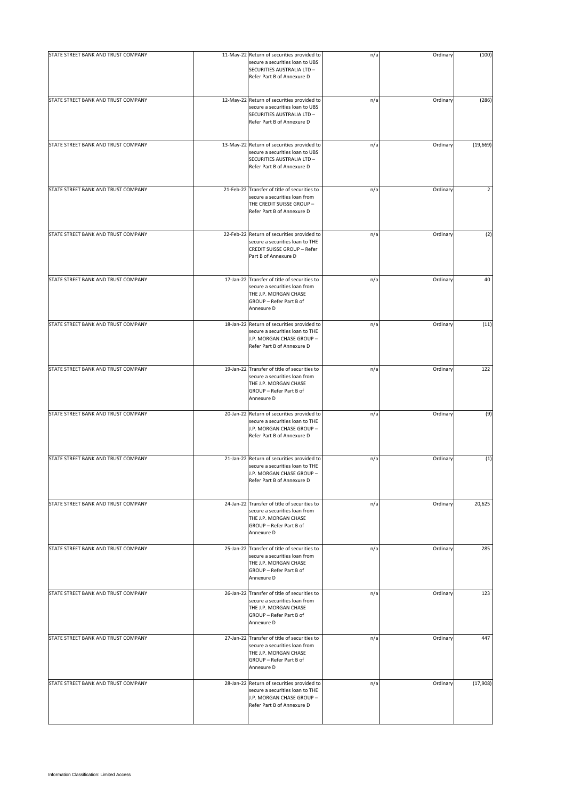| STATE STREET BANK AND TRUST COMPANY | 11-May-22 Return of securities provided to<br>secure a securities loan to UBS<br>SECURITIES AUSTRALIA LTD -<br>Refer Part B of Annexure D       | n/a | Ordinary | (100)                   |
|-------------------------------------|-------------------------------------------------------------------------------------------------------------------------------------------------|-----|----------|-------------------------|
| STATE STREET BANK AND TRUST COMPANY | 12-May-22 Return of securities provided to<br>secure a securities loan to UBS<br>SECURITIES AUSTRALIA LTD -<br>Refer Part B of Annexure D       | n/a | Ordinary | (286)                   |
| STATE STREET BANK AND TRUST COMPANY | 13-May-22 Return of securities provided to<br>secure a securities loan to UBS<br>SECURITIES AUSTRALIA LTD -<br>Refer Part B of Annexure D       | n/a | Ordinary | (19, 669)               |
| STATE STREET BANK AND TRUST COMPANY | 21-Feb-22 Transfer of title of securities to<br>secure a securities loan from<br>THE CREDIT SUISSE GROUP -<br>Refer Part B of Annexure D        | n/a | Ordinary | $\overline{\mathbf{c}}$ |
| STATE STREET BANK AND TRUST COMPANY | 22-Feb-22 Return of securities provided to<br>secure a securities loan to THE<br>CREDIT SUISSE GROUP - Refer<br>Part B of Annexure D            | n/a | Ordinary | (2)                     |
| STATE STREET BANK AND TRUST COMPANY | 17-Jan-22 Transfer of title of securities to<br>secure a securities loan from<br>THE J.P. MORGAN CHASE<br>GROUP - Refer Part B of<br>Annexure D | n/a | Ordinary | 40                      |
| STATE STREET BANK AND TRUST COMPANY | 18-Jan-22 Return of securities provided to<br>secure a securities loan to THE<br>J.P. MORGAN CHASE GROUP -<br>Refer Part B of Annexure D        | n/a | Ordinary | (11)                    |
| STATE STREET BANK AND TRUST COMPANY | 19-Jan-22 Transfer of title of securities to<br>secure a securities loan from<br>THE J.P. MORGAN CHASE<br>GROUP - Refer Part B of<br>Annexure D | n/a | Ordinary | 122                     |
| STATE STREET BANK AND TRUST COMPANY | 20-Jan-22 Return of securities provided to<br>secure a securities loan to THE<br>J.P. MORGAN CHASE GROUP -<br>Refer Part B of Annexure D        | n/a | Ordinary | (9)                     |
| STATE STREET BANK AND TRUST COMPANY | 21-Jan-22 Return of securities provided to<br>secure a securities loan to THE<br>J.P. MORGAN CHASE GROUP -<br>Refer Part B of Annexure D        | n/a | Ordinary | (1)                     |
| STATE STREET BANK AND TRUST COMPANY | 24-Jan-22 Transfer of title of securities to<br>secure a securities loan from<br>THE J.P. MORGAN CHASE<br>GROUP - Refer Part B of<br>Annexure D | n/a | Ordinary | 20,625                  |
| STATE STREET BANK AND TRUST COMPANY | 25-Jan-22 Transfer of title of securities to<br>secure a securities loan from<br>THE J.P. MORGAN CHASE<br>GROUP - Refer Part B of<br>Annexure D | n/a | Ordinary | 285                     |
| STATE STREET BANK AND TRUST COMPANY | 26-Jan-22 Transfer of title of securities to<br>secure a securities loan from<br>THE J.P. MORGAN CHASE<br>GROUP - Refer Part B of<br>Annexure D | n/a | Ordinary | 123                     |
| STATE STREET BANK AND TRUST COMPANY | 27-Jan-22 Transfer of title of securities to<br>secure a securities loan from<br>THE J.P. MORGAN CHASE<br>GROUP - Refer Part B of<br>Annexure D | n/a | Ordinary | 447                     |
| STATE STREET BANK AND TRUST COMPANY | 28-Jan-22 Return of securities provided to<br>secure a securities loan to THE<br>J.P. MORGAN CHASE GROUP -<br>Refer Part B of Annexure D        | n/a | Ordinary | (17,908)                |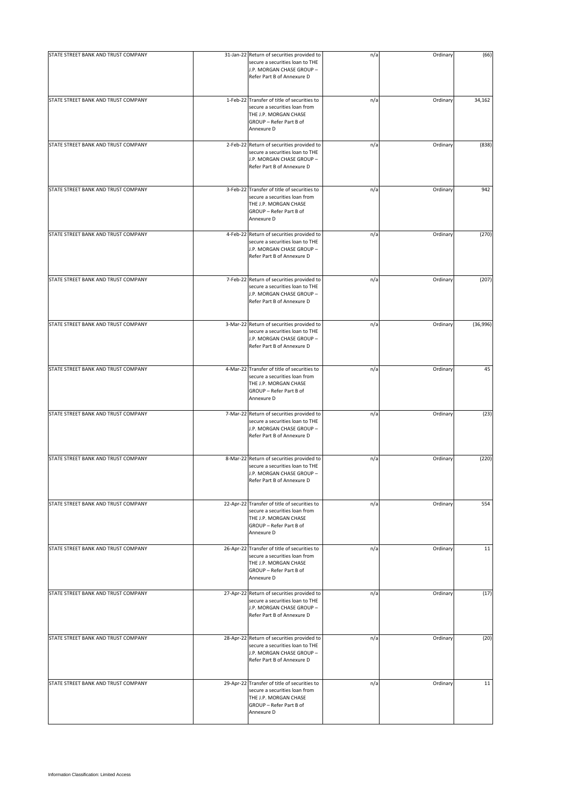| STATE STREET BANK AND TRUST COMPANY | 31-Jan-22 Return of securities provided to                                                                                                      | n/a | Ordinary | (66)     |
|-------------------------------------|-------------------------------------------------------------------------------------------------------------------------------------------------|-----|----------|----------|
|                                     | secure a securities loan to THE<br>J.P. MORGAN CHASE GROUP -<br>Refer Part B of Annexure D                                                      |     |          |          |
| STATE STREET BANK AND TRUST COMPANY | 1-Feb-22 Transfer of title of securities to<br>secure a securities loan from<br>THE J.P. MORGAN CHASE<br>GROUP - Refer Part B of<br>Annexure D  | n/a | Ordinary | 34,162   |
| STATE STREET BANK AND TRUST COMPANY | 2-Feb-22 Return of securities provided to<br>secure a securities loan to THE<br>J.P. MORGAN CHASE GROUP -<br>Refer Part B of Annexure D         | n/a | Ordinary | (838)    |
| STATE STREET BANK AND TRUST COMPANY | 3-Feb-22 Transfer of title of securities to<br>secure a securities loan from<br>THE J.P. MORGAN CHASE<br>GROUP - Refer Part B of<br>Annexure D  | n/a | Ordinary | 942      |
| STATE STREET BANK AND TRUST COMPANY | 4-Feb-22 Return of securities provided to<br>secure a securities loan to THE<br>J.P. MORGAN CHASE GROUP -<br>Refer Part B of Annexure D         | n/a | Ordinary | (270)    |
| STATE STREET BANK AND TRUST COMPANY | 7-Feb-22 Return of securities provided to<br>secure a securities loan to THE<br>J.P. MORGAN CHASE GROUP -<br>Refer Part B of Annexure D         | n/a | Ordinary | (207)    |
| STATE STREET BANK AND TRUST COMPANY | 3-Mar-22 Return of securities provided to<br>secure a securities loan to THE<br>J.P. MORGAN CHASE GROUP -<br>Refer Part B of Annexure D         | n/a | Ordinary | (36,996) |
| STATE STREET BANK AND TRUST COMPANY | 4-Mar-22 Transfer of title of securities to<br>secure a securities loan from<br>THE J.P. MORGAN CHASE<br>GROUP - Refer Part B of<br>Annexure D  | n/a | Ordinary | 45       |
| STATE STREET BANK AND TRUST COMPANY | 7-Mar-22 Return of securities provided to<br>secure a securities loan to THE<br>J.P. MORGAN CHASE GROUP -<br>Refer Part B of Annexure D         | n/a | Ordinary | (23)     |
| STATE STREET BANK AND TRUST COMPANY | 8-Mar-22 Return of securities provided to<br>secure a securities loan to THE<br>J.P. MORGAN CHASE GROUP -<br>Refer Part B of Annexure D         | n/a | Ordinary | (220)    |
| STATE STREET BANK AND TRUST COMPANY | 22-Apr-22 Transfer of title of securities to<br>secure a securities loan from<br>THE J.P. MORGAN CHASE<br>GROUP - Refer Part B of<br>Annexure D | n/a | Ordinary | 554      |
| STATE STREET BANK AND TRUST COMPANY | 26-Apr-22 Transfer of title of securities to<br>secure a securities loan from<br>THE J.P. MORGAN CHASE<br>GROUP - Refer Part B of<br>Annexure D | n/a | Ordinary | 11       |
| STATE STREET BANK AND TRUST COMPANY | 27-Apr-22 Return of securities provided to<br>secure a securities loan to THE<br>J.P. MORGAN CHASE GROUP -<br>Refer Part B of Annexure D        | n/a | Ordinary | (17)     |
| STATE STREET BANK AND TRUST COMPANY | 28-Apr-22 Return of securities provided to<br>secure a securities loan to THE<br>J.P. MORGAN CHASE GROUP -<br>Refer Part B of Annexure D        | n/a | Ordinary | (20)     |
| STATE STREET BANK AND TRUST COMPANY | 29-Apr-22 Transfer of title of securities to<br>secure a securities loan from<br>THE J.P. MORGAN CHASE<br>GROUP - Refer Part B of<br>Annexure D | n/a | Ordinary | 11       |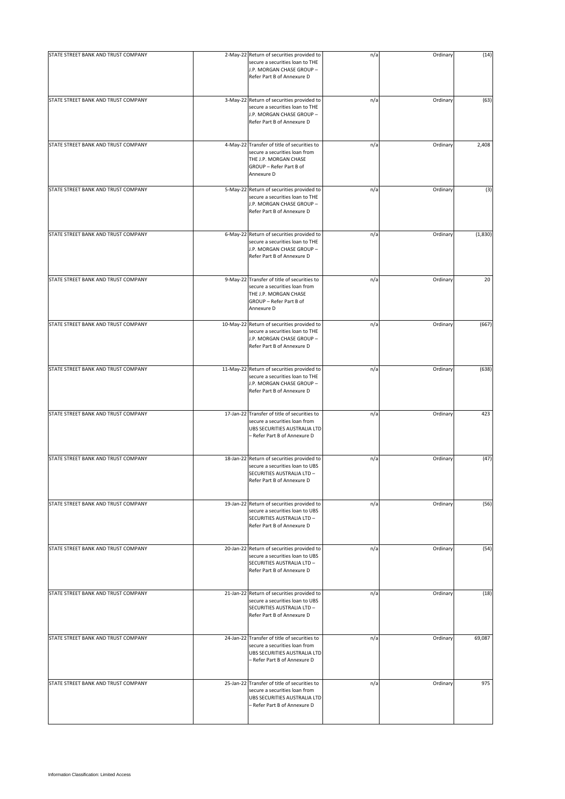| STATE STREET BANK AND TRUST COMPANY | 2-May-22 Return of securities provided to                                                                                                      | n/a | Ordinary | (14)    |
|-------------------------------------|------------------------------------------------------------------------------------------------------------------------------------------------|-----|----------|---------|
|                                     | secure a securities loan to THE<br>J.P. MORGAN CHASE GROUP -<br>Refer Part B of Annexure D                                                     |     |          |         |
| STATE STREET BANK AND TRUST COMPANY | 3-May-22 Return of securities provided to<br>secure a securities loan to THE<br>J.P. MORGAN CHASE GROUP -<br>Refer Part B of Annexure D        | n/a | Ordinary | (63)    |
| STATE STREET BANK AND TRUST COMPANY | 4-May-22 Transfer of title of securities to<br>secure a securities loan from<br>THE J.P. MORGAN CHASE<br>GROUP - Refer Part B of<br>Annexure D | n/a | Ordinary | 2,408   |
| STATE STREET BANK AND TRUST COMPANY | 5-May-22 Return of securities provided to<br>secure a securities loan to THE<br>J.P. MORGAN CHASE GROUP -<br>Refer Part B of Annexure D        | n/a | Ordinary | (3)     |
| STATE STREET BANK AND TRUST COMPANY | 6-May-22 Return of securities provided to<br>secure a securities loan to THE<br>J.P. MORGAN CHASE GROUP -<br>Refer Part B of Annexure D        | n/a | Ordinary | (1,830) |
| STATE STREET BANK AND TRUST COMPANY | 9-May-22 Transfer of title of securities to<br>secure a securities loan from<br>THE J.P. MORGAN CHASE<br>GROUP - Refer Part B of<br>Annexure D | n/a | Ordinary | 20      |
| STATE STREET BANK AND TRUST COMPANY | 10-May-22 Return of securities provided to<br>secure a securities loan to THE<br>J.P. MORGAN CHASE GROUP -<br>Refer Part B of Annexure D       | n/a | Ordinary | (667)   |
| STATE STREET BANK AND TRUST COMPANY | 11-May-22 Return of securities provided to<br>secure a securities loan to THE<br>J.P. MORGAN CHASE GROUP -<br>Refer Part B of Annexure D       | n/a | Ordinary | (638)   |
| STATE STREET BANK AND TRUST COMPANY | 17-Jan-22 Transfer of title of securities to<br>secure a securities loan from<br>UBS SECURITIES AUSTRALIA LTD<br>- Refer Part B of Annexure D  | n/a | Ordinary | 423     |
| STATE STREET BANK AND TRUST COMPANY | 18-Jan-22 Return of securities provided to<br>secure a securities loan to UBS<br>SECURITIES AUSTRALIA LTD -<br>Refer Part B of Annexure D      | n/a | Ordinary | (47)    |
| STATE STREET BANK AND TRUST COMPANY | 19-Jan-22 Return of securities provided to<br>secure a securities loan to UBS<br>SECURITIES AUSTRALIA LTD -<br>Refer Part B of Annexure D      | n/a | Ordinary | (56)    |
| STATE STREET BANK AND TRUST COMPANY | 20-Jan-22 Return of securities provided to<br>secure a securities loan to UBS<br>SECURITIES AUSTRALIA LTD -<br>Refer Part B of Annexure D      | n/a | Ordinary | (54)    |
| STATE STREET BANK AND TRUST COMPANY | 21-Jan-22 Return of securities provided to<br>secure a securities loan to UBS<br>SECURITIES AUSTRALIA LTD -<br>Refer Part B of Annexure D      | n/a | Ordinary | (18)    |
| STATE STREET BANK AND TRUST COMPANY | 24-Jan-22 Transfer of title of securities to<br>secure a securities loan from<br>UBS SECURITIES AUSTRALIA LTD<br>- Refer Part B of Annexure D  | n/a | Ordinary | 69,087  |
| STATE STREET BANK AND TRUST COMPANY | 25-Jan-22 Transfer of title of securities to<br>secure a securities loan from<br>UBS SECURITIES AUSTRALIA LTD<br>- Refer Part B of Annexure D  | n/a | Ordinary | 975     |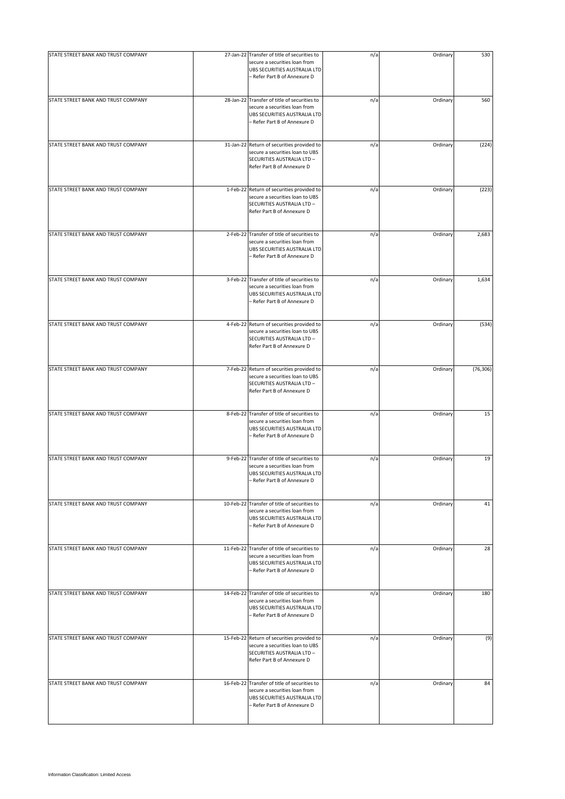| STATE STREET BANK AND TRUST COMPANY | 27-Jan-22 Transfer of title of securities to                                                                                                  | n/a | Ordinary | 530       |
|-------------------------------------|-----------------------------------------------------------------------------------------------------------------------------------------------|-----|----------|-----------|
|                                     | secure a securities loan from<br>UBS SECURITIES AUSTRALIA LTD<br>- Refer Part B of Annexure D                                                 |     |          |           |
| STATE STREET BANK AND TRUST COMPANY | 28-Jan-22 Transfer of title of securities to<br>secure a securities loan from<br>UBS SECURITIES AUSTRALIA LTD<br>- Refer Part B of Annexure D | n/a | Ordinary | 560       |
| STATE STREET BANK AND TRUST COMPANY | 31-Jan-22 Return of securities provided to<br>secure a securities loan to UBS<br>SECURITIES AUSTRALIA LTD -<br>Refer Part B of Annexure D     | n/a | Ordinary | (224)     |
| STATE STREET BANK AND TRUST COMPANY | 1-Feb-22 Return of securities provided to<br>secure a securities loan to UBS<br>SECURITIES AUSTRALIA LTD -<br>Refer Part B of Annexure D      | n/a | Ordinary | (223)     |
| STATE STREET BANK AND TRUST COMPANY | 2-Feb-22 Transfer of title of securities to<br>secure a securities loan from<br>UBS SECURITIES AUSTRALIA LTD<br>- Refer Part B of Annexure D  | n/a | Ordinary | 2,683     |
| STATE STREET BANK AND TRUST COMPANY | 3-Feb-22 Transfer of title of securities to<br>secure a securities loan from<br>UBS SECURITIES AUSTRALIA LTD<br>- Refer Part B of Annexure D  | n/a | Ordinary | 1,634     |
| STATE STREET BANK AND TRUST COMPANY | 4-Feb-22 Return of securities provided to<br>secure a securities loan to UBS<br>SECURITIES AUSTRALIA LTD -<br>Refer Part B of Annexure D      | n/a | Ordinary | (534)     |
| STATE STREET BANK AND TRUST COMPANY | 7-Feb-22 Return of securities provided to<br>secure a securities loan to UBS<br>SECURITIES AUSTRALIA LTD -<br>Refer Part B of Annexure D      | n/a | Ordinary | (76, 306) |
| STATE STREET BANK AND TRUST COMPANY | 8-Feb-22 Transfer of title of securities to<br>secure a securities loan from<br>UBS SECURITIES AUSTRALIA LTD<br>- Refer Part B of Annexure D  | n/a | Ordinary | 15        |
| STATE STREET BANK AND TRUST COMPANY | 9-Feb-22 Transfer of title of securities to<br>secure a securities loan from<br>UBS SECURITIES AUSTRALIA LTD<br>- Refer Part B of Annexure D  | n/a | Ordinary | 19        |
| STATE STREET BANK AND TRUST COMPANY | 10-Feb-22 Transfer of title of securities to<br>secure a securities loan from<br>UBS SECURITIES AUSTRALIA LTD<br>- Refer Part B of Annexure D | n/a | Ordinary | 41        |
| STATE STREET BANK AND TRUST COMPANY | 11-Feb-22 Transfer of title of securities to<br>secure a securities loan from<br>UBS SECURITIES AUSTRALIA LTD<br>- Refer Part B of Annexure D | n/a | Ordinary | 28        |
| STATE STREET BANK AND TRUST COMPANY | 14-Feb-22 Transfer of title of securities to<br>secure a securities loan from<br>UBS SECURITIES AUSTRALIA LTD<br>– Refer Part B of Annexure D | n/a | Ordinary | 180       |
| STATE STREET BANK AND TRUST COMPANY | 15-Feb-22 Return of securities provided to<br>secure a securities loan to UBS<br>SECURITIES AUSTRALIA LTD -<br>Refer Part B of Annexure D     | n/a | Ordinary | (9)       |
| STATE STREET BANK AND TRUST COMPANY | 16-Feb-22 Transfer of title of securities to<br>secure a securities loan from<br>UBS SECURITIES AUSTRALIA LTD<br>- Refer Part B of Annexure D | n/a | Ordinary | 84        |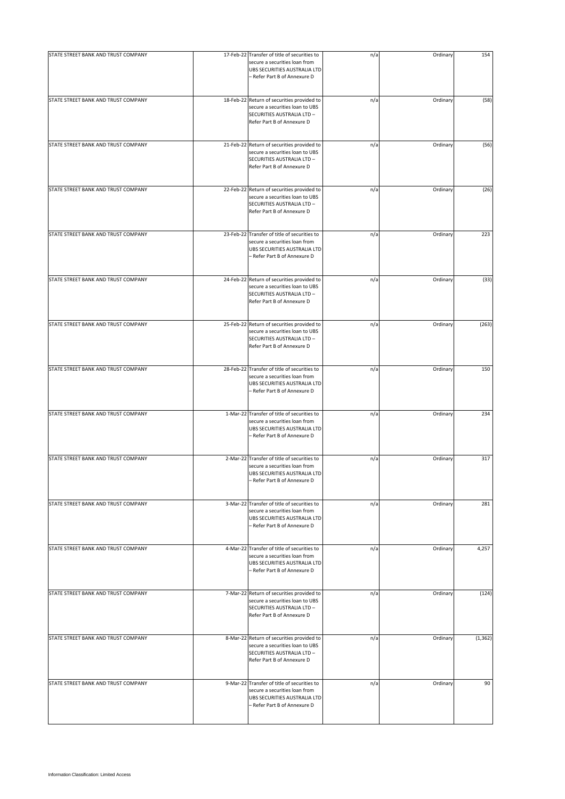| STATE STREET BANK AND TRUST COMPANY | 17-Feb-22 Transfer of title of securities to<br>secure a securities loan from<br>UBS SECURITIES AUSTRALIA LTD<br>- Refer Part B of Annexure D | n/a | Ordinary | 154      |
|-------------------------------------|-----------------------------------------------------------------------------------------------------------------------------------------------|-----|----------|----------|
| STATE STREET BANK AND TRUST COMPANY | 18-Feb-22 Return of securities provided to<br>secure a securities loan to UBS<br>SECURITIES AUSTRALIA LTD -<br>Refer Part B of Annexure D     | n/a | Ordinary | (58)     |
| STATE STREET BANK AND TRUST COMPANY | 21-Feb-22 Return of securities provided to<br>secure a securities loan to UBS<br>SECURITIES AUSTRALIA LTD -<br>Refer Part B of Annexure D     | n/a | Ordinary | (56)     |
| STATE STREET BANK AND TRUST COMPANY | 22-Feb-22 Return of securities provided to<br>secure a securities loan to UBS<br>SECURITIES AUSTRALIA LTD -<br>Refer Part B of Annexure D     | n/a | Ordinary | (26)     |
| STATE STREET BANK AND TRUST COMPANY | 23-Feb-22 Transfer of title of securities to<br>secure a securities loan from<br>UBS SECURITIES AUSTRALIA LTD<br>- Refer Part B of Annexure D | n/a | Ordinary | 223      |
| STATE STREET BANK AND TRUST COMPANY | 24-Feb-22 Return of securities provided to<br>secure a securities loan to UBS<br>SECURITIES AUSTRALIA LTD -<br>Refer Part B of Annexure D     | n/a | Ordinary | (33)     |
| STATE STREET BANK AND TRUST COMPANY | 25-Feb-22 Return of securities provided to<br>secure a securities loan to UBS<br>SECURITIES AUSTRALIA LTD -<br>Refer Part B of Annexure D     | n/a | Ordinary | (263)    |
| STATE STREET BANK AND TRUST COMPANY | 28-Feb-22 Transfer of title of securities to<br>secure a securities loan from<br>UBS SECURITIES AUSTRALIA LTD<br>- Refer Part B of Annexure D | n/a | Ordinary | 150      |
| STATE STREET BANK AND TRUST COMPANY | 1-Mar-22 Transfer of title of securities to<br>secure a securities loan from<br>UBS SECURITIES AUSTRALIA LTD<br>- Refer Part B of Annexure D  | n/a | Ordinary | 234      |
| STATE STREET BANK AND TRUST COMPANY | 2-Mar-22 Transfer of title of securities to<br>secure a securities loan from<br>UBS SECURITIES AUSTRALIA LTD<br>- Refer Part B of Annexure D  | n/a | Ordinary | 317      |
| STATE STREET BANK AND TRUST COMPANY | 3-Mar-22 Transfer of title of securities to<br>secure a securities loan from<br>UBS SECURITIES AUSTRALIA LTD<br>- Refer Part B of Annexure D  | n/a | Ordinary | 281      |
| STATE STREET BANK AND TRUST COMPANY | 4-Mar-22 Transfer of title of securities to<br>secure a securities loan from<br>UBS SECURITIES AUSTRALIA LTD<br>- Refer Part B of Annexure D  | n/a | Ordinary | 4,257    |
| STATE STREET BANK AND TRUST COMPANY | 7-Mar-22 Return of securities provided to<br>secure a securities loan to UBS<br>SECURITIES AUSTRALIA LTD -<br>Refer Part B of Annexure D      | n/a | Ordinary | (124)    |
| STATE STREET BANK AND TRUST COMPANY | 8-Mar-22 Return of securities provided to<br>secure a securities loan to UBS<br>SECURITIES AUSTRALIA LTD -<br>Refer Part B of Annexure D      | n/a | Ordinary | (1, 362) |
| STATE STREET BANK AND TRUST COMPANY | 9-Mar-22 Transfer of title of securities to<br>secure a securities loan from<br>UBS SECURITIES AUSTRALIA LTD<br>- Refer Part B of Annexure D  | n/a | Ordinary | 90       |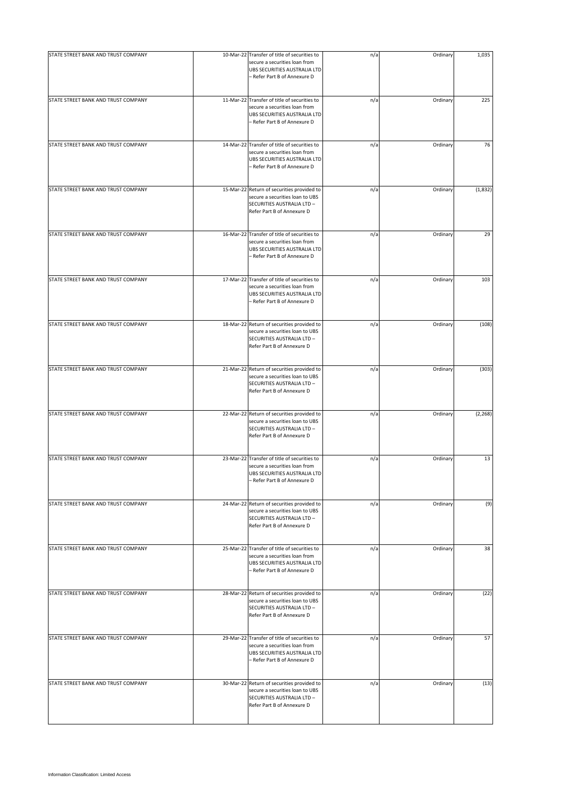| STATE STREET BANK AND TRUST COMPANY | 10-Mar-22 Transfer of title of securities to                                                                                                  |     |          | 1,035    |
|-------------------------------------|-----------------------------------------------------------------------------------------------------------------------------------------------|-----|----------|----------|
|                                     | secure a securities loan from<br>UBS SECURITIES AUSTRALIA LTD<br>- Refer Part B of Annexure D                                                 | n/a | Ordinary |          |
| STATE STREET BANK AND TRUST COMPANY | 11-Mar-22 Transfer of title of securities to<br>secure a securities loan from<br>UBS SECURITIES AUSTRALIA LTD<br>- Refer Part B of Annexure D | n/a | Ordinary | 225      |
| STATE STREET BANK AND TRUST COMPANY | 14-Mar-22 Transfer of title of securities to<br>secure a securities loan from<br>UBS SECURITIES AUSTRALIA LTD<br>- Refer Part B of Annexure D | n/a | Ordinary | 76       |
| STATE STREET BANK AND TRUST COMPANY | 15-Mar-22 Return of securities provided to<br>secure a securities loan to UBS<br>SECURITIES AUSTRALIA LTD -<br>Refer Part B of Annexure D     | n/a | Ordinary | (1,832)  |
| STATE STREET BANK AND TRUST COMPANY | 16-Mar-22 Transfer of title of securities to<br>secure a securities loan from<br>UBS SECURITIES AUSTRALIA LTD<br>- Refer Part B of Annexure D | n/a | Ordinary | 29       |
| STATE STREET BANK AND TRUST COMPANY | 17-Mar-22 Transfer of title of securities to<br>secure a securities loan from<br>UBS SECURITIES AUSTRALIA LTD<br>- Refer Part B of Annexure D | n/a | Ordinary | 103      |
| STATE STREET BANK AND TRUST COMPANY | 18-Mar-22 Return of securities provided to<br>secure a securities loan to UBS<br>SECURITIES AUSTRALIA LTD -<br>Refer Part B of Annexure D     | n/a | Ordinary | (108)    |
| STATE STREET BANK AND TRUST COMPANY | 21-Mar-22 Return of securities provided to<br>secure a securities loan to UBS<br>SECURITIES AUSTRALIA LTD -<br>Refer Part B of Annexure D     | n/a | Ordinary | (303)    |
| STATE STREET BANK AND TRUST COMPANY | 22-Mar-22 Return of securities provided to<br>secure a securities loan to UBS<br>SECURITIES AUSTRALIA LTD -<br>Refer Part B of Annexure D     | n/a | Ordinary | (2, 268) |
| STATE STREET BANK AND TRUST COMPANY | 23-Mar-22 Transfer of title of securities to<br>secure a securities loan from<br>UBS SECURITIES AUSTRALIA LTD<br>- Refer Part B of Annexure D | n/a | Ordinary | 13       |
| STATE STREET BANK AND TRUST COMPANY | 24-Mar-22 Return of securities provided to<br>secure a securities loan to UBS<br>SECURITIES AUSTRALIA LTD -<br>Refer Part B of Annexure D     | n/a | Ordinary | (9)      |
| STATE STREET BANK AND TRUST COMPANY | 25-Mar-22 Transfer of title of securities to<br>secure a securities loan from<br>UBS SECURITIES AUSTRALIA LTD<br>- Refer Part B of Annexure D | n/a | Ordinary | 38       |
| STATE STREET BANK AND TRUST COMPANY | 28-Mar-22 Return of securities provided to<br>secure a securities loan to UBS<br>SECURITIES AUSTRALIA LTD -<br>Refer Part B of Annexure D     | n/a | Ordinary | (22)     |
| STATE STREET BANK AND TRUST COMPANY | 29-Mar-22 Transfer of title of securities to<br>secure a securities loan from<br>UBS SECURITIES AUSTRALIA LTD<br>- Refer Part B of Annexure D | n/a | Ordinary | 57       |
| STATE STREET BANK AND TRUST COMPANY | 30-Mar-22 Return of securities provided to<br>secure a securities loan to UBS<br>SECURITIES AUSTRALIA LTD -<br>Refer Part B of Annexure D     | n/a | Ordinary | (13)     |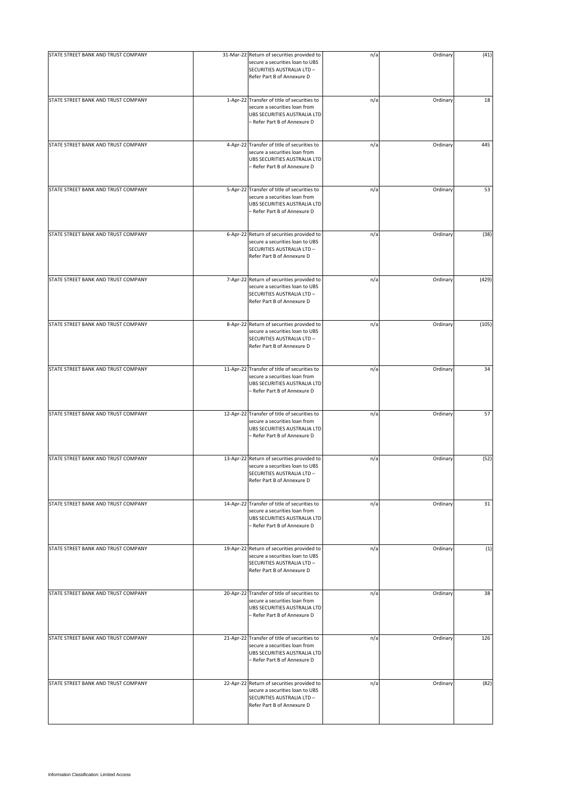| STATE STREET BANK AND TRUST COMPANY | 31-Mar-22 Return of securities provided to                                                                                                    | n/a | Ordinary | (41)  |
|-------------------------------------|-----------------------------------------------------------------------------------------------------------------------------------------------|-----|----------|-------|
|                                     | secure a securities loan to UBS<br>SECURITIES AUSTRALIA LTD -<br>Refer Part B of Annexure D                                                   |     |          |       |
| STATE STREET BANK AND TRUST COMPANY | 1-Apr-22 Transfer of title of securities to<br>secure a securities loan from<br>UBS SECURITIES AUSTRALIA LTD<br>- Refer Part B of Annexure D  | n/a | Ordinary | 18    |
| STATE STREET BANK AND TRUST COMPANY | 4-Apr-22 Transfer of title of securities to<br>secure a securities loan from<br>UBS SECURITIES AUSTRALIA LTD<br>– Refer Part B of Annexure D  | n/a | Ordinary | 445   |
| STATE STREET BANK AND TRUST COMPANY | 5-Apr-22 Transfer of title of securities to<br>secure a securities loan from<br>UBS SECURITIES AUSTRALIA LTD<br>- Refer Part B of Annexure D  | n/a | Ordinary | 53    |
| STATE STREET BANK AND TRUST COMPANY | 6-Apr-22 Return of securities provided to<br>secure a securities loan to UBS<br>SECURITIES AUSTRALIA LTD -<br>Refer Part B of Annexure D      | n/a | Ordinary | (38)  |
| STATE STREET BANK AND TRUST COMPANY | 7-Apr-22 Return of securities provided to<br>secure a securities loan to UBS<br>SECURITIES AUSTRALIA LTD -<br>Refer Part B of Annexure D      | n/a | Ordinary | (429) |
| STATE STREET BANK AND TRUST COMPANY | 8-Apr-22 Return of securities provided to<br>secure a securities loan to UBS<br>SECURITIES AUSTRALIA LTD -<br>Refer Part B of Annexure D      | n/a | Ordinary | (105) |
| STATE STREET BANK AND TRUST COMPANY | 11-Apr-22 Transfer of title of securities to<br>secure a securities loan from<br>UBS SECURITIES AUSTRALIA LTD<br>- Refer Part B of Annexure D | n/a | Ordinary | 34    |
| STATE STREET BANK AND TRUST COMPANY | 12-Apr-22 Transfer of title of securities to<br>secure a securities loan from<br>UBS SECURITIES AUSTRALIA LTD<br>- Refer Part B of Annexure D | n/a | Ordinary | 57    |
| STATE STREET BANK AND TRUST COMPANY | 13-Apr-22 Return of securities provided to<br>secure a securities loan to UBS<br>SECURITIES AUSTRALIA LTD -<br>Refer Part B of Annexure D     | n/a | Ordinary | (52)  |
| STATE STREET BANK AND TRUST COMPANY | 14-Apr-22 Transfer of title of securities to<br>secure a securities loan from<br>UBS SECURITIES AUSTRALIA LTD<br>- Refer Part B of Annexure D | n/a | Ordinary | 31    |
| STATE STREET BANK AND TRUST COMPANY | 19-Apr-22 Return of securities provided to<br>secure a securities loan to UBS<br>SECURITIES AUSTRALIA LTD -<br>Refer Part B of Annexure D     | n/a | Ordinary | (1)   |
| STATE STREET BANK AND TRUST COMPANY | 20-Apr-22 Transfer of title of securities to<br>secure a securities loan from<br>UBS SECURITIES AUSTRALIA LTD<br>– Refer Part B of Annexure D | n/a | Ordinary | 38    |
| STATE STREET BANK AND TRUST COMPANY | 21-Apr-22 Transfer of title of securities to<br>secure a securities loan from<br>UBS SECURITIES AUSTRALIA LTD<br>- Refer Part B of Annexure D | n/a | Ordinary | 126   |
| STATE STREET BANK AND TRUST COMPANY | 22-Apr-22 Return of securities provided to<br>secure a securities loan to UBS<br>SECURITIES AUSTRALIA LTD -<br>Refer Part B of Annexure D     | n/a | Ordinary | (82)  |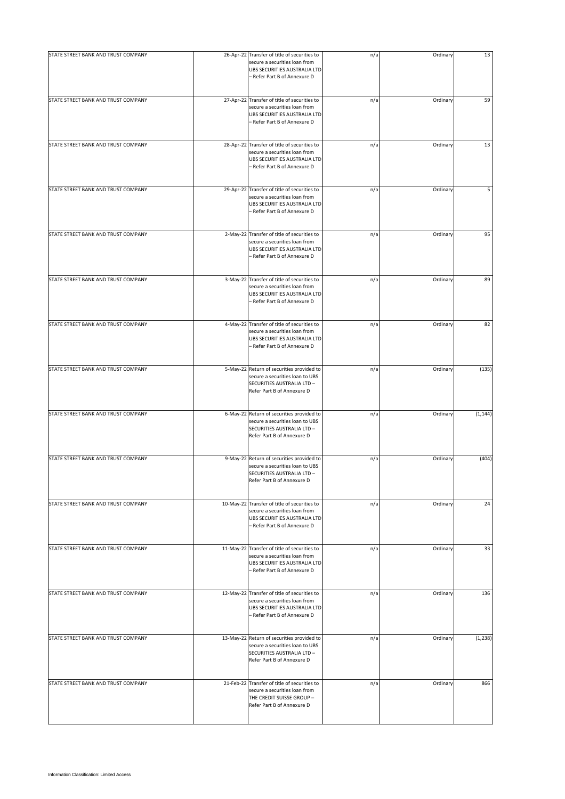| STATE STREET BANK AND TRUST COMPANY | 26-Apr-22 Transfer of title of securities to                                                                                                  | n/a | Ordinary | 13       |
|-------------------------------------|-----------------------------------------------------------------------------------------------------------------------------------------------|-----|----------|----------|
|                                     | secure a securities loan from<br>UBS SECURITIES AUSTRALIA LTD<br>- Refer Part B of Annexure D                                                 |     |          |          |
| STATE STREET BANK AND TRUST COMPANY | 27-Apr-22 Transfer of title of securities to<br>secure a securities loan from<br>UBS SECURITIES AUSTRALIA LTD<br>- Refer Part B of Annexure D | n/a | Ordinary | 59       |
| STATE STREET BANK AND TRUST COMPANY | 28-Apr-22 Transfer of title of securities to<br>secure a securities loan from<br>UBS SECURITIES AUSTRALIA LTD<br>- Refer Part B of Annexure D | n/a | Ordinary | 13       |
| STATE STREET BANK AND TRUST COMPANY | 29-Apr-22 Transfer of title of securities to<br>secure a securities loan from<br>UBS SECURITIES AUSTRALIA LTD<br>- Refer Part B of Annexure D | n/a | Ordinary | 5        |
| STATE STREET BANK AND TRUST COMPANY | 2-May-22 Transfer of title of securities to<br>secure a securities loan from<br>UBS SECURITIES AUSTRALIA LTD<br>- Refer Part B of Annexure D  | n/a | Ordinary | 95       |
| STATE STREET BANK AND TRUST COMPANY | 3-May-22 Transfer of title of securities to<br>secure a securities loan from<br>UBS SECURITIES AUSTRALIA LTD<br>- Refer Part B of Annexure D  | n/a | Ordinary | 89       |
| STATE STREET BANK AND TRUST COMPANY | 4-May-22 Transfer of title of securities to<br>secure a securities loan from<br>UBS SECURITIES AUSTRALIA LTD<br>- Refer Part B of Annexure D  | n/a | Ordinary | 82       |
| STATE STREET BANK AND TRUST COMPANY | 5-May-22 Return of securities provided to<br>secure a securities loan to UBS<br>SECURITIES AUSTRALIA LTD -<br>Refer Part B of Annexure D      | n/a | Ordinary | (135)    |
| STATE STREET BANK AND TRUST COMPANY | 6-May-22 Return of securities provided to<br>secure a securities loan to UBS<br>SECURITIES AUSTRALIA LTD -<br>Refer Part B of Annexure D      | n/a | Ordinary | (1, 144) |
| STATE STREET BANK AND TRUST COMPANY | 9-May-22 Return of securities provided to<br>secure a securities loan to UBS<br>SECURITIES AUSTRALIA LTD -<br>Refer Part B of Annexure D      | n/a | Ordinary | (404)    |
| STATE STREET BANK AND TRUST COMPANY | 10-May-22 Transfer of title of securities to<br>secure a securities loan from<br>UBS SECURITIES AUSTRALIA LTD<br>- Refer Part B of Annexure D | n/a | Ordinary | 24       |
| STATE STREET BANK AND TRUST COMPANY | 11-May-22 Transfer of title of securities to<br>secure a securities loan from<br>UBS SECURITIES AUSTRALIA LTD<br>- Refer Part B of Annexure D | n/a | Ordinary | 33       |
| STATE STREET BANK AND TRUST COMPANY | 12-May-22 Transfer of title of securities to<br>secure a securities loan from<br>UBS SECURITIES AUSTRALIA LTD<br>- Refer Part B of Annexure D | n/a | Ordinary | 136      |
| STATE STREET BANK AND TRUST COMPANY | 13-May-22 Return of securities provided to<br>secure a securities loan to UBS<br>SECURITIES AUSTRALIA LTD -<br>Refer Part B of Annexure D     | n/a | Ordinary | (1, 238) |
| STATE STREET BANK AND TRUST COMPANY | 21-Feb-22 Transfer of title of securities to<br>secure a securities loan from<br>THE CREDIT SUISSE GROUP -<br>Refer Part B of Annexure D      | n/a | Ordinary | 866      |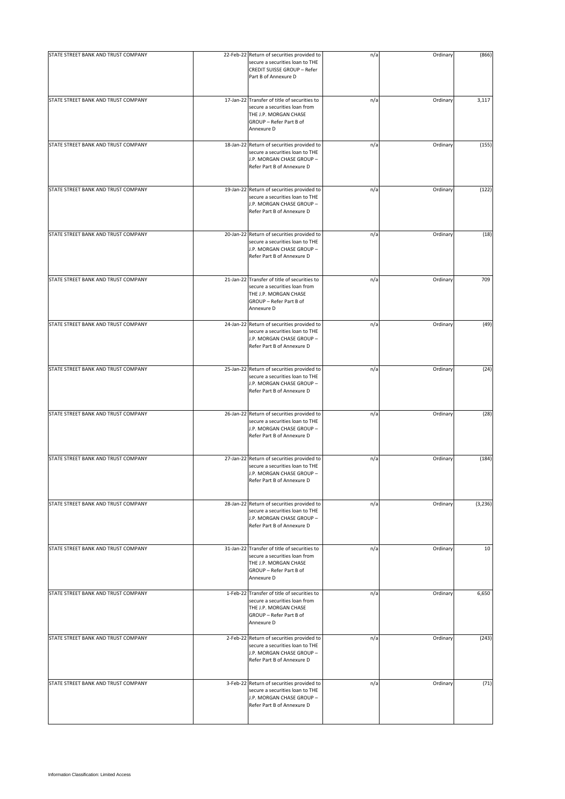| STATE STREET BANK AND TRUST COMPANY | 22-Feb-22 Return of securities provided to                                                                                                      | n/a | Ordinary | (866)    |
|-------------------------------------|-------------------------------------------------------------------------------------------------------------------------------------------------|-----|----------|----------|
|                                     | secure a securities loan to THE<br>CREDIT SUISSE GROUP - Refer<br>Part B of Annexure D                                                          |     |          |          |
| STATE STREET BANK AND TRUST COMPANY | 17-Jan-22 Transfer of title of securities to<br>secure a securities loan from<br>THE J.P. MORGAN CHASE<br>GROUP - Refer Part B of<br>Annexure D | n/a | Ordinary | 3,117    |
| STATE STREET BANK AND TRUST COMPANY | 18-Jan-22 Return of securities provided to<br>secure a securities loan to THE<br>J.P. MORGAN CHASE GROUP -<br>Refer Part B of Annexure D        | n/a | Ordinary | (155)    |
| STATE STREET BANK AND TRUST COMPANY | 19-Jan-22 Return of securities provided to<br>secure a securities loan to THE<br>J.P. MORGAN CHASE GROUP -<br>Refer Part B of Annexure D        | n/a | Ordinary | (122)    |
| STATE STREET BANK AND TRUST COMPANY | 20-Jan-22 Return of securities provided to<br>secure a securities loan to THE<br>J.P. MORGAN CHASE GROUP -<br>Refer Part B of Annexure D        | n/a | Ordinary | (18)     |
| STATE STREET BANK AND TRUST COMPANY | 21-Jan-22 Transfer of title of securities to<br>secure a securities loan from<br>THE J.P. MORGAN CHASE<br>GROUP - Refer Part B of<br>Annexure D | n/a | Ordinary | 709      |
| STATE STREET BANK AND TRUST COMPANY | 24-Jan-22 Return of securities provided to<br>secure a securities loan to THE<br>J.P. MORGAN CHASE GROUP -<br>Refer Part B of Annexure D        | n/a | Ordinary | (49)     |
| STATE STREET BANK AND TRUST COMPANY | 25-Jan-22 Return of securities provided to<br>secure a securities loan to THE<br>J.P. MORGAN CHASE GROUP -<br>Refer Part B of Annexure D        | n/a | Ordinary | (24)     |
| STATE STREET BANK AND TRUST COMPANY | 26-Jan-22 Return of securities provided to<br>secure a securities loan to THE<br>J.P. MORGAN CHASE GROUP -<br>Refer Part B of Annexure D        | n/a | Ordinary | (28)     |
| STATE STREET BANK AND TRUST COMPANY | 27-Jan-22 Return of securities provided to<br>secure a securities loan to THE<br>J.P. MORGAN CHASE GROUP -<br>Refer Part B of Annexure D        | n/a | Ordinary | (184)    |
| STATE STREET BANK AND TRUST COMPANY | 28-Jan-22 Return of securities provided to<br>secure a securities loan to THE<br>J.P. MORGAN CHASE GROUP -<br>Refer Part B of Annexure D        | n/a | Ordinary | (3, 236) |
| STATE STREET BANK AND TRUST COMPANY | 31-Jan-22 Transfer of title of securities to<br>secure a securities loan from<br>THE J.P. MORGAN CHASE<br>GROUP - Refer Part B of<br>Annexure D | n/a | Ordinary | 10       |
| STATE STREET BANK AND TRUST COMPANY | 1-Feb-22 Transfer of title of securities to<br>secure a securities loan from<br>THE J.P. MORGAN CHASE<br>GROUP - Refer Part B of<br>Annexure D  | n/a | Ordinary | 6,650    |
| STATE STREET BANK AND TRUST COMPANY | 2-Feb-22 Return of securities provided to<br>secure a securities loan to THE<br>J.P. MORGAN CHASE GROUP -<br>Refer Part B of Annexure D         | n/a | Ordinary | (243)    |
| STATE STREET BANK AND TRUST COMPANY | 3-Feb-22 Return of securities provided to<br>secure a securities loan to THE<br>J.P. MORGAN CHASE GROUP -<br>Refer Part B of Annexure D         | n/a | Ordinary | (71)     |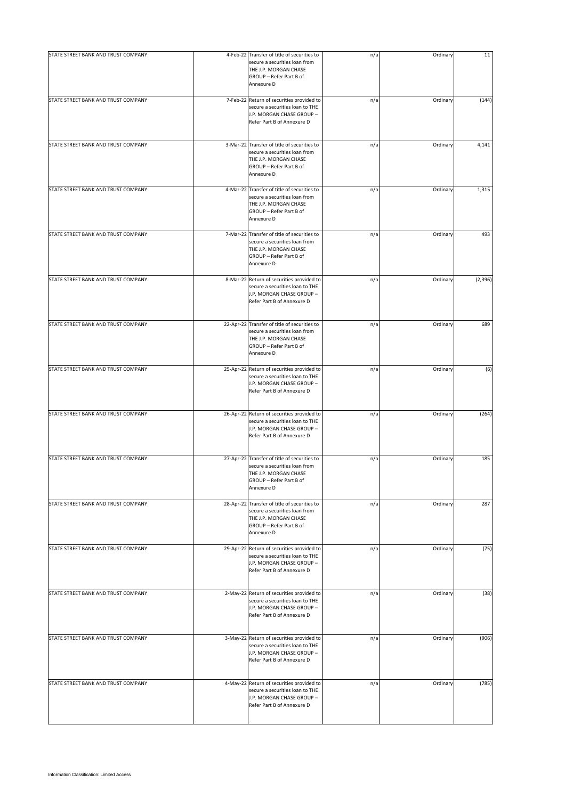| STATE STREET BANK AND TRUST COMPANY | 4-Feb-22 Transfer of title of securities to<br>secure a securities loan from                                                                    | n/a | Ordinary | 11       |
|-------------------------------------|-------------------------------------------------------------------------------------------------------------------------------------------------|-----|----------|----------|
|                                     | THE J.P. MORGAN CHASE<br>GROUP - Refer Part B of<br>Annexure D                                                                                  |     |          |          |
| STATE STREET BANK AND TRUST COMPANY | 7-Feb-22 Return of securities provided to<br>secure a securities loan to THE<br>J.P. MORGAN CHASE GROUP -<br>Refer Part B of Annexure D         | n/a | Ordinary | (144)    |
| STATE STREET BANK AND TRUST COMPANY | 3-Mar-22 Transfer of title of securities to<br>secure a securities loan from<br>THE J.P. MORGAN CHASE<br>GROUP - Refer Part B of<br>Annexure D  | n/a | Ordinary | 4,141    |
| STATE STREET BANK AND TRUST COMPANY | 4-Mar-22 Transfer of title of securities to<br>secure a securities loan from<br>THE J.P. MORGAN CHASE<br>GROUP - Refer Part B of<br>Annexure D  | n/a | Ordinary | 1,315    |
| STATE STREET BANK AND TRUST COMPANY | 7-Mar-22 Transfer of title of securities to<br>secure a securities loan from<br>THE J.P. MORGAN CHASE<br>GROUP - Refer Part B of<br>Annexure D  | n/a | Ordinary | 493      |
| STATE STREET BANK AND TRUST COMPANY | 8-Mar-22 Return of securities provided to<br>secure a securities loan to THE<br>J.P. MORGAN CHASE GROUP -<br>Refer Part B of Annexure D         | n/a | Ordinary | (2, 396) |
| STATE STREET BANK AND TRUST COMPANY | 22-Apr-22 Transfer of title of securities to<br>secure a securities loan from<br>THE J.P. MORGAN CHASE<br>GROUP - Refer Part B of<br>Annexure D | n/a | Ordinary | 689      |
| STATE STREET BANK AND TRUST COMPANY | 25-Apr-22 Return of securities provided to<br>secure a securities loan to THE<br>J.P. MORGAN CHASE GROUP -<br>Refer Part B of Annexure D        | n/a | Ordinary | (6)      |
| STATE STREET BANK AND TRUST COMPANY | 26-Apr-22 Return of securities provided to<br>secure a securities loan to THE<br>J.P. MORGAN CHASE GROUP -<br>Refer Part B of Annexure D        | n/a | Ordinary | (264)    |
| STATE STREET BANK AND TRUST COMPANY | 27-Apr-22 Transfer of title of securities to<br>secure a securities loan from<br>THE J.P. MORGAN CHASE<br>GROUP - Refer Part B of<br>Annexure D | n/a | Ordinary | 185      |
| STATE STREET BANK AND TRUST COMPANY | 28-Apr-22 Transfer of title of securities to<br>secure a securities loan from<br>THE J.P. MORGAN CHASE<br>GROUP - Refer Part B of<br>Annexure D | n/a | Ordinary | 287      |
| STATE STREET BANK AND TRUST COMPANY | 29-Apr-22 Return of securities provided to<br>secure a securities loan to THE<br>J.P. MORGAN CHASE GROUP -<br>Refer Part B of Annexure D        | n/a | Ordinary | (75)     |
| STATE STREET BANK AND TRUST COMPANY | 2-May-22 Return of securities provided to<br>secure a securities loan to THE<br>J.P. MORGAN CHASE GROUP -<br>Refer Part B of Annexure D         | n/a | Ordinary | (38)     |
| STATE STREET BANK AND TRUST COMPANY | 3-May-22 Return of securities provided to<br>secure a securities loan to THE<br>J.P. MORGAN CHASE GROUP -<br>Refer Part B of Annexure D         | n/a | Ordinary | (906)    |
| STATE STREET BANK AND TRUST COMPANY | 4-May-22 Return of securities provided to<br>secure a securities loan to THE<br>J.P. MORGAN CHASE GROUP -<br>Refer Part B of Annexure D         | n/a | Ordinary | (785)    |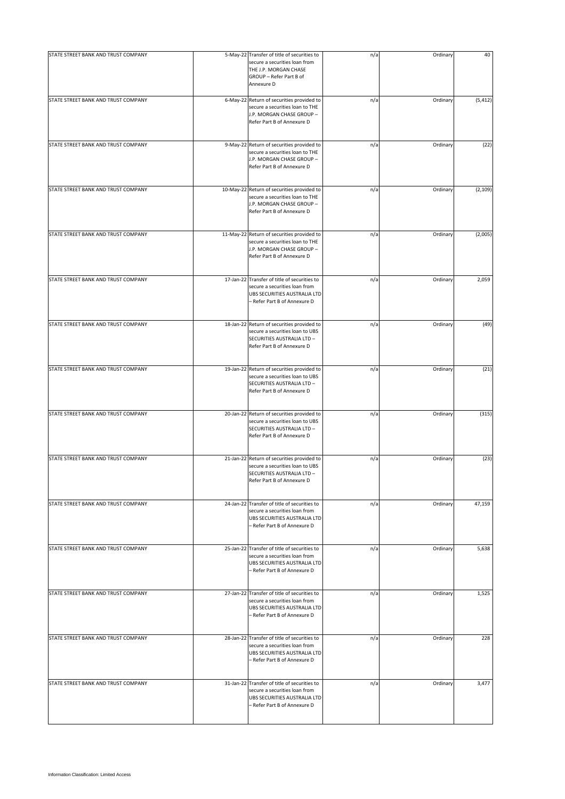| STATE STREET BANK AND TRUST COMPANY | 5-May-22 Transfer of title of securities to<br>secure a securities loan from                                                                  | n/a | Ordinary | 40       |
|-------------------------------------|-----------------------------------------------------------------------------------------------------------------------------------------------|-----|----------|----------|
|                                     | THE J.P. MORGAN CHASE<br>GROUP - Refer Part B of<br>Annexure D                                                                                |     |          |          |
| STATE STREET BANK AND TRUST COMPANY | 6-May-22 Return of securities provided to<br>secure a securities loan to THE<br>J.P. MORGAN CHASE GROUP -<br>Refer Part B of Annexure D       | n/a | Ordinary | (5, 412) |
| STATE STREET BANK AND TRUST COMPANY | 9-May-22 Return of securities provided to<br>secure a securities loan to THE<br>J.P. MORGAN CHASE GROUP -<br>Refer Part B of Annexure D       | n/a | Ordinary | (22)     |
| STATE STREET BANK AND TRUST COMPANY | 10-May-22 Return of securities provided to<br>secure a securities loan to THE<br>J.P. MORGAN CHASE GROUP -<br>Refer Part B of Annexure D      | n/a | Ordinary | (2, 109) |
| STATE STREET BANK AND TRUST COMPANY | 11-May-22 Return of securities provided to<br>secure a securities loan to THE<br>J.P. MORGAN CHASE GROUP -<br>Refer Part B of Annexure D      | n/a | Ordinary | (2,005)  |
| STATE STREET BANK AND TRUST COMPANY | 17-Jan-22 Transfer of title of securities to<br>secure a securities loan from<br>UBS SECURITIES AUSTRALIA LTD<br>- Refer Part B of Annexure D | n/a | Ordinary | 2,059    |
| STATE STREET BANK AND TRUST COMPANY | 18-Jan-22 Return of securities provided to<br>secure a securities loan to UBS<br>SECURITIES AUSTRALIA LTD -<br>Refer Part B of Annexure D     | n/a | Ordinary | (49)     |
| STATE STREET BANK AND TRUST COMPANY | 19-Jan-22 Return of securities provided to<br>secure a securities loan to UBS<br>SECURITIES AUSTRALIA LTD -<br>Refer Part B of Annexure D     | n/a | Ordinary | (21)     |
| STATE STREET BANK AND TRUST COMPANY | 20-Jan-22 Return of securities provided to<br>secure a securities loan to UBS<br>SECURITIES AUSTRALIA LTD -<br>Refer Part B of Annexure D     | n/a | Ordinary | (315)    |
| STATE STREET BANK AND TRUST COMPANY | 21-Jan-22 Return of securities provided to<br>secure a securities loan to UBS<br>SECURITIES AUSTRALIA LTD -<br>Refer Part B of Annexure D     | n/a | Ordinary | (23)     |
| STATE STREET BANK AND TRUST COMPANY | 24-Jan-22 Transfer of title of securities to<br>secure a securities loan from<br>UBS SECURITIES AUSTRALIA LTD<br>- Refer Part B of Annexure D | n/a | Ordinary | 47,159   |
| STATE STREET BANK AND TRUST COMPANY | 25-Jan-22 Transfer of title of securities to<br>secure a securities loan from<br>UBS SECURITIES AUSTRALIA LTD<br>- Refer Part B of Annexure D | n/a | Ordinary | 5,638    |
| STATE STREET BANK AND TRUST COMPANY | 27-Jan-22 Transfer of title of securities to<br>secure a securities loan from<br>UBS SECURITIES AUSTRALIA LTD<br>- Refer Part B of Annexure D | n/a | Ordinary | 1,525    |
| STATE STREET BANK AND TRUST COMPANY | 28-Jan-22 Transfer of title of securities to<br>secure a securities loan from<br>UBS SECURITIES AUSTRALIA LTD<br>- Refer Part B of Annexure D | n/a | Ordinary | 228      |
| STATE STREET BANK AND TRUST COMPANY | 31-Jan-22 Transfer of title of securities to<br>secure a securities loan from<br>UBS SECURITIES AUSTRALIA LTD<br>- Refer Part B of Annexure D | n/a | Ordinary | 3,477    |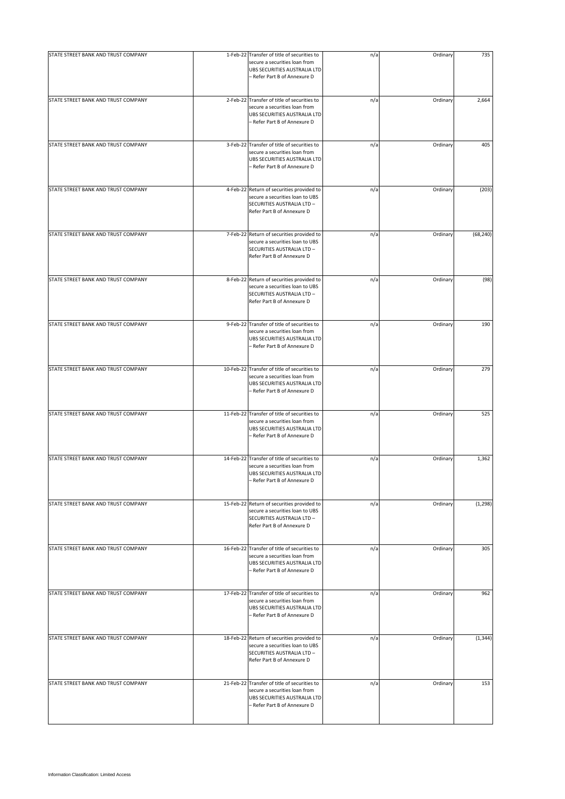| STATE STREET BANK AND TRUST COMPANY | 1-Feb-22 Transfer of title of securities to                                                                                                   | n/a | Ordinary | 735       |
|-------------------------------------|-----------------------------------------------------------------------------------------------------------------------------------------------|-----|----------|-----------|
|                                     | secure a securities loan from<br>UBS SECURITIES AUSTRALIA LTD<br>- Refer Part B of Annexure D                                                 |     |          |           |
| STATE STREET BANK AND TRUST COMPANY | 2-Feb-22 Transfer of title of securities to<br>secure a securities loan from<br>UBS SECURITIES AUSTRALIA LTD<br>- Refer Part B of Annexure D  | n/a | Ordinary | 2,664     |
| STATE STREET BANK AND TRUST COMPANY | 3-Feb-22 Transfer of title of securities to<br>secure a securities loan from<br>UBS SECURITIES AUSTRALIA LTD<br>- Refer Part B of Annexure D  | n/a | Ordinary | 405       |
| STATE STREET BANK AND TRUST COMPANY | 4-Feb-22 Return of securities provided to<br>secure a securities loan to UBS<br>SECURITIES AUSTRALIA LTD -<br>Refer Part B of Annexure D      | n/a | Ordinary | (203)     |
| STATE STREET BANK AND TRUST COMPANY | 7-Feb-22 Return of securities provided to<br>secure a securities loan to UBS<br>SECURITIES AUSTRALIA LTD -<br>Refer Part B of Annexure D      | n/a | Ordinary | (68, 240) |
| STATE STREET BANK AND TRUST COMPANY | 8-Feb-22 Return of securities provided to<br>secure a securities loan to UBS<br>SECURITIES AUSTRALIA LTD -<br>Refer Part B of Annexure D      | n/a | Ordinary | (98)      |
| STATE STREET BANK AND TRUST COMPANY | 9-Feb-22 Transfer of title of securities to<br>secure a securities loan from<br>UBS SECURITIES AUSTRALIA LTD<br>- Refer Part B of Annexure D  | n/a | Ordinary | 190       |
| STATE STREET BANK AND TRUST COMPANY | 10-Feb-22 Transfer of title of securities to<br>secure a securities loan from<br>UBS SECURITIES AUSTRALIA LTD<br>- Refer Part B of Annexure D | n/a | Ordinary | 279       |
| STATE STREET BANK AND TRUST COMPANY | 11-Feb-22 Transfer of title of securities to<br>secure a securities loan from<br>UBS SECURITIES AUSTRALIA LTD<br>- Refer Part B of Annexure D | n/a | Ordinary | 525       |
| STATE STREET BANK AND TRUST COMPANY | 14-Feb-22 Transfer of title of securities to<br>secure a securities loan from<br>UBS SECURITIES AUSTRALIA LTD<br>- Refer Part B of Annexure D | n/a | Ordinary | 1,362     |
| STATE STREET BANK AND TRUST COMPANY | 15-Feb-22 Return of securities provided to<br>secure a securities loan to UBS<br>SECURITIES AUSTRALIA LTD -<br>Refer Part B of Annexure D     | n/a | Ordinary | (1, 298)  |
| STATE STREET BANK AND TRUST COMPANY | 16-Feb-22 Transfer of title of securities to<br>secure a securities loan from<br>UBS SECURITIES AUSTRALIA LTD<br>- Refer Part B of Annexure D | n/a | Ordinary | 305       |
| STATE STREET BANK AND TRUST COMPANY | 17-Feb-22 Transfer of title of securities to<br>secure a securities loan from<br>UBS SECURITIES AUSTRALIA LTD<br>- Refer Part B of Annexure D | n/a | Ordinary | 962       |
| STATE STREET BANK AND TRUST COMPANY | 18-Feb-22 Return of securities provided to<br>secure a securities loan to UBS<br>SECURITIES AUSTRALIA LTD -<br>Refer Part B of Annexure D     | n/a | Ordinary | (1, 344)  |
| STATE STREET BANK AND TRUST COMPANY | 21-Feb-22 Transfer of title of securities to<br>secure a securities loan from<br>UBS SECURITIES AUSTRALIA LTD<br>- Refer Part B of Annexure D | n/a | Ordinary | 153       |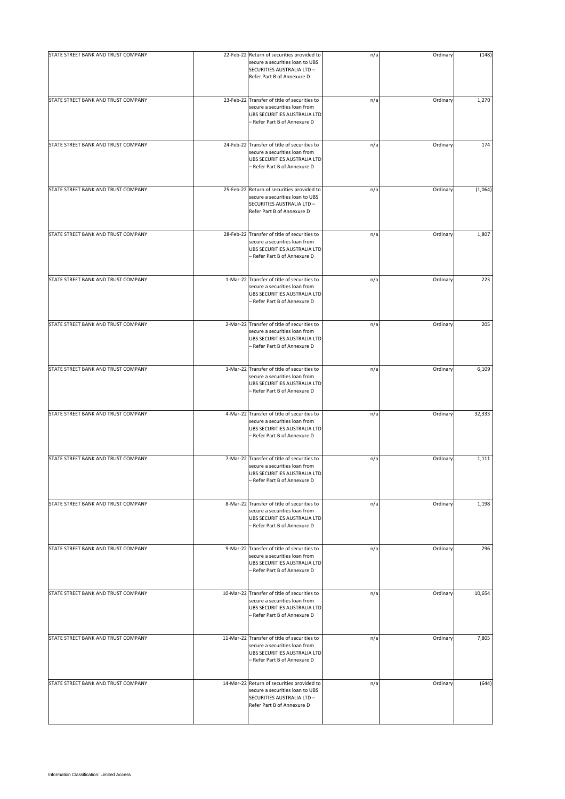| STATE STREET BANK AND TRUST COMPANY | 22-Feb-22 Return of securities provided to                                                                                                    | n/a | Ordinary | (148)   |
|-------------------------------------|-----------------------------------------------------------------------------------------------------------------------------------------------|-----|----------|---------|
|                                     | secure a securities loan to UBS<br>SECURITIES AUSTRALIA LTD -<br>Refer Part B of Annexure D                                                   |     |          |         |
| STATE STREET BANK AND TRUST COMPANY | 23-Feb-22 Transfer of title of securities to<br>secure a securities loan from<br>UBS SECURITIES AUSTRALIA LTD<br>- Refer Part B of Annexure D | n/a | Ordinary | 1,270   |
| STATE STREET BANK AND TRUST COMPANY | 24-Feb-22 Transfer of title of securities to<br>secure a securities loan from<br>UBS SECURITIES AUSTRALIA LTD<br>- Refer Part B of Annexure D | n/a | Ordinary | 174     |
| STATE STREET BANK AND TRUST COMPANY | 25-Feb-22 Return of securities provided to<br>secure a securities loan to UBS<br>SECURITIES AUSTRALIA LTD -<br>Refer Part B of Annexure D     | n/a | Ordinary | (1,064) |
| STATE STREET BANK AND TRUST COMPANY | 28-Feb-22 Transfer of title of securities to<br>secure a securities loan from<br>UBS SECURITIES AUSTRALIA LTD<br>- Refer Part B of Annexure D | n/a | Ordinary | 1,807   |
| STATE STREET BANK AND TRUST COMPANY | 1-Mar-22 Transfer of title of securities to<br>secure a securities loan from<br>UBS SECURITIES AUSTRALIA LTD<br>- Refer Part B of Annexure D  | n/a | Ordinary | 223     |
| STATE STREET BANK AND TRUST COMPANY | 2-Mar-22 Transfer of title of securities to<br>secure a securities loan from<br>UBS SECURITIES AUSTRALIA LTD<br>- Refer Part B of Annexure D  | n/a | Ordinary | 205     |
| STATE STREET BANK AND TRUST COMPANY | 3-Mar-22 Transfer of title of securities to<br>secure a securities loan from<br>UBS SECURITIES AUSTRALIA LTD<br>- Refer Part B of Annexure D  | n/a | Ordinary | 6,109   |
| STATE STREET BANK AND TRUST COMPANY | 4-Mar-22 Transfer of title of securities to<br>secure a securities loan from<br>UBS SECURITIES AUSTRALIA LTD<br>- Refer Part B of Annexure D  | n/a | Ordinary | 32,333  |
| STATE STREET BANK AND TRUST COMPANY | 7-Mar-22 Transfer of title of securities to<br>secure a securities loan from<br>UBS SECURITIES AUSTRALIA LTD<br>Refer Part B of Annexure D    | n/a | Ordinary | 1,111   |
| STATE STREET BANK AND TRUST COMPANY | 8-Mar-22 Transfer of title of securities to<br>secure a securities loan from<br>UBS SECURITIES AUSTRALIA LTD<br>- Refer Part B of Annexure D  | n/a | Ordinary | 1,198   |
| STATE STREET BANK AND TRUST COMPANY | 9-Mar-22 Transfer of title of securities to<br>secure a securities loan from<br>UBS SECURITIES AUSTRALIA LTD<br>- Refer Part B of Annexure D  | n/a | Ordinary | 296     |
| STATE STREET BANK AND TRUST COMPANY | 10-Mar-22 Transfer of title of securities to<br>secure a securities loan from<br>UBS SECURITIES AUSTRALIA LTD<br>- Refer Part B of Annexure D | n/a | Ordinary | 10,654  |
| STATE STREET BANK AND TRUST COMPANY | 11-Mar-22 Transfer of title of securities to<br>secure a securities loan from<br>UBS SECURITIES AUSTRALIA LTD<br>- Refer Part B of Annexure D | n/a | Ordinary | 7,805   |
| STATE STREET BANK AND TRUST COMPANY | 14-Mar-22 Return of securities provided to<br>secure a securities loan to UBS<br>SECURITIES AUSTRALIA LTD -<br>Refer Part B of Annexure D     | n/a | Ordinary | (644)   |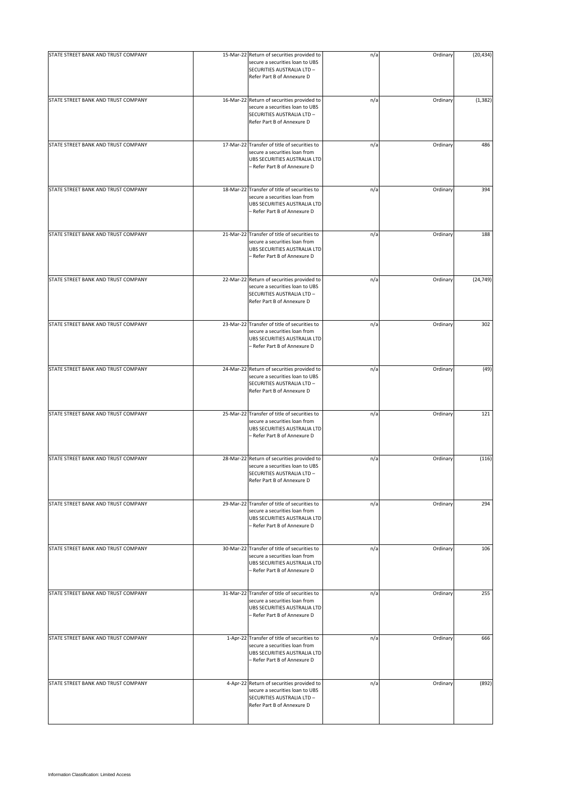| STATE STREET BANK AND TRUST COMPANY | 15-Mar-22 Return of securities provided to                                                                                                    |     |          |           |
|-------------------------------------|-----------------------------------------------------------------------------------------------------------------------------------------------|-----|----------|-----------|
|                                     | secure a securities loan to UBS<br>SECURITIES AUSTRALIA LTD -<br>Refer Part B of Annexure D                                                   | n/a | Ordinary | (20, 434) |
| STATE STREET BANK AND TRUST COMPANY | 16-Mar-22 Return of securities provided to<br>secure a securities loan to UBS<br>SECURITIES AUSTRALIA LTD -<br>Refer Part B of Annexure D     | n/a | Ordinary | (1, 382)  |
| STATE STREET BANK AND TRUST COMPANY | 17-Mar-22 Transfer of title of securities to<br>secure a securities loan from<br>UBS SECURITIES AUSTRALIA LTD<br>– Refer Part B of Annexure D | n/a | Ordinary | 486       |
| STATE STREET BANK AND TRUST COMPANY | 18-Mar-22 Transfer of title of securities to<br>secure a securities loan from<br>UBS SECURITIES AUSTRALIA LTD<br>- Refer Part B of Annexure D | n/a | Ordinary | 394       |
| STATE STREET BANK AND TRUST COMPANY | 21-Mar-22 Transfer of title of securities to<br>secure a securities loan from<br>UBS SECURITIES AUSTRALIA LTD<br>- Refer Part B of Annexure D | n/a | Ordinary | 188       |
| STATE STREET BANK AND TRUST COMPANY | 22-Mar-22 Return of securities provided to<br>secure a securities loan to UBS<br>SECURITIES AUSTRALIA LTD -<br>Refer Part B of Annexure D     | n/a | Ordinary | (24, 749) |
| STATE STREET BANK AND TRUST COMPANY | 23-Mar-22 Transfer of title of securities to<br>secure a securities loan from<br>UBS SECURITIES AUSTRALIA LTD<br>- Refer Part B of Annexure D | n/a | Ordinary | 302       |
| STATE STREET BANK AND TRUST COMPANY | 24-Mar-22 Return of securities provided to<br>secure a securities loan to UBS<br>SECURITIES AUSTRALIA LTD -<br>Refer Part B of Annexure D     | n/a | Ordinary | (49)      |
| STATE STREET BANK AND TRUST COMPANY | 25-Mar-22 Transfer of title of securities to<br>secure a securities loan from<br>UBS SECURITIES AUSTRALIA LTD<br>- Refer Part B of Annexure D | n/a | Ordinary | 121       |
| STATE STREET BANK AND TRUST COMPANY | 28-Mar-22 Return of securities provided to<br>secure a securities loan to UBS<br>SECURITIES AUSTRALIA LTD -<br>Refer Part B of Annexure D     | n/a | Ordinary | (116)     |
| STATE STREET BANK AND TRUST COMPANY | 29-Mar-22 Transfer of title of securities to<br>secure a securities loan from<br>UBS SECURITIES AUSTRALIA LTD<br>- Refer Part B of Annexure D | n/a | Ordinary | 294       |
| STATE STREET BANK AND TRUST COMPANY | 30-Mar-22 Transfer of title of securities to<br>secure a securities loan from<br>UBS SECURITIES AUSTRALIA LTD<br>- Refer Part B of Annexure D | n/a | Ordinary | 106       |
| STATE STREET BANK AND TRUST COMPANY | 31-Mar-22 Transfer of title of securities to<br>secure a securities loan from<br>UBS SECURITIES AUSTRALIA LTD<br>– Refer Part B of Annexure D | n/a | Ordinary | 255       |
| STATE STREET BANK AND TRUST COMPANY | 1-Apr-22 Transfer of title of securities to<br>secure a securities loan from<br>UBS SECURITIES AUSTRALIA LTD<br>- Refer Part B of Annexure D  | n/a | Ordinary | 666       |
| STATE STREET BANK AND TRUST COMPANY | 4-Apr-22 Return of securities provided to<br>secure a securities loan to UBS<br>SECURITIES AUSTRALIA LTD -<br>Refer Part B of Annexure D      | n/a | Ordinary | (892)     |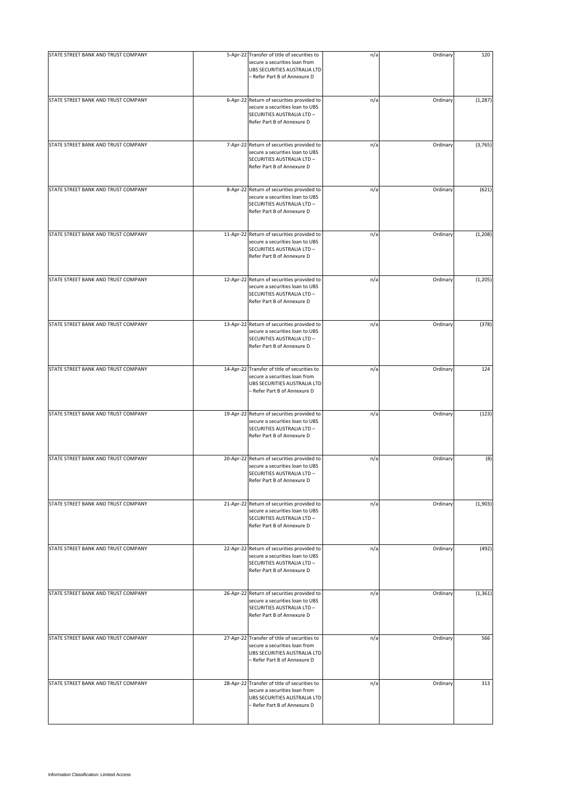| STATE STREET BANK AND TRUST COMPANY | 5-Apr-22 Transfer of title of securities to                                                                                                   | n/a | Ordinary | 120      |
|-------------------------------------|-----------------------------------------------------------------------------------------------------------------------------------------------|-----|----------|----------|
|                                     | secure a securities loan from<br>UBS SECURITIES AUSTRALIA LTD<br>- Refer Part B of Annexure D                                                 |     |          |          |
| STATE STREET BANK AND TRUST COMPANY | 6-Apr-22 Return of securities provided to<br>secure a securities loan to UBS<br>SECURITIES AUSTRALIA LTD -<br>Refer Part B of Annexure D      | n/a | Ordinary | (1, 287) |
| STATE STREET BANK AND TRUST COMPANY | 7-Apr-22 Return of securities provided to<br>secure a securities loan to UBS<br>SECURITIES AUSTRALIA LTD -<br>Refer Part B of Annexure D      | n/a | Ordinary | (3,765)  |
| STATE STREET BANK AND TRUST COMPANY | 8-Apr-22 Return of securities provided to<br>secure a securities loan to UBS<br>SECURITIES AUSTRALIA LTD -<br>Refer Part B of Annexure D      | n/a | Ordinary | (621)    |
| STATE STREET BANK AND TRUST COMPANY | 11-Apr-22 Return of securities provided to<br>secure a securities loan to UBS<br>SECURITIES AUSTRALIA LTD -<br>Refer Part B of Annexure D     | n/a | Ordinary | (1, 208) |
| STATE STREET BANK AND TRUST COMPANY | 12-Apr-22 Return of securities provided to<br>secure a securities loan to UBS<br>SECURITIES AUSTRALIA LTD -<br>Refer Part B of Annexure D     | n/a | Ordinary | (1, 205) |
| STATE STREET BANK AND TRUST COMPANY | 13-Apr-22 Return of securities provided to<br>secure a securities loan to UBS<br>SECURITIES AUSTRALIA LTD -<br>Refer Part B of Annexure D     | n/a | Ordinary | (378)    |
| STATE STREET BANK AND TRUST COMPANY | 14-Apr-22 Transfer of title of securities to<br>secure a securities loan from<br>UBS SECURITIES AUSTRALIA LTD<br>- Refer Part B of Annexure D | n/a | Ordinary | 124      |
| STATE STREET BANK AND TRUST COMPANY | 19-Apr-22 Return of securities provided to<br>secure a securities loan to UBS<br>SECURITIES AUSTRALIA LTD -<br>Refer Part B of Annexure D     | n/a | Ordinary | (123)    |
| STATE STREET BANK AND TRUST COMPANY | 20-Apr-22 Return of securities provided to<br>secure a securities loan to UBS<br>SECURITIES AUSTRALIA LTD -<br>Refer Part B of Annexure D     | n/a | Ordinary | (8)      |
| STATE STREET BANK AND TRUST COMPANY | 21-Apr-22 Return of securities provided to<br>secure a securities loan to UBS<br>SECURITIES AUSTRALIA LTD -<br>Refer Part B of Annexure D     | n/a | Ordinary | (1,903)  |
| STATE STREET BANK AND TRUST COMPANY | 22-Apr-22 Return of securities provided to<br>secure a securities loan to UBS<br>SECURITIES AUSTRALIA LTD -<br>Refer Part B of Annexure D     | n/a | Ordinary | (492)    |
| STATE STREET BANK AND TRUST COMPANY | 26-Apr-22 Return of securities provided to<br>secure a securities loan to UBS<br>SECURITIES AUSTRALIA LTD -<br>Refer Part B of Annexure D     | n/a | Ordinary | (1, 361) |
| STATE STREET BANK AND TRUST COMPANY | 27-Apr-22 Transfer of title of securities to<br>secure a securities loan from<br>UBS SECURITIES AUSTRALIA LTD<br>- Refer Part B of Annexure D | n/a | Ordinary | 566      |
| STATE STREET BANK AND TRUST COMPANY | 28-Apr-22 Transfer of title of securities to<br>secure a securities loan from<br>UBS SECURITIES AUSTRALIA LTD<br>- Refer Part B of Annexure D | n/a | Ordinary | 313      |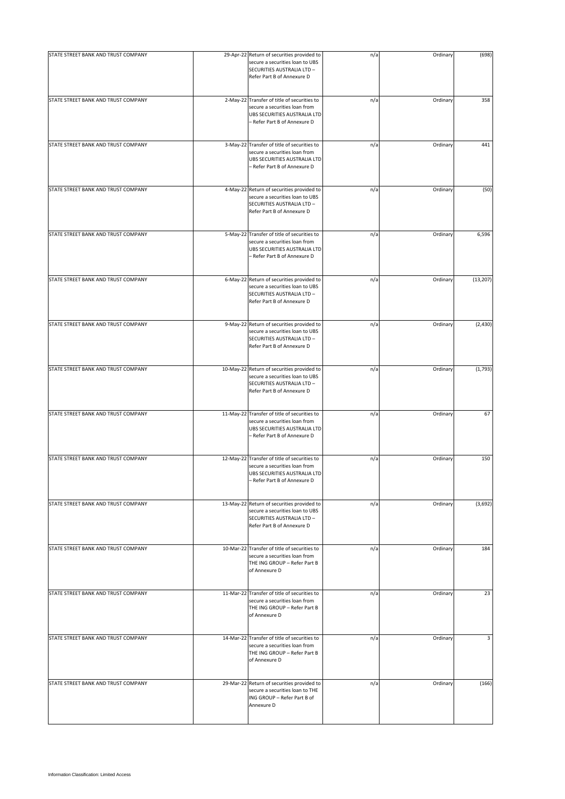| STATE STREET BANK AND TRUST COMPANY | 29-Apr-22 Return of securities provided to<br>secure a securities loan to UBS<br>SECURITIES AUSTRALIA LTD -<br>Refer Part B of Annexure D     | n/a | Ordinary | (698)     |
|-------------------------------------|-----------------------------------------------------------------------------------------------------------------------------------------------|-----|----------|-----------|
| STATE STREET BANK AND TRUST COMPANY | 2-May-22 Transfer of title of securities to<br>secure a securities loan from<br>UBS SECURITIES AUSTRALIA LTD<br>- Refer Part B of Annexure D  | n/a | Ordinary | 358       |
| STATE STREET BANK AND TRUST COMPANY | 3-May-22 Transfer of title of securities to<br>secure a securities loan from<br>UBS SECURITIES AUSTRALIA LTD<br>- Refer Part B of Annexure D  | n/a | Ordinary | 441       |
| STATE STREET BANK AND TRUST COMPANY | 4-May-22 Return of securities provided to<br>secure a securities loan to UBS<br>SECURITIES AUSTRALIA LTD -<br>Refer Part B of Annexure D      | n/a | Ordinary | (50)      |
| STATE STREET BANK AND TRUST COMPANY | 5-May-22 Transfer of title of securities to<br>secure a securities loan from<br>UBS SECURITIES AUSTRALIA LTD<br>- Refer Part B of Annexure D  | n/a | Ordinary | 6,596     |
| STATE STREET BANK AND TRUST COMPANY | 6-May-22 Return of securities provided to<br>secure a securities loan to UBS<br>SECURITIES AUSTRALIA LTD -<br>Refer Part B of Annexure D      | n/a | Ordinary | (13, 207) |
| STATE STREET BANK AND TRUST COMPANY | 9-May-22 Return of securities provided to<br>secure a securities loan to UBS<br>SECURITIES AUSTRALIA LTD -<br>Refer Part B of Annexure D      | n/a | Ordinary | (2, 430)  |
| STATE STREET BANK AND TRUST COMPANY | 10-May-22 Return of securities provided to<br>secure a securities loan to UBS<br>SECURITIES AUSTRALIA LTD -<br>Refer Part B of Annexure D     | n/a | Ordinary | (1,793)   |
| STATE STREET BANK AND TRUST COMPANY | 11-May-22 Transfer of title of securities to<br>secure a securities loan from<br>UBS SECURITIES AUSTRALIA LTD<br>- Refer Part B of Annexure D | n/a | Ordinary | 67        |
| STATE STREET BANK AND TRUST COMPANY | 12-May-22 Transfer of title of securities to<br>secure a securities loan from<br>UBS SECURITIES AUSTRALIA LTD<br>- Refer Part B of Annexure D | n/a | Ordinary | 150       |
| STATE STREET BANK AND TRUST COMPANY | 13-May-22 Return of securities provided to<br>secure a securities loan to UBS<br>SECURITIES AUSTRALIA LTD -<br>Refer Part B of Annexure D     | n/a | Ordinary | (3,692)   |
| STATE STREET BANK AND TRUST COMPANY | 10-Mar-22 Transfer of title of securities to<br>secure a securities loan from<br>THE ING GROUP - Refer Part B<br>of Annexure D                | n/a | Ordinary | 184       |
| STATE STREET BANK AND TRUST COMPANY | 11-Mar-22 Transfer of title of securities to<br>secure a securities loan from<br>THE ING GROUP - Refer Part B<br>of Annexure D                | n/a | Ordinary | 23        |
| STATE STREET BANK AND TRUST COMPANY | 14-Mar-22 Transfer of title of securities to<br>secure a securities loan from<br>THE ING GROUP - Refer Part B<br>of Annexure D                | n/a | Ordinary | 3         |
| STATE STREET BANK AND TRUST COMPANY | 29-Mar-22 Return of securities provided to<br>secure a securities loan to THE<br>ING GROUP - Refer Part B of<br>Annexure D                    | n/a | Ordinary | (166)     |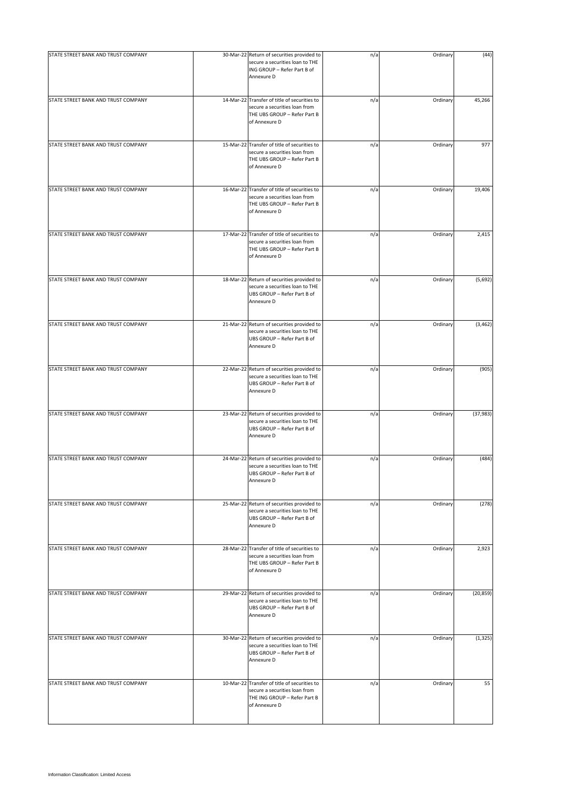| STATE STREET BANK AND TRUST COMPANY | 30-Mar-22 Return of securities provided to<br>secure a securities loan to THE                                                  | n/a | Ordinary | (44)      |
|-------------------------------------|--------------------------------------------------------------------------------------------------------------------------------|-----|----------|-----------|
|                                     | ING GROUP - Refer Part B of<br>Annexure D                                                                                      |     |          |           |
| STATE STREET BANK AND TRUST COMPANY | 14-Mar-22 Transfer of title of securities to<br>secure a securities loan from<br>THE UBS GROUP - Refer Part B<br>of Annexure D | n/a | Ordinary | 45,266    |
| STATE STREET BANK AND TRUST COMPANY | 15-Mar-22 Transfer of title of securities to<br>secure a securities loan from<br>THE UBS GROUP - Refer Part B<br>of Annexure D | n/a | Ordinary | 977       |
| STATE STREET BANK AND TRUST COMPANY | 16-Mar-22 Transfer of title of securities to<br>secure a securities loan from<br>THE UBS GROUP - Refer Part B<br>of Annexure D | n/a | Ordinary | 19,406    |
| STATE STREET BANK AND TRUST COMPANY | 17-Mar-22 Transfer of title of securities to<br>secure a securities loan from<br>THE UBS GROUP - Refer Part B<br>of Annexure D | n/a | Ordinary | 2,415     |
| STATE STREET BANK AND TRUST COMPANY | 18-Mar-22 Return of securities provided to<br>secure a securities loan to THE<br>UBS GROUP - Refer Part B of<br>Annexure D     | n/a | Ordinary | (5,692)   |
| STATE STREET BANK AND TRUST COMPANY | 21-Mar-22 Return of securities provided to<br>secure a securities loan to THE<br>UBS GROUP - Refer Part B of<br>Annexure D     | n/a | Ordinary | (3, 462)  |
| STATE STREET BANK AND TRUST COMPANY | 22-Mar-22 Return of securities provided to<br>secure a securities loan to THE<br>UBS GROUP - Refer Part B of<br>Annexure D     | n/a | Ordinary | (905)     |
| STATE STREET BANK AND TRUST COMPANY | 23-Mar-22 Return of securities provided to<br>secure a securities loan to THE<br>UBS GROUP - Refer Part B of<br>Annexure D     | n/a | Ordinary | (37, 983) |
| STATE STREET BANK AND TRUST COMPANY | 24-Mar-22 Return of securities provided to<br>secure a securities loan to THE<br>UBS GROUP - Refer Part B of<br>Annexure D     | n/a | Ordinary | (484)     |
| STATE STREET BANK AND TRUST COMPANY | 25-Mar-22 Return of securities provided to<br>secure a securities loan to THE<br>UBS GROUP - Refer Part B of<br>Annexure D     | n/a | Ordinary | (278)     |
| STATE STREET BANK AND TRUST COMPANY | 28-Mar-22 Transfer of title of securities to<br>secure a securities loan from<br>THE UBS GROUP - Refer Part B<br>of Annexure D | n/a | Ordinary | 2,923     |
| STATE STREET BANK AND TRUST COMPANY | 29-Mar-22 Return of securities provided to<br>secure a securities loan to THE<br>UBS GROUP - Refer Part B of<br>Annexure D     | n/a | Ordinary | (20, 859) |
| STATE STREET BANK AND TRUST COMPANY | 30-Mar-22 Return of securities provided to<br>secure a securities loan to THE<br>UBS GROUP - Refer Part B of<br>Annexure D     | n/a | Ordinary | (1, 325)  |
| STATE STREET BANK AND TRUST COMPANY | 10-Mar-22 Transfer of title of securities to<br>secure a securities loan from<br>THE ING GROUP - Refer Part B<br>of Annexure D | n/a | Ordinary | 55        |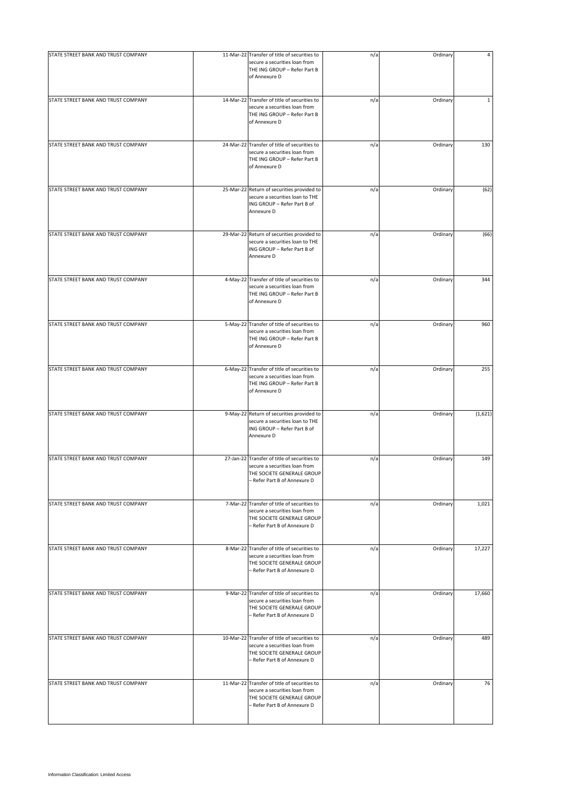| STATE STREET BANK AND TRUST COMPANY | 11-Mar-22 Transfer of title of securities to                                                                                                | n/a | Ordinary | 4           |
|-------------------------------------|---------------------------------------------------------------------------------------------------------------------------------------------|-----|----------|-------------|
|                                     | secure a securities loan from<br>THE ING GROUP - Refer Part B<br>of Annexure D                                                              |     |          |             |
| STATE STREET BANK AND TRUST COMPANY | 14-Mar-22 Transfer of title of securities to<br>secure a securities loan from<br>THE ING GROUP - Refer Part B<br>of Annexure D              | n/a | Ordinary | $\mathbf 1$ |
| STATE STREET BANK AND TRUST COMPANY | 24-Mar-22 Transfer of title of securities to<br>secure a securities loan from<br>THE ING GROUP - Refer Part B<br>of Annexure D              | n/a | Ordinary | 130         |
| STATE STREET BANK AND TRUST COMPANY | 25-Mar-22 Return of securities provided to<br>secure a securities loan to THE<br>ING GROUP - Refer Part B of<br>Annexure D                  | n/a | Ordinary | (62)        |
| STATE STREET BANK AND TRUST COMPANY | 29-Mar-22 Return of securities provided to<br>secure a securities loan to THE<br>ING GROUP - Refer Part B of<br>Annexure D                  | n/a | Ordinary | (66)        |
| STATE STREET BANK AND TRUST COMPANY | 4-May-22 Transfer of title of securities to<br>secure a securities loan from<br>THE ING GROUP - Refer Part B<br>of Annexure D               | n/a | Ordinary | 344         |
| STATE STREET BANK AND TRUST COMPANY | 5-May-22 Transfer of title of securities to<br>secure a securities loan from<br>THE ING GROUP - Refer Part B<br>of Annexure D               | n/a | Ordinary | 960         |
| STATE STREET BANK AND TRUST COMPANY | 6-May-22 Transfer of title of securities to<br>secure a securities loan from<br>THE ING GROUP - Refer Part B<br>of Annexure D               | n/a | Ordinary | 255         |
| STATE STREET BANK AND TRUST COMPANY | 9-May-22 Return of securities provided to<br>secure a securities loan to THE<br>ING GROUP - Refer Part B of<br>Annexure D                   | n/a | Ordinary | (1,621)     |
| STATE STREET BANK AND TRUST COMPANY | 27-Jan-22 Transfer of title of securities to<br>secure a securities loan from<br>THE SOCIETE GENERALE GROUP<br>- Refer Part B of Annexure D | n/a | Ordinary | 149         |
| STATE STREET BANK AND TRUST COMPANY | 7-Mar-22 Transfer of title of securities to<br>secure a securities loan from<br>THE SOCIETE GENERALE GROUP<br>- Refer Part B of Annexure D  | n/a | Ordinary | 1,021       |
| STATE STREET BANK AND TRUST COMPANY | 8-Mar-22 Transfer of title of securities to<br>secure a securities loan from<br>THE SOCIETE GENERALE GROUP<br>- Refer Part B of Annexure D  | n/a | Ordinary | 17,227      |
| STATE STREET BANK AND TRUST COMPANY | 9-Mar-22 Transfer of title of securities to<br>secure a securities loan from<br>THE SOCIETE GENERALE GROUP<br>- Refer Part B of Annexure D  | n/a | Ordinary | 17,660      |
| STATE STREET BANK AND TRUST COMPANY | 10-Mar-22 Transfer of title of securities to<br>secure a securities loan from<br>THE SOCIETE GENERALE GROUP<br>- Refer Part B of Annexure D | n/a | Ordinary | 489         |
| STATE STREET BANK AND TRUST COMPANY | 11-Mar-22 Transfer of title of securities to<br>secure a securities loan from<br>THE SOCIETE GENERALE GROUP<br>- Refer Part B of Annexure D | n/a | Ordinary | 76          |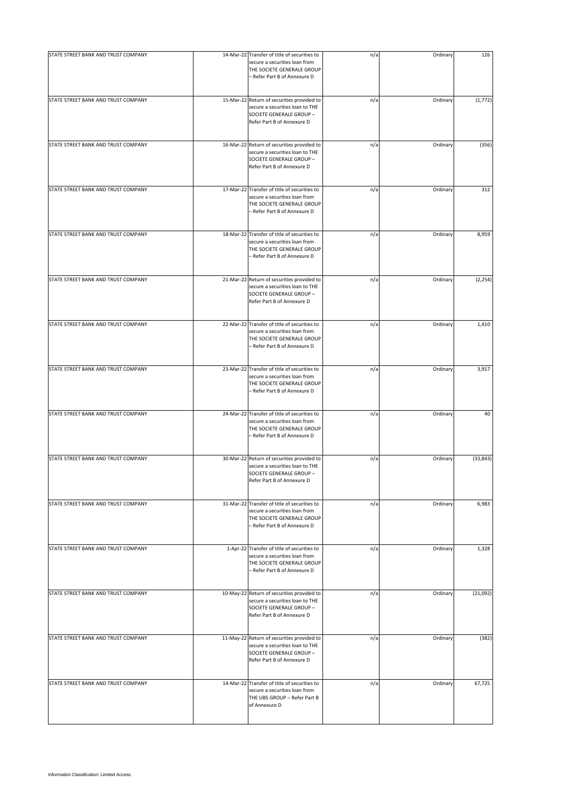| STATE STREET BANK AND TRUST COMPANY | 14-Mar-22 Transfer of title of securities to                                                                                                | n/a | Ordinary | 126       |
|-------------------------------------|---------------------------------------------------------------------------------------------------------------------------------------------|-----|----------|-----------|
|                                     | secure a securities loan from<br>THE SOCIETE GENERALE GROUP<br>- Refer Part B of Annexure D                                                 |     |          |           |
| STATE STREET BANK AND TRUST COMPANY | 15-Mar-22 Return of securities provided to<br>secure a securities loan to THE<br>SOCIETE GENERALE GROUP -<br>Refer Part B of Annexure D     | n/a | Ordinary | (1, 772)  |
| STATE STREET BANK AND TRUST COMPANY | 16-Mar-22 Return of securities provided to<br>secure a securities loan to THE<br>SOCIETE GENERALE GROUP -<br>Refer Part B of Annexure D     | n/a | Ordinary | (356)     |
| STATE STREET BANK AND TRUST COMPANY | 17-Mar-22 Transfer of title of securities to<br>secure a securities loan from<br>THE SOCIETE GENERALE GROUP<br>- Refer Part B of Annexure D | n/a | Ordinary | 312       |
| STATE STREET BANK AND TRUST COMPANY | 18-Mar-22 Transfer of title of securities to<br>secure a securities loan from<br>THE SOCIETE GENERALE GROUP<br>- Refer Part B of Annexure D | n/a | Ordinary | 8,959     |
| STATE STREET BANK AND TRUST COMPANY | 21-Mar-22 Return of securities provided to<br>secure a securities loan to THE<br>SOCIETE GENERALE GROUP -<br>Refer Part B of Annexure D     | n/a | Ordinary | (2, 254)  |
| STATE STREET BANK AND TRUST COMPANY | 22-Mar-22 Transfer of title of securities to<br>secure a securities loan from<br>THE SOCIETE GENERALE GROUP<br>- Refer Part B of Annexure D | n/a | Ordinary | 1,410     |
| STATE STREET BANK AND TRUST COMPANY | 23-Mar-22 Transfer of title of securities to<br>secure a securities loan from<br>THE SOCIETE GENERALE GROUP<br>- Refer Part B of Annexure D | n/a | Ordinary | 3,917     |
| STATE STREET BANK AND TRUST COMPANY | 24-Mar-22 Transfer of title of securities to<br>secure a securities loan from<br>THE SOCIETE GENERALE GROUP<br>- Refer Part B of Annexure D | n/a | Ordinary | 40        |
| STATE STREET BANK AND TRUST COMPANY | 30-Mar-22 Return of securities provided to<br>secure a securities loan to THE<br>SOCIETE GENERALE GROUP -<br>Refer Part B of Annexure D     | n/a | Ordinary | (33, 843) |
| STATE STREET BANK AND TRUST COMPANY | 31-Mar-22 Transfer of title of securities to<br>secure a securities loan from<br>THE SOCIETE GENERALE GROUP<br>- Refer Part B of Annexure D | n/a | Ordinary | 6,983     |
| STATE STREET BANK AND TRUST COMPANY | 1-Apr-22 Transfer of title of securities to<br>secure a securities loan from<br>THE SOCIETE GENERALE GROUP<br>- Refer Part B of Annexure D  | n/a | Ordinary | 1,328     |
| STATE STREET BANK AND TRUST COMPANY | 10-May-22 Return of securities provided to<br>secure a securities loan to THE<br>SOCIETE GENERALE GROUP -<br>Refer Part B of Annexure D     | n/a | Ordinary | (21,092)  |
| STATE STREET BANK AND TRUST COMPANY | 11-May-22 Return of securities provided to<br>secure a securities loan to THE<br>SOCIETE GENERALE GROUP -<br>Refer Part B of Annexure D     | n/a | Ordinary | (382)     |
| STATE STREET BANK AND TRUST COMPANY | 14-Mar-22 Transfer of title of securities to<br>secure a securities loan from<br>THE UBS GROUP - Refer Part B<br>of Annexure D              | n/a | Ordinary | 67,725    |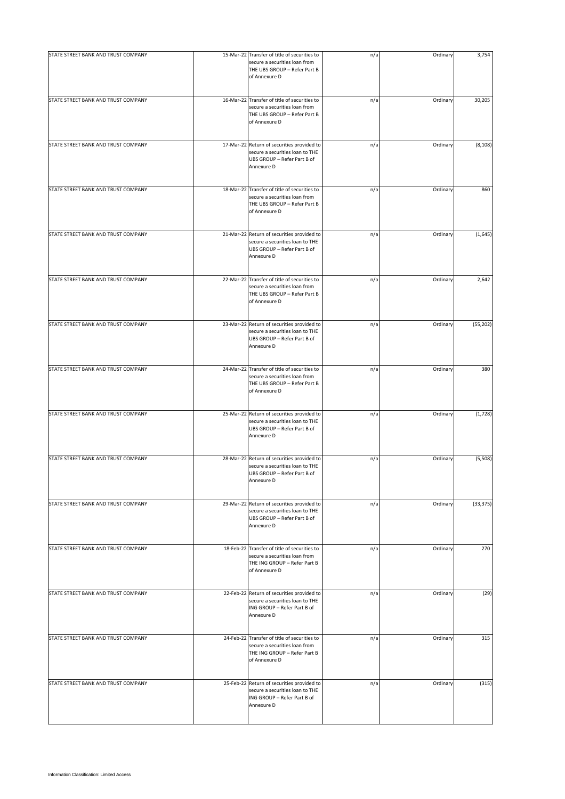| STATE STREET BANK AND TRUST COMPANY | 15-Mar-22 Transfer of title of securities to<br>secure a securities loan from<br>THE UBS GROUP - Refer Part B<br>of Annexure D | n/a | Ordinary | 3,754     |
|-------------------------------------|--------------------------------------------------------------------------------------------------------------------------------|-----|----------|-----------|
| STATE STREET BANK AND TRUST COMPANY | 16-Mar-22 Transfer of title of securities to<br>secure a securities loan from<br>THE UBS GROUP - Refer Part B<br>of Annexure D | n/a | Ordinary | 30,205    |
| STATE STREET BANK AND TRUST COMPANY | 17-Mar-22 Return of securities provided to<br>secure a securities loan to THE<br>UBS GROUP - Refer Part B of<br>Annexure D     | n/a | Ordinary | (8, 108)  |
| STATE STREET BANK AND TRUST COMPANY | 18-Mar-22 Transfer of title of securities to<br>secure a securities loan from<br>THE UBS GROUP - Refer Part B<br>of Annexure D | n/a | Ordinary | 860       |
| STATE STREET BANK AND TRUST COMPANY | 21-Mar-22 Return of securities provided to<br>secure a securities loan to THE<br>UBS GROUP - Refer Part B of<br>Annexure D     | n/a | Ordinary | (1,645)   |
| STATE STREET BANK AND TRUST COMPANY | 22-Mar-22 Transfer of title of securities to<br>secure a securities loan from<br>THE UBS GROUP - Refer Part B<br>of Annexure D | n/a | Ordinary | 2,642     |
| STATE STREET BANK AND TRUST COMPANY | 23-Mar-22 Return of securities provided to<br>secure a securities loan to THE<br>UBS GROUP - Refer Part B of<br>Annexure D     | n/a | Ordinary | (55, 202) |
| STATE STREET BANK AND TRUST COMPANY | 24-Mar-22 Transfer of title of securities to<br>secure a securities loan from<br>THE UBS GROUP - Refer Part B<br>of Annexure D | n/a | Ordinary | 380       |
| STATE STREET BANK AND TRUST COMPANY | 25-Mar-22 Return of securities provided to<br>secure a securities loan to THE<br>UBS GROUP - Refer Part B of<br>Annexure D     | n/a | Ordinary | (1,728)   |
| STATE STREET BANK AND TRUST COMPANY | 28-Mar-22 Return of securities provided to<br>secure a securities loan to THE<br>UBS GROUP - Refer Part B of<br>Annexure D     | n/a | Ordinary | (5,508)   |
| STATE STREET BANK AND TRUST COMPANY | 29-Mar-22 Return of securities provided to<br>secure a securities loan to THE<br>UBS GROUP - Refer Part B of<br>Annexure D     | n/a | Ordinary | (33, 375) |
| STATE STREET BANK AND TRUST COMPANY | 18-Feb-22 Transfer of title of securities to<br>secure a securities loan from<br>THE ING GROUP - Refer Part B<br>of Annexure D | n/a | Ordinary | 270       |
| STATE STREET BANK AND TRUST COMPANY | 22-Feb-22 Return of securities provided to<br>secure a securities loan to THE<br>ING GROUP - Refer Part B of<br>Annexure D     | n/a | Ordinary | (29)      |
| STATE STREET BANK AND TRUST COMPANY | 24-Feb-22 Transfer of title of securities to<br>secure a securities loan from<br>THE ING GROUP - Refer Part B<br>of Annexure D | n/a | Ordinary | 315       |
| STATE STREET BANK AND TRUST COMPANY | 25-Feb-22 Return of securities provided to<br>secure a securities loan to THE<br>ING GROUP - Refer Part B of<br>Annexure D     | n/a | Ordinary | (315)     |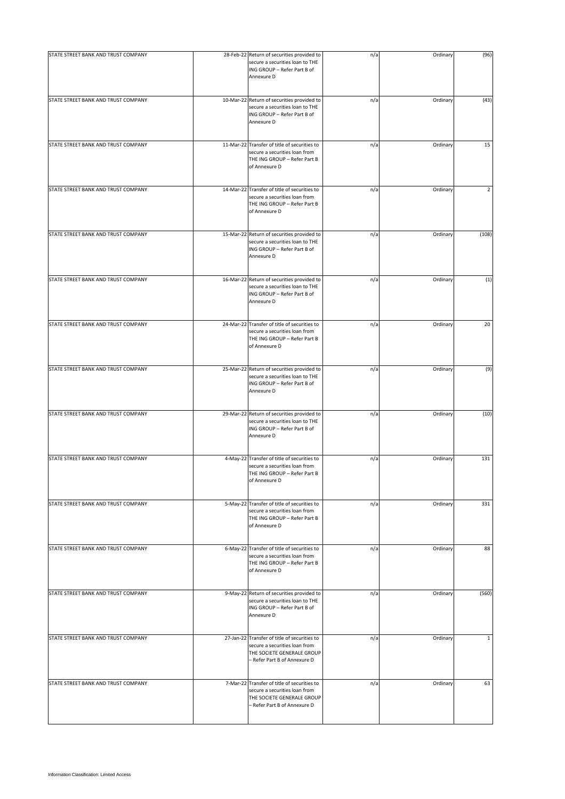| STATE STREET BANK AND TRUST COMPANY | 28-Feb-22 Return of securities provided to                                                                                                  | n/a | Ordinary | (96)           |
|-------------------------------------|---------------------------------------------------------------------------------------------------------------------------------------------|-----|----------|----------------|
|                                     | secure a securities loan to THE<br>ING GROUP - Refer Part B of<br>Annexure D                                                                |     |          |                |
| STATE STREET BANK AND TRUST COMPANY | 10-Mar-22 Return of securities provided to<br>secure a securities loan to THE<br>ING GROUP - Refer Part B of<br>Annexure D                  | n/a | Ordinary | (43)           |
| STATE STREET BANK AND TRUST COMPANY | 11-Mar-22 Transfer of title of securities to<br>secure a securities loan from<br>THE ING GROUP - Refer Part B<br>of Annexure D              | n/a | Ordinary | 15             |
| STATE STREET BANK AND TRUST COMPANY | 14-Mar-22 Transfer of title of securities to<br>secure a securities loan from<br>THE ING GROUP - Refer Part B<br>of Annexure D              | n/a | Ordinary | $\overline{2}$ |
| STATE STREET BANK AND TRUST COMPANY | 15-Mar-22 Return of securities provided to<br>secure a securities loan to THE<br>ING GROUP - Refer Part B of<br>Annexure D                  | n/a | Ordinary | (108)          |
| STATE STREET BANK AND TRUST COMPANY | 16-Mar-22 Return of securities provided to<br>secure a securities loan to THE<br>ING GROUP - Refer Part B of<br>Annexure D                  | n/a | Ordinary | (1)            |
| STATE STREET BANK AND TRUST COMPANY | 24-Mar-22 Transfer of title of securities to<br>secure a securities loan from<br>THE ING GROUP - Refer Part B<br>of Annexure D              | n/a | Ordinary | 20             |
| STATE STREET BANK AND TRUST COMPANY | 25-Mar-22 Return of securities provided to<br>secure a securities loan to THE<br>ING GROUP - Refer Part B of<br>Annexure D                  | n/a | Ordinary | (9)            |
| STATE STREET BANK AND TRUST COMPANY | 29-Mar-22 Return of securities provided to<br>secure a securities loan to THE<br>ING GROUP - Refer Part B of<br>Annexure D                  | n/a | Ordinary | (10)           |
| STATE STREET BANK AND TRUST COMPANY | 4-May-22 Transfer of title of securities to<br>secure a securities loan from<br>THE ING GROUP - Refer Part B<br>of Annexure D               | n/a | Ordinary | 131            |
| STATE STREET BANK AND TRUST COMPANY | 5-May-22 Transfer of title of securities to<br>secure a securities loan from<br>THE ING GROUP - Refer Part B<br>of Annexure D               | n/a | Ordinary | 331            |
| STATE STREET BANK AND TRUST COMPANY | 6-May-22 Transfer of title of securities to<br>secure a securities loan from<br>THE ING GROUP - Refer Part B<br>of Annexure D               | n/a | Ordinary | 88             |
| STATE STREET BANK AND TRUST COMPANY | 9-May-22 Return of securities provided to<br>secure a securities loan to THE<br>ING GROUP - Refer Part B of<br>Annexure D                   | n/a | Ordinary | (560)          |
| STATE STREET BANK AND TRUST COMPANY | 27-Jan-22 Transfer of title of securities to<br>secure a securities loan from<br>THE SOCIETE GENERALE GROUP<br>- Refer Part B of Annexure D | n/a | Ordinary | $\mathbf{1}$   |
| STATE STREET BANK AND TRUST COMPANY | 7-Mar-22 Transfer of title of securities to<br>secure a securities loan from<br>THE SOCIETE GENERALE GROUP<br>- Refer Part B of Annexure D  | n/a | Ordinary | 63             |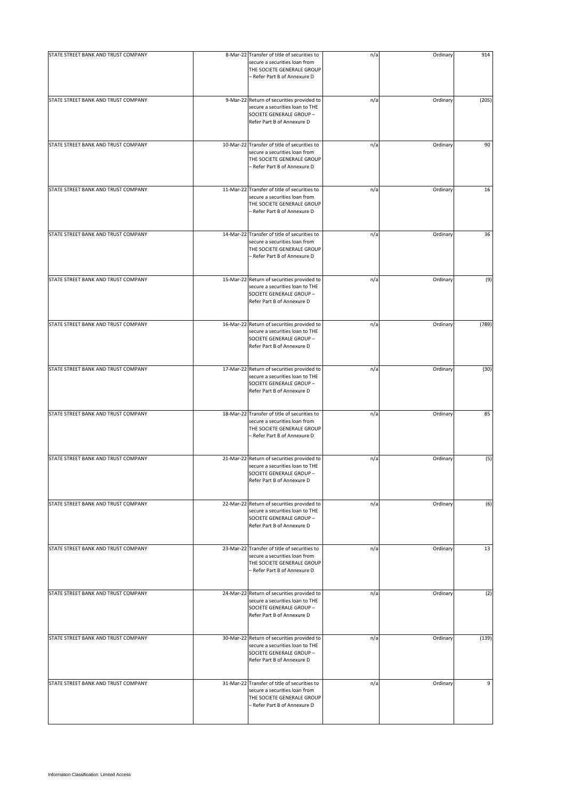| STATE STREET BANK AND TRUST COMPANY |                                                                                                                                             |     |          |       |
|-------------------------------------|---------------------------------------------------------------------------------------------------------------------------------------------|-----|----------|-------|
|                                     | 8-Mar-22 Transfer of title of securities to<br>secure a securities loan from<br>THE SOCIETE GENERALE GROUP<br>- Refer Part B of Annexure D  | n/a | Ordinary | 914   |
| STATE STREET BANK AND TRUST COMPANY | 9-Mar-22 Return of securities provided to<br>secure a securities loan to THE<br>SOCIETE GENERALE GROUP -<br>Refer Part B of Annexure D      | n/a | Ordinary | (205) |
| STATE STREET BANK AND TRUST COMPANY | 10-Mar-22 Transfer of title of securities to<br>secure a securities loan from<br>THE SOCIETE GENERALE GROUP<br>- Refer Part B of Annexure D | n/a | Ordinary | 90    |
| STATE STREET BANK AND TRUST COMPANY | 11-Mar-22 Transfer of title of securities to<br>secure a securities loan from<br>THE SOCIETE GENERALE GROUP<br>- Refer Part B of Annexure D | n/a | Ordinary | 16    |
| STATE STREET BANK AND TRUST COMPANY | 14-Mar-22 Transfer of title of securities to<br>secure a securities loan from<br>THE SOCIETE GENERALE GROUP<br>- Refer Part B of Annexure D | n/a | Ordinary | 36    |
| STATE STREET BANK AND TRUST COMPANY | 15-Mar-22 Return of securities provided to<br>secure a securities loan to THE<br>SOCIETE GENERALE GROUP -<br>Refer Part B of Annexure D     | n/a | Ordinary | (9)   |
| STATE STREET BANK AND TRUST COMPANY | 16-Mar-22 Return of securities provided to<br>secure a securities loan to THE<br>SOCIETE GENERALE GROUP -<br>Refer Part B of Annexure D     | n/a | Ordinary | (789) |
| STATE STREET BANK AND TRUST COMPANY | 17-Mar-22 Return of securities provided to<br>secure a securities loan to THE<br>SOCIETE GENERALE GROUP -<br>Refer Part B of Annexure D     | n/a | Ordinary | (30)  |
| STATE STREET BANK AND TRUST COMPANY | 18-Mar-22 Transfer of title of securities to<br>secure a securities loan from<br>THE SOCIETE GENERALE GROUP<br>- Refer Part B of Annexure D | n/a | Ordinary | 85    |
| STATE STREET BANK AND TRUST COMPANY | 21-Mar-22 Return of securities provided to<br>secure a securities loan to THE<br>SOCIETE GENERALE GROUP -<br>Refer Part B of Annexure D     | n/a | Ordinary | (5)   |
| STATE STREET BANK AND TRUST COMPANY | 22-Mar-22 Return of securities provided to<br>secure a securities loan to THE<br>SOCIETE GENERALE GROUP -<br>Refer Part B of Annexure D     | n/a | Ordinary | (6)   |
| STATE STREET BANK AND TRUST COMPANY | 23-Mar-22 Transfer of title of securities to<br>secure a securities loan from<br>THE SOCIETE GENERALE GROUP<br>- Refer Part B of Annexure D | n/a | Ordinary | 13    |
| STATE STREET BANK AND TRUST COMPANY | 24-Mar-22 Return of securities provided to<br>secure a securities loan to THE<br>SOCIETE GENERALE GROUP -<br>Refer Part B of Annexure D     | n/a | Ordinary | (2)   |
| STATE STREET BANK AND TRUST COMPANY | 30-Mar-22 Return of securities provided to<br>secure a securities loan to THE<br>SOCIETE GENERALE GROUP -<br>Refer Part B of Annexure D     | n/a | Ordinary | (139) |
| STATE STREET BANK AND TRUST COMPANY | 31-Mar-22 Transfer of title of securities to<br>secure a securities loan from<br>THE SOCIETE GENERALE GROUP<br>- Refer Part B of Annexure D | n/a | Ordinary | 9     |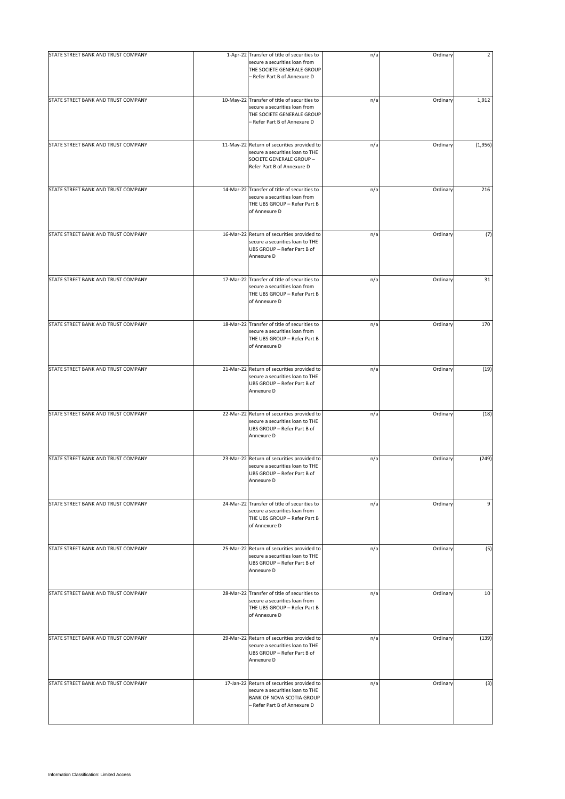| STATE STREET BANK AND TRUST COMPANY |                                                                                                                                             |     |          | $\overline{2}$ |
|-------------------------------------|---------------------------------------------------------------------------------------------------------------------------------------------|-----|----------|----------------|
|                                     | 1-Apr-22 Transfer of title of securities to<br>secure a securities loan from<br>THE SOCIETE GENERALE GROUP<br>- Refer Part B of Annexure D  | n/a | Ordinary |                |
| STATE STREET BANK AND TRUST COMPANY | 10-May-22 Transfer of title of securities to<br>secure a securities loan from<br>THE SOCIETE GENERALE GROUP<br>- Refer Part B of Annexure D | n/a | Ordinary | 1,912          |
| STATE STREET BANK AND TRUST COMPANY | 11-May-22 Return of securities provided to<br>secure a securities loan to THE<br>SOCIETE GENERALE GROUP -<br>Refer Part B of Annexure D     | n/a | Ordinary | (1,956)        |
| STATE STREET BANK AND TRUST COMPANY | 14-Mar-22 Transfer of title of securities to<br>secure a securities loan from<br>THE UBS GROUP - Refer Part B<br>of Annexure D              | n/a | Ordinary | 216            |
| STATE STREET BANK AND TRUST COMPANY | 16-Mar-22 Return of securities provided to<br>secure a securities loan to THE<br>UBS GROUP - Refer Part B of<br>Annexure D                  | n/a | Ordinary | (7)            |
| STATE STREET BANK AND TRUST COMPANY | 17-Mar-22 Transfer of title of securities to<br>secure a securities loan from<br>THE UBS GROUP - Refer Part B<br>of Annexure D              | n/a | Ordinary | 31             |
| STATE STREET BANK AND TRUST COMPANY | 18-Mar-22 Transfer of title of securities to<br>secure a securities loan from<br>THE UBS GROUP - Refer Part B<br>of Annexure D              | n/a | Ordinary | 170            |
| STATE STREET BANK AND TRUST COMPANY | 21-Mar-22 Return of securities provided to<br>secure a securities loan to THE<br>UBS GROUP - Refer Part B of<br>Annexure D                  | n/a | Ordinary | (19)           |
| STATE STREET BANK AND TRUST COMPANY | 22-Mar-22 Return of securities provided to<br>secure a securities loan to THE<br>UBS GROUP - Refer Part B of<br>Annexure D                  | n/a | Ordinary | (18)           |
| STATE STREET BANK AND TRUST COMPANY | 23-Mar-22 Return of securities provided to<br>secure a securities loan to THE<br>UBS GROUP - Refer Part B of<br>Annexure D                  | n/a | Ordinary | (249)          |
| STATE STREET BANK AND TRUST COMPANY | 24-Mar-22 Transfer of title of securities to<br>secure a securities loan from<br>THE UBS GROUP - Refer Part B<br>of Annexure D              | n/a | Ordinary | 9              |
| STATE STREET BANK AND TRUST COMPANY | 25-Mar-22 Return of securities provided to<br>secure a securities loan to THE<br>UBS GROUP - Refer Part B of<br>Annexure D                  | n/a | Ordinary | (5)            |
| STATE STREET BANK AND TRUST COMPANY | 28-Mar-22 Transfer of title of securities to<br>secure a securities loan from<br>THE UBS GROUP - Refer Part B<br>of Annexure D              | n/a | Ordinary | 10             |
| STATE STREET BANK AND TRUST COMPANY | 29-Mar-22 Return of securities provided to<br>secure a securities loan to THE<br>UBS GROUP - Refer Part B of<br>Annexure D                  | n/a | Ordinary | (139)          |
| STATE STREET BANK AND TRUST COMPANY | 17-Jan-22 Return of securities provided to<br>secure a securities loan to THE<br>BANK OF NOVA SCOTIA GROUP<br>- Refer Part B of Annexure D  | n/a | Ordinary | (3)            |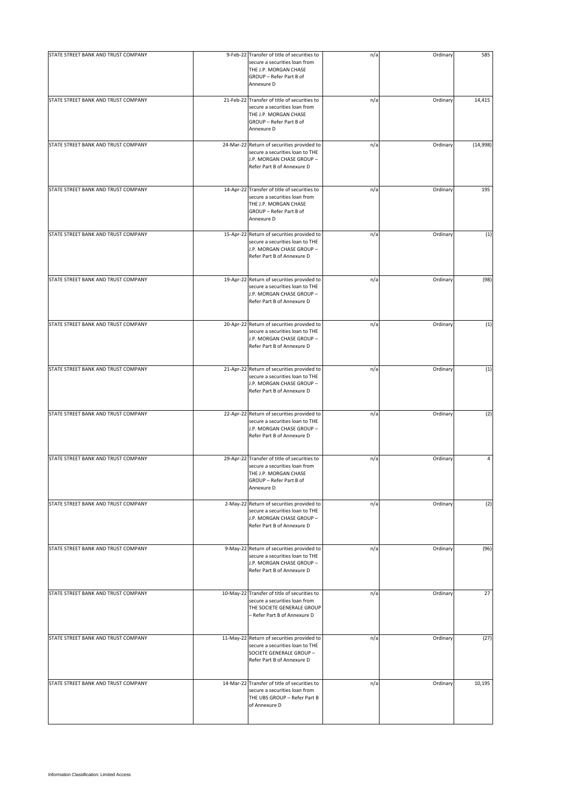| STATE STREET BANK AND TRUST COMPANY | 9-Feb-22 Transfer of title of securities to<br>secure a securities loan from                                                                    | n/a | Ordinary | 585      |
|-------------------------------------|-------------------------------------------------------------------------------------------------------------------------------------------------|-----|----------|----------|
|                                     | THE J.P. MORGAN CHASE<br>GROUP - Refer Part B of<br>Annexure D                                                                                  |     |          |          |
| STATE STREET BANK AND TRUST COMPANY | 21-Feb-22 Transfer of title of securities to<br>secure a securities loan from<br>THE J.P. MORGAN CHASE<br>GROUP - Refer Part B of<br>Annexure D | n/a | Ordinary | 14,415   |
| STATE STREET BANK AND TRUST COMPANY | 24-Mar-22 Return of securities provided to<br>secure a securities loan to THE<br>J.P. MORGAN CHASE GROUP -<br>Refer Part B of Annexure D        | n/a | Ordinary | (14,998) |
| STATE STREET BANK AND TRUST COMPANY | 14-Apr-22 Transfer of title of securities to<br>secure a securities loan from<br>THE J.P. MORGAN CHASE<br>GROUP - Refer Part B of<br>Annexure D | n/a | Ordinary | 195      |
| STATE STREET BANK AND TRUST COMPANY | 15-Apr-22 Return of securities provided to<br>secure a securities loan to THE<br>J.P. MORGAN CHASE GROUP -<br>Refer Part B of Annexure D        | n/a | Ordinary | (1)      |
| STATE STREET BANK AND TRUST COMPANY | 19-Apr-22 Return of securities provided to<br>secure a securities loan to THE<br>J.P. MORGAN CHASE GROUP -<br>Refer Part B of Annexure D        | n/a | Ordinary | (98)     |
| STATE STREET BANK AND TRUST COMPANY | 20-Apr-22 Return of securities provided to<br>secure a securities loan to THE<br>J.P. MORGAN CHASE GROUP -<br>Refer Part B of Annexure D        | n/a | Ordinary | (1)      |
| STATE STREET BANK AND TRUST COMPANY | 21-Apr-22 Return of securities provided to<br>secure a securities loan to THE<br>J.P. MORGAN CHASE GROUP -<br>Refer Part B of Annexure D        | n/a | Ordinary | (1)      |
| STATE STREET BANK AND TRUST COMPANY | 22-Apr-22 Return of securities provided to<br>secure a securities loan to THE<br>J.P. MORGAN CHASE GROUP -<br>Refer Part B of Annexure D        | n/a | Ordinary | (2)      |
| STATE STREET BANK AND TRUST COMPANY | 29-Apr-22 Transfer of title of securities to<br>secure a securities loan from<br>THE J.P. MORGAN CHASE<br>GROUP - Refer Part B of<br>Annexure D | n/a | Ordinary | 4        |
| STATE STREET BANK AND TRUST COMPANY | 2-May-22 Return of securities provided to<br>secure a securities loan to THE<br>J.P. MORGAN CHASE GROUP -<br>Refer Part B of Annexure D         | n/a | Ordinary | (2)      |
| STATE STREET BANK AND TRUST COMPANY | 9-May-22 Return of securities provided to<br>secure a securities loan to THE<br>J.P. MORGAN CHASE GROUP -<br>Refer Part B of Annexure D         | n/a | Ordinary | (96)     |
| STATE STREET BANK AND TRUST COMPANY | 10-May-22 Transfer of title of securities to<br>secure a securities loan from<br>THE SOCIETE GENERALE GROUP<br>– Refer Part B of Annexure D     | n/a | Ordinary | 27       |
| STATE STREET BANK AND TRUST COMPANY | 11-May-22 Return of securities provided to<br>secure a securities loan to THE<br>SOCIETE GENERALE GROUP -<br>Refer Part B of Annexure D         | n/a | Ordinary | (27)     |
| STATE STREET BANK AND TRUST COMPANY | 14-Mar-22 Transfer of title of securities to<br>secure a securities loan from<br>THE UBS GROUP - Refer Part B<br>of Annexure D                  | n/a | Ordinary | 10,195   |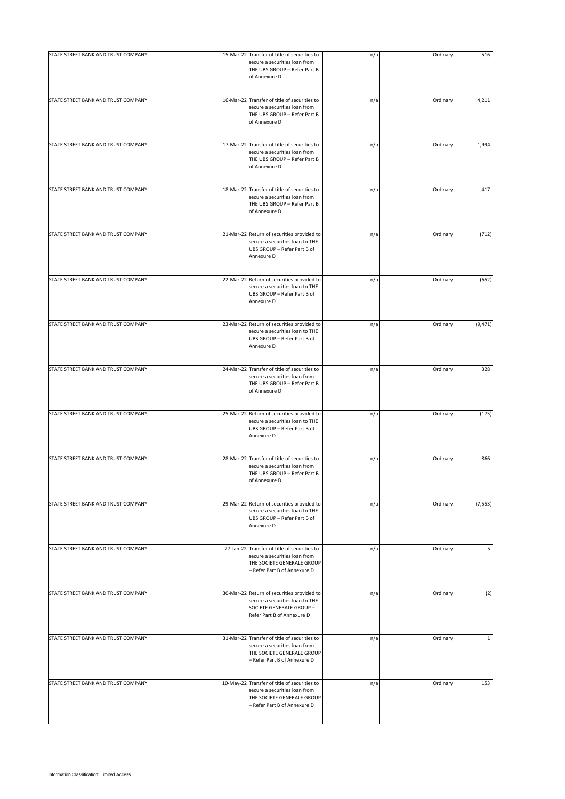| STATE STREET BANK AND TRUST COMPANY |                                                                                                                                             |     |          |              |
|-------------------------------------|---------------------------------------------------------------------------------------------------------------------------------------------|-----|----------|--------------|
|                                     | 15-Mar-22 Transfer of title of securities to<br>secure a securities loan from<br>THE UBS GROUP - Refer Part B<br>of Annexure D              | n/a | Ordinary | 516          |
| STATE STREET BANK AND TRUST COMPANY | 16-Mar-22 Transfer of title of securities to<br>secure a securities loan from<br>THE UBS GROUP - Refer Part B<br>of Annexure D              | n/a | Ordinary | 4,211        |
| STATE STREET BANK AND TRUST COMPANY | 17-Mar-22 Transfer of title of securities to<br>secure a securities loan from<br>THE UBS GROUP - Refer Part B<br>of Annexure D              | n/a | Ordinary | 1,994        |
| STATE STREET BANK AND TRUST COMPANY | 18-Mar-22 Transfer of title of securities to<br>secure a securities loan from<br>THE UBS GROUP - Refer Part B<br>of Annexure D              | n/a | Ordinary | 417          |
| STATE STREET BANK AND TRUST COMPANY | 21-Mar-22 Return of securities provided to<br>secure a securities loan to THE<br>UBS GROUP - Refer Part B of<br>Annexure D                  | n/a | Ordinary | (712)        |
| STATE STREET BANK AND TRUST COMPANY | 22-Mar-22 Return of securities provided to<br>secure a securities loan to THE<br>UBS GROUP - Refer Part B of<br>Annexure D                  | n/a | Ordinary | (652)        |
| STATE STREET BANK AND TRUST COMPANY | 23-Mar-22 Return of securities provided to<br>secure a securities loan to THE<br>UBS GROUP - Refer Part B of<br>Annexure D                  | n/a | Ordinary | (9, 471)     |
| STATE STREET BANK AND TRUST COMPANY | 24-Mar-22 Transfer of title of securities to<br>secure a securities loan from<br>THE UBS GROUP - Refer Part B<br>of Annexure D              | n/a | Ordinary | 328          |
| STATE STREET BANK AND TRUST COMPANY | 25-Mar-22 Return of securities provided to<br>secure a securities loan to THE<br>UBS GROUP - Refer Part B of<br>Annexure D                  | n/a | Ordinary | (175)        |
| STATE STREET BANK AND TRUST COMPANY | 28-Mar-22 Transfer of title of securities to<br>secure a securities loan from<br>THE UBS GROUP - Refer Part B<br>of Annexure D              | n/a | Ordinary | 866          |
| STATE STREET BANK AND TRUST COMPANY | 29-Mar-22 Return of securities provided to<br>secure a securities loan to THE<br>UBS GROUP - Refer Part B of<br>Annexure D                  | n/a | Ordinary | (7, 553)     |
| STATE STREET BANK AND TRUST COMPANY | 27-Jan-22 Transfer of title of securities to<br>secure a securities loan from<br>THE SOCIETE GENERALE GROUP<br>- Refer Part B of Annexure D | n/a | Ordinary | 5            |
| STATE STREET BANK AND TRUST COMPANY | 30-Mar-22 Return of securities provided to<br>secure a securities loan to THE<br>SOCIETE GENERALE GROUP -<br>Refer Part B of Annexure D     | n/a | Ordinary | (2)          |
| STATE STREET BANK AND TRUST COMPANY | 31-Mar-22 Transfer of title of securities to<br>secure a securities loan from<br>THE SOCIETE GENERALE GROUP<br>- Refer Part B of Annexure D | n/a | Ordinary | $\mathbf{1}$ |
| STATE STREET BANK AND TRUST COMPANY | 10-May-22 Transfer of title of securities to<br>secure a securities loan from<br>THE SOCIETE GENERALE GROUP<br>- Refer Part B of Annexure D | n/a | Ordinary | 153          |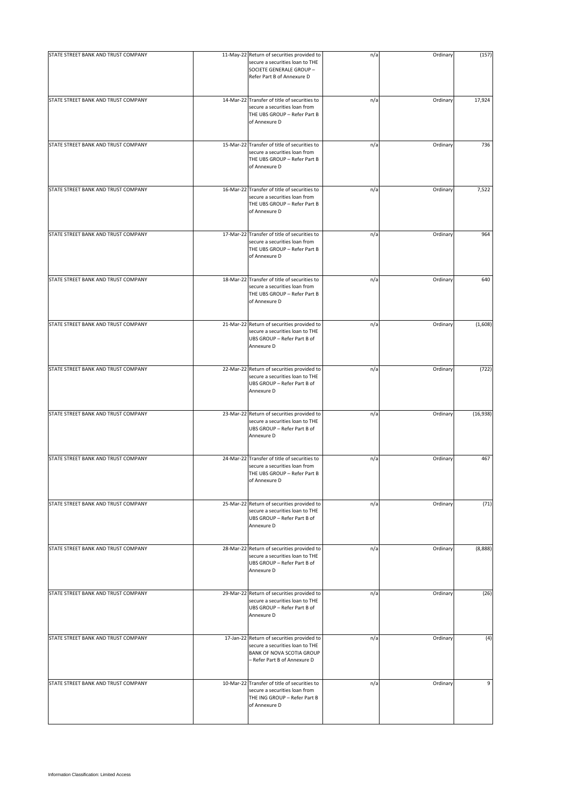| STATE STREET BANK AND TRUST COMPANY | 11-May-22 Return of securities provided to<br>secure a securities loan to THE<br>SOCIETE GENERALE GROUP -<br>Refer Part B of Annexure D           | n/a | Ordinary | (157)    |
|-------------------------------------|---------------------------------------------------------------------------------------------------------------------------------------------------|-----|----------|----------|
| STATE STREET BANK AND TRUST COMPANY | 14-Mar-22 Transfer of title of securities to<br>secure a securities loan from<br>THE UBS GROUP - Refer Part B<br>of Annexure D                    | n/a | Ordinary | 17,924   |
| STATE STREET BANK AND TRUST COMPANY | 15-Mar-22 Transfer of title of securities to<br>secure a securities loan from<br>THE UBS GROUP - Refer Part B<br>of Annexure D                    | n/a | Ordinary | 736      |
| STATE STREET BANK AND TRUST COMPANY | 16-Mar-22 Transfer of title of securities to<br>secure a securities loan from<br>THE UBS GROUP - Refer Part B<br>of Annexure D                    | n/a | Ordinary | 7,522    |
| STATE STREET BANK AND TRUST COMPANY | 17-Mar-22 Transfer of title of securities to<br>secure a securities loan from<br>THE UBS GROUP - Refer Part B<br>of Annexure D                    | n/a | Ordinary | 964      |
| STATE STREET BANK AND TRUST COMPANY | 18-Mar-22 Transfer of title of securities to<br>secure a securities loan from<br>THE UBS GROUP - Refer Part B<br>of Annexure D                    | n/a | Ordinary | 640      |
| STATE STREET BANK AND TRUST COMPANY | 21-Mar-22 Return of securities provided to<br>secure a securities loan to THE<br>UBS GROUP - Refer Part B of<br>Annexure D                        | n/a | Ordinary | (1,608)  |
| STATE STREET BANK AND TRUST COMPANY | 22-Mar-22 Return of securities provided to<br>secure a securities loan to THE<br>UBS GROUP - Refer Part B of<br>Annexure D                        | n/a | Ordinary | (722)    |
| STATE STREET BANK AND TRUST COMPANY | 23-Mar-22 Return of securities provided to<br>secure a securities loan to THE<br>UBS GROUP - Refer Part B of<br>Annexure D                        | n/a | Ordinary | (16,938) |
| STATE STREET BANK AND TRUST COMPANY | 24-Mar-22 Transfer of title of securities to<br>secure a securities loan from<br>THE UBS GROUP - Refer Part B<br>of Annexure D                    | n/a | Ordinary | 467      |
| STATE STREET BANK AND TRUST COMPANY | 25-Mar-22 Return of securities provided to<br>secure a securities loan to THE<br>UBS GROUP - Refer Part B of<br>Annexure D                        | n/a | Ordinary | (71)     |
| STATE STREET BANK AND TRUST COMPANY | 28-Mar-22 Return of securities provided to<br>secure a securities loan to THE<br>UBS GROUP - Refer Part B of<br>Annexure D                        | n/a | Ordinary | (8,888)  |
| STATE STREET BANK AND TRUST COMPANY | 29-Mar-22 Return of securities provided to<br>secure a securities loan to THE<br>UBS GROUP - Refer Part B of<br>Annexure D                        | n/a | Ordinary | (26)     |
| STATE STREET BANK AND TRUST COMPANY | 17-Jan-22 Return of securities provided to<br>secure a securities loan to THE<br><b>BANK OF NOVA SCOTIA GROUP</b><br>- Refer Part B of Annexure D | n/a | Ordinary | (4)      |
| STATE STREET BANK AND TRUST COMPANY | 10-Mar-22 Transfer of title of securities to<br>secure a securities loan from<br>THE ING GROUP - Refer Part B<br>of Annexure D                    | n/a | Ordinary | 9        |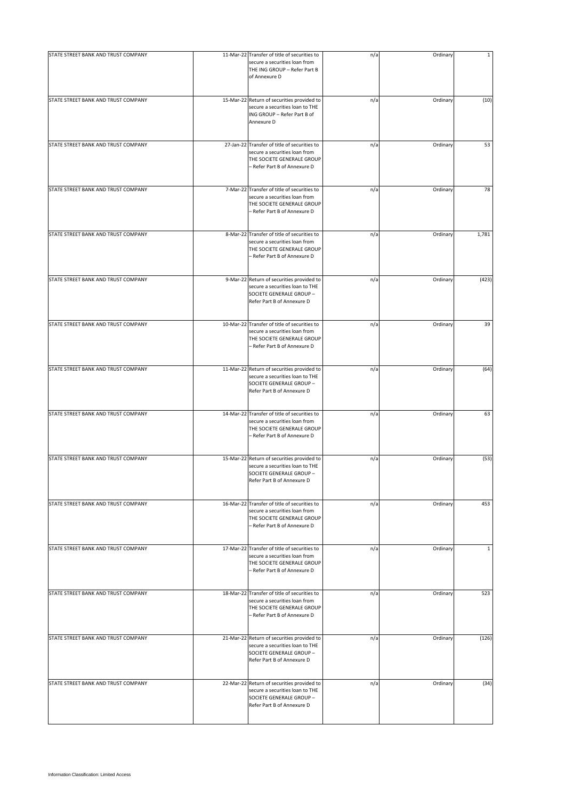| STATE STREET BANK AND TRUST COMPANY | 11-Mar-22 Transfer of title of securities to                                                                                                | n/a | Ordinary | $\mathbf{1}$ |
|-------------------------------------|---------------------------------------------------------------------------------------------------------------------------------------------|-----|----------|--------------|
|                                     | secure a securities loan from<br>THE ING GROUP - Refer Part B<br>of Annexure D                                                              |     |          |              |
| STATE STREET BANK AND TRUST COMPANY | 15-Mar-22 Return of securities provided to<br>secure a securities loan to THE<br>ING GROUP - Refer Part B of<br>Annexure D                  | n/a | Ordinary | (10)         |
| STATE STREET BANK AND TRUST COMPANY | 27-Jan-22 Transfer of title of securities to<br>secure a securities loan from<br>THE SOCIETE GENERALE GROUP<br>- Refer Part B of Annexure D | n/a | Ordinary | 53           |
| STATE STREET BANK AND TRUST COMPANY | 7-Mar-22 Transfer of title of securities to<br>secure a securities loan from<br>THE SOCIETE GENERALE GROUP<br>- Refer Part B of Annexure D  | n/a | Ordinary | 78           |
| STATE STREET BANK AND TRUST COMPANY | 8-Mar-22 Transfer of title of securities to<br>secure a securities loan from<br>THE SOCIETE GENERALE GROUP<br>- Refer Part B of Annexure D  | n/a | Ordinary | 1,781        |
| STATE STREET BANK AND TRUST COMPANY | 9-Mar-22 Return of securities provided to<br>secure a securities loan to THE<br>SOCIETE GENERALE GROUP -<br>Refer Part B of Annexure D      | n/a | Ordinary | (423)        |
| STATE STREET BANK AND TRUST COMPANY | 10-Mar-22 Transfer of title of securities to<br>secure a securities loan from<br>THE SOCIETE GENERALE GROUP<br>- Refer Part B of Annexure D | n/a | Ordinary | 39           |
| STATE STREET BANK AND TRUST COMPANY | 11-Mar-22 Return of securities provided to<br>secure a securities loan to THE<br>SOCIETE GENERALE GROUP -<br>Refer Part B of Annexure D     | n/a | Ordinary | (64)         |
| STATE STREET BANK AND TRUST COMPANY | 14-Mar-22 Transfer of title of securities to<br>secure a securities loan from<br>THE SOCIETE GENERALE GROUP<br>- Refer Part B of Annexure D | n/a | Ordinary | 63           |
| STATE STREET BANK AND TRUST COMPANY | 15-Mar-22 Return of securities provided to<br>secure a securities loan to THE<br>SOCIETE GENERALE GROUP -<br>Refer Part B of Annexure D     | n/a | Ordinary | (53)         |
| STATE STREET BANK AND TRUST COMPANY | 16-Mar-22 Transfer of title of securities to<br>secure a securities loan from<br>THE SOCIETE GENERALE GROUP<br>- Refer Part B of Annexure D | n/a | Ordinary | 453          |
| STATE STREET BANK AND TRUST COMPANY | 17-Mar-22 Transfer of title of securities to<br>secure a securities loan from<br>THE SOCIETE GENERALE GROUP<br>- Refer Part B of Annexure D | n/a | Ordinary | $\mathbf{1}$ |
| STATE STREET BANK AND TRUST COMPANY | 18-Mar-22 Transfer of title of securities to<br>secure a securities loan from<br>THE SOCIETE GENERALE GROUP<br>- Refer Part B of Annexure D | n/a | Ordinary | 523          |
| STATE STREET BANK AND TRUST COMPANY | 21-Mar-22 Return of securities provided to<br>secure a securities loan to THE<br>SOCIETE GENERALE GROUP -<br>Refer Part B of Annexure D     | n/a | Ordinary | (126)        |
| STATE STREET BANK AND TRUST COMPANY | 22-Mar-22 Return of securities provided to<br>secure a securities loan to THE<br>SOCIETE GENERALE GROUP -<br>Refer Part B of Annexure D     | n/a | Ordinary | (34)         |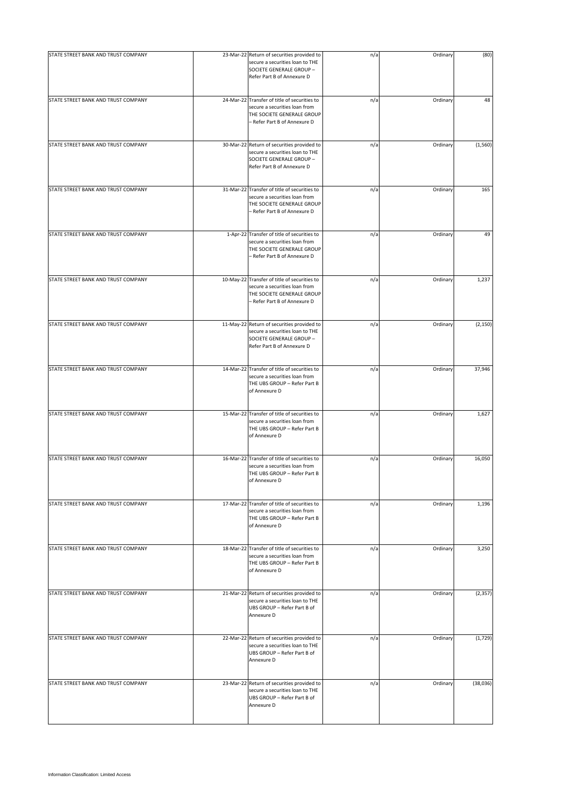| STATE STREET BANK AND TRUST COMPANY | 23-Mar-22 Return of securities provided to                                                                                                  | n/a | Ordinary | (80)     |
|-------------------------------------|---------------------------------------------------------------------------------------------------------------------------------------------|-----|----------|----------|
|                                     | secure a securities loan to THE<br>SOCIETE GENERALE GROUP -<br>Refer Part B of Annexure D                                                   |     |          |          |
| STATE STREET BANK AND TRUST COMPANY | 24-Mar-22 Transfer of title of securities to<br>secure a securities loan from<br>THE SOCIETE GENERALE GROUP<br>- Refer Part B of Annexure D | n/a | Ordinary | 48       |
| STATE STREET BANK AND TRUST COMPANY | 30-Mar-22 Return of securities provided to<br>secure a securities loan to THE<br>SOCIETE GENERALE GROUP -<br>Refer Part B of Annexure D     | n/a | Ordinary | (1, 560) |
| STATE STREET BANK AND TRUST COMPANY | 31-Mar-22 Transfer of title of securities to<br>secure a securities loan from<br>THE SOCIETE GENERALE GROUP<br>- Refer Part B of Annexure D | n/a | Ordinary | 165      |
| STATE STREET BANK AND TRUST COMPANY | 1-Apr-22 Transfer of title of securities to<br>secure a securities loan from<br>THE SOCIETE GENERALE GROUP<br>- Refer Part B of Annexure D  | n/a | Ordinary | 49       |
| STATE STREET BANK AND TRUST COMPANY | 10-May-22 Transfer of title of securities to<br>secure a securities loan from<br>THE SOCIETE GENERALE GROUP<br>- Refer Part B of Annexure D | n/a | Ordinary | 1,237    |
| STATE STREET BANK AND TRUST COMPANY | 11-May-22 Return of securities provided to<br>secure a securities loan to THE<br>SOCIETE GENERALE GROUP -<br>Refer Part B of Annexure D     | n/a | Ordinary | (2, 150) |
| STATE STREET BANK AND TRUST COMPANY | 14-Mar-22 Transfer of title of securities to<br>secure a securities loan from<br>THE UBS GROUP - Refer Part B<br>of Annexure D              | n/a | Ordinary | 37,946   |
| STATE STREET BANK AND TRUST COMPANY | 15-Mar-22 Transfer of title of securities to<br>secure a securities loan from<br>THE UBS GROUP - Refer Part B<br>of Annexure D              | n/a | Ordinary | 1,627    |
| STATE STREET BANK AND TRUST COMPANY | 16-Mar-22 Transfer of title of securities to<br>secure a securities loan from<br>THE UBS GROUP - Refer Part B<br>of Annexure D              | n/a | Ordinary | 16,050   |
| STATE STREET BANK AND TRUST COMPANY | 17-Mar-22 Transfer of title of securities to<br>secure a securities loan from<br>THE UBS GROUP - Refer Part B<br>of Annexure D              | n/a | Ordinary | 1,196    |
| STATE STREET BANK AND TRUST COMPANY | 18-Mar-22 Transfer of title of securities to<br>secure a securities loan from<br>THE UBS GROUP - Refer Part B<br>of Annexure D              | n/a | Ordinary | 3,250    |
| STATE STREET BANK AND TRUST COMPANY | 21-Mar-22 Return of securities provided to<br>secure a securities loan to THE<br>UBS GROUP - Refer Part B of<br>Annexure D                  | n/a | Ordinary | (2, 357) |
| STATE STREET BANK AND TRUST COMPANY | 22-Mar-22 Return of securities provided to<br>secure a securities loan to THE<br>UBS GROUP - Refer Part B of<br>Annexure D                  | n/a | Ordinary | (1, 729) |
| STATE STREET BANK AND TRUST COMPANY | 23-Mar-22 Return of securities provided to<br>secure a securities loan to THE<br>UBS GROUP - Refer Part B of<br>Annexure D                  | n/a | Ordinary | (38,036) |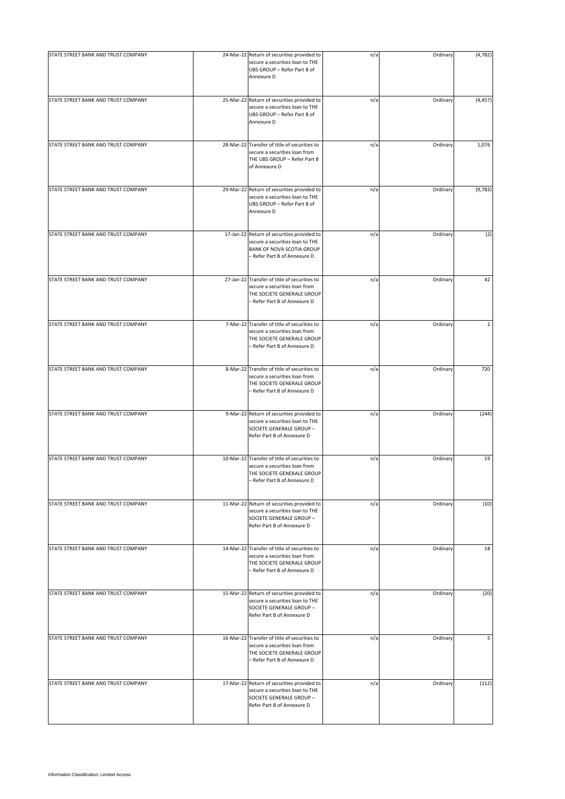| STATE STREET BANK AND TRUST COMPANY | 24-Mar-22 Return of securities provided to<br>secure a securities loan to THE<br>UBS GROUP - Refer Part B of<br>Annexure D                  | n/a | Ordinary | (4, 782)       |
|-------------------------------------|---------------------------------------------------------------------------------------------------------------------------------------------|-----|----------|----------------|
| STATE STREET BANK AND TRUST COMPANY | 25-Mar-22 Return of securities provided to<br>secure a securities loan to THE<br>UBS GROUP - Refer Part B of<br>Annexure D                  | n/a | Ordinary | (4, 457)       |
| STATE STREET BANK AND TRUST COMPANY | 28-Mar-22 Transfer of title of securities to<br>secure a securities loan from<br>THE UBS GROUP - Refer Part B<br>of Annexure D              | n/a | Ordinary | 1,076          |
| STATE STREET BANK AND TRUST COMPANY | 29-Mar-22 Return of securities provided to<br>secure a securities loan to THE<br>UBS GROUP - Refer Part B of<br>Annexure D                  | n/a | Ordinary | (9,783)        |
| STATE STREET BANK AND TRUST COMPANY | 17-Jan-22 Return of securities provided to<br>secure a securities loan to THE<br>BANK OF NOVA SCOTIA GROUP<br>- Refer Part B of Annexure D  | n/a | Ordinary | (2)            |
| STATE STREET BANK AND TRUST COMPANY | 27-Jan-22 Transfer of title of securities to<br>secure a securities loan from<br>THE SOCIETE GENERALE GROUP<br>- Refer Part B of Annexure D | n/a | Ordinary | 42             |
| STATE STREET BANK AND TRUST COMPANY | 7-Mar-22 Transfer of title of securities to<br>secure a securities loan from<br>THE SOCIETE GENERALE GROUP<br>- Refer Part B of Annexure D  | n/a | Ordinary | $\overline{2}$ |
| STATE STREET BANK AND TRUST COMPANY | 8-Mar-22 Transfer of title of securities to<br>secure a securities loan from<br>THE SOCIETE GENERALE GROUP<br>- Refer Part B of Annexure D  | n/a | Ordinary | 720            |
| STATE STREET BANK AND TRUST COMPANY | 9-Mar-22 Return of securities provided to<br>secure a securities loan to THE<br>SOCIETE GENERALE GROUP -<br>Refer Part B of Annexure D      | n/a | Ordinary | (244)          |
| STATE STREET BANK AND TRUST COMPANY | 10-Mar-22 Transfer of title of securities to<br>secure a securities loan from<br>THE SOCIETE GENERALE GROUP<br>- Refer Part B of Annexure D | n/a | Ordinary | 19             |
| STATE STREET BANK AND TRUST COMPANY | 11-Mar-22 Return of securities provided to<br>secure a securities loan to THE<br>SOCIETE GENERALE GROUP -<br>Refer Part B of Annexure D     | n/a | Ordinary | (10)           |
| STATE STREET BANK AND TRUST COMPANY | 14-Mar-22 Transfer of title of securities to<br>secure a securities loan from<br>THE SOCIETE GENERALE GROUP<br>- Refer Part B of Annexure D | n/a | Ordinary | 18             |
| STATE STREET BANK AND TRUST COMPANY | 15-Mar-22 Return of securities provided to<br>secure a securities loan to THE<br>SOCIETE GENERALE GROUP -<br>Refer Part B of Annexure D     | n/a | Ordinary | (20)           |
| STATE STREET BANK AND TRUST COMPANY | 16-Mar-22 Transfer of title of securities to<br>secure a securities loan from<br>THE SOCIETE GENERALE GROUP<br>- Refer Part B of Annexure D | n/a | Ordinary | 5              |
| STATE STREET BANK AND TRUST COMPANY | 17-Mar-22 Return of securities provided to<br>secure a securities loan to THE<br>SOCIETE GENERALE GROUP -<br>Refer Part B of Annexure D     | n/a | Ordinary | (112)          |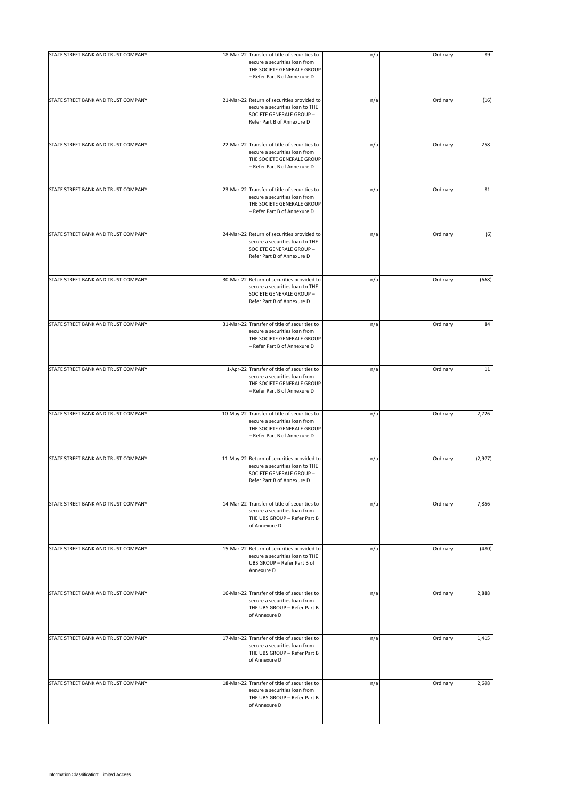| STATE STREET BANK AND TRUST COMPANY | 18-Mar-22 Transfer of title of securities to                                                                                                | n/a | Ordinary | 89       |
|-------------------------------------|---------------------------------------------------------------------------------------------------------------------------------------------|-----|----------|----------|
|                                     | secure a securities loan from<br>THE SOCIETE GENERALE GROUP<br>- Refer Part B of Annexure D                                                 |     |          |          |
| STATE STREET BANK AND TRUST COMPANY | 21-Mar-22 Return of securities provided to<br>secure a securities loan to THE<br>SOCIETE GENERALE GROUP -<br>Refer Part B of Annexure D     | n/a | Ordinary | (16)     |
| STATE STREET BANK AND TRUST COMPANY | 22-Mar-22 Transfer of title of securities to<br>secure a securities loan from<br>THE SOCIETE GENERALE GROUP<br>– Refer Part B of Annexure D | n/a | Ordinary | 258      |
| STATE STREET BANK AND TRUST COMPANY | 23-Mar-22 Transfer of title of securities to<br>secure a securities loan from<br>THE SOCIETE GENERALE GROUP<br>- Refer Part B of Annexure D | n/a | Ordinary | 81       |
| STATE STREET BANK AND TRUST COMPANY | 24-Mar-22 Return of securities provided to<br>secure a securities loan to THE<br>SOCIETE GENERALE GROUP -<br>Refer Part B of Annexure D     | n/a | Ordinary | (6)      |
| STATE STREET BANK AND TRUST COMPANY | 30-Mar-22 Return of securities provided to<br>secure a securities loan to THE<br>SOCIETE GENERALE GROUP -<br>Refer Part B of Annexure D     | n/a | Ordinary | (668)    |
| STATE STREET BANK AND TRUST COMPANY | 31-Mar-22 Transfer of title of securities to<br>secure a securities loan from<br>THE SOCIETE GENERALE GROUP<br>– Refer Part B of Annexure D | n/a | Ordinary | 84       |
| STATE STREET BANK AND TRUST COMPANY | 1-Apr-22 Transfer of title of securities to<br>secure a securities loan from<br>THE SOCIETE GENERALE GROUP<br>- Refer Part B of Annexure D  | n/a | Ordinary | 11       |
| STATE STREET BANK AND TRUST COMPANY | 10-May-22 Transfer of title of securities to<br>secure a securities loan from<br>THE SOCIETE GENERALE GROUP<br>– Refer Part B of Annexure D | n/a | Ordinary | 2,726    |
| STATE STREET BANK AND TRUST COMPANY | 11-May-22 Return of securities provided to<br>secure a securities loan to THE<br>SOCIETE GENERALE GROUP -<br>Refer Part B of Annexure D     | n/a | Ordinary | (2, 977) |
| STATE STREET BANK AND TRUST COMPANY | 14-Mar-22 Transfer of title of securities to<br>secure a securities loan from<br>THE UBS GROUP - Refer Part B<br>of Annexure D              | n/a | Ordinary | 7,856    |
| STATE STREET BANK AND TRUST COMPANY | 15-Mar-22 Return of securities provided to<br>secure a securities loan to THE<br>UBS GROUP - Refer Part B of<br>Annexure D                  | n/a | Ordinary | (480)    |
| STATE STREET BANK AND TRUST COMPANY | 16-Mar-22 Transfer of title of securities to<br>secure a securities loan from<br>THE UBS GROUP - Refer Part B<br>of Annexure D              | n/a | Ordinary | 2,888    |
| STATE STREET BANK AND TRUST COMPANY | 17-Mar-22 Transfer of title of securities to<br>secure a securities loan from<br>THE UBS GROUP - Refer Part B<br>of Annexure D              | n/a | Ordinary | 1,415    |
| STATE STREET BANK AND TRUST COMPANY | 18-Mar-22 Transfer of title of securities to<br>secure a securities loan from<br>THE UBS GROUP - Refer Part B<br>of Annexure D              | n/a | Ordinary | 2,698    |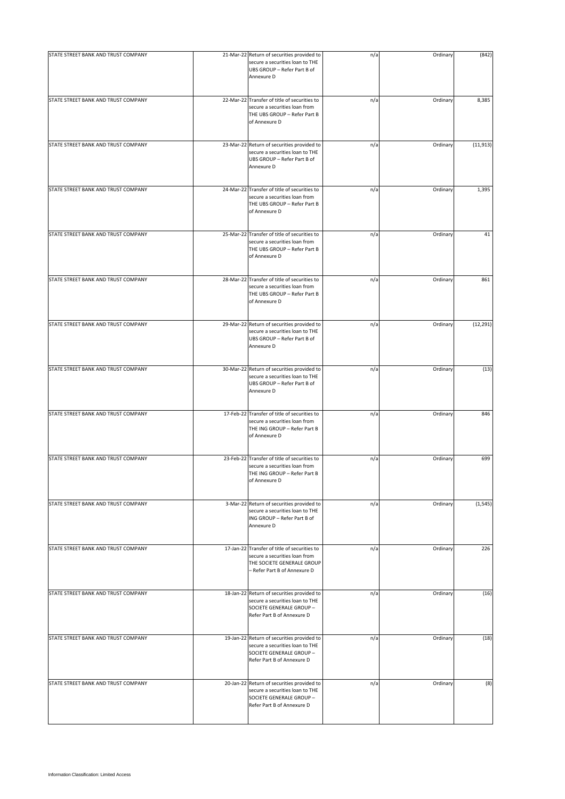| STATE STREET BANK AND TRUST COMPANY | 21-Mar-22 Return of securities provided to<br>secure a securities loan to THE<br>UBS GROUP - Refer Part B of<br>Annexure D                  | n/a | Ordinary | (842)     |
|-------------------------------------|---------------------------------------------------------------------------------------------------------------------------------------------|-----|----------|-----------|
| STATE STREET BANK AND TRUST COMPANY | 22-Mar-22 Transfer of title of securities to<br>secure a securities loan from<br>THE UBS GROUP - Refer Part B<br>of Annexure D              | n/a | Ordinary | 8,385     |
| STATE STREET BANK AND TRUST COMPANY | 23-Mar-22 Return of securities provided to<br>secure a securities loan to THE<br>UBS GROUP - Refer Part B of<br>Annexure D                  | n/a | Ordinary | (11, 913) |
| STATE STREET BANK AND TRUST COMPANY | 24-Mar-22 Transfer of title of securities to<br>secure a securities loan from<br>THE UBS GROUP - Refer Part B<br>of Annexure D              | n/a | Ordinary | 1,395     |
| STATE STREET BANK AND TRUST COMPANY | 25-Mar-22 Transfer of title of securities to<br>secure a securities loan from<br>THE UBS GROUP - Refer Part B<br>of Annexure D              | n/a | Ordinary | 41        |
| STATE STREET BANK AND TRUST COMPANY | 28-Mar-22 Transfer of title of securities to<br>secure a securities loan from<br>THE UBS GROUP - Refer Part B<br>of Annexure D              | n/a | Ordinary | 861       |
| STATE STREET BANK AND TRUST COMPANY | 29-Mar-22 Return of securities provided to<br>secure a securities loan to THE<br>UBS GROUP - Refer Part B of<br>Annexure D                  | n/a | Ordinary | (12, 291) |
| STATE STREET BANK AND TRUST COMPANY | 30-Mar-22 Return of securities provided to<br>secure a securities loan to THE<br>UBS GROUP - Refer Part B of<br>Annexure D                  | n/a | Ordinary | (13)      |
| STATE STREET BANK AND TRUST COMPANY | 17-Feb-22 Transfer of title of securities to<br>secure a securities loan from<br>THE ING GROUP - Refer Part B<br>of Annexure D              | n/a | Ordinary | 846       |
| STATE STREET BANK AND TRUST COMPANY | 23-Feb-22 Transfer of title of securities to<br>secure a securities loan from<br>THE ING GROUP - Refer Part B<br>of Annexure D              | n/a | Ordinary | 699       |
| STATE STREET BANK AND TRUST COMPANY | 3-Mar-22 Return of securities provided to<br>secure a securities loan to THE<br>ING GROUP - Refer Part B of<br>Annexure D                   | n/a | Ordinary | (1, 545)  |
| STATE STREET BANK AND TRUST COMPANY | 17-Jan-22 Transfer of title of securities to<br>secure a securities loan from<br>THE SOCIETE GENERALE GROUP<br>- Refer Part B of Annexure D | n/a | Ordinary | 226       |
| STATE STREET BANK AND TRUST COMPANY | 18-Jan-22 Return of securities provided to<br>secure a securities loan to THE<br>SOCIETE GENERALE GROUP -<br>Refer Part B of Annexure D     | n/a | Ordinary | (16)      |
| STATE STREET BANK AND TRUST COMPANY | 19-Jan-22 Return of securities provided to<br>secure a securities loan to THE<br>SOCIETE GENERALE GROUP -<br>Refer Part B of Annexure D     | n/a | Ordinary | (18)      |
| STATE STREET BANK AND TRUST COMPANY | 20-Jan-22 Return of securities provided to<br>secure a securities loan to THE<br>SOCIETE GENERALE GROUP -<br>Refer Part B of Annexure D     | n/a | Ordinary | (8)       |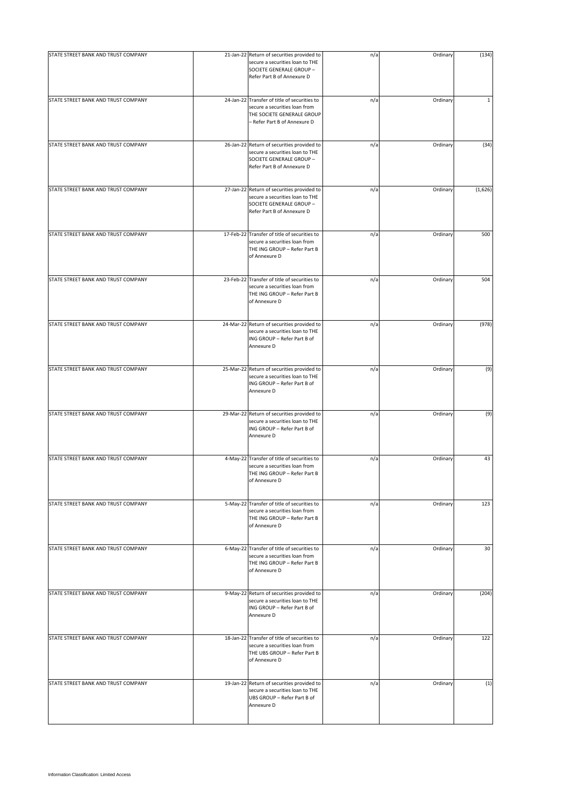| STATE STREET BANK AND TRUST COMPANY |                                                                                                                                             |     |          |             |
|-------------------------------------|---------------------------------------------------------------------------------------------------------------------------------------------|-----|----------|-------------|
|                                     | 21-Jan-22 Return of securities provided to<br>secure a securities loan to THE<br>SOCIETE GENERALE GROUP -<br>Refer Part B of Annexure D     | n/a | Ordinary | (134)       |
| STATE STREET BANK AND TRUST COMPANY | 24-Jan-22 Transfer of title of securities to<br>secure a securities loan from<br>THE SOCIETE GENERALE GROUP<br>- Refer Part B of Annexure D | n/a | Ordinary | $\mathbf 1$ |
| STATE STREET BANK AND TRUST COMPANY | 26-Jan-22 Return of securities provided to<br>secure a securities loan to THE<br>SOCIETE GENERALE GROUP -<br>Refer Part B of Annexure D     | n/a | Ordinary | (34)        |
| STATE STREET BANK AND TRUST COMPANY | 27-Jan-22 Return of securities provided to<br>secure a securities loan to THE<br>SOCIETE GENERALE GROUP -<br>Refer Part B of Annexure D     | n/a | Ordinary | (1,626)     |
| STATE STREET BANK AND TRUST COMPANY | 17-Feb-22 Transfer of title of securities to<br>secure a securities loan from<br>THE ING GROUP - Refer Part B<br>of Annexure D              | n/a | Ordinary | 500         |
| STATE STREET BANK AND TRUST COMPANY | 23-Feb-22 Transfer of title of securities to<br>secure a securities loan from<br>THE ING GROUP - Refer Part B<br>of Annexure D              | n/a | Ordinary | 504         |
| STATE STREET BANK AND TRUST COMPANY | 24-Mar-22 Return of securities provided to<br>secure a securities loan to THE<br>ING GROUP - Refer Part B of<br>Annexure D                  | n/a | Ordinary | (978)       |
| STATE STREET BANK AND TRUST COMPANY | 25-Mar-22 Return of securities provided to<br>secure a securities loan to THE<br>ING GROUP - Refer Part B of<br>Annexure D                  | n/a | Ordinary | (9)         |
| STATE STREET BANK AND TRUST COMPANY | 29-Mar-22 Return of securities provided to<br>secure a securities loan to THE<br>ING GROUP - Refer Part B of<br>Annexure D                  | n/a | Ordinary | (9)         |
| STATE STREET BANK AND TRUST COMPANY | 4-May-22 Transfer of title of securities to<br>secure a securities loan from<br>THE ING GROUP - Refer Part B<br>of Annexure D               | n/a | Ordinary | 43          |
| STATE STREET BANK AND TRUST COMPANY | 5-May-22 Transfer of title of securities to<br>secure a securities loan from<br>THE ING GROUP - Refer Part B<br>of Annexure D               | n/a | Ordinary | 123         |
| STATE STREET BANK AND TRUST COMPANY | 6-May-22 Transfer of title of securities to<br>secure a securities loan from<br>THE ING GROUP - Refer Part B<br>of Annexure D               | n/a | Ordinary | 30          |
| STATE STREET BANK AND TRUST COMPANY | 9-May-22 Return of securities provided to<br>secure a securities loan to THE<br>ING GROUP - Refer Part B of<br>Annexure D                   | n/a | Ordinary | (204)       |
| STATE STREET BANK AND TRUST COMPANY | 18-Jan-22 Transfer of title of securities to<br>secure a securities loan from<br>THE UBS GROUP - Refer Part B<br>of Annexure D              | n/a | Ordinary | 122         |
| STATE STREET BANK AND TRUST COMPANY | 19-Jan-22 Return of securities provided to<br>secure a securities loan to THE<br>UBS GROUP - Refer Part B of<br>Annexure D                  | n/a | Ordinary | (1)         |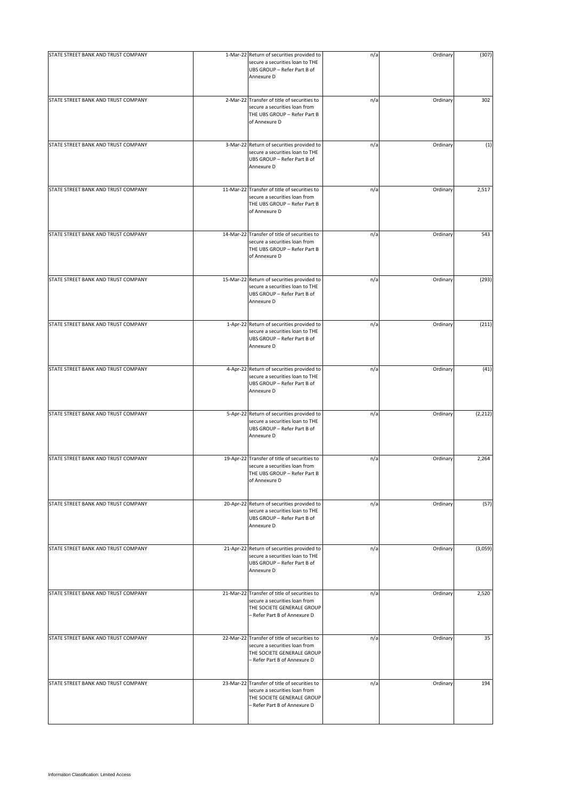| STATE STREET BANK AND TRUST COMPANY | 1-Mar-22 Return of securities provided to<br>secure a securities loan to THE<br>UBS GROUP - Refer Part B of<br>Annexure D                   | n/a | Ordinary | (307)    |
|-------------------------------------|---------------------------------------------------------------------------------------------------------------------------------------------|-----|----------|----------|
| STATE STREET BANK AND TRUST COMPANY | 2-Mar-22 Transfer of title of securities to<br>secure a securities loan from<br>THE UBS GROUP - Refer Part B<br>of Annexure D               | n/a | Ordinary | 302      |
| STATE STREET BANK AND TRUST COMPANY | 3-Mar-22 Return of securities provided to<br>secure a securities loan to THE<br>UBS GROUP - Refer Part B of<br>Annexure D                   | n/a | Ordinary | (1)      |
| STATE STREET BANK AND TRUST COMPANY | 11-Mar-22 Transfer of title of securities to<br>secure a securities loan from<br>THE UBS GROUP - Refer Part B<br>of Annexure D              | n/a | Ordinary | 2,517    |
| STATE STREET BANK AND TRUST COMPANY | 14-Mar-22 Transfer of title of securities to<br>secure a securities loan from<br>THE UBS GROUP - Refer Part B<br>of Annexure D              | n/a | Ordinary | 543      |
| STATE STREET BANK AND TRUST COMPANY | 15-Mar-22 Return of securities provided to<br>secure a securities loan to THE<br>UBS GROUP - Refer Part B of<br>Annexure D                  | n/a | Ordinary | (293)    |
| STATE STREET BANK AND TRUST COMPANY | 1-Apr-22 Return of securities provided to<br>secure a securities loan to THE<br>UBS GROUP - Refer Part B of<br>Annexure D                   | n/a | Ordinary | (211)    |
| STATE STREET BANK AND TRUST COMPANY | 4-Apr-22 Return of securities provided to<br>secure a securities loan to THE<br>UBS GROUP - Refer Part B of<br>Annexure D                   | n/a | Ordinary | (41)     |
| STATE STREET BANK AND TRUST COMPANY | 5-Apr-22 Return of securities provided to<br>secure a securities loan to THE<br>UBS GROUP - Refer Part B of<br>Annexure D                   | n/a | Ordinary | (2, 212) |
| STATE STREET BANK AND TRUST COMPANY | 19-Apr-22 Transfer of title of securities to<br>secure a securities loan from<br>THE UBS GROUP - Refer Part B<br>of Annexure D              | n/a | Ordinary | 2,264    |
| STATE STREET BANK AND TRUST COMPANY | 20-Apr-22 Return of securities provided to<br>secure a securities loan to THE<br>UBS GROUP - Refer Part B of<br>Annexure D                  | n/a | Ordinary | (57)     |
| STATE STREET BANK AND TRUST COMPANY | 21-Apr-22 Return of securities provided to<br>secure a securities loan to THE<br>UBS GROUP - Refer Part B of<br>Annexure D                  | n/a | Ordinary | (3,059)  |
| STATE STREET BANK AND TRUST COMPANY | 21-Mar-22 Transfer of title of securities to<br>secure a securities loan from<br>THE SOCIETE GENERALE GROUP<br>- Refer Part B of Annexure D | n/a | Ordinary | 2,520    |
| STATE STREET BANK AND TRUST COMPANY | 22-Mar-22 Transfer of title of securities to<br>secure a securities loan from<br>THE SOCIETE GENERALE GROUP<br>- Refer Part B of Annexure D | n/a | Ordinary | 35       |
| STATE STREET BANK AND TRUST COMPANY | 23-Mar-22 Transfer of title of securities to<br>secure a securities loan from<br>THE SOCIETE GENERALE GROUP<br>- Refer Part B of Annexure D | n/a | Ordinary | 194      |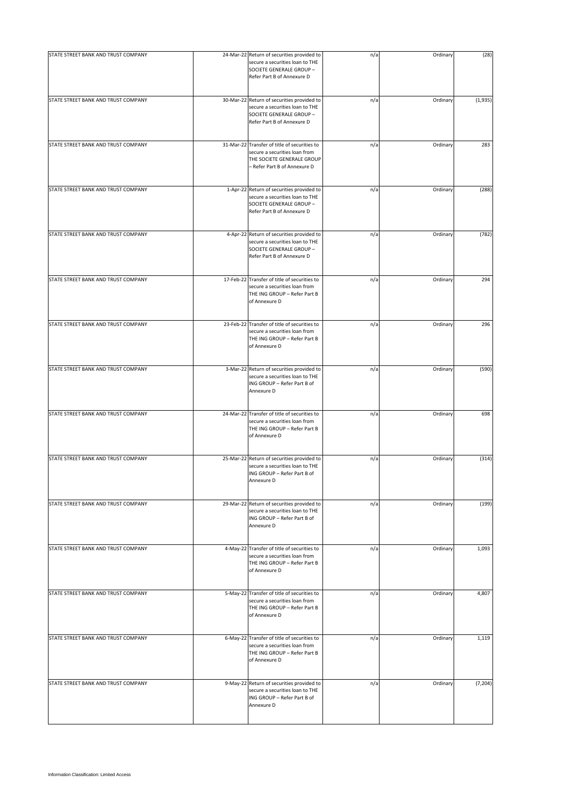| STATE STREET BANK AND TRUST COMPANY | 24-Mar-22 Return of securities provided to                                                                                                  | n/a | Ordinary | (28)     |
|-------------------------------------|---------------------------------------------------------------------------------------------------------------------------------------------|-----|----------|----------|
|                                     | secure a securities loan to THE<br>SOCIETE GENERALE GROUP -<br>Refer Part B of Annexure D                                                   |     |          |          |
| STATE STREET BANK AND TRUST COMPANY | 30-Mar-22 Return of securities provided to<br>secure a securities loan to THE<br>SOCIETE GENERALE GROUP -<br>Refer Part B of Annexure D     | n/a | Ordinary | (1,935)  |
| STATE STREET BANK AND TRUST COMPANY | 31-Mar-22 Transfer of title of securities to<br>secure a securities loan from<br>THE SOCIETE GENERALE GROUP<br>- Refer Part B of Annexure D | n/a | Ordinary | 283      |
| STATE STREET BANK AND TRUST COMPANY | 1-Apr-22 Return of securities provided to<br>secure a securities loan to THE<br>SOCIETE GENERALE GROUP -<br>Refer Part B of Annexure D      | n/a | Ordinary | (288)    |
| STATE STREET BANK AND TRUST COMPANY | 4-Apr-22 Return of securities provided to<br>secure a securities loan to THE<br>SOCIETE GENERALE GROUP -<br>Refer Part B of Annexure D      | n/a | Ordinary | (782)    |
| STATE STREET BANK AND TRUST COMPANY | 17-Feb-22 Transfer of title of securities to<br>secure a securities loan from<br>THE ING GROUP - Refer Part B<br>of Annexure D              | n/a | Ordinary | 294      |
| STATE STREET BANK AND TRUST COMPANY | 23-Feb-22 Transfer of title of securities to<br>secure a securities loan from<br>THE ING GROUP - Refer Part B<br>of Annexure D              | n/a | Ordinary | 296      |
| STATE STREET BANK AND TRUST COMPANY | 3-Mar-22 Return of securities provided to<br>secure a securities loan to THE<br>ING GROUP - Refer Part B of<br>Annexure D                   | n/a | Ordinary | (590)    |
| STATE STREET BANK AND TRUST COMPANY | 24-Mar-22 Transfer of title of securities to<br>secure a securities loan from<br>THE ING GROUP - Refer Part B<br>of Annexure D              | n/a | Ordinary | 698      |
| STATE STREET BANK AND TRUST COMPANY | 25-Mar-22 Return of securities provided to<br>secure a securities loan to THE<br>ING GROUP - Refer Part B of<br>Annexure D                  | n/a | Ordinary | (314)    |
| STATE STREET BANK AND TRUST COMPANY | 29-Mar-22 Return of securities provided to<br>secure a securities loan to THE<br>ING GROUP - Refer Part B of<br>Annexure D                  | n/a | Ordinary | (199)    |
| STATE STREET BANK AND TRUST COMPANY | 4-May-22 Transfer of title of securities to<br>secure a securities loan from<br>THE ING GROUP - Refer Part B<br>of Annexure D               | n/a | Ordinary | 1,093    |
| STATE STREET BANK AND TRUST COMPANY | 5-May-22 Transfer of title of securities to<br>secure a securities loan from<br>THE ING GROUP - Refer Part B<br>of Annexure D               | n/a | Ordinary | 4,807    |
| STATE STREET BANK AND TRUST COMPANY | 6-May-22 Transfer of title of securities to<br>secure a securities loan from<br>THE ING GROUP - Refer Part B<br>of Annexure D               | n/a | Ordinary | 1,119    |
| STATE STREET BANK AND TRUST COMPANY | 9-May-22 Return of securities provided to<br>secure a securities loan to THE<br>ING GROUP - Refer Part B of<br>Annexure D                   | n/a | Ordinary | (7, 204) |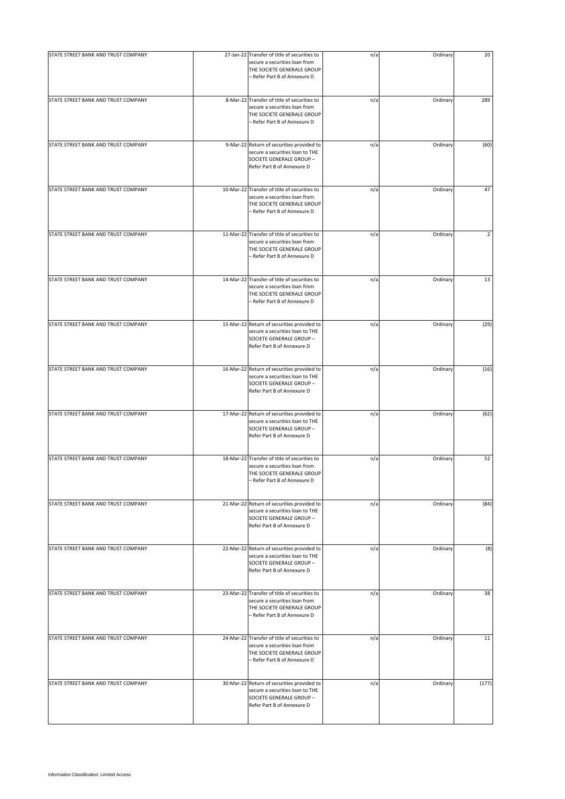| STATE STREET BANK AND TRUST COMPANY | 27-Jan-22 Transfer of title of securities to                                                                                                | n/a | Ordinary | 20             |
|-------------------------------------|---------------------------------------------------------------------------------------------------------------------------------------------|-----|----------|----------------|
|                                     | secure a securities loan from<br>THE SOCIETE GENERALE GROUP<br>- Refer Part B of Annexure D                                                 |     |          |                |
| STATE STREET BANK AND TRUST COMPANY | 8-Mar-22 Transfer of title of securities to<br>secure a securities loan from<br>THE SOCIETE GENERALE GROUP<br>- Refer Part B of Annexure D  | n/a | Ordinary | 289            |
| STATE STREET BANK AND TRUST COMPANY | 9-Mar-22 Return of securities provided to<br>secure a securities loan to THE<br>SOCIETE GENERALE GROUP -<br>Refer Part B of Annexure D      | n/a | Ordinary | (60)           |
| STATE STREET BANK AND TRUST COMPANY | 10-Mar-22 Transfer of title of securities to<br>secure a securities loan from<br>THE SOCIETE GENERALE GROUP<br>- Refer Part B of Annexure D | n/a | Ordinary | 47             |
| STATE STREET BANK AND TRUST COMPANY | 11-Mar-22 Transfer of title of securities to<br>secure a securities loan from<br>THE SOCIETE GENERALE GROUP<br>- Refer Part B of Annexure D | n/a | Ordinary | $\overline{2}$ |
| STATE STREET BANK AND TRUST COMPANY | 14-Mar-22 Transfer of title of securities to<br>secure a securities loan from<br>THE SOCIETE GENERALE GROUP<br>- Refer Part B of Annexure D | n/a | Ordinary | 13             |
| STATE STREET BANK AND TRUST COMPANY | 15-Mar-22 Return of securities provided to<br>secure a securities loan to THE<br>SOCIETE GENERALE GROUP -<br>Refer Part B of Annexure D     | n/a | Ordinary | (29)           |
| STATE STREET BANK AND TRUST COMPANY | 16-Mar-22 Return of securities provided to<br>secure a securities loan to THE<br>SOCIETE GENERALE GROUP -<br>Refer Part B of Annexure D     | n/a | Ordinary | (16)           |
| STATE STREET BANK AND TRUST COMPANY | 17-Mar-22 Return of securities provided to<br>secure a securities loan to THE<br>SOCIETE GENERALE GROUP -<br>Refer Part B of Annexure D     | n/a | Ordinary | (62)           |
| STATE STREET BANK AND TRUST COMPANY | 18-Mar-22 Transfer of title of securities to<br>secure a securities loan from<br>THE SOCIETE GENERALE GROUP<br>- Refer Part B of Annexure D | n/a | Ordinary | 52             |
| STATE STREET BANK AND TRUST COMPANY | 21-Mar-22 Return of securities provided to<br>secure a securities loan to THE<br>SOCIETE GENERALE GROUP -<br>Refer Part B of Annexure D     | n/a | Ordinary | (84)           |
| STATE STREET BANK AND TRUST COMPANY | 22-Mar-22 Return of securities provided to<br>secure a securities loan to THE<br>SOCIETE GENERALE GROUP -<br>Refer Part B of Annexure D     | n/a | Ordinary | (8)            |
| STATE STREET BANK AND TRUST COMPANY | 23-Mar-22 Transfer of title of securities to<br>secure a securities loan from<br>THE SOCIETE GENERALE GROUP<br>– Refer Part B of Annexure D | n/a | Ordinary | 38             |
| STATE STREET BANK AND TRUST COMPANY | 24-Mar-22 Transfer of title of securities to<br>secure a securities loan from<br>THE SOCIETE GENERALE GROUP<br>- Refer Part B of Annexure D | n/a | Ordinary | 11             |
| STATE STREET BANK AND TRUST COMPANY | 30-Mar-22 Return of securities provided to<br>secure a securities loan to THE<br>SOCIETE GENERALE GROUP -<br>Refer Part B of Annexure D     | n/a | Ordinary | (177)          |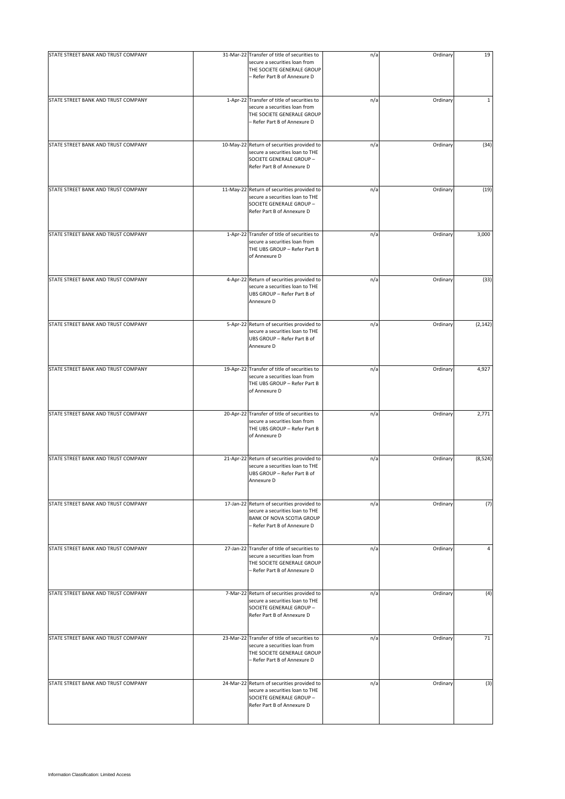| STATE STREET BANK AND TRUST COMPANY | 31-Mar-22 Transfer of title of securities to                                                                                                      | n/a | Ordinary | 19          |
|-------------------------------------|---------------------------------------------------------------------------------------------------------------------------------------------------|-----|----------|-------------|
|                                     | secure a securities loan from<br>THE SOCIETE GENERALE GROUP<br>- Refer Part B of Annexure D                                                       |     |          |             |
| STATE STREET BANK AND TRUST COMPANY | 1-Apr-22 Transfer of title of securities to<br>secure a securities loan from<br>THE SOCIETE GENERALE GROUP<br>- Refer Part B of Annexure D        | n/a | Ordinary | $\mathbf 1$ |
| STATE STREET BANK AND TRUST COMPANY | 10-May-22 Return of securities provided to<br>secure a securities loan to THE<br>SOCIETE GENERALE GROUP -<br>Refer Part B of Annexure D           | n/a | Ordinary | (34)        |
| STATE STREET BANK AND TRUST COMPANY | 11-May-22 Return of securities provided to<br>secure a securities loan to THE<br>SOCIETE GENERALE GROUP -<br>Refer Part B of Annexure D           | n/a | Ordinary | (19)        |
| STATE STREET BANK AND TRUST COMPANY | 1-Apr-22 Transfer of title of securities to<br>secure a securities loan from<br>THE UBS GROUP - Refer Part B<br>of Annexure D                     | n/a | Ordinary | 3,000       |
| STATE STREET BANK AND TRUST COMPANY | 4-Apr-22 Return of securities provided to<br>secure a securities loan to THE<br>UBS GROUP - Refer Part B of<br>Annexure D                         | n/a | Ordinary | (33)        |
| STATE STREET BANK AND TRUST COMPANY | 5-Apr-22 Return of securities provided to<br>secure a securities loan to THE<br>UBS GROUP - Refer Part B of<br>Annexure D                         | n/a | Ordinary | (2, 142)    |
| STATE STREET BANK AND TRUST COMPANY | 19-Apr-22 Transfer of title of securities to<br>secure a securities loan from<br>THE UBS GROUP - Refer Part B<br>of Annexure D                    | n/a | Ordinary | 4,927       |
| STATE STREET BANK AND TRUST COMPANY | 20-Apr-22 Transfer of title of securities to<br>secure a securities loan from<br>THE UBS GROUP - Refer Part B<br>of Annexure D                    | n/a | Ordinary | 2,771       |
| STATE STREET BANK AND TRUST COMPANY | 21-Apr-22 Return of securities provided to<br>secure a securities loan to THE<br>UBS GROUP - Refer Part B of<br>Annexure D                        | n/a | Ordinary | (8, 524)    |
| STATE STREET BANK AND TRUST COMPANY | 17-Jan-22 Return of securities provided to<br>secure a securities loan to THE<br><b>BANK OF NOVA SCOTIA GROUP</b><br>- Refer Part B of Annexure D | n/a | Ordinary | (7)         |
| STATE STREET BANK AND TRUST COMPANY | 27-Jan-22 Transfer of title of securities to<br>secure a securities loan from<br>THE SOCIETE GENERALE GROUP<br>- Refer Part B of Annexure D       | n/a | Ordinary | 4           |
| STATE STREET BANK AND TRUST COMPANY | 7-Mar-22 Return of securities provided to<br>secure a securities loan to THE<br>SOCIETE GENERALE GROUP -<br>Refer Part B of Annexure D            | n/a | Ordinary | (4)         |
| STATE STREET BANK AND TRUST COMPANY | 23-Mar-22 Transfer of title of securities to<br>secure a securities loan from<br>THE SOCIETE GENERALE GROUP<br>- Refer Part B of Annexure D       | n/a | Ordinary | 71          |
| STATE STREET BANK AND TRUST COMPANY | 24-Mar-22 Return of securities provided to<br>secure a securities loan to THE<br>SOCIETE GENERALE GROUP -<br>Refer Part B of Annexure D           | n/a | Ordinary | (3)         |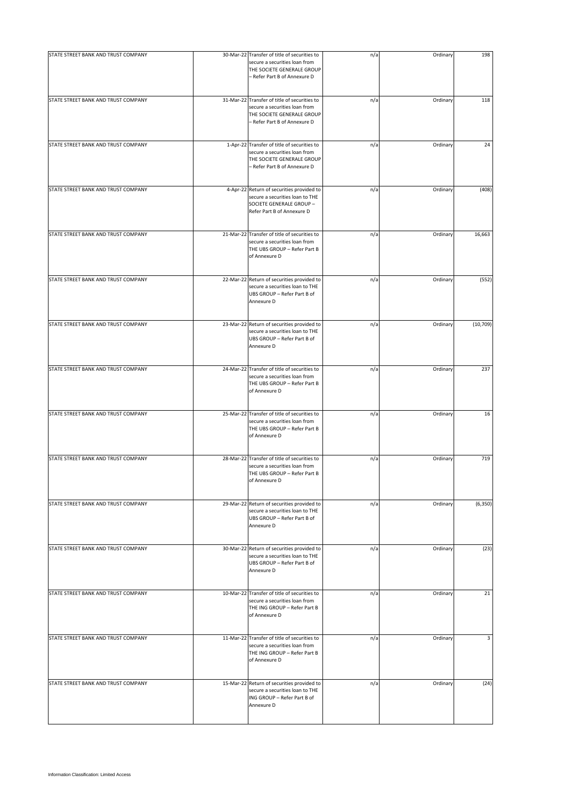| STATE STREET BANK AND TRUST COMPANY | 30-Mar-22 Transfer of title of securities to                                                                                                | n/a | Ordinary | 198       |
|-------------------------------------|---------------------------------------------------------------------------------------------------------------------------------------------|-----|----------|-----------|
|                                     | secure a securities loan from<br>THE SOCIETE GENERALE GROUP<br>- Refer Part B of Annexure D                                                 |     |          |           |
| STATE STREET BANK AND TRUST COMPANY | 31-Mar-22 Transfer of title of securities to<br>secure a securities loan from<br>THE SOCIETE GENERALE GROUP<br>- Refer Part B of Annexure D | n/a | Ordinary | 118       |
| STATE STREET BANK AND TRUST COMPANY | 1-Apr-22 Transfer of title of securities to<br>secure a securities loan from<br>THE SOCIETE GENERALE GROUP<br>- Refer Part B of Annexure D  | n/a | Ordinary | 24        |
| STATE STREET BANK AND TRUST COMPANY | 4-Apr-22 Return of securities provided to<br>secure a securities loan to THE<br>SOCIETE GENERALE GROUP -<br>Refer Part B of Annexure D      | n/a | Ordinary | (408)     |
| STATE STREET BANK AND TRUST COMPANY | 21-Mar-22 Transfer of title of securities to<br>secure a securities loan from<br>THE UBS GROUP - Refer Part B<br>of Annexure D              | n/a | Ordinary | 16,663    |
| STATE STREET BANK AND TRUST COMPANY | 22-Mar-22 Return of securities provided to<br>secure a securities loan to THE<br>UBS GROUP - Refer Part B of<br>Annexure D                  | n/a | Ordinary | (552)     |
| STATE STREET BANK AND TRUST COMPANY | 23-Mar-22 Return of securities provided to<br>secure a securities loan to THE<br>UBS GROUP - Refer Part B of<br>Annexure D                  | n/a | Ordinary | (10, 709) |
| STATE STREET BANK AND TRUST COMPANY | 24-Mar-22 Transfer of title of securities to<br>secure a securities loan from<br>THE UBS GROUP - Refer Part B<br>of Annexure D              | n/a | Ordinary | 237       |
| STATE STREET BANK AND TRUST COMPANY | 25-Mar-22 Transfer of title of securities to<br>secure a securities loan from<br>THE UBS GROUP - Refer Part B<br>of Annexure D              | n/a | Ordinary | 16        |
| STATE STREET BANK AND TRUST COMPANY | 28-Mar-22 Transfer of title of securities to<br>secure a securities loan from<br>THE UBS GROUP - Refer Part B<br>of Annexure D              | n/a | Ordinary | 719       |
| STATE STREET BANK AND TRUST COMPANY | 29-Mar-22 Return of securities provided to<br>secure a securities loan to THE<br>UBS GROUP - Refer Part B of<br>Annexure D                  | n/a | Ordinary | (6, 350)  |
| STATE STREET BANK AND TRUST COMPANY | 30-Mar-22 Return of securities provided to<br>secure a securities loan to THE<br>UBS GROUP - Refer Part B of<br>Annexure D                  | n/a | Ordinary | (23)      |
| STATE STREET BANK AND TRUST COMPANY | 10-Mar-22 Transfer of title of securities to<br>secure a securities loan from<br>THE ING GROUP - Refer Part B<br>of Annexure D              | n/a | Ordinary | 21        |
| STATE STREET BANK AND TRUST COMPANY | 11-Mar-22 Transfer of title of securities to<br>secure a securities loan from<br>THE ING GROUP - Refer Part B<br>of Annexure D              | n/a | Ordinary | 3         |
| STATE STREET BANK AND TRUST COMPANY | 15-Mar-22 Return of securities provided to<br>secure a securities loan to THE<br>ING GROUP - Refer Part B of<br>Annexure D                  | n/a | Ordinary | (24)      |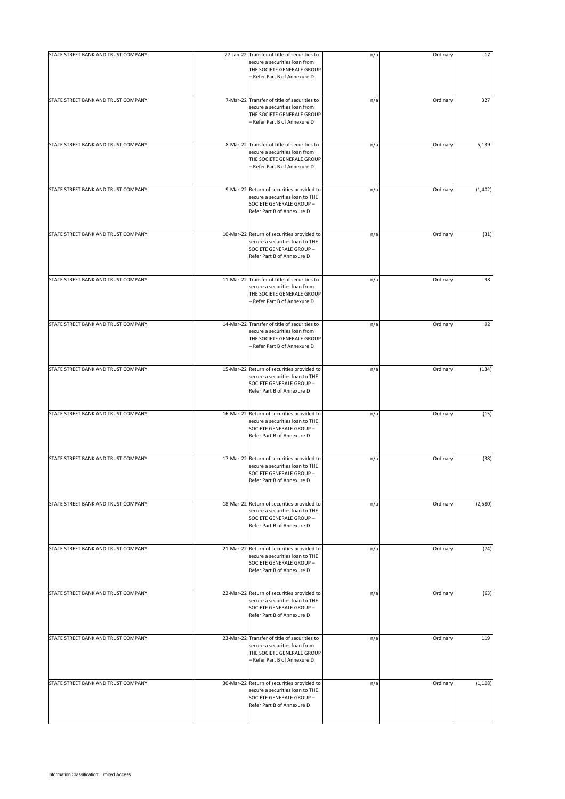| STATE STREET BANK AND TRUST COMPANY | 27-Jan-22 Transfer of title of securities to                                                                                                | n/a | Ordinary | 17       |
|-------------------------------------|---------------------------------------------------------------------------------------------------------------------------------------------|-----|----------|----------|
|                                     | secure a securities loan from<br>THE SOCIETE GENERALE GROUP<br>- Refer Part B of Annexure D                                                 |     |          |          |
| STATE STREET BANK AND TRUST COMPANY | 7-Mar-22 Transfer of title of securities to<br>secure a securities loan from<br>THE SOCIETE GENERALE GROUP<br>- Refer Part B of Annexure D  | n/a | Ordinary | 327      |
| STATE STREET BANK AND TRUST COMPANY | 8-Mar-22 Transfer of title of securities to<br>secure a securities loan from<br>THE SOCIETE GENERALE GROUP<br>- Refer Part B of Annexure D  | n/a | Ordinary | 5,139    |
| STATE STREET BANK AND TRUST COMPANY | 9-Mar-22 Return of securities provided to<br>secure a securities loan to THE<br>SOCIETE GENERALE GROUP -<br>Refer Part B of Annexure D      | n/a | Ordinary | (1, 402) |
| STATE STREET BANK AND TRUST COMPANY | 10-Mar-22 Return of securities provided to<br>secure a securities loan to THE<br>SOCIETE GENERALE GROUP -<br>Refer Part B of Annexure D     | n/a | Ordinary | (31)     |
| STATE STREET BANK AND TRUST COMPANY | 11-Mar-22 Transfer of title of securities to<br>secure a securities loan from<br>THE SOCIETE GENERALE GROUP<br>- Refer Part B of Annexure D | n/a | Ordinary | 98       |
| STATE STREET BANK AND TRUST COMPANY | 14-Mar-22 Transfer of title of securities to<br>secure a securities loan from<br>THE SOCIETE GENERALE GROUP<br>- Refer Part B of Annexure D | n/a | Ordinary | 92       |
| STATE STREET BANK AND TRUST COMPANY | 15-Mar-22 Return of securities provided to<br>secure a securities loan to THE<br>SOCIETE GENERALE GROUP -<br>Refer Part B of Annexure D     | n/a | Ordinary | (134)    |
| STATE STREET BANK AND TRUST COMPANY | 16-Mar-22 Return of securities provided to<br>secure a securities loan to THE<br>SOCIETE GENERALE GROUP -<br>Refer Part B of Annexure D     | n/a | Ordinary | (15)     |
| STATE STREET BANK AND TRUST COMPANY | 17-Mar-22 Return of securities provided to<br>secure a securities loan to THE<br>SOCIETE GENERALE GROUP -<br>Refer Part B of Annexure D     | n/a | Ordinary | (38)     |
| STATE STREET BANK AND TRUST COMPANY | 18-Mar-22 Return of securities provided to<br>secure a securities loan to THE<br>SOCIETE GENERALE GROUP -<br>Refer Part B of Annexure D     | n/a | Ordinary | (2,580)  |
| STATE STREET BANK AND TRUST COMPANY | 21-Mar-22 Return of securities provided to<br>secure a securities loan to THE<br>SOCIETE GENERALE GROUP -<br>Refer Part B of Annexure D     | n/a | Ordinary | (74)     |
| STATE STREET BANK AND TRUST COMPANY | 22-Mar-22 Return of securities provided to<br>secure a securities loan to THE<br>SOCIETE GENERALE GROUP -<br>Refer Part B of Annexure D     | n/a | Ordinary | (63)     |
| STATE STREET BANK AND TRUST COMPANY | 23-Mar-22 Transfer of title of securities to<br>secure a securities loan from<br>THE SOCIETE GENERALE GROUP<br>- Refer Part B of Annexure D | n/a | Ordinary | 119      |
| STATE STREET BANK AND TRUST COMPANY | 30-Mar-22 Return of securities provided to<br>secure a securities loan to THE<br>SOCIETE GENERALE GROUP -<br>Refer Part B of Annexure D     | n/a | Ordinary | (1, 108) |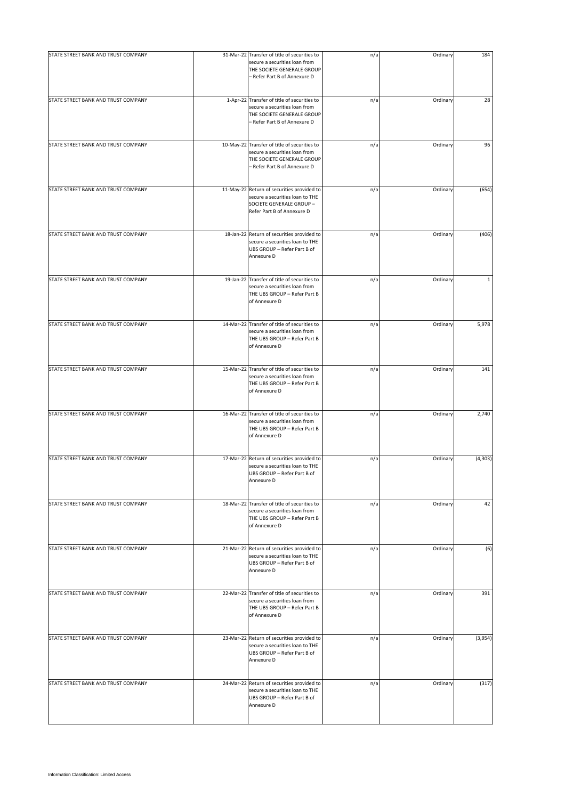| STATE STREET BANK AND TRUST COMPANY | 31-Mar-22 Transfer of title of securities to                                                                                                | n/a | Ordinary | 184          |
|-------------------------------------|---------------------------------------------------------------------------------------------------------------------------------------------|-----|----------|--------------|
|                                     | secure a securities loan from<br>THE SOCIETE GENERALE GROUP<br>- Refer Part B of Annexure D                                                 |     |          |              |
| STATE STREET BANK AND TRUST COMPANY | 1-Apr-22 Transfer of title of securities to<br>secure a securities loan from<br>THE SOCIETE GENERALE GROUP<br>- Refer Part B of Annexure D  | n/a | Ordinary | 28           |
| STATE STREET BANK AND TRUST COMPANY | 10-May-22 Transfer of title of securities to<br>secure a securities loan from<br>THE SOCIETE GENERALE GROUP<br>- Refer Part B of Annexure D | n/a | Ordinary | 96           |
| STATE STREET BANK AND TRUST COMPANY | 11-May-22 Return of securities provided to<br>secure a securities loan to THE<br>SOCIETE GENERALE GROUP -<br>Refer Part B of Annexure D     | n/a | Ordinary | (654)        |
| STATE STREET BANK AND TRUST COMPANY | 18-Jan-22 Return of securities provided to<br>secure a securities loan to THE<br>UBS GROUP - Refer Part B of<br>Annexure D                  | n/a | Ordinary | (406)        |
| STATE STREET BANK AND TRUST COMPANY | 19-Jan-22 Transfer of title of securities to<br>secure a securities loan from<br>THE UBS GROUP - Refer Part B<br>of Annexure D              | n/a | Ordinary | $\mathbf{1}$ |
| STATE STREET BANK AND TRUST COMPANY | 14-Mar-22 Transfer of title of securities to<br>secure a securities loan from<br>THE UBS GROUP - Refer Part B<br>of Annexure D              | n/a | Ordinary | 5,978        |
| STATE STREET BANK AND TRUST COMPANY | 15-Mar-22 Transfer of title of securities to<br>secure a securities loan from<br>THE UBS GROUP - Refer Part B<br>of Annexure D              | n/a | Ordinary | 141          |
| STATE STREET BANK AND TRUST COMPANY | 16-Mar-22 Transfer of title of securities to<br>secure a securities loan from<br>THE UBS GROUP - Refer Part B<br>of Annexure D              | n/a | Ordinary | 2,740        |
| STATE STREET BANK AND TRUST COMPANY | 17-Mar-22 Return of securities provided to<br>secure a securities loan to THE<br>UBS GROUP - Refer Part B of<br>Annexure D                  | n/a | Ordinary | (4, 303)     |
| STATE STREET BANK AND TRUST COMPANY | 18-Mar-22 Transfer of title of securities to<br>secure a securities loan from<br>THE UBS GROUP - Refer Part B<br>of Annexure D              | n/a | Ordinary | 42           |
| STATE STREET BANK AND TRUST COMPANY | 21-Mar-22 Return of securities provided to<br>secure a securities loan to THE<br>UBS GROUP - Refer Part B of<br>Annexure D                  | n/a | Ordinary | (6)          |
| STATE STREET BANK AND TRUST COMPANY | 22-Mar-22 Transfer of title of securities to<br>secure a securities loan from<br>THE UBS GROUP - Refer Part B<br>of Annexure D              | n/a | Ordinary | 391          |
| STATE STREET BANK AND TRUST COMPANY | 23-Mar-22 Return of securities provided to<br>secure a securities loan to THE<br>UBS GROUP - Refer Part B of<br>Annexure D                  | n/a | Ordinary | (3,954)      |
| STATE STREET BANK AND TRUST COMPANY | 24-Mar-22 Return of securities provided to<br>secure a securities loan to THE<br>UBS GROUP - Refer Part B of<br>Annexure D                  | n/a | Ordinary | (317)        |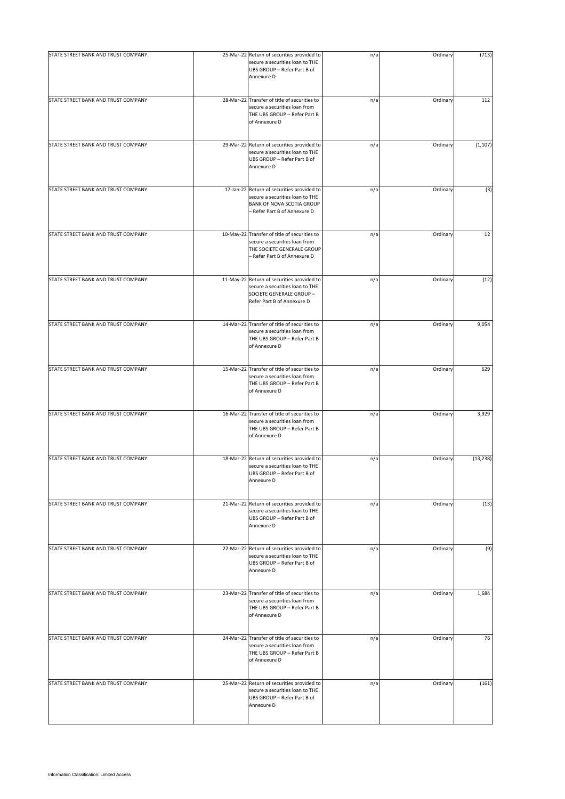| STATE STREET BANK AND TRUST COMPANY | 25-Mar-22 Return of securities provided to                                                                                                  | n/a | Ordinary | (713)     |
|-------------------------------------|---------------------------------------------------------------------------------------------------------------------------------------------|-----|----------|-----------|
|                                     | secure a securities loan to THE<br>UBS GROUP - Refer Part B of<br>Annexure D                                                                |     |          |           |
| STATE STREET BANK AND TRUST COMPANY | 28-Mar-22 Transfer of title of securities to<br>secure a securities loan from<br>THE UBS GROUP - Refer Part B<br>of Annexure D              | n/a | Ordinary | 112       |
| STATE STREET BANK AND TRUST COMPANY | 29-Mar-22 Return of securities provided to<br>secure a securities loan to THE<br>UBS GROUP - Refer Part B of<br>Annexure D                  | n/a | Ordinary | (1, 107)  |
| STATE STREET BANK AND TRUST COMPANY | 17-Jan-22 Return of securities provided to<br>secure a securities loan to THE<br>BANK OF NOVA SCOTIA GROUP<br>- Refer Part B of Annexure D  | n/a | Ordinary | (3)       |
| STATE STREET BANK AND TRUST COMPANY | 10-May-22 Transfer of title of securities to<br>secure a securities loan from<br>THE SOCIETE GENERALE GROUP<br>- Refer Part B of Annexure D | n/a | Ordinary | 12        |
| STATE STREET BANK AND TRUST COMPANY | 11-May-22 Return of securities provided to<br>secure a securities loan to THE<br>SOCIETE GENERALE GROUP -<br>Refer Part B of Annexure D     | n/a | Ordinary | (12)      |
| STATE STREET BANK AND TRUST COMPANY | 14-Mar-22 Transfer of title of securities to<br>secure a securities loan from<br>THE UBS GROUP - Refer Part B<br>of Annexure D              | n/a | Ordinary | 9,054     |
| STATE STREET BANK AND TRUST COMPANY | 15-Mar-22 Transfer of title of securities to<br>secure a securities loan from<br>THE UBS GROUP - Refer Part B<br>of Annexure D              | n/a | Ordinary | 629       |
| STATE STREET BANK AND TRUST COMPANY | 16-Mar-22 Transfer of title of securities to<br>secure a securities loan from<br>THE UBS GROUP - Refer Part B<br>of Annexure D              | n/a | Ordinary | 3,929     |
| STATE STREET BANK AND TRUST COMPANY | 18-Mar-22 Return of securities provided to<br>secure a securities loan to THE<br>UBS GROUP - Refer Part B of<br>Annexure D                  | n/a | Ordinary | (13, 238) |
| STATE STREET BANK AND TRUST COMPANY | 21-Mar-22 Return of securities provided to<br>secure a securities loan to THE<br>UBS GROUP - Refer Part B of<br>Annexure D                  | n/a | Ordinary | (13)      |
| STATE STREET BANK AND TRUST COMPANY | 22-Mar-22 Return of securities provided to<br>secure a securities loan to THE<br>UBS GROUP - Refer Part B of<br>Annexure D                  | n/a | Ordinary | (9)       |
| STATE STREET BANK AND TRUST COMPANY | 23-Mar-22 Transfer of title of securities to<br>secure a securities loan from<br>THE UBS GROUP - Refer Part B<br>of Annexure D              | n/a | Ordinary | 1,684     |
| STATE STREET BANK AND TRUST COMPANY | 24-Mar-22 Transfer of title of securities to<br>secure a securities loan from<br>THE UBS GROUP - Refer Part B<br>of Annexure D              | n/a | Ordinary | 76        |
| STATE STREET BANK AND TRUST COMPANY | 25-Mar-22 Return of securities provided to<br>secure a securities loan to THE<br>UBS GROUP - Refer Part B of<br>Annexure D                  | n/a | Ordinary | (161)     |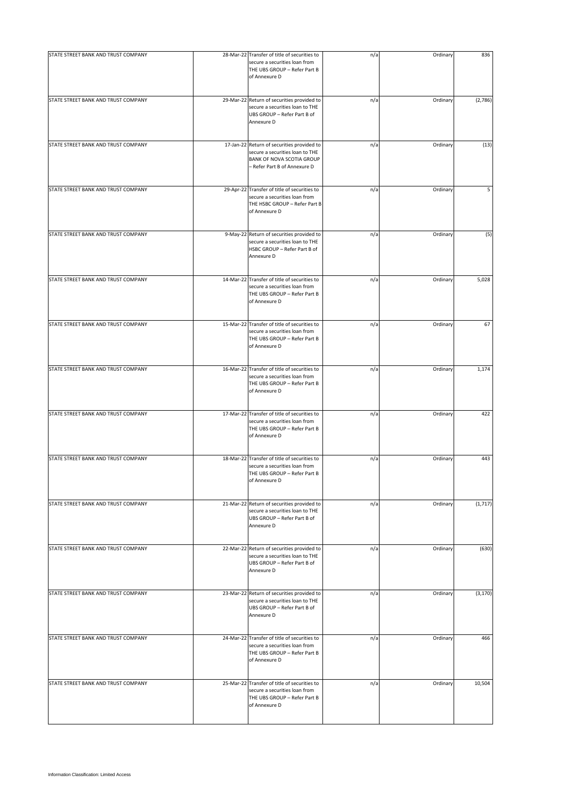| STATE STREET BANK AND TRUST COMPANY | 28-Mar-22 Transfer of title of securities to                                                                                                      | n/a | Ordinary | 836      |
|-------------------------------------|---------------------------------------------------------------------------------------------------------------------------------------------------|-----|----------|----------|
|                                     | secure a securities loan from<br>THE UBS GROUP - Refer Part B<br>of Annexure D                                                                    |     |          |          |
| STATE STREET BANK AND TRUST COMPANY | 29-Mar-22 Return of securities provided to<br>secure a securities loan to THE<br>UBS GROUP - Refer Part B of<br>Annexure D                        | n/a | Ordinary | (2,786)  |
| STATE STREET BANK AND TRUST COMPANY | 17-Jan-22 Return of securities provided to<br>secure a securities loan to THE<br><b>BANK OF NOVA SCOTIA GROUP</b><br>- Refer Part B of Annexure D | n/a | Ordinary | (13)     |
| STATE STREET BANK AND TRUST COMPANY | 29-Apr-22 Transfer of title of securities to<br>secure a securities loan from<br>THE HSBC GROUP - Refer Part B<br>of Annexure D                   | n/a | Ordinary | 5        |
| STATE STREET BANK AND TRUST COMPANY | 9-May-22 Return of securities provided to<br>secure a securities loan to THE<br>HSBC GROUP - Refer Part B of<br>Annexure D                        | n/a | Ordinary | (5)      |
| STATE STREET BANK AND TRUST COMPANY | 14-Mar-22 Transfer of title of securities to<br>secure a securities loan from<br>THE UBS GROUP - Refer Part B<br>of Annexure D                    | n/a | Ordinary | 5,028    |
| STATE STREET BANK AND TRUST COMPANY | 15-Mar-22 Transfer of title of securities to<br>secure a securities loan from<br>THE UBS GROUP - Refer Part B<br>of Annexure D                    | n/a | Ordinary | 67       |
| STATE STREET BANK AND TRUST COMPANY | 16-Mar-22 Transfer of title of securities to<br>secure a securities loan from<br>THE UBS GROUP - Refer Part B<br>of Annexure D                    | n/a | Ordinary | 1,174    |
| STATE STREET BANK AND TRUST COMPANY | 17-Mar-22 Transfer of title of securities to<br>secure a securities loan from<br>THE UBS GROUP - Refer Part B<br>of Annexure D                    | n/a | Ordinary | 422      |
| STATE STREET BANK AND TRUST COMPANY | 18-Mar-22 Transfer of title of securities to<br>secure a securities loan from<br>THE UBS GROUP - Refer Part B<br>of Annexure D                    | n/a | Ordinary | 443      |
| STATE STREET BANK AND TRUST COMPANY | 21-Mar-22 Return of securities provided to<br>secure a securities loan to THE<br>UBS GROUP - Refer Part B of<br>Annexure D                        | n/a | Ordinary | (1, 717) |
| STATE STREET BANK AND TRUST COMPANY | 22-Mar-22 Return of securities provided to<br>secure a securities loan to THE<br>UBS GROUP - Refer Part B of<br>Annexure D                        | n/a | Ordinary | (630)    |
| STATE STREET BANK AND TRUST COMPANY | 23-Mar-22 Return of securities provided to<br>secure a securities loan to THE<br>UBS GROUP - Refer Part B of<br>Annexure D                        | n/a | Ordinary | (3, 170) |
| STATE STREET BANK AND TRUST COMPANY | 24-Mar-22 Transfer of title of securities to<br>secure a securities loan from<br>THE UBS GROUP - Refer Part B<br>of Annexure D                    | n/a | Ordinary | 466      |
| STATE STREET BANK AND TRUST COMPANY | 25-Mar-22 Transfer of title of securities to<br>secure a securities loan from<br>THE UBS GROUP - Refer Part B<br>of Annexure D                    | n/a | Ordinary | 10,504   |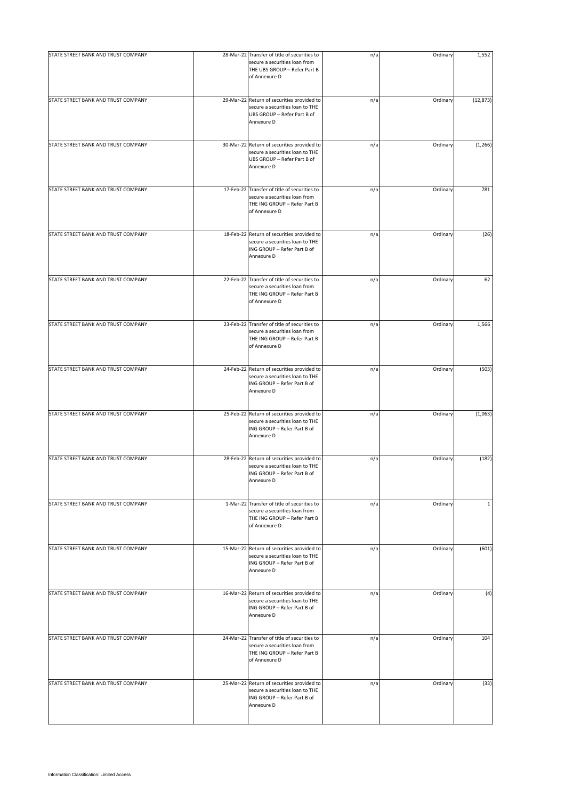| STATE STREET BANK AND TRUST COMPANY | 28-Mar-22 Transfer of title of securities to<br>secure a securities loan from<br>THE UBS GROUP - Refer Part B<br>of Annexure D | n/a | Ordinary | 1,552        |
|-------------------------------------|--------------------------------------------------------------------------------------------------------------------------------|-----|----------|--------------|
| STATE STREET BANK AND TRUST COMPANY | 29-Mar-22 Return of securities provided to<br>secure a securities loan to THE<br>UBS GROUP - Refer Part B of<br>Annexure D     | n/a | Ordinary | (12, 873)    |
| STATE STREET BANK AND TRUST COMPANY | 30-Mar-22 Return of securities provided to<br>secure a securities loan to THE<br>UBS GROUP - Refer Part B of<br>Annexure D     | n/a | Ordinary | (1, 266)     |
| STATE STREET BANK AND TRUST COMPANY | 17-Feb-22 Transfer of title of securities to<br>secure a securities loan from<br>THE ING GROUP - Refer Part B<br>of Annexure D | n/a | Ordinary | 781          |
| STATE STREET BANK AND TRUST COMPANY | 18-Feb-22 Return of securities provided to<br>secure a securities loan to THE<br>ING GROUP - Refer Part B of<br>Annexure D     | n/a | Ordinary | (26)         |
| STATE STREET BANK AND TRUST COMPANY | 22-Feb-22 Transfer of title of securities to<br>secure a securities loan from<br>THE ING GROUP - Refer Part B<br>of Annexure D | n/a | Ordinary | 62           |
| STATE STREET BANK AND TRUST COMPANY | 23-Feb-22 Transfer of title of securities to<br>secure a securities loan from<br>THE ING GROUP - Refer Part B<br>of Annexure D | n/a | Ordinary | 1,566        |
| STATE STREET BANK AND TRUST COMPANY | 24-Feb-22 Return of securities provided to<br>secure a securities loan to THE<br>ING GROUP - Refer Part B of<br>Annexure D     | n/a | Ordinary | (503)        |
| STATE STREET BANK AND TRUST COMPANY | 25-Feb-22 Return of securities provided to<br>secure a securities loan to THE<br>ING GROUP - Refer Part B of<br>Annexure D     | n/a | Ordinary | (1,063)      |
| STATE STREET BANK AND TRUST COMPANY | 28-Feb-22 Return of securities provided to<br>secure a securities loan to THE<br>ING GROUP - Refer Part B of<br>Annexure D     | n/a | Ordinary | (182)        |
| STATE STREET BANK AND TRUST COMPANY | 1-Mar-22 Transfer of title of securities to<br>secure a securities loan from<br>THE ING GROUP - Refer Part B<br>of Annexure D  | n/a | Ordinary | $\mathbf{1}$ |
| STATE STREET BANK AND TRUST COMPANY | 15-Mar-22 Return of securities provided to<br>secure a securities loan to THE<br>ING GROUP - Refer Part B of<br>Annexure D     | n/a | Ordinary | (601)        |
| STATE STREET BANK AND TRUST COMPANY | 16-Mar-22 Return of securities provided to<br>secure a securities loan to THE<br>ING GROUP - Refer Part B of<br>Annexure D     | n/a | Ordinary | (4)          |
| STATE STREET BANK AND TRUST COMPANY | 24-Mar-22 Transfer of title of securities to<br>secure a securities loan from<br>THE ING GROUP - Refer Part B<br>of Annexure D | n/a | Ordinary | 104          |
| STATE STREET BANK AND TRUST COMPANY | 25-Mar-22 Return of securities provided to<br>secure a securities loan to THE<br>ING GROUP - Refer Part B of<br>Annexure D     | n/a | Ordinary | (33)         |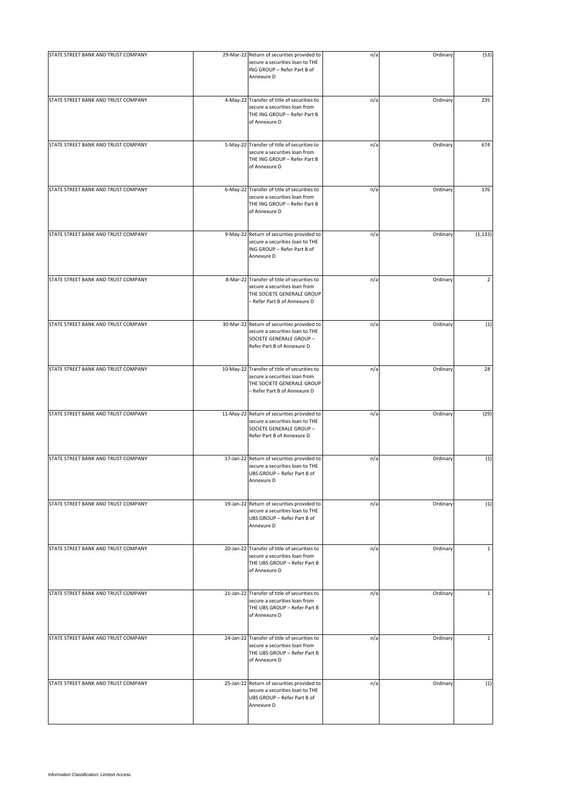| STATE STREET BANK AND TRUST COMPANY | 29-Mar-22 Return of securities provided to                                                                                                  | n/a | Ordinary | (53)           |
|-------------------------------------|---------------------------------------------------------------------------------------------------------------------------------------------|-----|----------|----------------|
|                                     | secure a securities loan to THE<br>ING GROUP - Refer Part B of<br>Annexure D                                                                |     |          |                |
| STATE STREET BANK AND TRUST COMPANY | 4-May-22 Transfer of title of securities to<br>secure a securities loan from<br>THE ING GROUP - Refer Part B<br>of Annexure D               | n/a | Ordinary | 235            |
| STATE STREET BANK AND TRUST COMPANY | 5-May-22 Transfer of title of securities to<br>secure a securities loan from<br>THE ING GROUP - Refer Part B<br>of Annexure D               | n/a | Ordinary | 674            |
| STATE STREET BANK AND TRUST COMPANY | 6-May-22 Transfer of title of securities to<br>secure a securities loan from<br>THE ING GROUP - Refer Part B<br>of Annexure D               | n/a | Ordinary | 176            |
| STATE STREET BANK AND TRUST COMPANY | 9-May-22 Return of securities provided to<br>secure a securities loan to THE<br>ING GROUP - Refer Part B of<br>Annexure D                   | n/a | Ordinary | (1, 133)       |
| STATE STREET BANK AND TRUST COMPANY | 8-Mar-22 Transfer of title of securities to<br>secure a securities loan from<br>THE SOCIETE GENERALE GROUP<br>- Refer Part B of Annexure D  | n/a | Ordinary | $\overline{2}$ |
| STATE STREET BANK AND TRUST COMPANY | 30-Mar-22 Return of securities provided to<br>secure a securities loan to THE<br>SOCIETE GENERALE GROUP -<br>Refer Part B of Annexure D     | n/a | Ordinary | (1)            |
| STATE STREET BANK AND TRUST COMPANY | 10-May-22 Transfer of title of securities to<br>secure a securities loan from<br>THE SOCIETE GENERALE GROUP<br>- Refer Part B of Annexure D | n/a | Ordinary | 28             |
| STATE STREET BANK AND TRUST COMPANY | 11-May-22 Return of securities provided to<br>secure a securities loan to THE<br>SOCIETE GENERALE GROUP -<br>Refer Part B of Annexure D     | n/a | Ordinary | (29)           |
| STATE STREET BANK AND TRUST COMPANY | 17-Jan-22 Return of securities provided to<br>secure a securities loan to THE<br>UBS GROUP - Refer Part B of<br>Annexure D                  | n/a | Ordinary | (1)            |
| STATE STREET BANK AND TRUST COMPANY | 19-Jan-22 Return of securities provided to<br>secure a securities loan to THE<br>UBS GROUP - Refer Part B of<br>Annexure D                  | n/a | Ordinary | (1)            |
| STATE STREET BANK AND TRUST COMPANY | 20-Jan-22 Transfer of title of securities to<br>secure a securities loan from<br>THE UBS GROUP - Refer Part B<br>of Annexure D              | n/a | Ordinary | $\mathbf{1}$   |
| STATE STREET BANK AND TRUST COMPANY | 21-Jan-22 Transfer of title of securities to<br>secure a securities loan from<br>THE UBS GROUP - Refer Part B<br>of Annexure D              | n/a | Ordinary | $\mathbf{1}$   |
| STATE STREET BANK AND TRUST COMPANY | 24-Jan-22 Transfer of title of securities to<br>secure a securities loan from<br>THE UBS GROUP - Refer Part B<br>of Annexure D              | n/a | Ordinary | $\mathbf{1}$   |
| STATE STREET BANK AND TRUST COMPANY | 25-Jan-22 Return of securities provided to<br>secure a securities loan to THE<br>UBS GROUP - Refer Part B of<br>Annexure D                  | n/a | Ordinary | (1)            |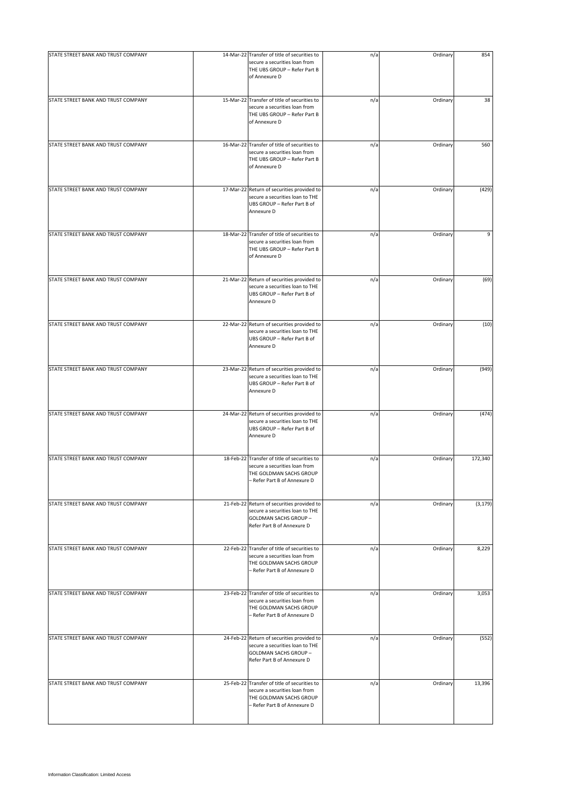| STATE STREET BANK AND TRUST COMPANY |                                                                                                                                          |     |          |          |
|-------------------------------------|------------------------------------------------------------------------------------------------------------------------------------------|-----|----------|----------|
|                                     | 14-Mar-22 Transfer of title of securities to<br>secure a securities loan from<br>THE UBS GROUP - Refer Part B<br>of Annexure D           | n/a | Ordinary | 854      |
| STATE STREET BANK AND TRUST COMPANY | 15-Mar-22 Transfer of title of securities to<br>secure a securities loan from<br>THE UBS GROUP - Refer Part B<br>of Annexure D           | n/a | Ordinary | 38       |
| STATE STREET BANK AND TRUST COMPANY | 16-Mar-22 Transfer of title of securities to<br>secure a securities loan from<br>THE UBS GROUP - Refer Part B<br>of Annexure D           | n/a | Ordinary | 560      |
| STATE STREET BANK AND TRUST COMPANY | 17-Mar-22 Return of securities provided to<br>secure a securities loan to THE<br>UBS GROUP - Refer Part B of<br>Annexure D               | n/a | Ordinary | (429)    |
| STATE STREET BANK AND TRUST COMPANY | 18-Mar-22 Transfer of title of securities to<br>secure a securities loan from<br>THE UBS GROUP - Refer Part B<br>of Annexure D           | n/a | Ordinary | 9        |
| STATE STREET BANK AND TRUST COMPANY | 21-Mar-22 Return of securities provided to<br>secure a securities loan to THE<br>UBS GROUP - Refer Part B of<br>Annexure D               | n/a | Ordinary | (69)     |
| STATE STREET BANK AND TRUST COMPANY | 22-Mar-22 Return of securities provided to<br>secure a securities loan to THE<br>UBS GROUP - Refer Part B of<br>Annexure D               | n/a | Ordinary | (10)     |
| STATE STREET BANK AND TRUST COMPANY | 23-Mar-22 Return of securities provided to<br>secure a securities loan to THE<br>UBS GROUP - Refer Part B of<br>Annexure D               | n/a | Ordinary | (949)    |
| STATE STREET BANK AND TRUST COMPANY | 24-Mar-22 Return of securities provided to<br>secure a securities loan to THE<br>UBS GROUP - Refer Part B of<br>Annexure D               | n/a | Ordinary | (474)    |
| STATE STREET BANK AND TRUST COMPANY | 18-Feb-22 Transfer of title of securities to<br>secure a securities loan from<br>THE GOLDMAN SACHS GROUP<br>- Refer Part B of Annexure D | n/a | Ordinary | 172,340  |
| STATE STREET BANK AND TRUST COMPANY | 21-Feb-22 Return of securities provided to<br>secure a securities loan to THE<br>GOLDMAN SACHS GROUP -<br>Refer Part B of Annexure D     | n/a | Ordinary | (3, 179) |
| STATE STREET BANK AND TRUST COMPANY | 22-Feb-22 Transfer of title of securities to<br>secure a securities loan from<br>THE GOLDMAN SACHS GROUP<br>- Refer Part B of Annexure D | n/a | Ordinary | 8,229    |
| STATE STREET BANK AND TRUST COMPANY | 23-Feb-22 Transfer of title of securities to<br>secure a securities loan from<br>THE GOLDMAN SACHS GROUP<br>- Refer Part B of Annexure D | n/a | Ordinary | 3,053    |
| STATE STREET BANK AND TRUST COMPANY | 24-Feb-22 Return of securities provided to<br>secure a securities loan to THE<br>GOLDMAN SACHS GROUP -<br>Refer Part B of Annexure D     | n/a | Ordinary | (552)    |
| STATE STREET BANK AND TRUST COMPANY | 25-Feb-22 Transfer of title of securities to<br>secure a securities loan from<br>THE GOLDMAN SACHS GROUP<br>- Refer Part B of Annexure D | n/a | Ordinary | 13,396   |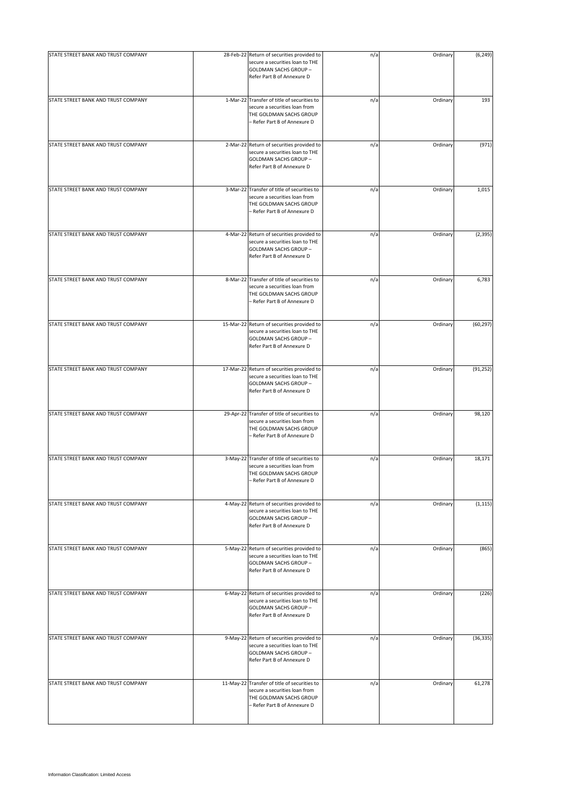| STATE STREET BANK AND TRUST COMPANY | 28-Feb-22 Return of securities provided to<br>secure a securities loan to THE<br>GOLDMAN SACHS GROUP -<br>Refer Part B of Annexure D     | n/a | Ordinary | (6, 249)  |
|-------------------------------------|------------------------------------------------------------------------------------------------------------------------------------------|-----|----------|-----------|
| STATE STREET BANK AND TRUST COMPANY | 1-Mar-22 Transfer of title of securities to<br>secure a securities loan from<br>THE GOLDMAN SACHS GROUP<br>- Refer Part B of Annexure D  | n/a | Ordinary | 193       |
| STATE STREET BANK AND TRUST COMPANY | 2-Mar-22 Return of securities provided to<br>secure a securities loan to THE<br>GOLDMAN SACHS GROUP -<br>Refer Part B of Annexure D      | n/a | Ordinary | (971)     |
| STATE STREET BANK AND TRUST COMPANY | 3-Mar-22 Transfer of title of securities to<br>secure a securities loan from<br>THE GOLDMAN SACHS GROUP<br>- Refer Part B of Annexure D  | n/a | Ordinary | 1,015     |
| STATE STREET BANK AND TRUST COMPANY | 4-Mar-22 Return of securities provided to<br>secure a securities loan to THE<br>GOLDMAN SACHS GROUP -<br>Refer Part B of Annexure D      | n/a | Ordinary | (2, 395)  |
| STATE STREET BANK AND TRUST COMPANY | 8-Mar-22 Transfer of title of securities to<br>secure a securities loan from<br>THE GOLDMAN SACHS GROUP<br>- Refer Part B of Annexure D  | n/a | Ordinary | 6,783     |
| STATE STREET BANK AND TRUST COMPANY | 15-Mar-22 Return of securities provided to<br>secure a securities loan to THE<br>GOLDMAN SACHS GROUP -<br>Refer Part B of Annexure D     | n/a | Ordinary | (60, 297) |
| STATE STREET BANK AND TRUST COMPANY | 17-Mar-22 Return of securities provided to<br>secure a securities loan to THE<br>GOLDMAN SACHS GROUP -<br>Refer Part B of Annexure D     | n/a | Ordinary | (91, 252) |
| STATE STREET BANK AND TRUST COMPANY | 29-Apr-22 Transfer of title of securities to<br>secure a securities loan from<br>THE GOLDMAN SACHS GROUP<br>- Refer Part B of Annexure D | n/a | Ordinary | 98,120    |
| STATE STREET BANK AND TRUST COMPANY | 3-May-22 Transfer of title of securities to<br>secure a securities loan from<br>THE GOLDMAN SACHS GROUP<br>- Refer Part B of Annexure D  | n/a | Ordinary | 18,171    |
| STATE STREET BANK AND TRUST COMPANY | 4-May-22 Return of securities provided to<br>secure a securities loan to THE<br>GOLDMAN SACHS GROUP -<br>Refer Part B of Annexure D      | n/a | Ordinary | (1, 115)  |
| STATE STREET BANK AND TRUST COMPANY | 5-May-22 Return of securities provided to<br>secure a securities loan to THE<br>GOLDMAN SACHS GROUP -<br>Refer Part B of Annexure D      | n/a | Ordinary | (865)     |
| STATE STREET BANK AND TRUST COMPANY | 6-May-22 Return of securities provided to<br>secure a securities loan to THE<br>GOLDMAN SACHS GROUP -<br>Refer Part B of Annexure D      | n/a | Ordinary | (226)     |
| STATE STREET BANK AND TRUST COMPANY | 9-May-22 Return of securities provided to<br>secure a securities loan to THE<br>GOLDMAN SACHS GROUP -<br>Refer Part B of Annexure D      | n/a | Ordinary | (36, 335) |
| STATE STREET BANK AND TRUST COMPANY | 11-May-22 Transfer of title of securities to<br>secure a securities loan from<br>THE GOLDMAN SACHS GROUP<br>- Refer Part B of Annexure D | n/a | Ordinary | 61,278    |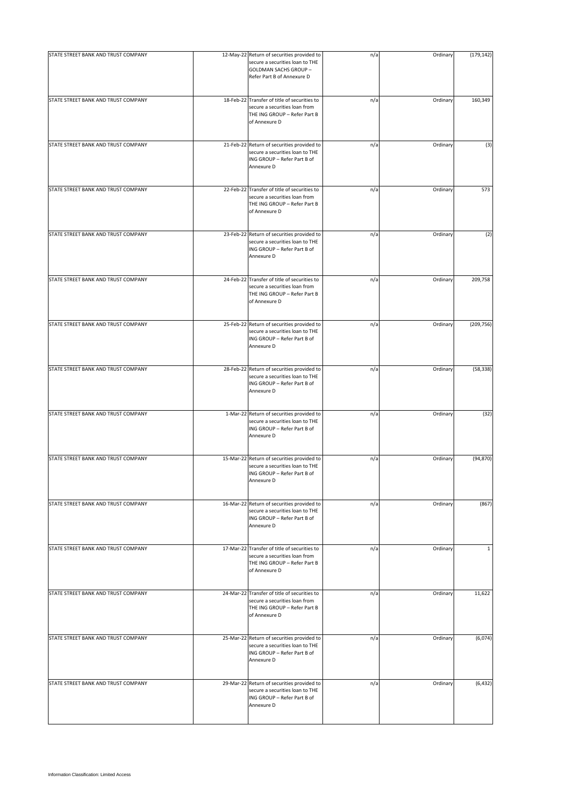| STATE STREET BANK AND TRUST COMPANY | 12-May-22 Return of securities provided to<br>secure a securities loan to THE<br>GOLDMAN SACHS GROUP -<br>Refer Part B of Annexure D | n/a | Ordinary | (179, 142)   |
|-------------------------------------|--------------------------------------------------------------------------------------------------------------------------------------|-----|----------|--------------|
| STATE STREET BANK AND TRUST COMPANY | 18-Feb-22 Transfer of title of securities to<br>secure a securities loan from<br>THE ING GROUP - Refer Part B<br>of Annexure D       | n/a | Ordinary | 160,349      |
| STATE STREET BANK AND TRUST COMPANY | 21-Feb-22 Return of securities provided to<br>secure a securities loan to THE<br>ING GROUP - Refer Part B of<br>Annexure D           | n/a | Ordinary | (3)          |
| STATE STREET BANK AND TRUST COMPANY | 22-Feb-22 Transfer of title of securities to<br>secure a securities loan from<br>THE ING GROUP - Refer Part B<br>of Annexure D       | n/a | Ordinary | 573          |
| STATE STREET BANK AND TRUST COMPANY | 23-Feb-22 Return of securities provided to<br>secure a securities loan to THE<br>ING GROUP - Refer Part B of<br>Annexure D           | n/a | Ordinary | (2)          |
| STATE STREET BANK AND TRUST COMPANY | 24-Feb-22 Transfer of title of securities to<br>secure a securities loan from<br>THE ING GROUP - Refer Part B<br>of Annexure D       | n/a | Ordinary | 209,758      |
| STATE STREET BANK AND TRUST COMPANY | 25-Feb-22 Return of securities provided to<br>secure a securities loan to THE<br>ING GROUP - Refer Part B of<br>Annexure D           | n/a | Ordinary | (209, 756)   |
| STATE STREET BANK AND TRUST COMPANY | 28-Feb-22 Return of securities provided to<br>secure a securities loan to THE<br>ING GROUP - Refer Part B of<br>Annexure D           | n/a | Ordinary | (58, 338)    |
| STATE STREET BANK AND TRUST COMPANY | 1-Mar-22 Return of securities provided to<br>secure a securities loan to THE<br>ING GROUP - Refer Part B of<br>Annexure D            | n/a | Ordinary | (32)         |
| STATE STREET BANK AND TRUST COMPANY | 15-Mar-22 Return of securities provided to<br>secure a securities loan to THE<br>ING GROUP - Refer Part B of<br>Annexure D           | n/a | Ordinary | (94, 870)    |
| STATE STREET BANK AND TRUST COMPANY | 16-Mar-22 Return of securities provided to<br>secure a securities loan to THE<br>ING GROUP - Refer Part B of<br>Annexure D           | n/a | Ordinary | (867)        |
| STATE STREET BANK AND TRUST COMPANY | 17-Mar-22 Transfer of title of securities to<br>secure a securities loan from<br>THE ING GROUP - Refer Part B<br>of Annexure D       | n/a | Ordinary | $\mathbf{1}$ |
| STATE STREET BANK AND TRUST COMPANY | 24-Mar-22 Transfer of title of securities to<br>secure a securities loan from<br>THE ING GROUP - Refer Part B<br>of Annexure D       | n/a | Ordinary | 11,622       |
| STATE STREET BANK AND TRUST COMPANY | 25-Mar-22 Return of securities provided to<br>secure a securities loan to THE<br>ING GROUP - Refer Part B of<br>Annexure D           | n/a | Ordinary | (6,074)      |
| STATE STREET BANK AND TRUST COMPANY | 29-Mar-22 Return of securities provided to<br>secure a securities loan to THE<br>ING GROUP - Refer Part B of<br>Annexure D           | n/a | Ordinary | (6, 432)     |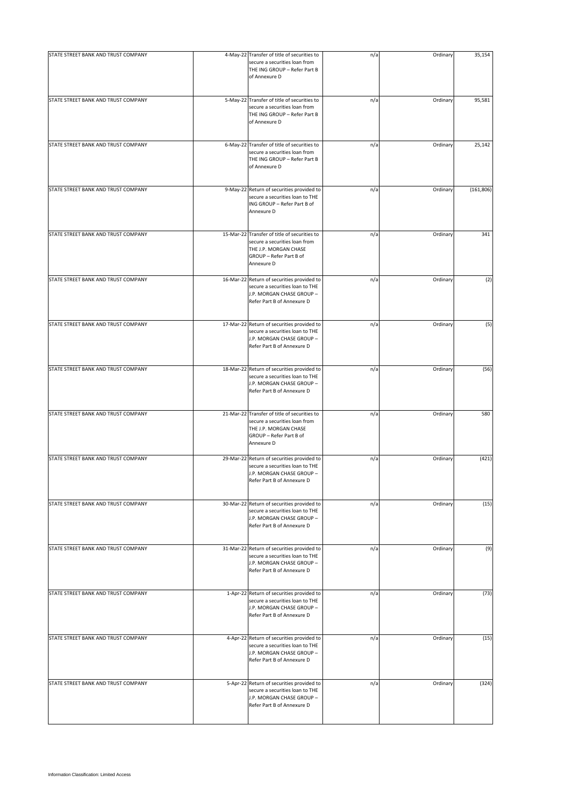| STATE STREET BANK AND TRUST COMPANY | 4-May-22 Transfer of title of securities to                                                                                                     | n/a | Ordinary | 35,154     |
|-------------------------------------|-------------------------------------------------------------------------------------------------------------------------------------------------|-----|----------|------------|
|                                     | secure a securities loan from<br>THE ING GROUP - Refer Part B<br>of Annexure D                                                                  |     |          |            |
| STATE STREET BANK AND TRUST COMPANY | 5-May-22 Transfer of title of securities to<br>secure a securities loan from<br>THE ING GROUP - Refer Part B<br>of Annexure D                   | n/a | Ordinary | 95,581     |
| STATE STREET BANK AND TRUST COMPANY | 6-May-22 Transfer of title of securities to<br>secure a securities loan from<br>THE ING GROUP - Refer Part B<br>of Annexure D                   | n/a | Ordinary | 25,142     |
| STATE STREET BANK AND TRUST COMPANY | 9-May-22 Return of securities provided to<br>secure a securities loan to THE<br>ING GROUP - Refer Part B of<br>Annexure D                       | n/a | Ordinary | (161, 806) |
| STATE STREET BANK AND TRUST COMPANY | 15-Mar-22 Transfer of title of securities to<br>secure a securities loan from<br>THE J.P. MORGAN CHASE<br>GROUP - Refer Part B of<br>Annexure D | n/a | Ordinary | 341        |
| STATE STREET BANK AND TRUST COMPANY | 16-Mar-22 Return of securities provided to<br>secure a securities loan to THE<br>J.P. MORGAN CHASE GROUP -<br>Refer Part B of Annexure D        | n/a | Ordinary | (2)        |
| STATE STREET BANK AND TRUST COMPANY | 17-Mar-22 Return of securities provided to<br>secure a securities loan to THE<br>J.P. MORGAN CHASE GROUP -<br>Refer Part B of Annexure D        | n/a | Ordinary | (5)        |
| STATE STREET BANK AND TRUST COMPANY | 18-Mar-22 Return of securities provided to<br>secure a securities loan to THE<br>J.P. MORGAN CHASE GROUP -<br>Refer Part B of Annexure D        | n/a | Ordinary | (56)       |
| STATE STREET BANK AND TRUST COMPANY | 21-Mar-22 Transfer of title of securities to<br>secure a securities loan from<br>THE J.P. MORGAN CHASE<br>GROUP - Refer Part B of<br>Annexure D | n/a | Ordinary | 580        |
| STATE STREET BANK AND TRUST COMPANY | 29-Mar-22 Return of securities provided to<br>secure a securities loan to THE<br>J.P. MORGAN CHASE GROUP -<br>Refer Part B of Annexure D        | n/a | Ordinary | (421)      |
| STATE STREET BANK AND TRUST COMPANY | 30-Mar-22 Return of securities provided to<br>secure a securities loan to THE<br>J.P. MORGAN CHASE GROUP -<br>Refer Part B of Annexure D        | n/a | Ordinary | (15)       |
| STATE STREET BANK AND TRUST COMPANY | 31-Mar-22 Return of securities provided to<br>secure a securities loan to THE<br>J.P. MORGAN CHASE GROUP -<br>Refer Part B of Annexure D        | n/a | Ordinary | (9)        |
| STATE STREET BANK AND TRUST COMPANY | 1-Apr-22 Return of securities provided to<br>secure a securities loan to THE<br>J.P. MORGAN CHASE GROUP -<br>Refer Part B of Annexure D         | n/a | Ordinary | (73)       |
| STATE STREET BANK AND TRUST COMPANY | 4-Apr-22 Return of securities provided to<br>secure a securities loan to THE<br>J.P. MORGAN CHASE GROUP -<br>Refer Part B of Annexure D         | n/a | Ordinary | (15)       |
| STATE STREET BANK AND TRUST COMPANY | 5-Apr-22 Return of securities provided to<br>secure a securities loan to THE<br>J.P. MORGAN CHASE GROUP -<br>Refer Part B of Annexure D         | n/a | Ordinary | (324)      |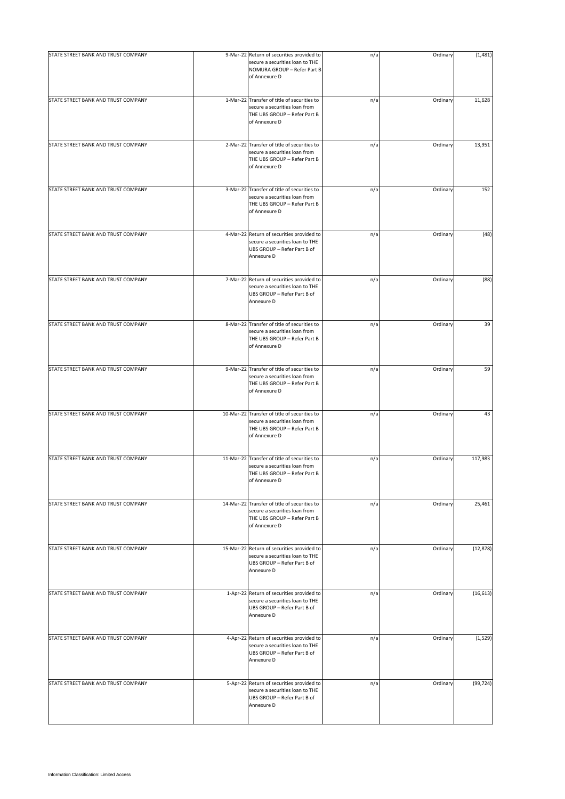| STATE STREET BANK AND TRUST COMPANY | 9-Mar-22 Return of securities provided to<br>secure a securities loan to THE<br>NOMURA GROUP - Refer Part B<br>of Annexure D   | n/a | Ordinary | (1, 481)  |
|-------------------------------------|--------------------------------------------------------------------------------------------------------------------------------|-----|----------|-----------|
| STATE STREET BANK AND TRUST COMPANY | 1-Mar-22 Transfer of title of securities to<br>secure a securities loan from<br>THE UBS GROUP - Refer Part B<br>of Annexure D  | n/a | Ordinary | 11,628    |
| STATE STREET BANK AND TRUST COMPANY | 2-Mar-22 Transfer of title of securities to<br>secure a securities loan from<br>THE UBS GROUP - Refer Part B<br>of Annexure D  | n/a | Ordinary | 13,951    |
| STATE STREET BANK AND TRUST COMPANY | 3-Mar-22 Transfer of title of securities to<br>secure a securities loan from<br>THE UBS GROUP - Refer Part B<br>of Annexure D  | n/a | Ordinary | 152       |
| STATE STREET BANK AND TRUST COMPANY | 4-Mar-22 Return of securities provided to<br>secure a securities loan to THE<br>UBS GROUP - Refer Part B of<br>Annexure D      | n/a | Ordinary | (48)      |
| STATE STREET BANK AND TRUST COMPANY | 7-Mar-22 Return of securities provided to<br>secure a securities loan to THE<br>UBS GROUP - Refer Part B of<br>Annexure D      | n/a | Ordinary | (88)      |
| STATE STREET BANK AND TRUST COMPANY | 8-Mar-22 Transfer of title of securities to<br>secure a securities loan from<br>THE UBS GROUP - Refer Part B<br>of Annexure D  | n/a | Ordinary | 39        |
| STATE STREET BANK AND TRUST COMPANY | 9-Mar-22 Transfer of title of securities to<br>secure a securities loan from<br>THE UBS GROUP - Refer Part B<br>of Annexure D  | n/a | Ordinary | 59        |
| STATE STREET BANK AND TRUST COMPANY | 10-Mar-22 Transfer of title of securities to<br>secure a securities loan from<br>THE UBS GROUP - Refer Part B<br>of Annexure D | n/a | Ordinary | 43        |
| STATE STREET BANK AND TRUST COMPANY | 11-Mar-22 Transfer of title of securities to<br>secure a securities loan from<br>THE UBS GROUP - Refer Part B<br>of Annexure D | n/a | Ordinary | 117,983   |
| STATE STREET BANK AND TRUST COMPANY | 14-Mar-22 Transfer of title of securities to<br>secure a securities loan from<br>THE UBS GROUP - Refer Part B<br>of Annexure D | n/a | Ordinary | 25,461    |
| STATE STREET BANK AND TRUST COMPANY | 15-Mar-22 Return of securities provided to<br>secure a securities loan to THE<br>UBS GROUP - Refer Part B of<br>Annexure D     | n/a | Ordinary | (12, 878) |
| STATE STREET BANK AND TRUST COMPANY | 1-Apr-22 Return of securities provided to<br>secure a securities loan to THE<br>UBS GROUP - Refer Part B of<br>Annexure D      | n/a | Ordinary | (16, 613) |
| STATE STREET BANK AND TRUST COMPANY | 4-Apr-22 Return of securities provided to<br>secure a securities loan to THE<br>UBS GROUP - Refer Part B of<br>Annexure D      | n/a | Ordinary | (1, 529)  |
| STATE STREET BANK AND TRUST COMPANY | 5-Apr-22 Return of securities provided to<br>secure a securities loan to THE<br>UBS GROUP - Refer Part B of<br>Annexure D      | n/a | Ordinary | (99, 724) |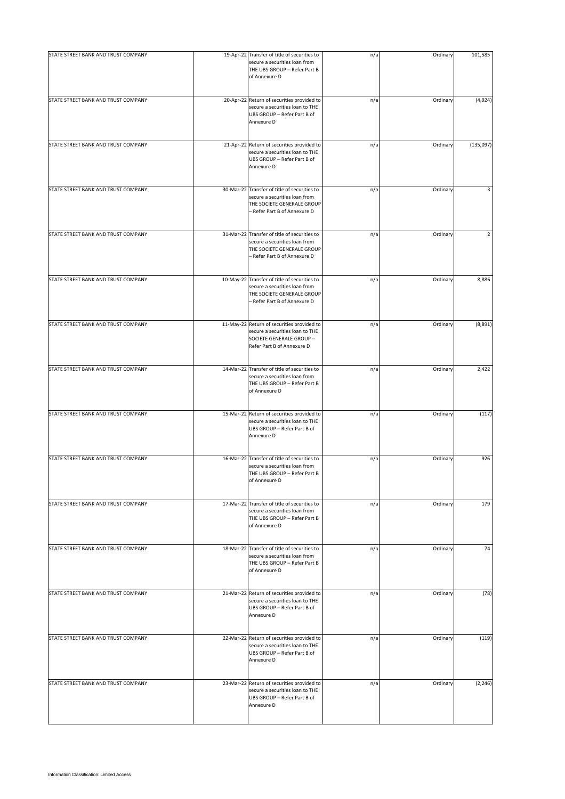| STATE STREET BANK AND TRUST COMPANY | 19-Apr-22 Transfer of title of securities to<br>secure a securities loan from<br>THE UBS GROUP - Refer Part B<br>of Annexure D              | n/a | Ordinary | 101,585        |
|-------------------------------------|---------------------------------------------------------------------------------------------------------------------------------------------|-----|----------|----------------|
| STATE STREET BANK AND TRUST COMPANY | 20-Apr-22 Return of securities provided to<br>secure a securities loan to THE<br>UBS GROUP - Refer Part B of<br>Annexure D                  | n/a | Ordinary | (4,924)        |
| STATE STREET BANK AND TRUST COMPANY | 21-Apr-22 Return of securities provided to<br>secure a securities loan to THE<br>UBS GROUP - Refer Part B of<br>Annexure D                  | n/a | Ordinary | (135,097)      |
| STATE STREET BANK AND TRUST COMPANY | 30-Mar-22 Transfer of title of securities to<br>secure a securities loan from<br>THE SOCIETE GENERALE GROUP<br>- Refer Part B of Annexure D | n/a | Ordinary | 3              |
| STATE STREET BANK AND TRUST COMPANY | 31-Mar-22 Transfer of title of securities to<br>secure a securities loan from<br>THE SOCIETE GENERALE GROUP<br>- Refer Part B of Annexure D | n/a | Ordinary | $\overline{2}$ |
| STATE STREET BANK AND TRUST COMPANY | 10-May-22 Transfer of title of securities to<br>secure a securities loan from<br>THE SOCIETE GENERALE GROUP<br>- Refer Part B of Annexure D | n/a | Ordinary | 8,886          |
| STATE STREET BANK AND TRUST COMPANY | 11-May-22 Return of securities provided to<br>secure a securities loan to THE<br>SOCIETE GENERALE GROUP -<br>Refer Part B of Annexure D     | n/a | Ordinary | (8,891)        |
| STATE STREET BANK AND TRUST COMPANY | 14-Mar-22 Transfer of title of securities to<br>secure a securities loan from<br>THE UBS GROUP - Refer Part B<br>of Annexure D              | n/a | Ordinary | 2,422          |
| STATE STREET BANK AND TRUST COMPANY | 15-Mar-22 Return of securities provided to<br>secure a securities loan to THE<br>UBS GROUP - Refer Part B of<br>Annexure D                  | n/a | Ordinary | (117)          |
| STATE STREET BANK AND TRUST COMPANY | 16-Mar-22 Transfer of title of securities to<br>secure a securities loan from<br>THE UBS GROUP - Refer Part B<br>of Annexure D              | n/a | Ordinary | 926            |
| STATE STREET BANK AND TRUST COMPANY | 17-Mar-22 Transfer of title of securities to<br>secure a securities loan from<br>THE UBS GROUP - Refer Part B<br>of Annexure D              | n/a | Ordinary | 179            |
| STATE STREET BANK AND TRUST COMPANY | 18-Mar-22 Transfer of title of securities to<br>secure a securities loan from<br>THE UBS GROUP - Refer Part B<br>of Annexure D              | n/a | Ordinary | 74             |
| STATE STREET BANK AND TRUST COMPANY | 21-Mar-22 Return of securities provided to<br>secure a securities loan to THE<br>UBS GROUP - Refer Part B of<br>Annexure D                  | n/a | Ordinary | (78)           |
| STATE STREET BANK AND TRUST COMPANY | 22-Mar-22 Return of securities provided to<br>secure a securities loan to THE<br>UBS GROUP - Refer Part B of<br>Annexure D                  | n/a | Ordinary | (119)          |
| STATE STREET BANK AND TRUST COMPANY | 23-Mar-22 Return of securities provided to<br>secure a securities loan to THE<br>UBS GROUP - Refer Part B of<br>Annexure D                  | n/a | Ordinary | (2, 246)       |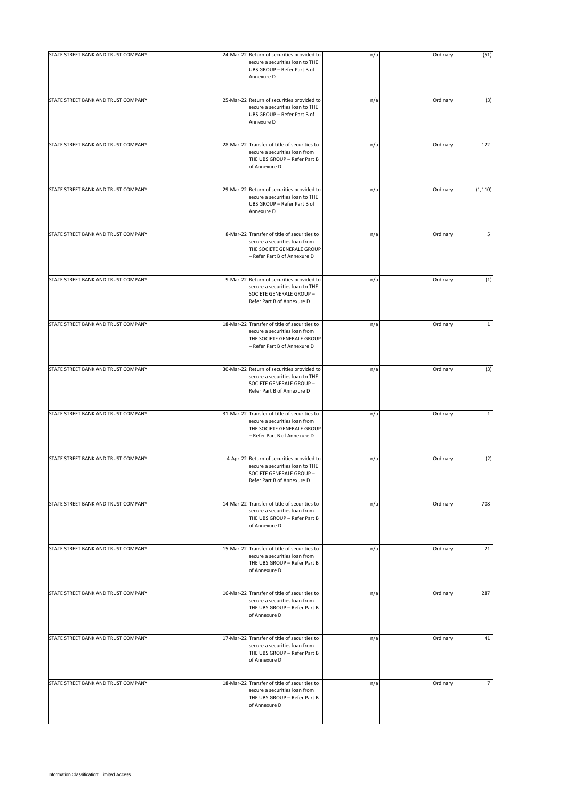| STATE STREET BANK AND TRUST COMPANY | 24-Mar-22 Return of securities provided to                                                                                                  | n/a | Ordinary | (51)           |
|-------------------------------------|---------------------------------------------------------------------------------------------------------------------------------------------|-----|----------|----------------|
|                                     | secure a securities loan to THE<br>UBS GROUP - Refer Part B of<br>Annexure D                                                                |     |          |                |
| STATE STREET BANK AND TRUST COMPANY | 25-Mar-22 Return of securities provided to<br>secure a securities loan to THE<br>UBS GROUP - Refer Part B of<br>Annexure D                  | n/a | Ordinary | (3)            |
| STATE STREET BANK AND TRUST COMPANY | 28-Mar-22 Transfer of title of securities to<br>secure a securities loan from<br>THE UBS GROUP - Refer Part B<br>of Annexure D              | n/a | Ordinary | 122            |
| STATE STREET BANK AND TRUST COMPANY | 29-Mar-22 Return of securities provided to<br>secure a securities loan to THE<br>UBS GROUP - Refer Part B of<br>Annexure D                  | n/a | Ordinary | (1, 110)       |
| STATE STREET BANK AND TRUST COMPANY | 8-Mar-22 Transfer of title of securities to<br>secure a securities loan from<br>THE SOCIETE GENERALE GROUP<br>- Refer Part B of Annexure D  | n/a | Ordinary | 5              |
| STATE STREET BANK AND TRUST COMPANY | 9-Mar-22 Return of securities provided to<br>secure a securities loan to THE<br>SOCIETE GENERALE GROUP -<br>Refer Part B of Annexure D      | n/a | Ordinary | (1)            |
| STATE STREET BANK AND TRUST COMPANY | 18-Mar-22 Transfer of title of securities to<br>secure a securities loan from<br>THE SOCIETE GENERALE GROUP<br>- Refer Part B of Annexure D | n/a | Ordinary | $\mathbf{1}$   |
| STATE STREET BANK AND TRUST COMPANY | 30-Mar-22 Return of securities provided to<br>secure a securities loan to THE<br>SOCIETE GENERALE GROUP -<br>Refer Part B of Annexure D     | n/a | Ordinary | (3)            |
| STATE STREET BANK AND TRUST COMPANY | 31-Mar-22 Transfer of title of securities to<br>secure a securities loan from<br>THE SOCIETE GENERALE GROUP<br>- Refer Part B of Annexure D | n/a | Ordinary | $\mathbf 1$    |
| STATE STREET BANK AND TRUST COMPANY | 4-Apr-22 Return of securities provided to<br>secure a securities loan to THE<br>SOCIETE GENERALE GROUP -<br>Refer Part B of Annexure D      | n/a | Ordinary | (2)            |
| STATE STREET BANK AND TRUST COMPANY | 14-Mar-22 Transfer of title of securities to<br>secure a securities loan from<br>THE UBS GROUP - Refer Part B<br>of Annexure D              | n/a | Ordinary | 708            |
| STATE STREET BANK AND TRUST COMPANY | 15-Mar-22 Transfer of title of securities to<br>secure a securities loan from<br>THE UBS GROUP - Refer Part B<br>of Annexure D              | n/a | Ordinary | 21             |
| STATE STREET BANK AND TRUST COMPANY | 16-Mar-22 Transfer of title of securities to<br>secure a securities loan from<br>THE UBS GROUP - Refer Part B<br>of Annexure D              | n/a | Ordinary | 287            |
| STATE STREET BANK AND TRUST COMPANY | 17-Mar-22 Transfer of title of securities to<br>secure a securities loan from<br>THE UBS GROUP - Refer Part B<br>of Annexure D              | n/a | Ordinary | 41             |
| STATE STREET BANK AND TRUST COMPANY | 18-Mar-22 Transfer of title of securities to<br>secure a securities loan from<br>THE UBS GROUP - Refer Part B<br>of Annexure D              | n/a | Ordinary | $\overline{7}$ |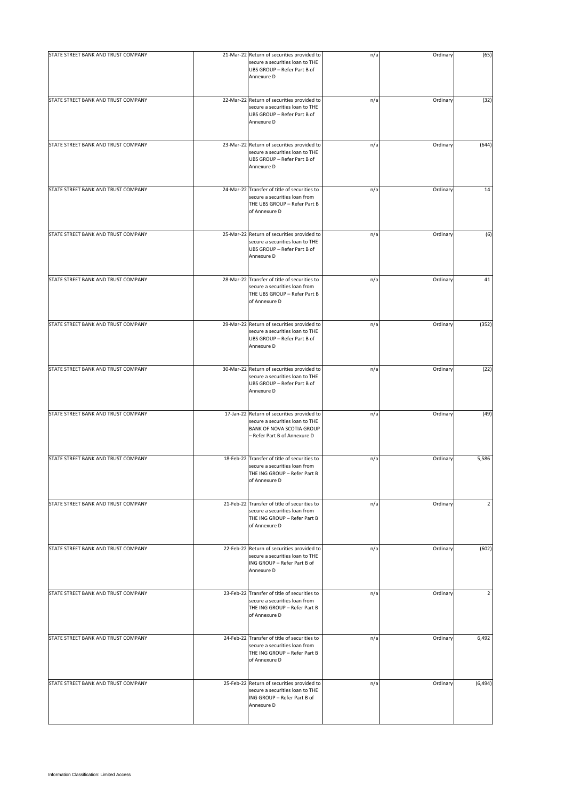| STATE STREET BANK AND TRUST COMPANY | 21-Mar-22 Return of securities provided to<br>secure a securities loan to THE<br>UBS GROUP - Refer Part B of<br>Annexure D                 | n/a | Ordinary | (65)           |
|-------------------------------------|--------------------------------------------------------------------------------------------------------------------------------------------|-----|----------|----------------|
| STATE STREET BANK AND TRUST COMPANY | 22-Mar-22 Return of securities provided to<br>secure a securities loan to THE<br>UBS GROUP - Refer Part B of<br>Annexure D                 | n/a | Ordinary | (32)           |
| STATE STREET BANK AND TRUST COMPANY | 23-Mar-22 Return of securities provided to<br>secure a securities loan to THE<br>UBS GROUP - Refer Part B of<br>Annexure D                 | n/a | Ordinary | (644)          |
| STATE STREET BANK AND TRUST COMPANY | 24-Mar-22 Transfer of title of securities to<br>secure a securities loan from<br>THE UBS GROUP - Refer Part B<br>of Annexure D             | n/a | Ordinary | 14             |
| STATE STREET BANK AND TRUST COMPANY | 25-Mar-22 Return of securities provided to<br>secure a securities loan to THE<br>UBS GROUP - Refer Part B of<br>Annexure D                 | n/a | Ordinary | (6)            |
| STATE STREET BANK AND TRUST COMPANY | 28-Mar-22 Transfer of title of securities to<br>secure a securities loan from<br>THE UBS GROUP - Refer Part B<br>of Annexure D             | n/a | Ordinary | 41             |
| STATE STREET BANK AND TRUST COMPANY | 29-Mar-22 Return of securities provided to<br>secure a securities loan to THE<br>UBS GROUP - Refer Part B of<br>Annexure D                 | n/a | Ordinary | (352)          |
| STATE STREET BANK AND TRUST COMPANY | 30-Mar-22 Return of securities provided to<br>secure a securities loan to THE<br>UBS GROUP - Refer Part B of<br>Annexure D                 | n/a | Ordinary | (22)           |
| STATE STREET BANK AND TRUST COMPANY | 17-Jan-22 Return of securities provided to<br>secure a securities loan to THE<br>BANK OF NOVA SCOTIA GROUP<br>- Refer Part B of Annexure D | n/a | Ordinary | (49)           |
| STATE STREET BANK AND TRUST COMPANY | 18-Feb-22 Transfer of title of securities to<br>secure a securities loan from<br>THE ING GROUP - Refer Part B<br>of Annexure D             | n/a | Ordinary | 5,586          |
| STATE STREET BANK AND TRUST COMPANY | 21-Feb-22 Transfer of title of securities to<br>secure a securities loan from<br>THE ING GROUP - Refer Part B<br>of Annexure D             | n/a | Ordinary | $\overline{2}$ |
| STATE STREET BANK AND TRUST COMPANY | 22-Feb-22 Return of securities provided to<br>secure a securities loan to THE<br>ING GROUP - Refer Part B of<br>Annexure D                 | n/a | Ordinary | (602)          |
| STATE STREET BANK AND TRUST COMPANY | 23-Feb-22 Transfer of title of securities to<br>secure a securities loan from<br>THE ING GROUP - Refer Part B<br>of Annexure D             | n/a | Ordinary | $\overline{2}$ |
| STATE STREET BANK AND TRUST COMPANY | 24-Feb-22 Transfer of title of securities to<br>secure a securities loan from<br>THE ING GROUP - Refer Part B<br>of Annexure D             | n/a | Ordinary | 6,492          |
| STATE STREET BANK AND TRUST COMPANY | 25-Feb-22 Return of securities provided to<br>secure a securities loan to THE<br>ING GROUP - Refer Part B of<br>Annexure D                 | n/a | Ordinary | (6, 494)       |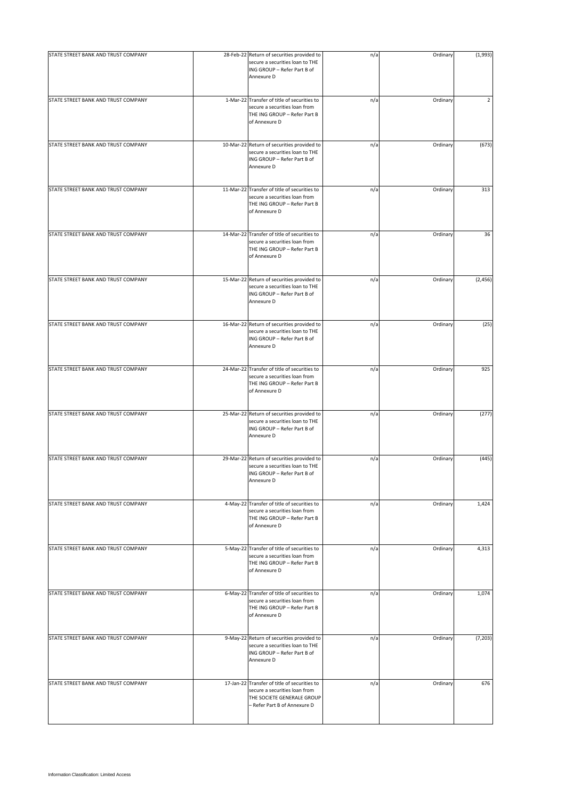| STATE STREET BANK AND TRUST COMPANY | 28-Feb-22 Return of securities provided to<br>secure a securities loan to THE<br>ING GROUP - Refer Part B of<br>Annexure D                  | n/a | Ordinary | (1,993)        |
|-------------------------------------|---------------------------------------------------------------------------------------------------------------------------------------------|-----|----------|----------------|
| STATE STREET BANK AND TRUST COMPANY | 1-Mar-22 Transfer of title of securities to<br>secure a securities loan from<br>THE ING GROUP - Refer Part B<br>of Annexure D               | n/a | Ordinary | $\overline{2}$ |
| STATE STREET BANK AND TRUST COMPANY | 10-Mar-22 Return of securities provided to<br>secure a securities loan to THE<br>ING GROUP - Refer Part B of<br>Annexure D                  | n/a | Ordinary | (673)          |
| STATE STREET BANK AND TRUST COMPANY | 11-Mar-22 Transfer of title of securities to<br>secure a securities loan from<br>THE ING GROUP - Refer Part B<br>of Annexure D              | n/a | Ordinary | 313            |
| STATE STREET BANK AND TRUST COMPANY | 14-Mar-22 Transfer of title of securities to<br>secure a securities loan from<br>THE ING GROUP - Refer Part B<br>of Annexure D              | n/a | Ordinary | 36             |
| STATE STREET BANK AND TRUST COMPANY | 15-Mar-22 Return of securities provided to<br>secure a securities loan to THE<br>ING GROUP - Refer Part B of<br>Annexure D                  | n/a | Ordinary | (2, 456)       |
| STATE STREET BANK AND TRUST COMPANY | 16-Mar-22 Return of securities provided to<br>secure a securities loan to THE<br>ING GROUP - Refer Part B of<br>Annexure D                  | n/a | Ordinary | (25)           |
| STATE STREET BANK AND TRUST COMPANY | 24-Mar-22 Transfer of title of securities to<br>secure a securities loan from<br>THE ING GROUP - Refer Part B<br>of Annexure D              | n/a | Ordinary | 925            |
| STATE STREET BANK AND TRUST COMPANY | 25-Mar-22 Return of securities provided to<br>secure a securities loan to THE<br>ING GROUP - Refer Part B of<br>Annexure D                  | n/a | Ordinary | (277)          |
| STATE STREET BANK AND TRUST COMPANY | 29-Mar-22 Return of securities provided to<br>secure a securities loan to THE<br>ING GROUP - Refer Part B of<br>Annexure D                  | n/a | Ordinary | (445)          |
| STATE STREET BANK AND TRUST COMPANY | 4-May-22 Transfer of title of securities to<br>secure a securities loan from<br>THE ING GROUP - Refer Part B<br>of Annexure D               | n/a | Ordinary | 1,424          |
| STATE STREET BANK AND TRUST COMPANY | 5-May-22 Transfer of title of securities to<br>secure a securities loan from<br>THE ING GROUP - Refer Part B<br>of Annexure D               | n/a | Ordinary | 4,313          |
| STATE STREET BANK AND TRUST COMPANY | 6-May-22 Transfer of title of securities to<br>secure a securities loan from<br>THE ING GROUP - Refer Part B<br>of Annexure D               | n/a | Ordinary | 1,074          |
| STATE STREET BANK AND TRUST COMPANY | 9-May-22 Return of securities provided to<br>secure a securities loan to THE<br>ING GROUP - Refer Part B of<br>Annexure D                   | n/a | Ordinary | (7, 203)       |
| STATE STREET BANK AND TRUST COMPANY | 17-Jan-22 Transfer of title of securities to<br>secure a securities loan from<br>THE SOCIETE GENERALE GROUP<br>- Refer Part B of Annexure D | n/a | Ordinary | 676            |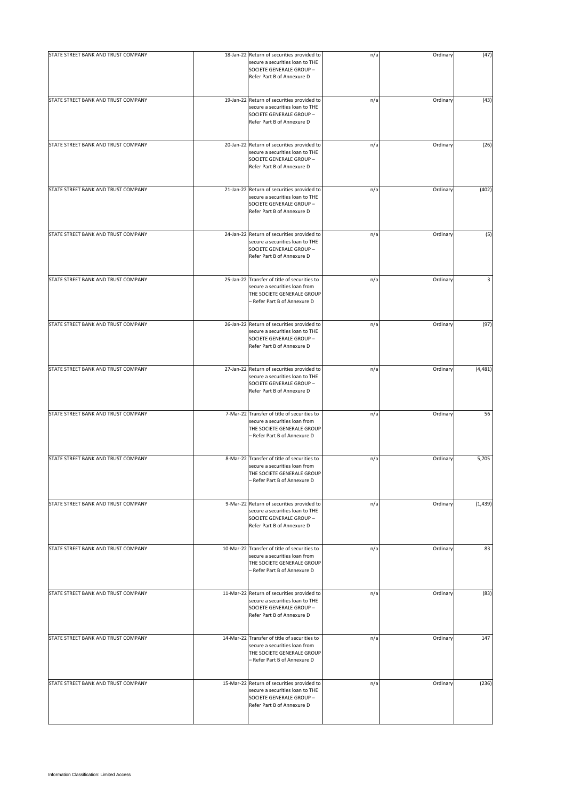| STATE STREET BANK AND TRUST COMPANY | 18-Jan-22 Return of securities provided to<br>secure a securities loan to THE<br>SOCIETE GENERALE GROUP -<br>Refer Part B of Annexure D     | n/a | Ordinary | (47)     |
|-------------------------------------|---------------------------------------------------------------------------------------------------------------------------------------------|-----|----------|----------|
| STATE STREET BANK AND TRUST COMPANY | 19-Jan-22 Return of securities provided to<br>secure a securities loan to THE<br>SOCIETE GENERALE GROUP -<br>Refer Part B of Annexure D     | n/a | Ordinary | (43)     |
| STATE STREET BANK AND TRUST COMPANY | 20-Jan-22 Return of securities provided to<br>secure a securities loan to THE<br>SOCIETE GENERALE GROUP -<br>Refer Part B of Annexure D     | n/a | Ordinary | (26)     |
| STATE STREET BANK AND TRUST COMPANY | 21-Jan-22 Return of securities provided to<br>secure a securities loan to THE<br>SOCIETE GENERALE GROUP -<br>Refer Part B of Annexure D     | n/a | Ordinary | (402)    |
| STATE STREET BANK AND TRUST COMPANY | 24-Jan-22 Return of securities provided to<br>secure a securities loan to THE<br>SOCIETE GENERALE GROUP -<br>Refer Part B of Annexure D     | n/a | Ordinary | (5)      |
| STATE STREET BANK AND TRUST COMPANY | 25-Jan-22 Transfer of title of securities to<br>secure a securities loan from<br>THE SOCIETE GENERALE GROUP<br>- Refer Part B of Annexure D | n/a | Ordinary | 3        |
| STATE STREET BANK AND TRUST COMPANY | 26-Jan-22 Return of securities provided to<br>secure a securities loan to THE<br>SOCIETE GENERALE GROUP -<br>Refer Part B of Annexure D     | n/a | Ordinary | (97)     |
| STATE STREET BANK AND TRUST COMPANY | 27-Jan-22 Return of securities provided to<br>secure a securities loan to THE<br>SOCIETE GENERALE GROUP -<br>Refer Part B of Annexure D     | n/a | Ordinary | (4, 481) |
| STATE STREET BANK AND TRUST COMPANY | 7-Mar-22 Transfer of title of securities to<br>secure a securities loan from<br>THE SOCIETE GENERALE GROUP<br>- Refer Part B of Annexure D  | n/a | Ordinary | 56       |
| STATE STREET BANK AND TRUST COMPANY | 8-Mar-22 Transfer of title of securities to<br>secure a securities loan from<br>THE SOCIETE GENERALE GROUP<br>- Refer Part B of Annexure D  | n/a | Ordinary | 5,705    |
| STATE STREET BANK AND TRUST COMPANY | 9-Mar-22 Return of securities provided to<br>secure a securities loan to THE<br>SOCIETE GENERALE GROUP -<br>Refer Part B of Annexure D      | n/a | Ordinary | (1, 439) |
| STATE STREET BANK AND TRUST COMPANY | 10-Mar-22 Transfer of title of securities to<br>secure a securities loan from<br>THE SOCIETE GENERALE GROUP<br>- Refer Part B of Annexure D | n/a | Ordinary | 83       |
| STATE STREET BANK AND TRUST COMPANY | 11-Mar-22 Return of securities provided to<br>secure a securities loan to THE<br>SOCIETE GENERALE GROUP -<br>Refer Part B of Annexure D     | n/a | Ordinary | (83)     |
| STATE STREET BANK AND TRUST COMPANY | 14-Mar-22 Transfer of title of securities to<br>secure a securities loan from<br>THE SOCIETE GENERALE GROUP<br>- Refer Part B of Annexure D | n/a | Ordinary | 147      |
| STATE STREET BANK AND TRUST COMPANY | 15-Mar-22 Return of securities provided to<br>secure a securities loan to THE<br>SOCIETE GENERALE GROUP -<br>Refer Part B of Annexure D     | n/a | Ordinary | (236)    |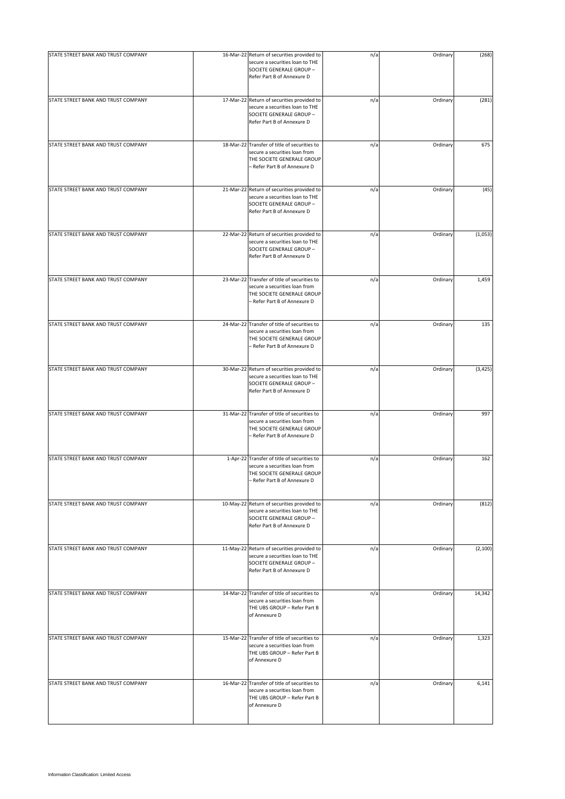| STATE STREET BANK AND TRUST COMPANY | 16-Mar-22 Return of securities provided to<br>secure a securities loan to THE<br>SOCIETE GENERALE GROUP -<br>Refer Part B of Annexure D     | n/a | Ordinary | (268)    |
|-------------------------------------|---------------------------------------------------------------------------------------------------------------------------------------------|-----|----------|----------|
| STATE STREET BANK AND TRUST COMPANY | 17-Mar-22 Return of securities provided to<br>secure a securities loan to THE<br>SOCIETE GENERALE GROUP -<br>Refer Part B of Annexure D     | n/a | Ordinary | (281)    |
| STATE STREET BANK AND TRUST COMPANY | 18-Mar-22 Transfer of title of securities to<br>secure a securities loan from<br>THE SOCIETE GENERALE GROUP<br>- Refer Part B of Annexure D | n/a | Ordinary | 675      |
| STATE STREET BANK AND TRUST COMPANY | 21-Mar-22 Return of securities provided to<br>secure a securities loan to THE<br>SOCIETE GENERALE GROUP -<br>Refer Part B of Annexure D     | n/a | Ordinary | (45)     |
| STATE STREET BANK AND TRUST COMPANY | 22-Mar-22 Return of securities provided to<br>secure a securities loan to THE<br>SOCIETE GENERALE GROUP -<br>Refer Part B of Annexure D     | n/a | Ordinary | (1,053)  |
| STATE STREET BANK AND TRUST COMPANY | 23-Mar-22 Transfer of title of securities to<br>secure a securities loan from<br>THE SOCIETE GENERALE GROUP<br>- Refer Part B of Annexure D | n/a | Ordinary | 1,459    |
| STATE STREET BANK AND TRUST COMPANY | 24-Mar-22 Transfer of title of securities to<br>secure a securities loan from<br>THE SOCIETE GENERALE GROUP<br>- Refer Part B of Annexure D | n/a | Ordinary | 135      |
| STATE STREET BANK AND TRUST COMPANY | 30-Mar-22 Return of securities provided to<br>secure a securities loan to THE<br>SOCIETE GENERALE GROUP -<br>Refer Part B of Annexure D     | n/a | Ordinary | (3, 425) |
| STATE STREET BANK AND TRUST COMPANY | 31-Mar-22 Transfer of title of securities to<br>secure a securities loan from<br>THE SOCIETE GENERALE GROUP<br>- Refer Part B of Annexure D | n/a | Ordinary | 997      |
| STATE STREET BANK AND TRUST COMPANY | 1-Apr-22 Transfer of title of securities to<br>secure a securities loan from<br>THE SOCIETE GENERALE GROUP<br>- Refer Part B of Annexure D  | n/a | Ordinary | 162      |
| STATE STREET BANK AND TRUST COMPANY | 10-May-22 Return of securities provided to<br>secure a securities loan to THE<br>SOCIETE GENERALE GROUP -<br>Refer Part B of Annexure D     | n/a | Ordinary | (812)    |
| STATE STREET BANK AND TRUST COMPANY | 11-May-22 Return of securities provided to<br>secure a securities loan to THE<br>SOCIETE GENERALE GROUP -<br>Refer Part B of Annexure D     | n/a | Ordinary | (2, 100) |
| STATE STREET BANK AND TRUST COMPANY | 14-Mar-22 Transfer of title of securities to<br>secure a securities loan from<br>THE UBS GROUP - Refer Part B<br>of Annexure D              | n/a | Ordinary | 14,342   |
| STATE STREET BANK AND TRUST COMPANY | 15-Mar-22 Transfer of title of securities to<br>secure a securities loan from<br>THE UBS GROUP - Refer Part B<br>of Annexure D              | n/a | Ordinary | 1,323    |
| STATE STREET BANK AND TRUST COMPANY | 16-Mar-22 Transfer of title of securities to<br>secure a securities loan from<br>THE UBS GROUP - Refer Part B<br>of Annexure D              | n/a | Ordinary | 6,141    |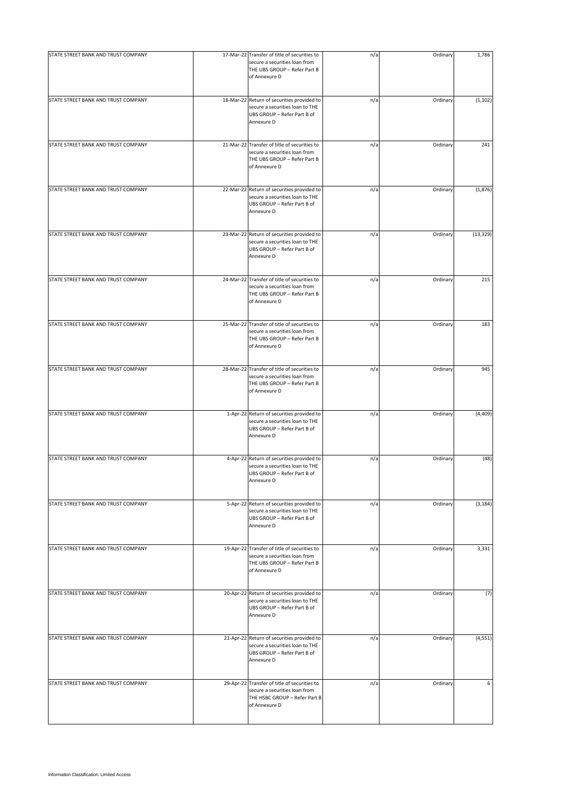| STATE STREET BANK AND TRUST COMPANY | 17-Mar-22 Transfer of title of securities to<br>secure a securities loan from<br>THE UBS GROUP - Refer Part B<br>of Annexure D  | n/a | Ordinary | 1,786     |
|-------------------------------------|---------------------------------------------------------------------------------------------------------------------------------|-----|----------|-----------|
| STATE STREET BANK AND TRUST COMPANY | 18-Mar-22 Return of securities provided to<br>secure a securities loan to THE<br>UBS GROUP - Refer Part B of<br>Annexure D      | n/a | Ordinary | (1, 102)  |
| STATE STREET BANK AND TRUST COMPANY | 21-Mar-22 Transfer of title of securities to<br>secure a securities loan from<br>THE UBS GROUP - Refer Part B<br>of Annexure D  | n/a | Ordinary | 241       |
| STATE STREET BANK AND TRUST COMPANY | 22-Mar-22 Return of securities provided to<br>secure a securities loan to THE<br>UBS GROUP - Refer Part B of<br>Annexure D      | n/a | Ordinary | (1,876)   |
| STATE STREET BANK AND TRUST COMPANY | 23-Mar-22 Return of securities provided to<br>secure a securities loan to THE<br>UBS GROUP - Refer Part B of<br>Annexure D      | n/a | Ordinary | (13, 329) |
| STATE STREET BANK AND TRUST COMPANY | 24-Mar-22 Transfer of title of securities to<br>secure a securities loan from<br>THE UBS GROUP - Refer Part B<br>of Annexure D  | n/a | Ordinary | 215       |
| STATE STREET BANK AND TRUST COMPANY | 25-Mar-22 Transfer of title of securities to<br>secure a securities loan from<br>THE UBS GROUP - Refer Part B<br>of Annexure D  | n/a | Ordinary | 183       |
| STATE STREET BANK AND TRUST COMPANY | 28-Mar-22 Transfer of title of securities to<br>secure a securities loan from<br>THE UBS GROUP - Refer Part B<br>of Annexure D  | n/a | Ordinary | 945       |
| STATE STREET BANK AND TRUST COMPANY | 1-Apr-22 Return of securities provided to<br>secure a securities loan to THE<br>UBS GROUP - Refer Part B of<br>Annexure D       | n/a | Ordinary | (4, 409)  |
| STATE STREET BANK AND TRUST COMPANY | 4-Apr-22 Return of securities provided to<br>secure a securities loan to THE<br>UBS GROUP - Refer Part B of<br>Annexure D       | n/a | Ordinary | (48)      |
| STATE STREET BANK AND TRUST COMPANY | 5-Apr-22 Return of securities provided to<br>secure a securities loan to THE<br>UBS GROUP - Refer Part B of<br>Annexure D       | n/a | Ordinary | (3, 184)  |
| STATE STREET BANK AND TRUST COMPANY | 19-Apr-22 Transfer of title of securities to<br>secure a securities loan from<br>THE UBS GROUP - Refer Part B<br>of Annexure D  | n/a | Ordinary | 3,331     |
| STATE STREET BANK AND TRUST COMPANY | 20-Apr-22 Return of securities provided to<br>secure a securities loan to THE<br>UBS GROUP - Refer Part B of<br>Annexure D      | n/a | Ordinary | (7)       |
| STATE STREET BANK AND TRUST COMPANY | 21-Apr-22 Return of securities provided to<br>secure a securities loan to THE<br>UBS GROUP - Refer Part B of<br>Annexure D      | n/a | Ordinary | (4, 551)  |
| STATE STREET BANK AND TRUST COMPANY | 29-Apr-22 Transfer of title of securities to<br>secure a securities loan from<br>THE HSBC GROUP - Refer Part B<br>of Annexure D | n/a | Ordinary | 6         |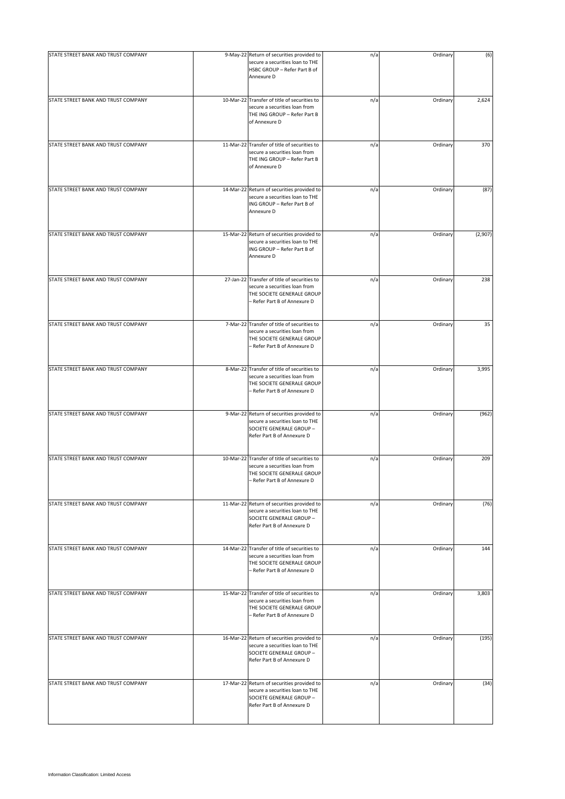| STATE STREET BANK AND TRUST COMPANY | 9-May-22 Return of securities provided to                                                                                                   | n/a | Ordinary | (6)     |
|-------------------------------------|---------------------------------------------------------------------------------------------------------------------------------------------|-----|----------|---------|
|                                     | secure a securities loan to THE<br>HSBC GROUP - Refer Part B of<br>Annexure D                                                               |     |          |         |
| STATE STREET BANK AND TRUST COMPANY | 10-Mar-22 Transfer of title of securities to<br>secure a securities loan from<br>THE ING GROUP - Refer Part B<br>of Annexure D              | n/a | Ordinary | 2,624   |
| STATE STREET BANK AND TRUST COMPANY | 11-Mar-22 Transfer of title of securities to<br>secure a securities loan from<br>THE ING GROUP - Refer Part B<br>of Annexure D              | n/a | Ordinary | 370     |
| STATE STREET BANK AND TRUST COMPANY | 14-Mar-22 Return of securities provided to<br>secure a securities loan to THE<br>ING GROUP - Refer Part B of<br>Annexure D                  | n/a | Ordinary | (87)    |
| STATE STREET BANK AND TRUST COMPANY | 15-Mar-22 Return of securities provided to<br>secure a securities loan to THE<br>ING GROUP - Refer Part B of<br>Annexure D                  | n/a | Ordinary | (2,907) |
| STATE STREET BANK AND TRUST COMPANY | 27-Jan-22 Transfer of title of securities to<br>secure a securities loan from<br>THE SOCIETE GENERALE GROUP<br>- Refer Part B of Annexure D | n/a | Ordinary | 238     |
| STATE STREET BANK AND TRUST COMPANY | 7-Mar-22 Transfer of title of securities to<br>secure a securities loan from<br>THE SOCIETE GENERALE GROUP<br>- Refer Part B of Annexure D  | n/a | Ordinary | 35      |
| STATE STREET BANK AND TRUST COMPANY | 8-Mar-22 Transfer of title of securities to<br>secure a securities loan from<br>THE SOCIETE GENERALE GROUP<br>- Refer Part B of Annexure D  | n/a | Ordinary | 3,995   |
| STATE STREET BANK AND TRUST COMPANY | 9-Mar-22 Return of securities provided to<br>secure a securities loan to THE<br>SOCIETE GENERALE GROUP -<br>Refer Part B of Annexure D      | n/a | Ordinary | (962)   |
| STATE STREET BANK AND TRUST COMPANY | 10-Mar-22 Transfer of title of securities to<br>secure a securities loan from<br>THE SOCIETE GENERALE GROUP<br>Refer Part B of Annexure D   | n/a | Ordinary | 209     |
| STATE STREET BANK AND TRUST COMPANY | 11-Mar-22 Return of securities provided to<br>secure a securities loan to THE<br>SOCIETE GENERALE GROUP -<br>Refer Part B of Annexure D     | n/a | Ordinary | (76)    |
| STATE STREET BANK AND TRUST COMPANY | 14-Mar-22 Transfer of title of securities to<br>secure a securities loan from<br>THE SOCIETE GENERALE GROUP<br>- Refer Part B of Annexure D | n/a | Ordinary | 144     |
| STATE STREET BANK AND TRUST COMPANY | 15-Mar-22 Transfer of title of securities to<br>secure a securities loan from<br>THE SOCIETE GENERALE GROUP<br>- Refer Part B of Annexure D | n/a | Ordinary | 3,803   |
| STATE STREET BANK AND TRUST COMPANY | 16-Mar-22 Return of securities provided to<br>secure a securities loan to THE<br>SOCIETE GENERALE GROUP -<br>Refer Part B of Annexure D     | n/a | Ordinary | (195)   |
| STATE STREET BANK AND TRUST COMPANY | 17-Mar-22 Return of securities provided to<br>secure a securities loan to THE<br>SOCIETE GENERALE GROUP -<br>Refer Part B of Annexure D     | n/a | Ordinary | (34)    |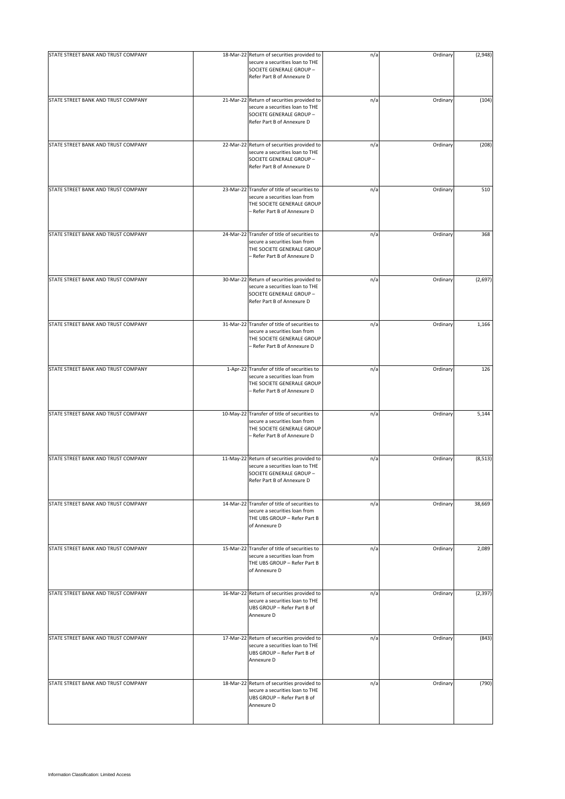| STATE STREET BANK AND TRUST COMPANY | 18-Mar-22 Return of securities provided to<br>secure a securities loan to THE<br>SOCIETE GENERALE GROUP -<br>Refer Part B of Annexure D     | n/a | Ordinary | (2,948)  |
|-------------------------------------|---------------------------------------------------------------------------------------------------------------------------------------------|-----|----------|----------|
| STATE STREET BANK AND TRUST COMPANY | 21-Mar-22 Return of securities provided to<br>secure a securities loan to THE<br>SOCIETE GENERALE GROUP -<br>Refer Part B of Annexure D     | n/a | Ordinary | (104)    |
| STATE STREET BANK AND TRUST COMPANY | 22-Mar-22 Return of securities provided to<br>secure a securities loan to THE<br>SOCIETE GENERALE GROUP -<br>Refer Part B of Annexure D     | n/a | Ordinary | (208)    |
| STATE STREET BANK AND TRUST COMPANY | 23-Mar-22 Transfer of title of securities to<br>secure a securities loan from<br>THE SOCIETE GENERALE GROUP<br>- Refer Part B of Annexure D | n/a | Ordinary | 510      |
| STATE STREET BANK AND TRUST COMPANY | 24-Mar-22 Transfer of title of securities to<br>secure a securities loan from<br>THE SOCIETE GENERALE GROUP<br>- Refer Part B of Annexure D | n/a | Ordinary | 368      |
| STATE STREET BANK AND TRUST COMPANY | 30-Mar-22 Return of securities provided to<br>secure a securities loan to THE<br>SOCIETE GENERALE GROUP -<br>Refer Part B of Annexure D     | n/a | Ordinary | (2,697)  |
| STATE STREET BANK AND TRUST COMPANY | 31-Mar-22 Transfer of title of securities to<br>secure a securities loan from<br>THE SOCIETE GENERALE GROUP<br>- Refer Part B of Annexure D | n/a | Ordinary | 1,166    |
| STATE STREET BANK AND TRUST COMPANY | 1-Apr-22 Transfer of title of securities to<br>secure a securities loan from<br>THE SOCIETE GENERALE GROUP<br>- Refer Part B of Annexure D  | n/a | Ordinary | 126      |
| STATE STREET BANK AND TRUST COMPANY | 10-May-22 Transfer of title of securities to<br>secure a securities loan from<br>THE SOCIETE GENERALE GROUP<br>- Refer Part B of Annexure D | n/a | Ordinary | 5,144    |
| STATE STREET BANK AND TRUST COMPANY | 11-May-22 Return of securities provided to<br>secure a securities loan to THE<br>SOCIETE GENERALE GROUP -<br>Refer Part B of Annexure D     | n/a | Ordinary | (8, 513) |
| STATE STREET BANK AND TRUST COMPANY | 14-Mar-22 Transfer of title of securities to<br>secure a securities loan from<br>THE UBS GROUP - Refer Part B<br>of Annexure D              | n/a | Ordinary | 38,669   |
| STATE STREET BANK AND TRUST COMPANY | 15-Mar-22 Transfer of title of securities to<br>secure a securities loan from<br>THE UBS GROUP - Refer Part B<br>of Annexure D              | n/a | Ordinary | 2,089    |
| STATE STREET BANK AND TRUST COMPANY | 16-Mar-22 Return of securities provided to<br>secure a securities loan to THE<br>UBS GROUP - Refer Part B of<br>Annexure D                  | n/a | Ordinary | (2, 397) |
| STATE STREET BANK AND TRUST COMPANY | 17-Mar-22 Return of securities provided to<br>secure a securities loan to THE<br>UBS GROUP - Refer Part B of<br>Annexure D                  | n/a | Ordinary | (843)    |
| STATE STREET BANK AND TRUST COMPANY | 18-Mar-22 Return of securities provided to<br>secure a securities loan to THE<br>UBS GROUP - Refer Part B of<br>Annexure D                  | n/a | Ordinary | (790)    |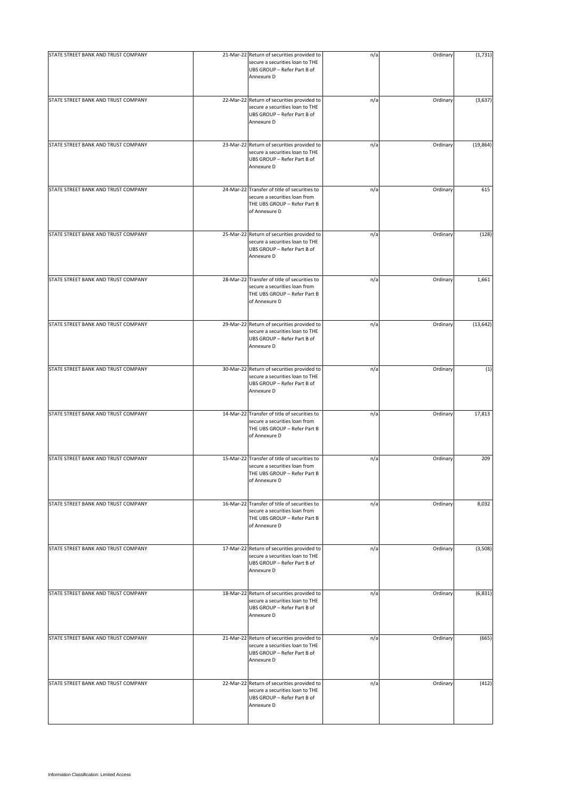| STATE STREET BANK AND TRUST COMPANY | 21-Mar-22 Return of securities provided to                                                                                     | n/a | Ordinary | (1,731)   |
|-------------------------------------|--------------------------------------------------------------------------------------------------------------------------------|-----|----------|-----------|
|                                     | secure a securities loan to THE<br>UBS GROUP - Refer Part B of<br>Annexure D                                                   |     |          |           |
| STATE STREET BANK AND TRUST COMPANY | 22-Mar-22 Return of securities provided to<br>secure a securities loan to THE<br>UBS GROUP - Refer Part B of<br>Annexure D     | n/a | Ordinary | (3,637)   |
| STATE STREET BANK AND TRUST COMPANY | 23-Mar-22 Return of securities provided to<br>secure a securities loan to THE<br>UBS GROUP - Refer Part B of<br>Annexure D     | n/a | Ordinary | (19, 864) |
| STATE STREET BANK AND TRUST COMPANY | 24-Mar-22 Transfer of title of securities to<br>secure a securities loan from<br>THE UBS GROUP - Refer Part B<br>of Annexure D | n/a | Ordinary | 615       |
| STATE STREET BANK AND TRUST COMPANY | 25-Mar-22 Return of securities provided to<br>secure a securities loan to THE<br>UBS GROUP - Refer Part B of<br>Annexure D     | n/a | Ordinary | (128)     |
| STATE STREET BANK AND TRUST COMPANY | 28-Mar-22 Transfer of title of securities to<br>secure a securities loan from<br>THE UBS GROUP - Refer Part B<br>of Annexure D | n/a | Ordinary | 1,661     |
| STATE STREET BANK AND TRUST COMPANY | 29-Mar-22 Return of securities provided to<br>secure a securities loan to THE<br>UBS GROUP - Refer Part B of<br>Annexure D     | n/a | Ordinary | (13, 642) |
| STATE STREET BANK AND TRUST COMPANY | 30-Mar-22 Return of securities provided to<br>secure a securities loan to THE<br>UBS GROUP - Refer Part B of<br>Annexure D     | n/a | Ordinary | (1)       |
| STATE STREET BANK AND TRUST COMPANY | 14-Mar-22 Transfer of title of securities to<br>secure a securities loan from<br>THE UBS GROUP - Refer Part B<br>of Annexure D | n/a | Ordinary | 17,813    |
| STATE STREET BANK AND TRUST COMPANY | 15-Mar-22 Transfer of title of securities to<br>secure a securities loan from<br>THE UBS GROUP - Refer Part B<br>of Annexure D | n/a | Ordinary | 209       |
| STATE STREET BANK AND TRUST COMPANY | 16-Mar-22 Transfer of title of securities to<br>secure a securities loan from<br>THE UBS GROUP - Refer Part B<br>of Annexure D | n/a | Ordinary | 8,032     |
| STATE STREET BANK AND TRUST COMPANY | 17-Mar-22 Return of securities provided to<br>secure a securities loan to THE<br>UBS GROUP - Refer Part B of<br>Annexure D     | n/a | Ordinary | (3,508)   |
| STATE STREET BANK AND TRUST COMPANY | 18-Mar-22 Return of securities provided to<br>secure a securities loan to THE<br>UBS GROUP - Refer Part B of<br>Annexure D     | n/a | Ordinary | (6, 831)  |
| STATE STREET BANK AND TRUST COMPANY | 21-Mar-22 Return of securities provided to<br>secure a securities loan to THE<br>UBS GROUP - Refer Part B of<br>Annexure D     | n/a | Ordinary | (665)     |
| STATE STREET BANK AND TRUST COMPANY | 22-Mar-22 Return of securities provided to<br>secure a securities loan to THE<br>UBS GROUP - Refer Part B of<br>Annexure D     | n/a | Ordinary | (412)     |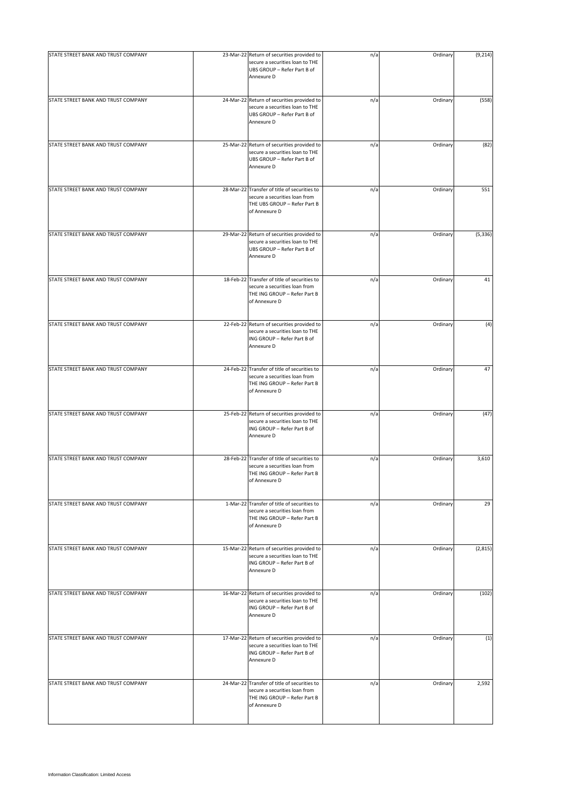| STATE STREET BANK AND TRUST COMPANY | 23-Mar-22 Return of securities provided to<br>secure a securities loan to THE<br>UBS GROUP - Refer Part B of<br>Annexure D     | n/a | Ordinary | (9, 214) |
|-------------------------------------|--------------------------------------------------------------------------------------------------------------------------------|-----|----------|----------|
| STATE STREET BANK AND TRUST COMPANY | 24-Mar-22 Return of securities provided to<br>secure a securities loan to THE<br>UBS GROUP - Refer Part B of<br>Annexure D     | n/a | Ordinary | (558)    |
| STATE STREET BANK AND TRUST COMPANY | 25-Mar-22 Return of securities provided to<br>secure a securities loan to THE<br>UBS GROUP - Refer Part B of<br>Annexure D     | n/a | Ordinary | (82)     |
| STATE STREET BANK AND TRUST COMPANY | 28-Mar-22 Transfer of title of securities to<br>secure a securities loan from<br>THE UBS GROUP - Refer Part B<br>of Annexure D | n/a | Ordinary | 551      |
| STATE STREET BANK AND TRUST COMPANY | 29-Mar-22 Return of securities provided to<br>secure a securities loan to THE<br>UBS GROUP - Refer Part B of<br>Annexure D     | n/a | Ordinary | (5, 336) |
| STATE STREET BANK AND TRUST COMPANY | 18-Feb-22 Transfer of title of securities to<br>secure a securities loan from<br>THE ING GROUP - Refer Part B<br>of Annexure D | n/a | Ordinary | 41       |
| STATE STREET BANK AND TRUST COMPANY | 22-Feb-22 Return of securities provided to<br>secure a securities loan to THE<br>ING GROUP - Refer Part B of<br>Annexure D     | n/a | Ordinary | (4)      |
| STATE STREET BANK AND TRUST COMPANY | 24-Feb-22 Transfer of title of securities to<br>secure a securities loan from<br>THE ING GROUP - Refer Part B<br>of Annexure D | n/a | Ordinary | 47       |
| STATE STREET BANK AND TRUST COMPANY | 25-Feb-22 Return of securities provided to<br>secure a securities loan to THE<br>ING GROUP - Refer Part B of<br>Annexure D     | n/a | Ordinary | (47)     |
| STATE STREET BANK AND TRUST COMPANY | 28-Feb-22 Transfer of title of securities to<br>secure a securities loan from<br>THE ING GROUP - Refer Part B<br>of Annexure D | n/a | Ordinary | 3,610    |
| STATE STREET BANK AND TRUST COMPANY | 1-Mar-22 Transfer of title of securities to<br>secure a securities loan from<br>THE ING GROUP - Refer Part B<br>of Annexure D  | n/a | Ordinary | 29       |
| STATE STREET BANK AND TRUST COMPANY | 15-Mar-22 Return of securities provided to<br>secure a securities loan to THE<br>ING GROUP - Refer Part B of<br>Annexure D     | n/a | Ordinary | (2,815)  |
| STATE STREET BANK AND TRUST COMPANY | 16-Mar-22 Return of securities provided to<br>secure a securities loan to THE<br>ING GROUP - Refer Part B of<br>Annexure D     | n/a | Ordinary | (102)    |
| STATE STREET BANK AND TRUST COMPANY | 17-Mar-22 Return of securities provided to<br>secure a securities loan to THE<br>ING GROUP - Refer Part B of<br>Annexure D     | n/a | Ordinary | (1)      |
| STATE STREET BANK AND TRUST COMPANY | 24-Mar-22 Transfer of title of securities to<br>secure a securities loan from<br>THE ING GROUP - Refer Part B<br>of Annexure D | n/a | Ordinary | 2,592    |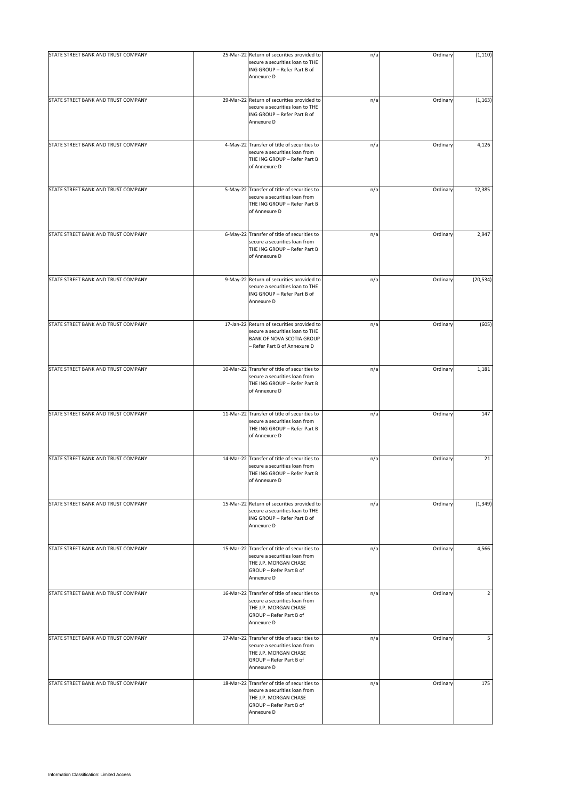| STATE STREET BANK AND TRUST COMPANY | 25-Mar-22 Return of securities provided to                                                                                                      | n/a | Ordinary | (1, 110)  |
|-------------------------------------|-------------------------------------------------------------------------------------------------------------------------------------------------|-----|----------|-----------|
|                                     | secure a securities loan to THE<br>ING GROUP - Refer Part B of<br>Annexure D                                                                    |     |          |           |
| STATE STREET BANK AND TRUST COMPANY | 29-Mar-22 Return of securities provided to<br>secure a securities loan to THE<br>ING GROUP - Refer Part B of<br>Annexure D                      | n/a | Ordinary | (1, 163)  |
| STATE STREET BANK AND TRUST COMPANY | 4-May-22 Transfer of title of securities to<br>secure a securities loan from<br>THE ING GROUP - Refer Part B<br>of Annexure D                   | n/a | Ordinary | 4,126     |
| STATE STREET BANK AND TRUST COMPANY | 5-May-22 Transfer of title of securities to<br>secure a securities loan from<br>THE ING GROUP - Refer Part B<br>of Annexure D                   | n/a | Ordinary | 12,385    |
| STATE STREET BANK AND TRUST COMPANY | 6-May-22 Transfer of title of securities to<br>secure a securities loan from<br>THE ING GROUP - Refer Part B<br>of Annexure D                   | n/a | Ordinary | 2,947     |
| STATE STREET BANK AND TRUST COMPANY | 9-May-22 Return of securities provided to<br>secure a securities loan to THE<br>ING GROUP - Refer Part B of<br>Annexure D                       | n/a | Ordinary | (20, 534) |
| STATE STREET BANK AND TRUST COMPANY | 17-Jan-22 Return of securities provided to<br>secure a securities loan to THE<br>BANK OF NOVA SCOTIA GROUP<br>- Refer Part B of Annexure D      | n/a | Ordinary | (605)     |
| STATE STREET BANK AND TRUST COMPANY | 10-Mar-22 Transfer of title of securities to<br>secure a securities loan from<br>THE ING GROUP - Refer Part B<br>of Annexure D                  | n/a | Ordinary | 1,181     |
| STATE STREET BANK AND TRUST COMPANY | 11-Mar-22 Transfer of title of securities to<br>secure a securities loan from<br>THE ING GROUP - Refer Part B<br>of Annexure D                  | n/a | Ordinary | 147       |
| STATE STREET BANK AND TRUST COMPANY | 14-Mar-22 Transfer of title of securities to<br>secure a securities loan from<br>THE ING GROUP - Refer Part B<br>of Annexure D                  | n/a | Ordinary | 21        |
| STATE STREET BANK AND TRUST COMPANY | 15-Mar-22 Return of securities provided to<br>secure a securities loan to THE<br>ING GROUP - Refer Part B of<br>Annexure D                      | n/a | Ordinary | (1, 349)  |
| STATE STREET BANK AND TRUST COMPANY | 15-Mar-22 Transfer of title of securities to<br>secure a securities loan from<br>THE J.P. MORGAN CHASE<br>GROUP - Refer Part B of<br>Annexure D | n/a | Ordinary | 4,566     |
| STATE STREET BANK AND TRUST COMPANY | 16-Mar-22 Transfer of title of securities to<br>secure a securities loan from<br>THE J.P. MORGAN CHASE<br>GROUP - Refer Part B of<br>Annexure D | n/a | Ordinary | 2         |
| STATE STREET BANK AND TRUST COMPANY | 17-Mar-22 Transfer of title of securities to<br>secure a securities loan from<br>THE J.P. MORGAN CHASE<br>GROUP - Refer Part B of<br>Annexure D | n/a | Ordinary | 5         |
| STATE STREET BANK AND TRUST COMPANY | 18-Mar-22 Transfer of title of securities to<br>secure a securities loan from<br>THE J.P. MORGAN CHASE<br>GROUP - Refer Part B of<br>Annexure D | n/a | Ordinary | 175       |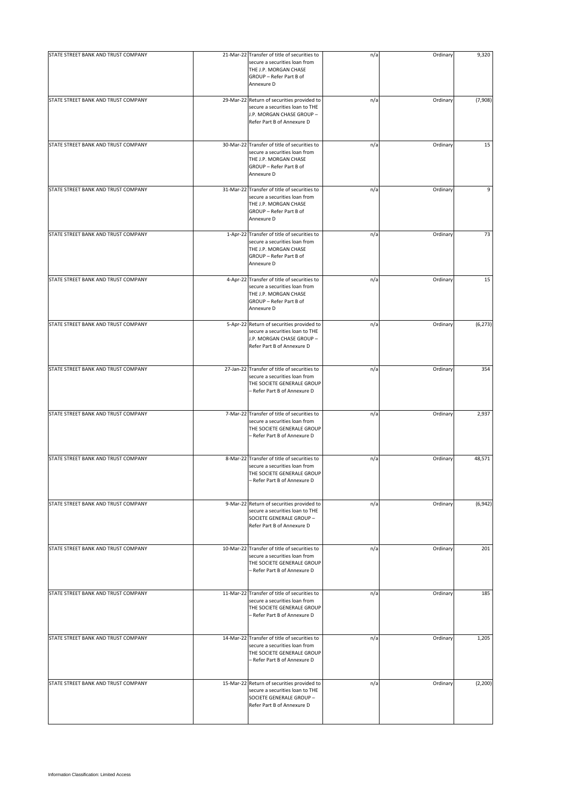| STATE STREET BANK AND TRUST COMPANY | 21-Mar-22 Transfer of title of securities to                                                                                                    | n/a | Ordinary | 9,320    |
|-------------------------------------|-------------------------------------------------------------------------------------------------------------------------------------------------|-----|----------|----------|
|                                     | secure a securities loan from<br>THE J.P. MORGAN CHASE<br>GROUP - Refer Part B of<br>Annexure D                                                 |     |          |          |
| STATE STREET BANK AND TRUST COMPANY | 29-Mar-22 Return of securities provided to<br>secure a securities loan to THE<br>J.P. MORGAN CHASE GROUP -<br>Refer Part B of Annexure D        | n/a | Ordinary | (7,908)  |
| STATE STREET BANK AND TRUST COMPANY | 30-Mar-22 Transfer of title of securities to<br>secure a securities loan from<br>THE J.P. MORGAN CHASE<br>GROUP - Refer Part B of<br>Annexure D | n/a | Ordinary | 15       |
| STATE STREET BANK AND TRUST COMPANY | 31-Mar-22 Transfer of title of securities to<br>secure a securities loan from<br>THE J.P. MORGAN CHASE<br>GROUP - Refer Part B of<br>Annexure D | n/a | Ordinary | 9        |
| STATE STREET BANK AND TRUST COMPANY | 1-Apr-22 Transfer of title of securities to<br>secure a securities loan from<br>THE J.P. MORGAN CHASE<br>GROUP - Refer Part B of<br>Annexure D  | n/a | Ordinary | 73       |
| STATE STREET BANK AND TRUST COMPANY | 4-Apr-22 Transfer of title of securities to<br>secure a securities loan from<br>THE J.P. MORGAN CHASE<br>GROUP - Refer Part B of<br>Annexure D  | n/a | Ordinary | 15       |
| STATE STREET BANK AND TRUST COMPANY | 5-Apr-22 Return of securities provided to<br>secure a securities loan to THE<br>J.P. MORGAN CHASE GROUP -<br>Refer Part B of Annexure D         | n/a | Ordinary | (6, 273) |
| STATE STREET BANK AND TRUST COMPANY | 27-Jan-22 Transfer of title of securities to<br>secure a securities loan from<br>THE SOCIETE GENERALE GROUP<br>- Refer Part B of Annexure D     | n/a | Ordinary | 354      |
| STATE STREET BANK AND TRUST COMPANY | 7-Mar-22 Transfer of title of securities to<br>secure a securities loan from<br>THE SOCIETE GENERALE GROUP<br>- Refer Part B of Annexure D      | n/a | Ordinary | 2,937    |
| STATE STREET BANK AND TRUST COMPANY | 8-Mar-22 Transfer of title of securities to<br>secure a securities loan from<br>THE SOCIETE GENERALE GROUP<br>- Refer Part B of Annexure D      | n/a | Ordinary | 48,571   |
| STATE STREET BANK AND TRUST COMPANY | 9-Mar-22 Return of securities provided to<br>secure a securities loan to THE<br>SOCIETE GENERALE GROUP -<br>Refer Part B of Annexure D          | n/a | Ordinary | (6, 942) |
| STATE STREET BANK AND TRUST COMPANY | 10-Mar-22 Transfer of title of securities to<br>secure a securities loan from<br>THE SOCIETE GENERALE GROUP<br>- Refer Part B of Annexure D     | n/a | Ordinary | 201      |
| STATE STREET BANK AND TRUST COMPANY | 11-Mar-22 Transfer of title of securities to<br>secure a securities loan from<br>THE SOCIETE GENERALE GROUP<br>- Refer Part B of Annexure D     | n/a | Ordinary | 185      |
| STATE STREET BANK AND TRUST COMPANY | 14-Mar-22 Transfer of title of securities to<br>secure a securities loan from<br>THE SOCIETE GENERALE GROUP<br>- Refer Part B of Annexure D     | n/a | Ordinary | 1,205    |
| STATE STREET BANK AND TRUST COMPANY | 15-Mar-22 Return of securities provided to<br>secure a securities loan to THE<br>SOCIETE GENERALE GROUP -<br>Refer Part B of Annexure D         | n/a | Ordinary | (2, 200) |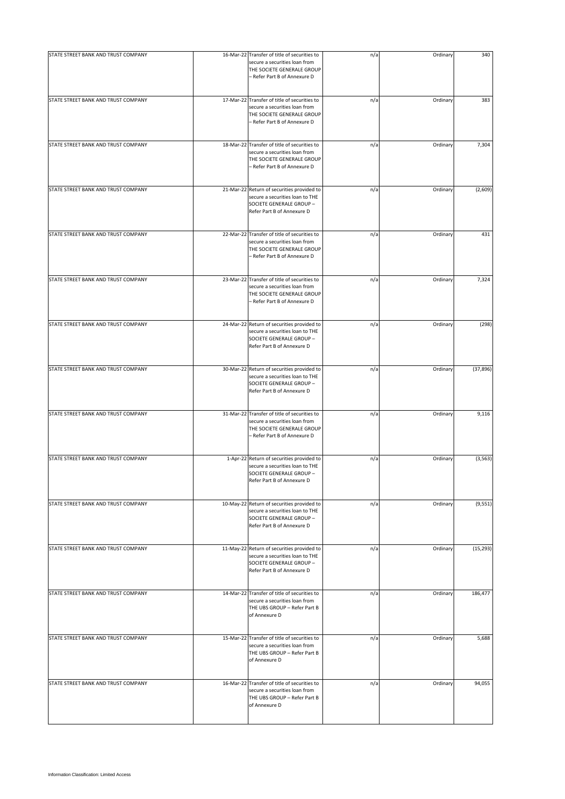| STATE STREET BANK AND TRUST COMPANY | 16-Mar-22 Transfer of title of securities to                                                                                                | n/a | Ordinary | 340       |
|-------------------------------------|---------------------------------------------------------------------------------------------------------------------------------------------|-----|----------|-----------|
|                                     | secure a securities loan from<br>THE SOCIETE GENERALE GROUP<br>- Refer Part B of Annexure D                                                 |     |          |           |
| STATE STREET BANK AND TRUST COMPANY | 17-Mar-22 Transfer of title of securities to<br>secure a securities loan from<br>THE SOCIETE GENERALE GROUP<br>- Refer Part B of Annexure D | n/a | Ordinary | 383       |
| STATE STREET BANK AND TRUST COMPANY | 18-Mar-22 Transfer of title of securities to<br>secure a securities loan from<br>THE SOCIETE GENERALE GROUP<br>- Refer Part B of Annexure D | n/a | Ordinary | 7,304     |
| STATE STREET BANK AND TRUST COMPANY | 21-Mar-22 Return of securities provided to<br>secure a securities loan to THE<br>SOCIETE GENERALE GROUP -<br>Refer Part B of Annexure D     | n/a | Ordinary | (2,609)   |
| STATE STREET BANK AND TRUST COMPANY | 22-Mar-22 Transfer of title of securities to<br>secure a securities loan from<br>THE SOCIETE GENERALE GROUP<br>- Refer Part B of Annexure D | n/a | Ordinary | 431       |
| STATE STREET BANK AND TRUST COMPANY | 23-Mar-22 Transfer of title of securities to<br>secure a securities loan from<br>THE SOCIETE GENERALE GROUP<br>- Refer Part B of Annexure D | n/a | Ordinary | 7,324     |
| STATE STREET BANK AND TRUST COMPANY | 24-Mar-22 Return of securities provided to<br>secure a securities loan to THE<br>SOCIETE GENERALE GROUP -<br>Refer Part B of Annexure D     | n/a | Ordinary | (298)     |
| STATE STREET BANK AND TRUST COMPANY | 30-Mar-22 Return of securities provided to<br>secure a securities loan to THE<br>SOCIETE GENERALE GROUP -<br>Refer Part B of Annexure D     | n/a | Ordinary | (37, 896) |
| STATE STREET BANK AND TRUST COMPANY | 31-Mar-22 Transfer of title of securities to<br>secure a securities loan from<br>THE SOCIETE GENERALE GROUP<br>- Refer Part B of Annexure D | n/a | Ordinary | 9,116     |
| STATE STREET BANK AND TRUST COMPANY | 1-Apr-22 Return of securities provided to<br>secure a securities loan to THE<br>SOCIETE GENERALE GROUP -<br>Refer Part B of Annexure D      | n/a | Ordinary | (3, 563)  |
| STATE STREET BANK AND TRUST COMPANY | 10-May-22 Return of securities provided to<br>secure a securities loan to THE<br>SOCIETE GENERALE GROUP -<br>Refer Part B of Annexure D     | n/a | Ordinary | (9, 551)  |
| STATE STREET BANK AND TRUST COMPANY | 11-May-22 Return of securities provided to<br>secure a securities loan to THE<br>SOCIETE GENERALE GROUP -<br>Refer Part B of Annexure D     | n/a | Ordinary | (15, 293) |
| STATE STREET BANK AND TRUST COMPANY | 14-Mar-22 Transfer of title of securities to<br>secure a securities loan from<br>THE UBS GROUP - Refer Part B<br>of Annexure D              | n/a | Ordinary | 186,477   |
| STATE STREET BANK AND TRUST COMPANY | 15-Mar-22 Transfer of title of securities to<br>secure a securities loan from<br>THE UBS GROUP - Refer Part B<br>of Annexure D              | n/a | Ordinary | 5,688     |
| STATE STREET BANK AND TRUST COMPANY | 16-Mar-22 Transfer of title of securities to<br>secure a securities loan from<br>THE UBS GROUP - Refer Part B<br>of Annexure D              | n/a | Ordinary | 94,055    |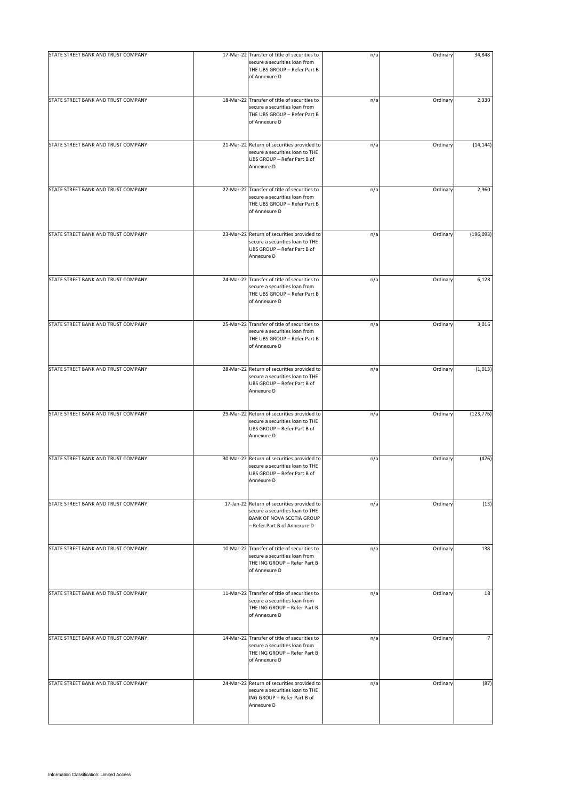| STATE STREET BANK AND TRUST COMPANY |                                                                                                                                            |     |          |                |
|-------------------------------------|--------------------------------------------------------------------------------------------------------------------------------------------|-----|----------|----------------|
|                                     | 17-Mar-22 Transfer of title of securities to<br>secure a securities loan from<br>THE UBS GROUP - Refer Part B<br>of Annexure D             | n/a | Ordinary | 34,848         |
| STATE STREET BANK AND TRUST COMPANY | 18-Mar-22 Transfer of title of securities to<br>secure a securities loan from<br>THE UBS GROUP - Refer Part B<br>of Annexure D             | n/a | Ordinary | 2,330          |
| STATE STREET BANK AND TRUST COMPANY | 21-Mar-22 Return of securities provided to<br>secure a securities loan to THE<br>UBS GROUP - Refer Part B of<br>Annexure D                 | n/a | Ordinary | (14, 144)      |
| STATE STREET BANK AND TRUST COMPANY | 22-Mar-22 Transfer of title of securities to<br>secure a securities loan from<br>THE UBS GROUP - Refer Part B<br>of Annexure D             | n/a | Ordinary | 2,960          |
| STATE STREET BANK AND TRUST COMPANY | 23-Mar-22 Return of securities provided to<br>secure a securities loan to THE<br>UBS GROUP - Refer Part B of<br>Annexure D                 | n/a | Ordinary | (196, 093)     |
| STATE STREET BANK AND TRUST COMPANY | 24-Mar-22 Transfer of title of securities to<br>secure a securities loan from<br>THE UBS GROUP - Refer Part B<br>of Annexure D             | n/a | Ordinary | 6,128          |
| STATE STREET BANK AND TRUST COMPANY | 25-Mar-22 Transfer of title of securities to<br>secure a securities loan from<br>THE UBS GROUP - Refer Part B<br>of Annexure D             | n/a | Ordinary | 3,016          |
| STATE STREET BANK AND TRUST COMPANY | 28-Mar-22 Return of securities provided to<br>secure a securities loan to THE<br>UBS GROUP - Refer Part B of<br>Annexure D                 | n/a | Ordinary | (1,013)        |
| STATE STREET BANK AND TRUST COMPANY | 29-Mar-22 Return of securities provided to<br>secure a securities loan to THE<br>UBS GROUP - Refer Part B of<br>Annexure D                 | n/a | Ordinary | (123, 776)     |
| STATE STREET BANK AND TRUST COMPANY | 30-Mar-22 Return of securities provided to<br>secure a securities loan to THE<br>UBS GROUP - Refer Part B of<br>Annexure D                 | n/a | Ordinary | (476)          |
| STATE STREET BANK AND TRUST COMPANY | 17-Jan-22 Return of securities provided to<br>secure a securities loan to THE<br>BANK OF NOVA SCOTIA GROUP<br>- Refer Part B of Annexure D | n/a | Ordinary | (13)           |
| STATE STREET BANK AND TRUST COMPANY | 10-Mar-22 Transfer of title of securities to<br>secure a securities loan from<br>THE ING GROUP - Refer Part B<br>of Annexure D             | n/a | Ordinary | 138            |
| STATE STREET BANK AND TRUST COMPANY | 11-Mar-22 Transfer of title of securities to<br>secure a securities loan from<br>THE ING GROUP - Refer Part B<br>of Annexure D             | n/a | Ordinary | 18             |
| STATE STREET BANK AND TRUST COMPANY | 14-Mar-22 Transfer of title of securities to<br>secure a securities loan from<br>THE ING GROUP - Refer Part B<br>of Annexure D             | n/a | Ordinary | $\overline{7}$ |
| STATE STREET BANK AND TRUST COMPANY | 24-Mar-22 Return of securities provided to<br>secure a securities loan to THE<br>ING GROUP - Refer Part B of<br>Annexure D                 | n/a | Ordinary | (87)           |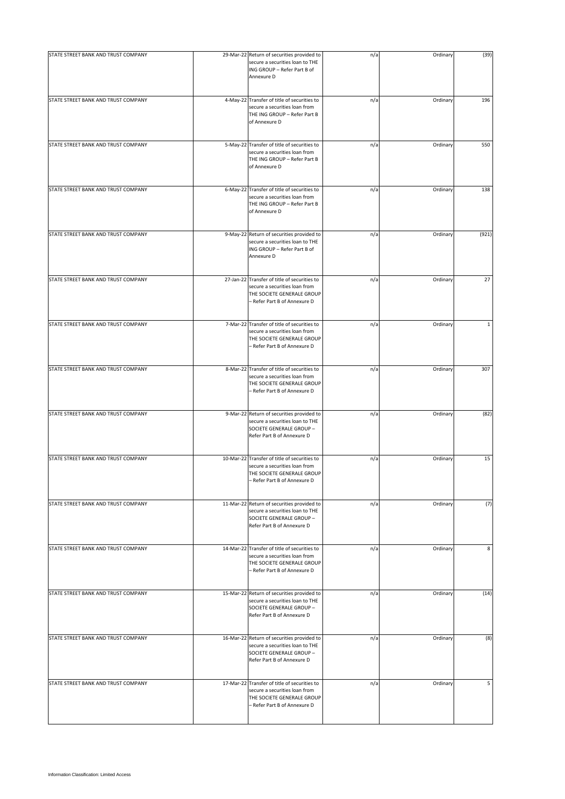| STATE STREET BANK AND TRUST COMPANY | 29-Mar-22 Return of securities provided to<br>secure a securities loan to THE<br>ING GROUP - Refer Part B of<br>Annexure D                  | n/a | Ordinary | (39)         |
|-------------------------------------|---------------------------------------------------------------------------------------------------------------------------------------------|-----|----------|--------------|
| STATE STREET BANK AND TRUST COMPANY | 4-May-22 Transfer of title of securities to<br>secure a securities loan from<br>THE ING GROUP - Refer Part B<br>of Annexure D               | n/a | Ordinary | 196          |
| STATE STREET BANK AND TRUST COMPANY | 5-May-22 Transfer of title of securities to<br>secure a securities loan from<br>THE ING GROUP - Refer Part B<br>of Annexure D               | n/a | Ordinary | 550          |
| STATE STREET BANK AND TRUST COMPANY | 6-May-22 Transfer of title of securities to<br>secure a securities loan from<br>THE ING GROUP - Refer Part B<br>of Annexure D               | n/a | Ordinary | 138          |
| STATE STREET BANK AND TRUST COMPANY | 9-May-22 Return of securities provided to<br>secure a securities loan to THE<br>ING GROUP - Refer Part B of<br>Annexure D                   | n/a | Ordinary | (921)        |
| STATE STREET BANK AND TRUST COMPANY | 27-Jan-22 Transfer of title of securities to<br>secure a securities loan from<br>THE SOCIETE GENERALE GROUP<br>- Refer Part B of Annexure D | n/a | Ordinary | 27           |
| STATE STREET BANK AND TRUST COMPANY | 7-Mar-22 Transfer of title of securities to<br>secure a securities loan from<br>THE SOCIETE GENERALE GROUP<br>- Refer Part B of Annexure D  | n/a | Ordinary | $\mathbf{1}$ |
| STATE STREET BANK AND TRUST COMPANY | 8-Mar-22 Transfer of title of securities to<br>secure a securities loan from<br>THE SOCIETE GENERALE GROUP<br>- Refer Part B of Annexure D  | n/a | Ordinary | 307          |
| STATE STREET BANK AND TRUST COMPANY | 9-Mar-22 Return of securities provided to<br>secure a securities loan to THE<br>SOCIETE GENERALE GROUP -<br>Refer Part B of Annexure D      | n/a | Ordinary | (82)         |
| STATE STREET BANK AND TRUST COMPANY | 10-Mar-22 Transfer of title of securities to<br>secure a securities loan from<br>THE SOCIETE GENERALE GROUP<br>- Refer Part B of Annexure D | n/a | Ordinary | 15           |
| STATE STREET BANK AND TRUST COMPANY | 11-Mar-22 Return of securities provided to<br>secure a securities loan to THE<br>SOCIETE GENERALE GROUP -<br>Refer Part B of Annexure D     | n/a | Ordinary | (7)          |
| STATE STREET BANK AND TRUST COMPANY | 14-Mar-22 Transfer of title of securities to<br>secure a securities loan from<br>THE SOCIETE GENERALE GROUP<br>- Refer Part B of Annexure D | n/a | Ordinary | 8            |
| STATE STREET BANK AND TRUST COMPANY | 15-Mar-22 Return of securities provided to<br>secure a securities loan to THE<br>SOCIETE GENERALE GROUP -<br>Refer Part B of Annexure D     | n/a | Ordinary | (14)         |
| STATE STREET BANK AND TRUST COMPANY | 16-Mar-22 Return of securities provided to<br>secure a securities loan to THE<br>SOCIETE GENERALE GROUP -<br>Refer Part B of Annexure D     | n/a | Ordinary | (8)          |
| STATE STREET BANK AND TRUST COMPANY | 17-Mar-22 Transfer of title of securities to<br>secure a securities loan from<br>THE SOCIETE GENERALE GROUP<br>- Refer Part B of Annexure D | n/a | Ordinary | 5            |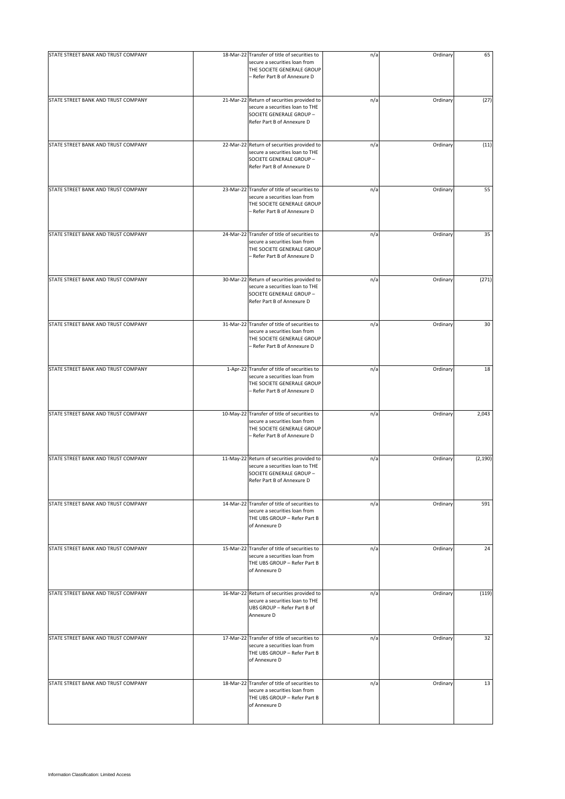| STATE STREET BANK AND TRUST COMPANY |                                                                                                                                             |     |          |          |
|-------------------------------------|---------------------------------------------------------------------------------------------------------------------------------------------|-----|----------|----------|
|                                     | 18-Mar-22 Transfer of title of securities to<br>secure a securities loan from<br>THE SOCIETE GENERALE GROUP<br>- Refer Part B of Annexure D | n/a | Ordinary | 65       |
| STATE STREET BANK AND TRUST COMPANY | 21-Mar-22 Return of securities provided to<br>secure a securities loan to THE<br>SOCIETE GENERALE GROUP -<br>Refer Part B of Annexure D     | n/a | Ordinary | (27)     |
| STATE STREET BANK AND TRUST COMPANY | 22-Mar-22 Return of securities provided to<br>secure a securities loan to THE<br>SOCIETE GENERALE GROUP -<br>Refer Part B of Annexure D     | n/a | Ordinary | (11)     |
| STATE STREET BANK AND TRUST COMPANY | 23-Mar-22 Transfer of title of securities to<br>secure a securities loan from<br>THE SOCIETE GENERALE GROUP<br>- Refer Part B of Annexure D | n/a | Ordinary | 55       |
| STATE STREET BANK AND TRUST COMPANY | 24-Mar-22 Transfer of title of securities to<br>secure a securities loan from<br>THE SOCIETE GENERALE GROUP<br>- Refer Part B of Annexure D | n/a | Ordinary | 35       |
| STATE STREET BANK AND TRUST COMPANY | 30-Mar-22 Return of securities provided to<br>secure a securities loan to THE<br>SOCIETE GENERALE GROUP -<br>Refer Part B of Annexure D     | n/a | Ordinary | (271)    |
| STATE STREET BANK AND TRUST COMPANY | 31-Mar-22 Transfer of title of securities to<br>secure a securities loan from<br>THE SOCIETE GENERALE GROUP<br>- Refer Part B of Annexure D | n/a | Ordinary | 30       |
| STATE STREET BANK AND TRUST COMPANY | 1-Apr-22 Transfer of title of securities to<br>secure a securities loan from<br>THE SOCIETE GENERALE GROUP<br>- Refer Part B of Annexure D  | n/a | Ordinary | 18       |
| STATE STREET BANK AND TRUST COMPANY | 10-May-22 Transfer of title of securities to<br>secure a securities loan from<br>THE SOCIETE GENERALE GROUP<br>- Refer Part B of Annexure D | n/a | Ordinary | 2,043    |
| STATE STREET BANK AND TRUST COMPANY | 11-May-22 Return of securities provided to<br>secure a securities loan to THE<br>SOCIETE GENERALE GROUP -<br>Refer Part B of Annexure D     | n/a | Ordinary | (2, 190) |
| STATE STREET BANK AND TRUST COMPANY | 14-Mar-22 Transfer of title of securities to<br>secure a securities loan from<br>THE UBS GROUP - Refer Part B<br>of Annexure D              | n/a | Ordinary | 591      |
| STATE STREET BANK AND TRUST COMPANY | 15-Mar-22 Transfer of title of securities to<br>secure a securities loan from<br>THE UBS GROUP - Refer Part B<br>of Annexure D              | n/a | Ordinary | 24       |
| STATE STREET BANK AND TRUST COMPANY | 16-Mar-22 Return of securities provided to<br>secure a securities loan to THE<br>UBS GROUP - Refer Part B of<br>Annexure D                  | n/a | Ordinary | (119)    |
| STATE STREET BANK AND TRUST COMPANY | 17-Mar-22 Transfer of title of securities to<br>secure a securities loan from<br>THE UBS GROUP - Refer Part B<br>of Annexure D              | n/a | Ordinary | 32       |
| STATE STREET BANK AND TRUST COMPANY | 18-Mar-22 Transfer of title of securities to<br>secure a securities loan from<br>THE UBS GROUP - Refer Part B<br>of Annexure D              | n/a | Ordinary | 13       |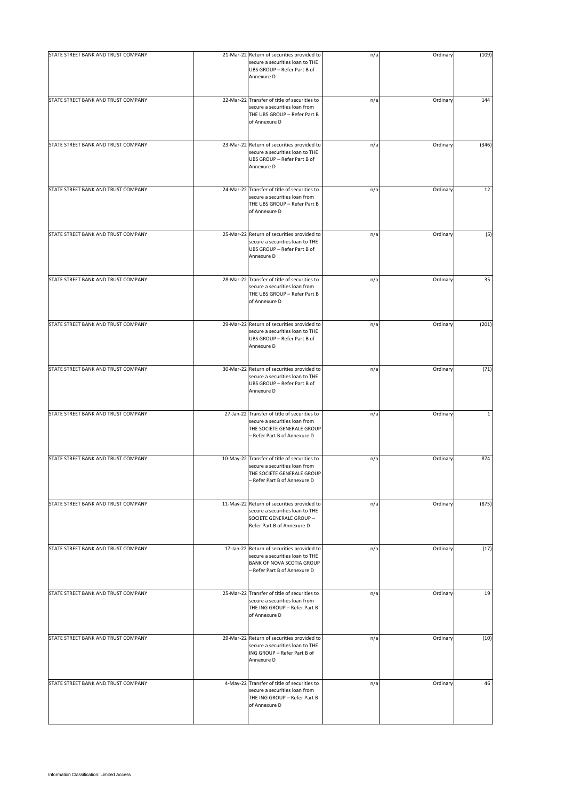| STATE STREET BANK AND TRUST COMPANY | 21-Mar-22 Return of securities provided to<br>secure a securities loan to THE<br>UBS GROUP - Refer Part B of<br>Annexure D                  | n/a | Ordinary | (109)        |
|-------------------------------------|---------------------------------------------------------------------------------------------------------------------------------------------|-----|----------|--------------|
| STATE STREET BANK AND TRUST COMPANY | 22-Mar-22 Transfer of title of securities to<br>secure a securities loan from<br>THE UBS GROUP - Refer Part B<br>of Annexure D              | n/a | Ordinary | 144          |
| STATE STREET BANK AND TRUST COMPANY | 23-Mar-22 Return of securities provided to<br>secure a securities loan to THE<br>UBS GROUP - Refer Part B of<br>Annexure D                  | n/a | Ordinary | (346)        |
| STATE STREET BANK AND TRUST COMPANY | 24-Mar-22 Transfer of title of securities to<br>secure a securities loan from<br>THE UBS GROUP - Refer Part B<br>of Annexure D              | n/a | Ordinary | 12           |
| STATE STREET BANK AND TRUST COMPANY | 25-Mar-22 Return of securities provided to<br>secure a securities loan to THE<br>UBS GROUP - Refer Part B of<br>Annexure D                  | n/a | Ordinary | (5)          |
| STATE STREET BANK AND TRUST COMPANY | 28-Mar-22 Transfer of title of securities to<br>secure a securities loan from<br>THE UBS GROUP - Refer Part B<br>of Annexure D              | n/a | Ordinary | 35           |
| STATE STREET BANK AND TRUST COMPANY | 29-Mar-22 Return of securities provided to<br>secure a securities loan to THE<br>UBS GROUP - Refer Part B of<br>Annexure D                  | n/a | Ordinary | (201)        |
| STATE STREET BANK AND TRUST COMPANY | 30-Mar-22 Return of securities provided to<br>secure a securities loan to THE<br>UBS GROUP - Refer Part B of<br>Annexure D                  | n/a | Ordinary | (71)         |
| STATE STREET BANK AND TRUST COMPANY | 27-Jan-22 Transfer of title of securities to<br>secure a securities loan from<br>THE SOCIETE GENERALE GROUP<br>- Refer Part B of Annexure D | n/a | Ordinary | $\mathbf{1}$ |
| STATE STREET BANK AND TRUST COMPANY | 10-May-22 Transfer of title of securities to<br>secure a securities loan from<br>THE SOCIETE GENERALE GROUP<br>- Refer Part B of Annexure D | n/a | Ordinary | 874          |
| STATE STREET BANK AND TRUST COMPANY | 11-May-22 Return of securities provided to<br>secure a securities loan to THE<br>SOCIETE GENERALE GROUP -<br>Refer Part B of Annexure D     | n/a | Ordinary | (875)        |
| STATE STREET BANK AND TRUST COMPANY | 17-Jan-22 Return of securities provided to<br>secure a securities loan to THE<br>BANK OF NOVA SCOTIA GROUP<br>- Refer Part B of Annexure D  | n/a | Ordinary | (17)         |
| STATE STREET BANK AND TRUST COMPANY | 25-Mar-22 Transfer of title of securities to<br>secure a securities loan from<br>THE ING GROUP - Refer Part B<br>of Annexure D              | n/a | Ordinary | 19           |
| STATE STREET BANK AND TRUST COMPANY | 29-Mar-22 Return of securities provided to<br>secure a securities loan to THE<br>ING GROUP - Refer Part B of<br>Annexure D                  | n/a | Ordinary | (10)         |
| STATE STREET BANK AND TRUST COMPANY | 4-May-22 Transfer of title of securities to<br>secure a securities loan from<br>THE ING GROUP - Refer Part B<br>of Annexure D               | n/a | Ordinary | 46           |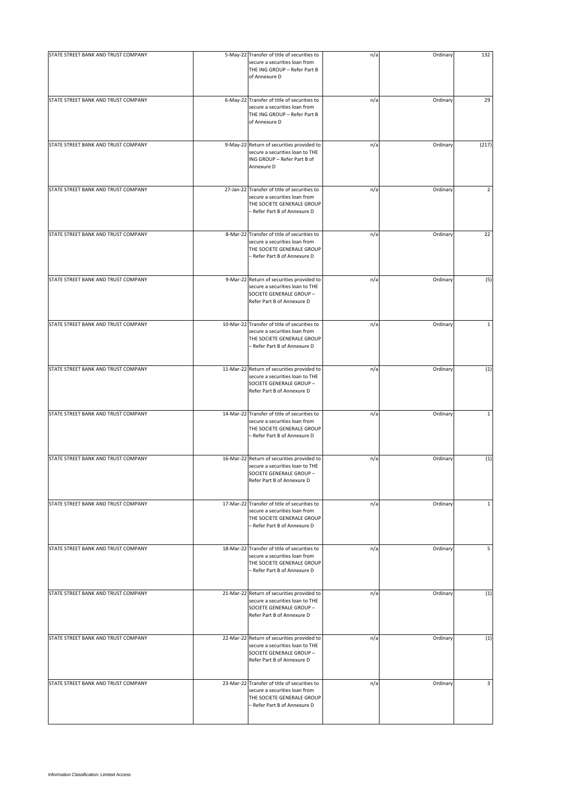| STATE STREET BANK AND TRUST COMPANY | 5-May-22 Transfer of title of securities to                                                                                                 | n/a | Ordinary | 132            |
|-------------------------------------|---------------------------------------------------------------------------------------------------------------------------------------------|-----|----------|----------------|
|                                     | secure a securities loan from<br>THE ING GROUP - Refer Part B<br>of Annexure D                                                              |     |          |                |
| STATE STREET BANK AND TRUST COMPANY | 6-May-22 Transfer of title of securities to<br>secure a securities loan from<br>THE ING GROUP - Refer Part B<br>of Annexure D               | n/a | Ordinary | 29             |
| STATE STREET BANK AND TRUST COMPANY | 9-May-22 Return of securities provided to<br>secure a securities loan to THE<br>ING GROUP - Refer Part B of<br>Annexure D                   | n/a | Ordinary | (217)          |
| STATE STREET BANK AND TRUST COMPANY | 27-Jan-22 Transfer of title of securities to<br>secure a securities loan from<br>THE SOCIETE GENERALE GROUP<br>- Refer Part B of Annexure D | n/a | Ordinary | $\overline{2}$ |
| STATE STREET BANK AND TRUST COMPANY | 8-Mar-22 Transfer of title of securities to<br>secure a securities loan from<br>THE SOCIETE GENERALE GROUP<br>- Refer Part B of Annexure D  | n/a | Ordinary | 22             |
| STATE STREET BANK AND TRUST COMPANY | 9-Mar-22 Return of securities provided to<br>secure a securities loan to THE<br>SOCIETE GENERALE GROUP -<br>Refer Part B of Annexure D      | n/a | Ordinary | (5)            |
| STATE STREET BANK AND TRUST COMPANY | 10-Mar-22 Transfer of title of securities to<br>secure a securities loan from<br>THE SOCIETE GENERALE GROUP<br>– Refer Part B of Annexure D | n/a | Ordinary | $\mathbf{1}$   |
| STATE STREET BANK AND TRUST COMPANY | 11-Mar-22 Return of securities provided to<br>secure a securities loan to THE<br>SOCIETE GENERALE GROUP -<br>Refer Part B of Annexure D     | n/a | Ordinary | (1)            |
| STATE STREET BANK AND TRUST COMPANY | 14-Mar-22 Transfer of title of securities to<br>secure a securities loan from<br>THE SOCIETE GENERALE GROUP<br>- Refer Part B of Annexure D | n/a | Ordinary | $\mathbf{1}$   |
| STATE STREET BANK AND TRUST COMPANY | 16-Mar-22 Return of securities provided to<br>secure a securities loan to THE<br>SOCIETE GENERALE GROUP -<br>Refer Part B of Annexure D     | n/a | Ordinary | (1)            |
| STATE STREET BANK AND TRUST COMPANY | 17-Mar-22 Transfer of title of securities to<br>secure a securities loan from<br>THE SOCIETE GENERALE GROUP<br>- Refer Part B of Annexure D | n/a | Ordinary | $\mathbf 1$    |
| STATE STREET BANK AND TRUST COMPANY | 18-Mar-22 Transfer of title of securities to<br>secure a securities loan from<br>THE SOCIETE GENERALE GROUP<br>- Refer Part B of Annexure D | n/a | Ordinary | 5              |
| STATE STREET BANK AND TRUST COMPANY | 21-Mar-22 Return of securities provided to<br>secure a securities loan to THE<br>SOCIETE GENERALE GROUP -<br>Refer Part B of Annexure D     | n/a | Ordinary | (1)            |
| STATE STREET BANK AND TRUST COMPANY | 22-Mar-22 Return of securities provided to<br>secure a securities loan to THE<br>SOCIETE GENERALE GROUP -<br>Refer Part B of Annexure D     | n/a | Ordinary | (1)            |
| STATE STREET BANK AND TRUST COMPANY | 23-Mar-22 Transfer of title of securities to<br>secure a securities loan from<br>THE SOCIETE GENERALE GROUP<br>- Refer Part B of Annexure D | n/a | Ordinary | 3              |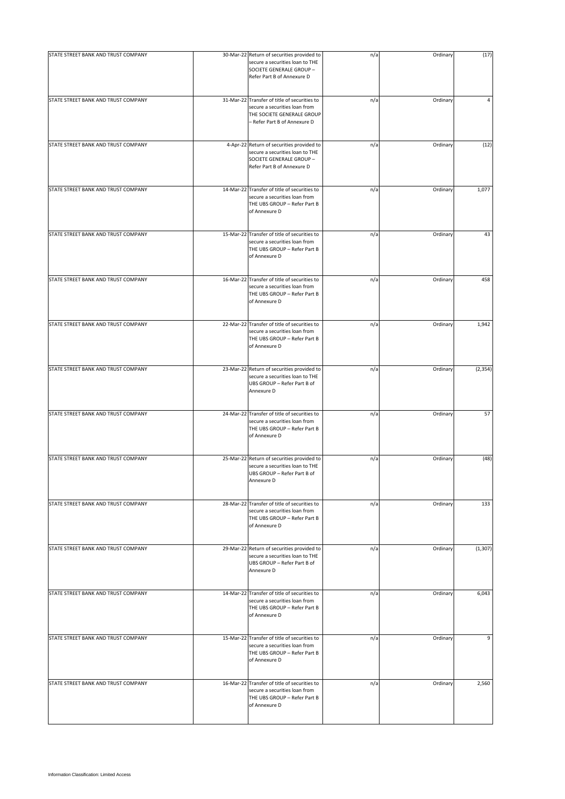| STATE STREET BANK AND TRUST COMPANY | 30-Mar-22 Return of securities provided to<br>secure a securities loan to THE<br>SOCIETE GENERALE GROUP -<br>Refer Part B of Annexure D     | n/a | Ordinary | (17)     |
|-------------------------------------|---------------------------------------------------------------------------------------------------------------------------------------------|-----|----------|----------|
| STATE STREET BANK AND TRUST COMPANY | 31-Mar-22 Transfer of title of securities to<br>secure a securities loan from<br>THE SOCIETE GENERALE GROUP<br>- Refer Part B of Annexure D | n/a | Ordinary | 4        |
| STATE STREET BANK AND TRUST COMPANY | 4-Apr-22 Return of securities provided to<br>secure a securities loan to THE<br>SOCIETE GENERALE GROUP -<br>Refer Part B of Annexure D      | n/a | Ordinary | (12)     |
| STATE STREET BANK AND TRUST COMPANY | 14-Mar-22 Transfer of title of securities to<br>secure a securities loan from<br>THE UBS GROUP - Refer Part B<br>of Annexure D              | n/a | Ordinary | 1,077    |
| STATE STREET BANK AND TRUST COMPANY | 15-Mar-22 Transfer of title of securities to<br>secure a securities loan from<br>THE UBS GROUP - Refer Part B<br>of Annexure D              | n/a | Ordinary | 43       |
| STATE STREET BANK AND TRUST COMPANY | 16-Mar-22 Transfer of title of securities to<br>secure a securities loan from<br>THE UBS GROUP - Refer Part B<br>of Annexure D              | n/a | Ordinary | 458      |
| STATE STREET BANK AND TRUST COMPANY | 22-Mar-22 Transfer of title of securities to<br>secure a securities loan from<br>THE UBS GROUP - Refer Part B<br>of Annexure D              | n/a | Ordinary | 1,942    |
| STATE STREET BANK AND TRUST COMPANY | 23-Mar-22 Return of securities provided to<br>secure a securities loan to THE<br>UBS GROUP - Refer Part B of<br>Annexure D                  | n/a | Ordinary | (2, 354) |
| STATE STREET BANK AND TRUST COMPANY | 24-Mar-22 Transfer of title of securities to<br>secure a securities loan from<br>THE UBS GROUP - Refer Part B<br>of Annexure D              | n/a | Ordinary | 57       |
| STATE STREET BANK AND TRUST COMPANY | 25-Mar-22 Return of securities provided to<br>secure a securities loan to THE<br>UBS GROUP - Refer Part B of<br>Annexure D                  | n/a | Ordinary | (48)     |
| STATE STREET BANK AND TRUST COMPANY | 28-Mar-22 Transfer of title of securities to<br>secure a securities loan from<br>THE UBS GROUP - Refer Part B<br>of Annexure D              | n/a | Ordinary | 133      |
| STATE STREET BANK AND TRUST COMPANY | 29-Mar-22 Return of securities provided to<br>secure a securities loan to THE<br>UBS GROUP - Refer Part B of<br>Annexure D                  | n/a | Ordinary | (1, 307) |
| STATE STREET BANK AND TRUST COMPANY | 14-Mar-22 Transfer of title of securities to<br>secure a securities loan from<br>THE UBS GROUP - Refer Part B<br>of Annexure D              | n/a | Ordinary | 6,043    |
| STATE STREET BANK AND TRUST COMPANY | 15-Mar-22 Transfer of title of securities to<br>secure a securities loan from<br>THE UBS GROUP - Refer Part B<br>of Annexure D              | n/a | Ordinary | 9        |
| STATE STREET BANK AND TRUST COMPANY | 16-Mar-22 Transfer of title of securities to<br>secure a securities loan from<br>THE UBS GROUP - Refer Part B<br>of Annexure D              | n/a | Ordinary | 2,560    |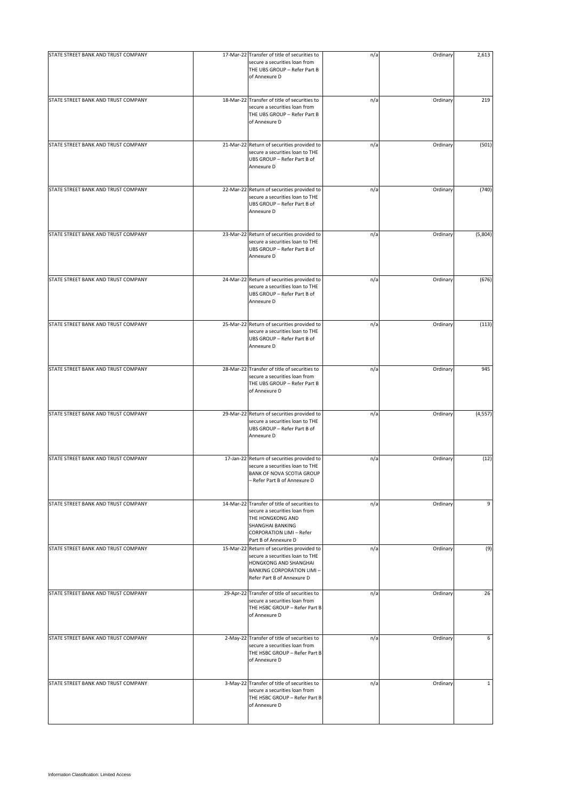| STATE STREET BANK AND TRUST COMPANY |                                                                                                                                                                                         |     |          |              |
|-------------------------------------|-----------------------------------------------------------------------------------------------------------------------------------------------------------------------------------------|-----|----------|--------------|
|                                     | 17-Mar-22 Transfer of title of securities to<br>secure a securities loan from<br>THE UBS GROUP - Refer Part B<br>of Annexure D                                                          | n/a | Ordinary | 2,613        |
| STATE STREET BANK AND TRUST COMPANY | 18-Mar-22 Transfer of title of securities to<br>secure a securities loan from<br>THE UBS GROUP - Refer Part B<br>of Annexure D                                                          | n/a | Ordinary | 219          |
| STATE STREET BANK AND TRUST COMPANY | 21-Mar-22 Return of securities provided to<br>secure a securities loan to THE<br>UBS GROUP - Refer Part B of<br>Annexure D                                                              | n/a | Ordinary | (501)        |
| STATE STREET BANK AND TRUST COMPANY | 22-Mar-22 Return of securities provided to<br>secure a securities loan to THE<br>UBS GROUP - Refer Part B of<br>Annexure D                                                              | n/a | Ordinary | (740)        |
| STATE STREET BANK AND TRUST COMPANY | 23-Mar-22 Return of securities provided to<br>secure a securities loan to THE<br>UBS GROUP - Refer Part B of<br>Annexure D                                                              | n/a | Ordinary | (5,804)      |
| STATE STREET BANK AND TRUST COMPANY | 24-Mar-22 Return of securities provided to<br>secure a securities loan to THE<br>UBS GROUP - Refer Part B of<br>Annexure D                                                              | n/a | Ordinary | (676)        |
| STATE STREET BANK AND TRUST COMPANY | 25-Mar-22 Return of securities provided to<br>secure a securities loan to THE<br>UBS GROUP - Refer Part B of<br>Annexure D                                                              | n/a | Ordinary | (113)        |
| STATE STREET BANK AND TRUST COMPANY | 28-Mar-22 Transfer of title of securities to<br>secure a securities loan from<br>THE UBS GROUP - Refer Part B<br>of Annexure D                                                          | n/a | Ordinary | 945          |
| STATE STREET BANK AND TRUST COMPANY | 29-Mar-22 Return of securities provided to<br>secure a securities loan to THE<br>UBS GROUP - Refer Part B of<br>Annexure D                                                              | n/a | Ordinary | (4, 557)     |
| STATE STREET BANK AND TRUST COMPANY | 17-Jan-22 Return of securities provided to<br>secure a securities loan to THE<br>BANK OF NOVA SCOTIA GROUP<br>- Refer Part B of Annexure D                                              | n/a | Ordinary | (12)         |
| STATE STREET BANK AND TRUST COMPANY | 14-Mar-22 Transfer of title of securities to<br>secure a securities loan from<br>THE HONGKONG AND<br><b>SHANGHAI BANKING</b><br><b>CORPORATION LIMI - Refer</b><br>Part B of Annexure D | n/a | Ordinary | 9            |
| STATE STREET BANK AND TRUST COMPANY | 15-Mar-22 Return of securities provided to<br>secure a securities loan to THE<br>HONGKONG AND SHANGHAI<br><b>BANKING CORPORATION LIMI-</b><br>Refer Part B of Annexure D                | n/a | Ordinary | (9)          |
| STATE STREET BANK AND TRUST COMPANY | 29-Apr-22 Transfer of title of securities to<br>secure a securities loan from<br>THE HSBC GROUP - Refer Part B<br>of Annexure D                                                         | n/a | Ordinary | 26           |
| STATE STREET BANK AND TRUST COMPANY | 2-May-22 Transfer of title of securities to<br>secure a securities loan from<br>THE HSBC GROUP - Refer Part B<br>of Annexure D                                                          | n/a | Ordinary | 6            |
| STATE STREET BANK AND TRUST COMPANY | 3-May-22 Transfer of title of securities to<br>secure a securities loan from<br>THE HSBC GROUP - Refer Part B<br>of Annexure D                                                          | n/a | Ordinary | $\mathbf{1}$ |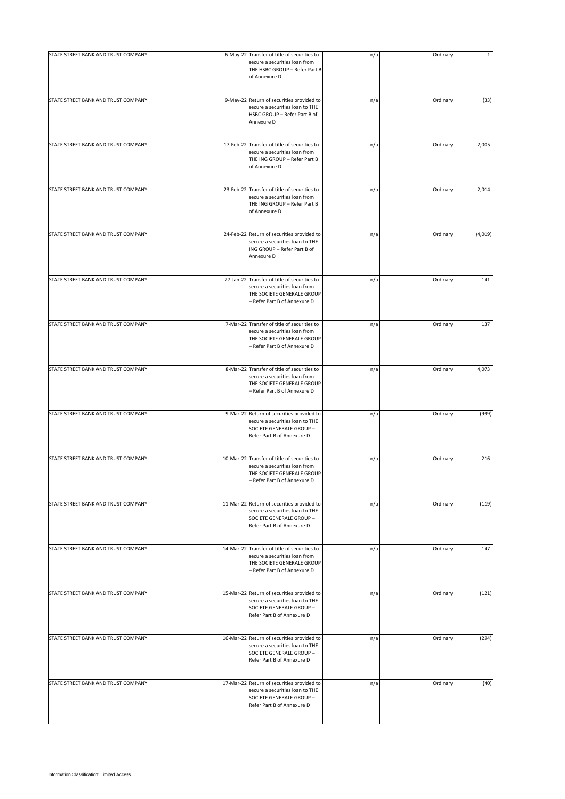| STATE STREET BANK AND TRUST COMPANY | 6-May-22 Transfer of title of securities to                                                                                                 | n/a | Ordinary | $\mathbf{1}$ |
|-------------------------------------|---------------------------------------------------------------------------------------------------------------------------------------------|-----|----------|--------------|
|                                     | secure a securities loan from<br>THE HSBC GROUP - Refer Part B<br>of Annexure D                                                             |     |          |              |
| STATE STREET BANK AND TRUST COMPANY | 9-May-22 Return of securities provided to<br>secure a securities loan to THE<br>HSBC GROUP - Refer Part B of<br>Annexure D                  | n/a | Ordinary | (33)         |
| STATE STREET BANK AND TRUST COMPANY | 17-Feb-22 Transfer of title of securities to<br>secure a securities loan from<br>THE ING GROUP - Refer Part B<br>of Annexure D              | n/a | Ordinary | 2,005        |
| STATE STREET BANK AND TRUST COMPANY | 23-Feb-22 Transfer of title of securities to<br>secure a securities loan from<br>THE ING GROUP - Refer Part B<br>of Annexure D              | n/a | Ordinary | 2,014        |
| STATE STREET BANK AND TRUST COMPANY | 24-Feb-22 Return of securities provided to<br>secure a securities loan to THE<br>ING GROUP - Refer Part B of<br>Annexure D                  | n/a | Ordinary | (4,019)      |
| STATE STREET BANK AND TRUST COMPANY | 27-Jan-22 Transfer of title of securities to<br>secure a securities loan from<br>THE SOCIETE GENERALE GROUP<br>- Refer Part B of Annexure D | n/a | Ordinary | 141          |
| STATE STREET BANK AND TRUST COMPANY | 7-Mar-22 Transfer of title of securities to<br>secure a securities loan from<br>THE SOCIETE GENERALE GROUP<br>- Refer Part B of Annexure D  | n/a | Ordinary | 137          |
| STATE STREET BANK AND TRUST COMPANY | 8-Mar-22 Transfer of title of securities to<br>secure a securities loan from<br>THE SOCIETE GENERALE GROUP<br>- Refer Part B of Annexure D  | n/a | Ordinary | 4,073        |
| STATE STREET BANK AND TRUST COMPANY | 9-Mar-22 Return of securities provided to<br>secure a securities loan to THE<br>SOCIETE GENERALE GROUP -<br>Refer Part B of Annexure D      | n/a | Ordinary | (999)        |
| STATE STREET BANK AND TRUST COMPANY | 10-Mar-22 Transfer of title of securities to<br>secure a securities loan from<br>THE SOCIETE GENERALE GROUP<br>Refer Part B of Annexure D   | n/a | Ordinary | 216          |
| STATE STREET BANK AND TRUST COMPANY | 11-Mar-22 Return of securities provided to<br>secure a securities loan to THE<br>SOCIETE GENERALE GROUP -<br>Refer Part B of Annexure D     | n/a | Ordinary | (119)        |
| STATE STREET BANK AND TRUST COMPANY | 14-Mar-22 Transfer of title of securities to<br>secure a securities loan from<br>THE SOCIETE GENERALE GROUP<br>- Refer Part B of Annexure D | n/a | Ordinary | 147          |
| STATE STREET BANK AND TRUST COMPANY | 15-Mar-22 Return of securities provided to<br>secure a securities loan to THE<br>SOCIETE GENERALE GROUP -<br>Refer Part B of Annexure D     | n/a | Ordinary | (121)        |
| STATE STREET BANK AND TRUST COMPANY | 16-Mar-22 Return of securities provided to<br>secure a securities loan to THE<br>SOCIETE GENERALE GROUP -<br>Refer Part B of Annexure D     | n/a | Ordinary | (294)        |
| STATE STREET BANK AND TRUST COMPANY | 17-Mar-22 Return of securities provided to<br>secure a securities loan to THE<br>SOCIETE GENERALE GROUP -<br>Refer Part B of Annexure D     | n/a | Ordinary | (40)         |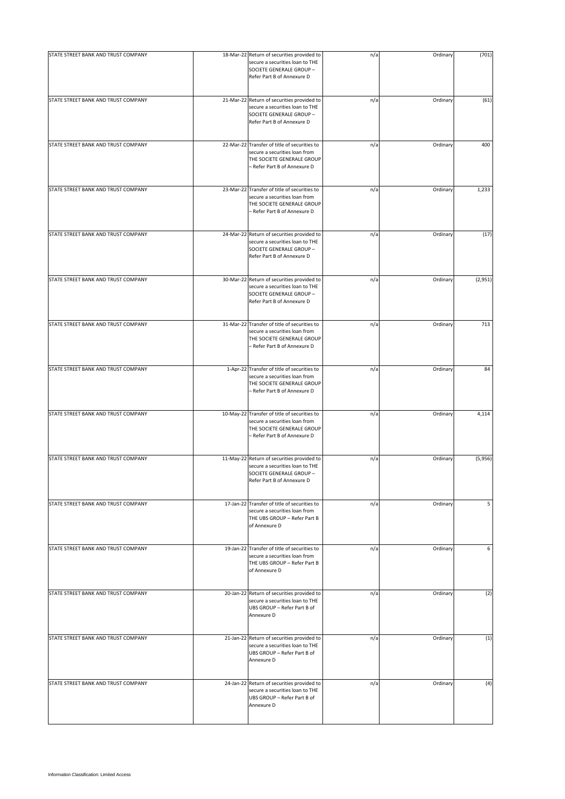| STATE STREET BANK AND TRUST COMPANY | 18-Mar-22 Return of securities provided to<br>secure a securities loan to THE<br>SOCIETE GENERALE GROUP -<br>Refer Part B of Annexure D     | n/a | Ordinary | (701)   |
|-------------------------------------|---------------------------------------------------------------------------------------------------------------------------------------------|-----|----------|---------|
| STATE STREET BANK AND TRUST COMPANY | 21-Mar-22 Return of securities provided to<br>secure a securities loan to THE<br>SOCIETE GENERALE GROUP -<br>Refer Part B of Annexure D     | n/a | Ordinary | (61)    |
| STATE STREET BANK AND TRUST COMPANY | 22-Mar-22 Transfer of title of securities to<br>secure a securities loan from<br>THE SOCIETE GENERALE GROUP<br>- Refer Part B of Annexure D | n/a | Ordinary | 400     |
| STATE STREET BANK AND TRUST COMPANY | 23-Mar-22 Transfer of title of securities to<br>secure a securities loan from<br>THE SOCIETE GENERALE GROUP<br>- Refer Part B of Annexure D | n/a | Ordinary | 1,233   |
| STATE STREET BANK AND TRUST COMPANY | 24-Mar-22 Return of securities provided to<br>secure a securities loan to THE<br>SOCIETE GENERALE GROUP -<br>Refer Part B of Annexure D     | n/a | Ordinary | (17)    |
| STATE STREET BANK AND TRUST COMPANY | 30-Mar-22 Return of securities provided to<br>secure a securities loan to THE<br>SOCIETE GENERALE GROUP -<br>Refer Part B of Annexure D     | n/a | Ordinary | (2,951) |
| STATE STREET BANK AND TRUST COMPANY | 31-Mar-22 Transfer of title of securities to<br>secure a securities loan from<br>THE SOCIETE GENERALE GROUP<br>- Refer Part B of Annexure D | n/a | Ordinary | 713     |
| STATE STREET BANK AND TRUST COMPANY | 1-Apr-22 Transfer of title of securities to<br>secure a securities loan from<br>THE SOCIETE GENERALE GROUP<br>- Refer Part B of Annexure D  | n/a | Ordinary | 84      |
| STATE STREET BANK AND TRUST COMPANY | 10-May-22 Transfer of title of securities to<br>secure a securities loan from<br>THE SOCIETE GENERALE GROUP<br>- Refer Part B of Annexure D | n/a | Ordinary | 4,114   |
| STATE STREET BANK AND TRUST COMPANY | 11-May-22 Return of securities provided to<br>secure a securities loan to THE<br>SOCIETE GENERALE GROUP -<br>Refer Part B of Annexure D     | n/a | Ordinary | (5,956) |
| STATE STREET BANK AND TRUST COMPANY | 17-Jan-22 Transfer of title of securities to<br>secure a securities loan from<br>THE UBS GROUP - Refer Part B<br>of Annexure D              | n/a | Ordinary | 5       |
| STATE STREET BANK AND TRUST COMPANY | 19-Jan-22 Transfer of title of securities to<br>secure a securities loan from<br>THE UBS GROUP - Refer Part B<br>of Annexure D              | n/a | Ordinary | 6       |
| STATE STREET BANK AND TRUST COMPANY | 20-Jan-22 Return of securities provided to<br>secure a securities loan to THE<br>UBS GROUP - Refer Part B of<br>Annexure D                  | n/a | Ordinary | (2)     |
| STATE STREET BANK AND TRUST COMPANY | 21-Jan-22 Return of securities provided to<br>secure a securities loan to THE<br>UBS GROUP - Refer Part B of<br>Annexure D                  | n/a | Ordinary | (1)     |
| STATE STREET BANK AND TRUST COMPANY | 24-Jan-22 Return of securities provided to<br>secure a securities loan to THE<br>UBS GROUP - Refer Part B of<br>Annexure D                  | n/a | Ordinary | (4)     |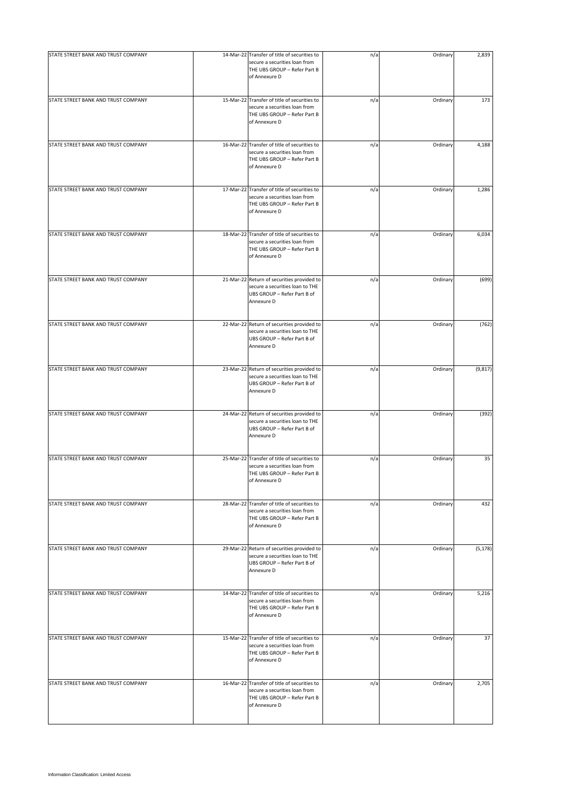| STATE STREET BANK AND TRUST COMPANY | 14-Mar-22 Transfer of title of securities to                                                                                   | n/a | Ordinary | 2,839    |
|-------------------------------------|--------------------------------------------------------------------------------------------------------------------------------|-----|----------|----------|
|                                     | secure a securities loan from<br>THE UBS GROUP - Refer Part B<br>of Annexure D                                                 |     |          |          |
| STATE STREET BANK AND TRUST COMPANY | 15-Mar-22 Transfer of title of securities to<br>secure a securities loan from<br>THE UBS GROUP - Refer Part B<br>of Annexure D | n/a | Ordinary | 173      |
| STATE STREET BANK AND TRUST COMPANY | 16-Mar-22 Transfer of title of securities to<br>secure a securities loan from<br>THE UBS GROUP - Refer Part B<br>of Annexure D | n/a | Ordinary | 4,188    |
| STATE STREET BANK AND TRUST COMPANY | 17-Mar-22 Transfer of title of securities to<br>secure a securities loan from<br>THE UBS GROUP - Refer Part B<br>of Annexure D | n/a | Ordinary | 1,286    |
| STATE STREET BANK AND TRUST COMPANY | 18-Mar-22 Transfer of title of securities to<br>secure a securities loan from<br>THE UBS GROUP - Refer Part B<br>of Annexure D | n/a | Ordinary | 6,034    |
| STATE STREET BANK AND TRUST COMPANY | 21-Mar-22 Return of securities provided to<br>secure a securities loan to THE<br>UBS GROUP - Refer Part B of<br>Annexure D     | n/a | Ordinary | (699)    |
| STATE STREET BANK AND TRUST COMPANY | 22-Mar-22 Return of securities provided to<br>secure a securities loan to THE<br>UBS GROUP - Refer Part B of<br>Annexure D     | n/a | Ordinary | (762)    |
| STATE STREET BANK AND TRUST COMPANY | 23-Mar-22 Return of securities provided to<br>secure a securities loan to THE<br>UBS GROUP - Refer Part B of<br>Annexure D     | n/a | Ordinary | (9, 817) |
| STATE STREET BANK AND TRUST COMPANY | 24-Mar-22 Return of securities provided to<br>secure a securities loan to THE<br>UBS GROUP - Refer Part B of<br>Annexure D     | n/a | Ordinary | (392)    |
| STATE STREET BANK AND TRUST COMPANY | 25-Mar-22 Transfer of title of securities to<br>secure a securities loan from<br>THE UBS GROUP - Refer Part B<br>of Annexure D | n/a | Ordinary | 35       |
| STATE STREET BANK AND TRUST COMPANY | 28-Mar-22 Transfer of title of securities to<br>secure a securities loan from<br>THE UBS GROUP - Refer Part B<br>of Annexure D | n/a | Ordinary | 432      |
| STATE STREET BANK AND TRUST COMPANY | 29-Mar-22 Return of securities provided to<br>secure a securities loan to THE<br>UBS GROUP - Refer Part B of<br>Annexure D     | n/a | Ordinary | (5, 178) |
| STATE STREET BANK AND TRUST COMPANY | 14-Mar-22 Transfer of title of securities to<br>secure a securities loan from<br>THE UBS GROUP - Refer Part B<br>of Annexure D | n/a | Ordinary | 5,216    |
| STATE STREET BANK AND TRUST COMPANY | 15-Mar-22 Transfer of title of securities to<br>secure a securities loan from<br>THE UBS GROUP - Refer Part B<br>of Annexure D | n/a | Ordinary | 37       |
| STATE STREET BANK AND TRUST COMPANY | 16-Mar-22 Transfer of title of securities to<br>secure a securities loan from<br>THE UBS GROUP - Refer Part B<br>of Annexure D | n/a | Ordinary | 2,705    |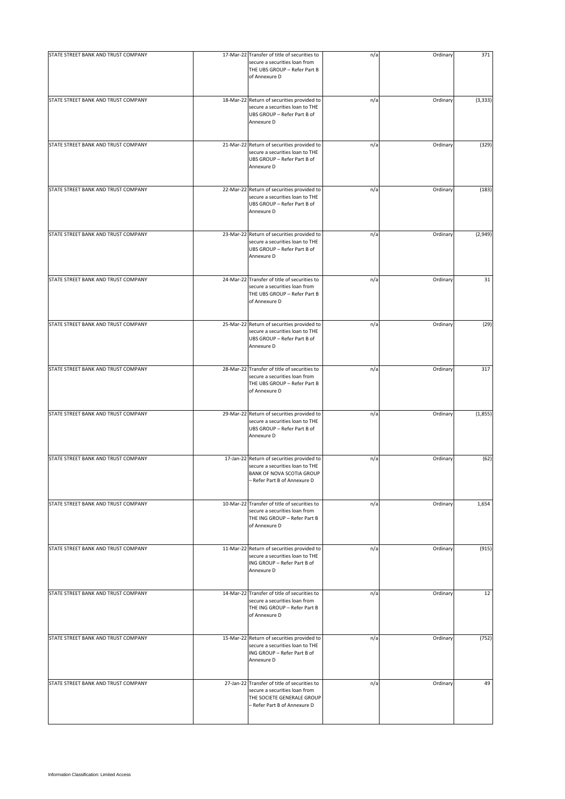| STATE STREET BANK AND TRUST COMPANY | 17-Mar-22 Transfer of title of securities to                                                                                                |     | Ordinary | 371      |
|-------------------------------------|---------------------------------------------------------------------------------------------------------------------------------------------|-----|----------|----------|
|                                     | secure a securities loan from<br>THE UBS GROUP - Refer Part B<br>of Annexure D                                                              | n/a |          |          |
| STATE STREET BANK AND TRUST COMPANY | 18-Mar-22 Return of securities provided to<br>secure a securities loan to THE<br>UBS GROUP - Refer Part B of<br>Annexure D                  | n/a | Ordinary | (3, 333) |
| STATE STREET BANK AND TRUST COMPANY | 21-Mar-22 Return of securities provided to<br>secure a securities loan to THE<br>UBS GROUP - Refer Part B of<br>Annexure D                  | n/a | Ordinary | (329)    |
| STATE STREET BANK AND TRUST COMPANY | 22-Mar-22 Return of securities provided to<br>secure a securities loan to THE<br>UBS GROUP - Refer Part B of<br>Annexure D                  | n/a | Ordinary | (183)    |
| STATE STREET BANK AND TRUST COMPANY | 23-Mar-22 Return of securities provided to<br>secure a securities loan to THE<br>UBS GROUP - Refer Part B of<br>Annexure D                  | n/a | Ordinary | (2,949)  |
| STATE STREET BANK AND TRUST COMPANY | 24-Mar-22 Transfer of title of securities to<br>secure a securities loan from<br>THE UBS GROUP - Refer Part B<br>of Annexure D              | n/a | Ordinary | 31       |
| STATE STREET BANK AND TRUST COMPANY | 25-Mar-22 Return of securities provided to<br>secure a securities loan to THE<br>UBS GROUP - Refer Part B of<br>Annexure D                  | n/a | Ordinary | (29)     |
| STATE STREET BANK AND TRUST COMPANY | 28-Mar-22 Transfer of title of securities to<br>secure a securities loan from<br>THE UBS GROUP - Refer Part B<br>of Annexure D              | n/a | Ordinary | 317      |
| STATE STREET BANK AND TRUST COMPANY | 29-Mar-22 Return of securities provided to<br>secure a securities loan to THE<br>UBS GROUP - Refer Part B of<br>Annexure D                  | n/a | Ordinary | (1,855)  |
| STATE STREET BANK AND TRUST COMPANY | 17-Jan-22 Return of securities provided to<br>secure a securities loan to THE<br>BANK OF NOVA SCOTIA GROUP<br>- Refer Part B of Annexure D  | n/a | Ordinary | (62)     |
| STATE STREET BANK AND TRUST COMPANY | 10-Mar-22 Transfer of title of securities to<br>secure a securities loan from<br>THE ING GROUP - Refer Part B<br>of Annexure D              | n/a | Ordinary | 1,654    |
| STATE STREET BANK AND TRUST COMPANY | 11-Mar-22 Return of securities provided to<br>secure a securities loan to THE<br>ING GROUP - Refer Part B of<br>Annexure D                  | n/a | Ordinary | (915)    |
| STATE STREET BANK AND TRUST COMPANY | 14-Mar-22 Transfer of title of securities to<br>secure a securities loan from<br>THE ING GROUP - Refer Part B<br>of Annexure D              | n/a | Ordinary | 12       |
| STATE STREET BANK AND TRUST COMPANY | 15-Mar-22 Return of securities provided to<br>secure a securities loan to THE<br>ING GROUP - Refer Part B of<br>Annexure D                  | n/a | Ordinary | (752)    |
| STATE STREET BANK AND TRUST COMPANY | 27-Jan-22 Transfer of title of securities to<br>secure a securities loan from<br>THE SOCIETE GENERALE GROUP<br>- Refer Part B of Annexure D | n/a | Ordinary | 49       |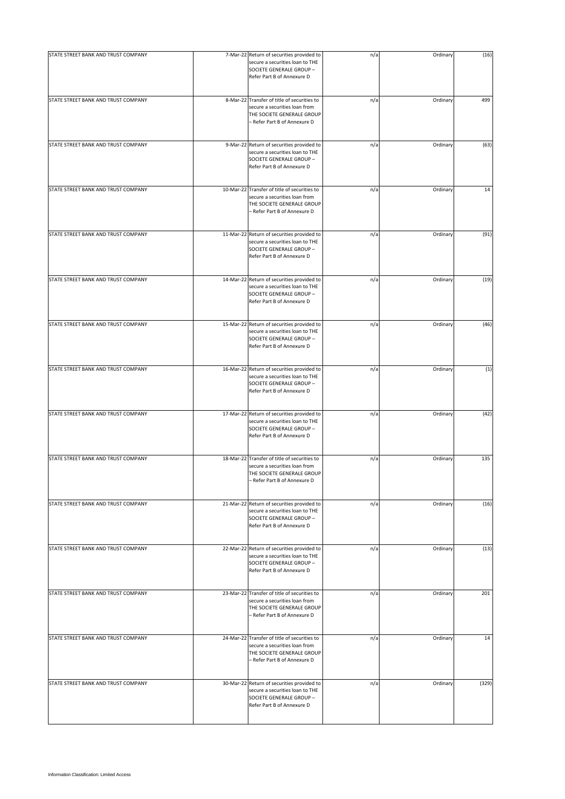| STATE STREET BANK AND TRUST COMPANY | 7-Mar-22 Return of securities provided to                                                                                                   | n/a | Ordinary | (16)  |
|-------------------------------------|---------------------------------------------------------------------------------------------------------------------------------------------|-----|----------|-------|
|                                     | secure a securities loan to THE<br>SOCIETE GENERALE GROUP -<br>Refer Part B of Annexure D                                                   |     |          |       |
| STATE STREET BANK AND TRUST COMPANY | 8-Mar-22 Transfer of title of securities to<br>secure a securities loan from<br>THE SOCIETE GENERALE GROUP<br>- Refer Part B of Annexure D  | n/a | Ordinary | 499   |
| STATE STREET BANK AND TRUST COMPANY | 9-Mar-22 Return of securities provided to<br>secure a securities loan to THE<br>SOCIETE GENERALE GROUP -<br>Refer Part B of Annexure D      | n/a | Ordinary | (63)  |
| STATE STREET BANK AND TRUST COMPANY | 10-Mar-22 Transfer of title of securities to<br>secure a securities loan from<br>THE SOCIETE GENERALE GROUP<br>- Refer Part B of Annexure D | n/a | Ordinary | 14    |
| STATE STREET BANK AND TRUST COMPANY | 11-Mar-22 Return of securities provided to<br>secure a securities loan to THE<br>SOCIETE GENERALE GROUP -<br>Refer Part B of Annexure D     | n/a | Ordinary | (91)  |
| STATE STREET BANK AND TRUST COMPANY | 14-Mar-22 Return of securities provided to<br>secure a securities loan to THE<br>SOCIETE GENERALE GROUP -<br>Refer Part B of Annexure D     | n/a | Ordinary | (19)  |
| STATE STREET BANK AND TRUST COMPANY | 15-Mar-22 Return of securities provided to<br>secure a securities loan to THE<br>SOCIETE GENERALE GROUP -<br>Refer Part B of Annexure D     | n/a | Ordinary | (46)  |
| STATE STREET BANK AND TRUST COMPANY | 16-Mar-22 Return of securities provided to<br>secure a securities loan to THE<br>SOCIETE GENERALE GROUP -<br>Refer Part B of Annexure D     | n/a | Ordinary | (1)   |
| STATE STREET BANK AND TRUST COMPANY | 17-Mar-22 Return of securities provided to<br>secure a securities loan to THE<br>SOCIETE GENERALE GROUP -<br>Refer Part B of Annexure D     | n/a | Ordinary | (42)  |
| STATE STREET BANK AND TRUST COMPANY | 18-Mar-22 Transfer of title of securities to<br>secure a securities loan from<br>THE SOCIETE GENERALE GROUP<br>- Refer Part B of Annexure D | n/a | Ordinary | 135   |
| STATE STREET BANK AND TRUST COMPANY | 21-Mar-22 Return of securities provided to<br>secure a securities loan to THE<br>SOCIETE GENERALE GROUP -<br>Refer Part B of Annexure D     | n/a | Ordinary | (16)  |
| STATE STREET BANK AND TRUST COMPANY | 22-Mar-22 Return of securities provided to<br>secure a securities loan to THE<br>SOCIETE GENERALE GROUP -<br>Refer Part B of Annexure D     | n/a | Ordinary | (13)  |
| STATE STREET BANK AND TRUST COMPANY | 23-Mar-22 Transfer of title of securities to<br>secure a securities loan from<br>THE SOCIETE GENERALE GROUP<br>– Refer Part B of Annexure D | n/a | Ordinary | 201   |
| STATE STREET BANK AND TRUST COMPANY | 24-Mar-22 Transfer of title of securities to<br>secure a securities loan from<br>THE SOCIETE GENERALE GROUP<br>- Refer Part B of Annexure D | n/a | Ordinary | 14    |
| STATE STREET BANK AND TRUST COMPANY | 30-Mar-22 Return of securities provided to<br>secure a securities loan to THE<br>SOCIETE GENERALE GROUP -<br>Refer Part B of Annexure D     | n/a | Ordinary | (329) |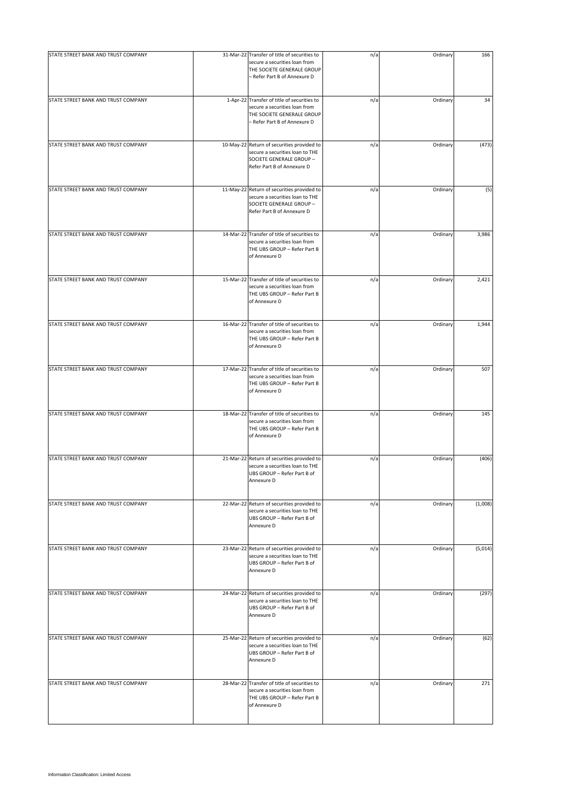| STATE STREET BANK AND TRUST COMPANY |                                                                                                                                             |     |          |         |
|-------------------------------------|---------------------------------------------------------------------------------------------------------------------------------------------|-----|----------|---------|
|                                     | 31-Mar-22 Transfer of title of securities to<br>secure a securities loan from<br>THE SOCIETE GENERALE GROUP<br>- Refer Part B of Annexure D | n/a | Ordinary | 166     |
| STATE STREET BANK AND TRUST COMPANY | 1-Apr-22 Transfer of title of securities to<br>secure a securities loan from<br>THE SOCIETE GENERALE GROUP<br>- Refer Part B of Annexure D  | n/a | Ordinary | 34      |
| STATE STREET BANK AND TRUST COMPANY | 10-May-22 Return of securities provided to<br>secure a securities loan to THE<br>SOCIETE GENERALE GROUP -<br>Refer Part B of Annexure D     | n/a | Ordinary | (473)   |
| STATE STREET BANK AND TRUST COMPANY | 11-May-22 Return of securities provided to<br>secure a securities loan to THE<br>SOCIETE GENERALE GROUP -<br>Refer Part B of Annexure D     | n/a | Ordinary | (5)     |
| STATE STREET BANK AND TRUST COMPANY | 14-Mar-22 Transfer of title of securities to<br>secure a securities loan from<br>THE UBS GROUP - Refer Part B<br>of Annexure D              | n/a | Ordinary | 3,986   |
| STATE STREET BANK AND TRUST COMPANY | 15-Mar-22 Transfer of title of securities to<br>secure a securities loan from<br>THE UBS GROUP - Refer Part B<br>of Annexure D              | n/a | Ordinary | 2,421   |
| STATE STREET BANK AND TRUST COMPANY | 16-Mar-22 Transfer of title of securities to<br>secure a securities loan from<br>THE UBS GROUP - Refer Part B<br>of Annexure D              | n/a | Ordinary | 1,944   |
| STATE STREET BANK AND TRUST COMPANY | 17-Mar-22 Transfer of title of securities to<br>secure a securities loan from<br>THE UBS GROUP - Refer Part B<br>of Annexure D              | n/a | Ordinary | 507     |
| STATE STREET BANK AND TRUST COMPANY | 18-Mar-22 Transfer of title of securities to<br>secure a securities loan from<br>THE UBS GROUP - Refer Part B<br>of Annexure D              | n/a | Ordinary | 145     |
| STATE STREET BANK AND TRUST COMPANY | 21-Mar-22 Return of securities provided to<br>secure a securities loan to THE<br>UBS GROUP - Refer Part B of<br>Annexure D                  | n/a | Ordinary | (406)   |
| STATE STREET BANK AND TRUST COMPANY | 22-Mar-22 Return of securities provided to<br>secure a securities loan to THE<br>UBS GROUP - Refer Part B of<br>Annexure D                  | n/a | Ordinary | (1,008) |
| STATE STREET BANK AND TRUST COMPANY | 23-Mar-22 Return of securities provided to<br>secure a securities loan to THE<br>UBS GROUP - Refer Part B of<br>Annexure D                  | n/a | Ordinary | (5,014) |
| STATE STREET BANK AND TRUST COMPANY | 24-Mar-22 Return of securities provided to<br>secure a securities loan to THE<br>UBS GROUP - Refer Part B of<br>Annexure D                  | n/a | Ordinary | (297)   |
| STATE STREET BANK AND TRUST COMPANY | 25-Mar-22 Return of securities provided to<br>secure a securities loan to THE<br>UBS GROUP - Refer Part B of<br>Annexure D                  | n/a | Ordinary | (62)    |
| STATE STREET BANK AND TRUST COMPANY | 28-Mar-22 Transfer of title of securities to<br>secure a securities loan from<br>THE UBS GROUP - Refer Part B<br>of Annexure D              | n/a | Ordinary | 271     |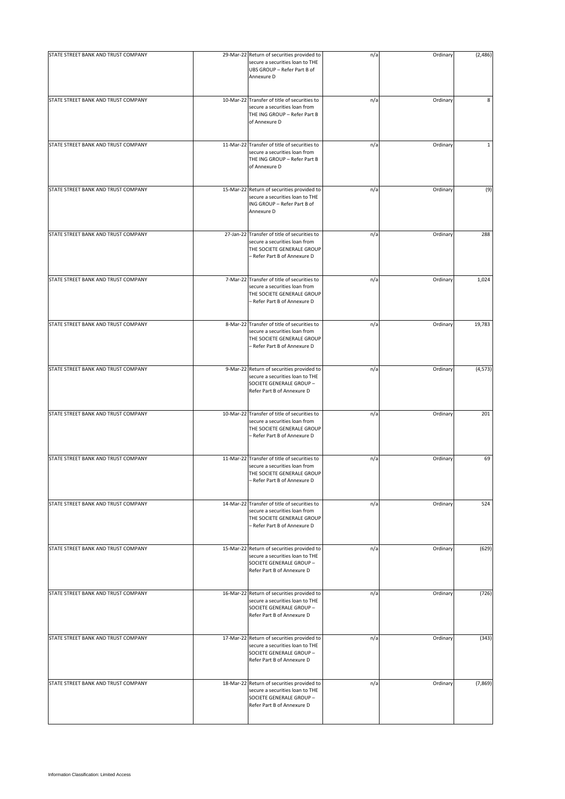| STATE STREET BANK AND TRUST COMPANY | 29-Mar-22 Return of securities provided to<br>secure a securities loan to THE<br>UBS GROUP - Refer Part B of<br>Annexure D                  | n/a | Ordinary | (2,486)      |
|-------------------------------------|---------------------------------------------------------------------------------------------------------------------------------------------|-----|----------|--------------|
| STATE STREET BANK AND TRUST COMPANY | 10-Mar-22 Transfer of title of securities to<br>secure a securities loan from<br>THE ING GROUP - Refer Part B<br>of Annexure D              | n/a | Ordinary | 8            |
| STATE STREET BANK AND TRUST COMPANY | 11-Mar-22 Transfer of title of securities to<br>secure a securities loan from<br>THE ING GROUP - Refer Part B<br>of Annexure D              | n/a | Ordinary | $\mathbf{1}$ |
| STATE STREET BANK AND TRUST COMPANY | 15-Mar-22 Return of securities provided to<br>secure a securities loan to THE<br>ING GROUP - Refer Part B of<br>Annexure D                  | n/a | Ordinary | (9)          |
| STATE STREET BANK AND TRUST COMPANY | 27-Jan-22 Transfer of title of securities to<br>secure a securities loan from<br>THE SOCIETE GENERALE GROUP<br>- Refer Part B of Annexure D | n/a | Ordinary | 288          |
| STATE STREET BANK AND TRUST COMPANY | 7-Mar-22 Transfer of title of securities to<br>secure a securities loan from<br>THE SOCIETE GENERALE GROUP<br>- Refer Part B of Annexure D  | n/a | Ordinary | 1,024        |
| STATE STREET BANK AND TRUST COMPANY | 8-Mar-22 Transfer of title of securities to<br>secure a securities loan from<br>THE SOCIETE GENERALE GROUP<br>- Refer Part B of Annexure D  | n/a | Ordinary | 19,783       |
| STATE STREET BANK AND TRUST COMPANY | 9-Mar-22 Return of securities provided to<br>secure a securities loan to THE<br>SOCIETE GENERALE GROUP -<br>Refer Part B of Annexure D      | n/a | Ordinary | (4, 573)     |
| STATE STREET BANK AND TRUST COMPANY | 10-Mar-22 Transfer of title of securities to<br>secure a securities loan from<br>THE SOCIETE GENERALE GROUP<br>- Refer Part B of Annexure D | n/a | Ordinary | 201          |
| STATE STREET BANK AND TRUST COMPANY | 11-Mar-22 Transfer of title of securities to<br>secure a securities loan from<br>THE SOCIETE GENERALE GROUP<br>- Refer Part B of Annexure D | n/a | Ordinary | 69           |
| STATE STREET BANK AND TRUST COMPANY | 14-Mar-22 Transfer of title of securities to<br>secure a securities loan from<br>THE SOCIETE GENERALE GROUP<br>- Refer Part B of Annexure D | n/a | Ordinary | 524          |
| STATE STREET BANK AND TRUST COMPANY | 15-Mar-22 Return of securities provided to<br>secure a securities loan to THE<br>SOCIETE GENERALE GROUP -<br>Refer Part B of Annexure D     | n/a | Ordinary | (629)        |
| STATE STREET BANK AND TRUST COMPANY | 16-Mar-22 Return of securities provided to<br>secure a securities loan to THE<br>SOCIETE GENERALE GROUP -<br>Refer Part B of Annexure D     | n/a | Ordinary | (726)        |
| STATE STREET BANK AND TRUST COMPANY | 17-Mar-22 Return of securities provided to<br>secure a securities loan to THE<br>SOCIETE GENERALE GROUP -<br>Refer Part B of Annexure D     | n/a | Ordinary | (343)        |
| STATE STREET BANK AND TRUST COMPANY | 18-Mar-22 Return of securities provided to<br>secure a securities loan to THE<br>SOCIETE GENERALE GROUP -<br>Refer Part B of Annexure D     | n/a | Ordinary | (7,869)      |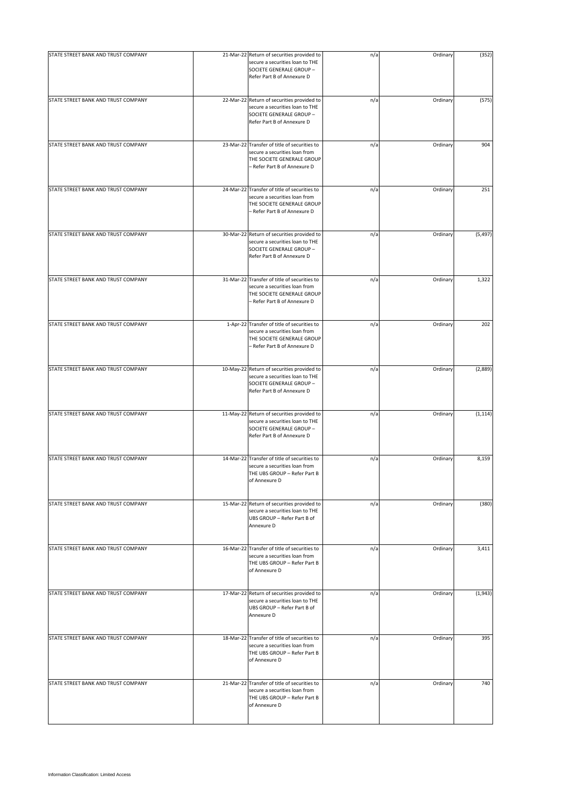| STATE STREET BANK AND TRUST COMPANY | 21-Mar-22 Return of securities provided to<br>secure a securities loan to THE<br>SOCIETE GENERALE GROUP -<br>Refer Part B of Annexure D     | n/a | Ordinary | (352)    |
|-------------------------------------|---------------------------------------------------------------------------------------------------------------------------------------------|-----|----------|----------|
| STATE STREET BANK AND TRUST COMPANY | 22-Mar-22 Return of securities provided to<br>secure a securities loan to THE<br>SOCIETE GENERALE GROUP -<br>Refer Part B of Annexure D     | n/a | Ordinary | (575)    |
| STATE STREET BANK AND TRUST COMPANY | 23-Mar-22 Transfer of title of securities to<br>secure a securities loan from<br>THE SOCIETE GENERALE GROUP<br>- Refer Part B of Annexure D | n/a | Ordinary | 904      |
| STATE STREET BANK AND TRUST COMPANY | 24-Mar-22 Transfer of title of securities to<br>secure a securities loan from<br>THE SOCIETE GENERALE GROUP<br>- Refer Part B of Annexure D | n/a | Ordinary | 251      |
| STATE STREET BANK AND TRUST COMPANY | 30-Mar-22 Return of securities provided to<br>secure a securities loan to THE<br>SOCIETE GENERALE GROUP -<br>Refer Part B of Annexure D     | n/a | Ordinary | (5, 497) |
| STATE STREET BANK AND TRUST COMPANY | 31-Mar-22 Transfer of title of securities to<br>secure a securities loan from<br>THE SOCIETE GENERALE GROUP<br>- Refer Part B of Annexure D | n/a | Ordinary | 1,322    |
| STATE STREET BANK AND TRUST COMPANY | 1-Apr-22 Transfer of title of securities to<br>secure a securities loan from<br>THE SOCIETE GENERALE GROUP<br>- Refer Part B of Annexure D  | n/a | Ordinary | 202      |
| STATE STREET BANK AND TRUST COMPANY | 10-May-22 Return of securities provided to<br>secure a securities loan to THE<br>SOCIETE GENERALE GROUP -<br>Refer Part B of Annexure D     | n/a | Ordinary | (2,889)  |
| STATE STREET BANK AND TRUST COMPANY | 11-May-22 Return of securities provided to<br>secure a securities loan to THE<br>SOCIETE GENERALE GROUP -<br>Refer Part B of Annexure D     | n/a | Ordinary | (1, 114) |
| STATE STREET BANK AND TRUST COMPANY | 14-Mar-22 Transfer of title of securities to<br>secure a securities loan from<br>THE UBS GROUP - Refer Part B<br>of Annexure D              | n/a | Ordinary | 8,159    |
| STATE STREET BANK AND TRUST COMPANY | 15-Mar-22 Return of securities provided to<br>secure a securities loan to THE<br>UBS GROUP - Refer Part B of<br>Annexure D                  | n/a | Ordinary | (380)    |
| STATE STREET BANK AND TRUST COMPANY | 16-Mar-22 Transfer of title of securities to<br>secure a securities loan from<br>THE UBS GROUP - Refer Part B<br>of Annexure D              | n/a | Ordinary | 3,411    |
| STATE STREET BANK AND TRUST COMPANY | 17-Mar-22 Return of securities provided to<br>secure a securities loan to THE<br>UBS GROUP - Refer Part B of<br>Annexure D                  | n/a | Ordinary | (1,943)  |
| STATE STREET BANK AND TRUST COMPANY | 18-Mar-22 Transfer of title of securities to<br>secure a securities loan from<br>THE UBS GROUP - Refer Part B<br>of Annexure D              | n/a | Ordinary | 395      |
| STATE STREET BANK AND TRUST COMPANY | 21-Mar-22 Transfer of title of securities to<br>secure a securities loan from<br>THE UBS GROUP - Refer Part B<br>of Annexure D              | n/a | Ordinary | 740      |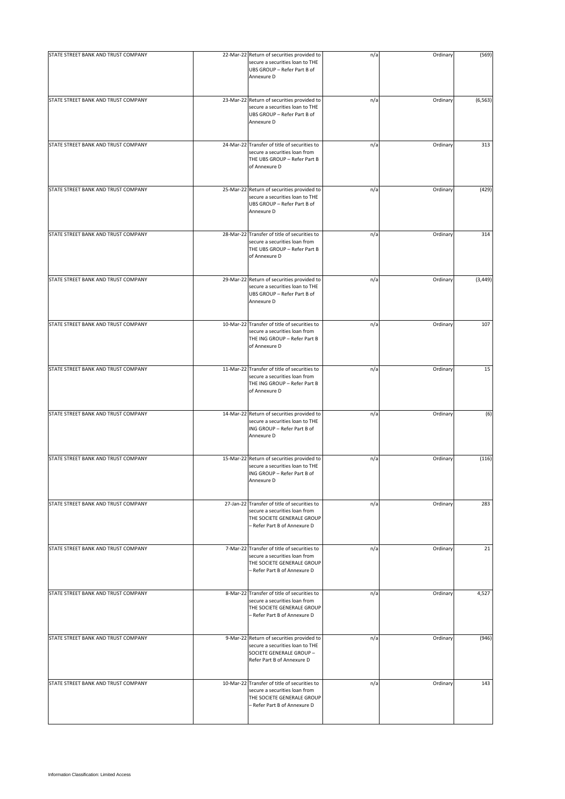| STATE STREET BANK AND TRUST COMPANY | 22-Mar-22 Return of securities provided to<br>secure a securities loan to THE<br>UBS GROUP - Refer Part B of<br>Annexure D                  | n/a | Ordinary | (569)    |
|-------------------------------------|---------------------------------------------------------------------------------------------------------------------------------------------|-----|----------|----------|
| STATE STREET BANK AND TRUST COMPANY | 23-Mar-22 Return of securities provided to<br>secure a securities loan to THE<br>UBS GROUP - Refer Part B of<br>Annexure D                  | n/a | Ordinary | (6, 563) |
| STATE STREET BANK AND TRUST COMPANY | 24-Mar-22 Transfer of title of securities to<br>secure a securities loan from<br>THE UBS GROUP - Refer Part B<br>of Annexure D              | n/a | Ordinary | 313      |
| STATE STREET BANK AND TRUST COMPANY | 25-Mar-22 Return of securities provided to<br>secure a securities loan to THE<br>UBS GROUP - Refer Part B of<br>Annexure D                  | n/a | Ordinary | (429)    |
| STATE STREET BANK AND TRUST COMPANY | 28-Mar-22 Transfer of title of securities to<br>secure a securities loan from<br>THE UBS GROUP - Refer Part B<br>of Annexure D              | n/a | Ordinary | 314      |
| STATE STREET BANK AND TRUST COMPANY | 29-Mar-22 Return of securities provided to<br>secure a securities loan to THE<br>UBS GROUP - Refer Part B of<br>Annexure D                  | n/a | Ordinary | (3, 449) |
| STATE STREET BANK AND TRUST COMPANY | 10-Mar-22 Transfer of title of securities to<br>secure a securities loan from<br>THE ING GROUP - Refer Part B<br>of Annexure D              | n/a | Ordinary | 107      |
| STATE STREET BANK AND TRUST COMPANY | 11-Mar-22 Transfer of title of securities to<br>secure a securities loan from<br>THE ING GROUP - Refer Part B<br>of Annexure D              | n/a | Ordinary | 15       |
| STATE STREET BANK AND TRUST COMPANY | 14-Mar-22 Return of securities provided to<br>secure a securities loan to THE<br>ING GROUP - Refer Part B of<br>Annexure D                  | n/a | Ordinary | (6)      |
| STATE STREET BANK AND TRUST COMPANY | 15-Mar-22 Return of securities provided to<br>secure a securities loan to THE<br>ING GROUP - Refer Part B of<br>Annexure D                  | n/a | Ordinary | (116)    |
| STATE STREET BANK AND TRUST COMPANY | 27-Jan-22 Transfer of title of securities to<br>secure a securities loan from<br>THE SOCIETE GENERALE GROUP<br>- Refer Part B of Annexure D | n/a | Ordinary | 283      |
| STATE STREET BANK AND TRUST COMPANY | 7-Mar-22 Transfer of title of securities to<br>secure a securities loan from<br>THE SOCIETE GENERALE GROUP<br>- Refer Part B of Annexure D  | n/a | Ordinary | 21       |
| STATE STREET BANK AND TRUST COMPANY | 8-Mar-22 Transfer of title of securities to<br>secure a securities loan from<br>THE SOCIETE GENERALE GROUP<br>- Refer Part B of Annexure D  | n/a | Ordinary | 4,527    |
| STATE STREET BANK AND TRUST COMPANY | 9-Mar-22 Return of securities provided to<br>secure a securities loan to THE<br>SOCIETE GENERALE GROUP -<br>Refer Part B of Annexure D      | n/a | Ordinary | (946)    |
| STATE STREET BANK AND TRUST COMPANY | 10-Mar-22 Transfer of title of securities to<br>secure a securities loan from<br>THE SOCIETE GENERALE GROUP<br>- Refer Part B of Annexure D | n/a | Ordinary | 143      |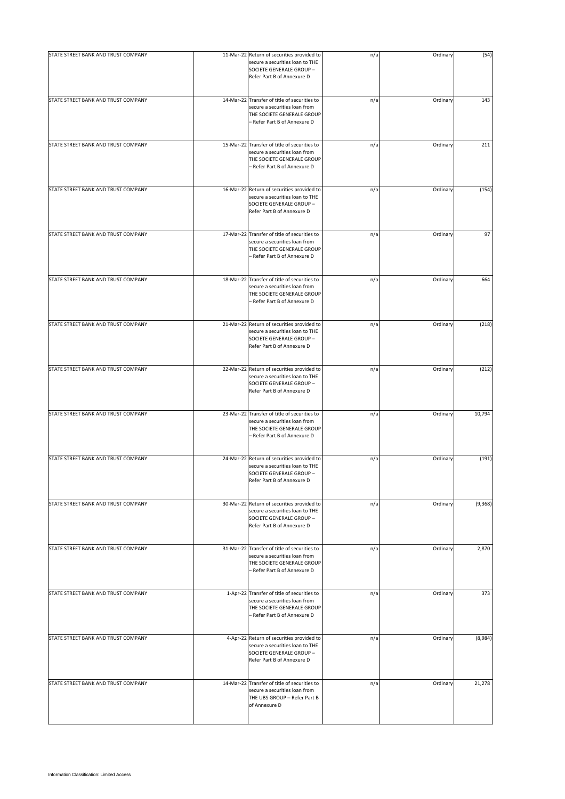| STATE STREET BANK AND TRUST COMPANY | 11-Mar-22 Return of securities provided to                                                                                                  |     | Ordinary |          |
|-------------------------------------|---------------------------------------------------------------------------------------------------------------------------------------------|-----|----------|----------|
|                                     | secure a securities loan to THE<br>SOCIETE GENERALE GROUP -<br>Refer Part B of Annexure D                                                   | n/a |          | (54)     |
| STATE STREET BANK AND TRUST COMPANY | 14-Mar-22 Transfer of title of securities to<br>secure a securities loan from<br>THE SOCIETE GENERALE GROUP<br>- Refer Part B of Annexure D | n/a | Ordinary | 143      |
| STATE STREET BANK AND TRUST COMPANY | 15-Mar-22 Transfer of title of securities to<br>secure a securities loan from<br>THE SOCIETE GENERALE GROUP<br>- Refer Part B of Annexure D | n/a | Ordinary | 211      |
| STATE STREET BANK AND TRUST COMPANY | 16-Mar-22 Return of securities provided to<br>secure a securities loan to THE<br>SOCIETE GENERALE GROUP -<br>Refer Part B of Annexure D     | n/a | Ordinary | (154)    |
| STATE STREET BANK AND TRUST COMPANY | 17-Mar-22 Transfer of title of securities to<br>secure a securities loan from<br>THE SOCIETE GENERALE GROUP<br>- Refer Part B of Annexure D | n/a | Ordinary | 97       |
| STATE STREET BANK AND TRUST COMPANY | 18-Mar-22 Transfer of title of securities to<br>secure a securities loan from<br>THE SOCIETE GENERALE GROUP<br>- Refer Part B of Annexure D | n/a | Ordinary | 664      |
| STATE STREET BANK AND TRUST COMPANY | 21-Mar-22 Return of securities provided to<br>secure a securities loan to THE<br>SOCIETE GENERALE GROUP -<br>Refer Part B of Annexure D     | n/a | Ordinary | (218)    |
| STATE STREET BANK AND TRUST COMPANY | 22-Mar-22 Return of securities provided to<br>secure a securities loan to THE<br>SOCIETE GENERALE GROUP -<br>Refer Part B of Annexure D     | n/a | Ordinary | (212)    |
| STATE STREET BANK AND TRUST COMPANY | 23-Mar-22 Transfer of title of securities to<br>secure a securities loan from<br>THE SOCIETE GENERALE GROUP<br>- Refer Part B of Annexure D | n/a | Ordinary | 10,794   |
| STATE STREET BANK AND TRUST COMPANY | 24-Mar-22 Return of securities provided to<br>secure a securities loan to THE<br>SOCIETE GENERALE GROUP -<br>Refer Part B of Annexure D     | n/a | Ordinary | (191)    |
| STATE STREET BANK AND TRUST COMPANY | 30-Mar-22 Return of securities provided to<br>secure a securities loan to THE<br>SOCIETE GENERALE GROUP -<br>Refer Part B of Annexure D     | n/a | Ordinary | (9, 368) |
| STATE STREET BANK AND TRUST COMPANY | 31-Mar-22 Transfer of title of securities to<br>secure a securities loan from<br>THE SOCIETE GENERALE GROUP<br>- Refer Part B of Annexure D | n/a | Ordinary | 2,870    |
| STATE STREET BANK AND TRUST COMPANY | 1-Apr-22 Transfer of title of securities to<br>secure a securities loan from<br>THE SOCIETE GENERALE GROUP<br>- Refer Part B of Annexure D  | n/a | Ordinary | 373      |
| STATE STREET BANK AND TRUST COMPANY | 4-Apr-22 Return of securities provided to<br>secure a securities loan to THE<br>SOCIETE GENERALE GROUP -<br>Refer Part B of Annexure D      | n/a | Ordinary | (8,984)  |
| STATE STREET BANK AND TRUST COMPANY | 14-Mar-22 Transfer of title of securities to<br>secure a securities loan from<br>THE UBS GROUP - Refer Part B<br>of Annexure D              | n/a | Ordinary | 21,278   |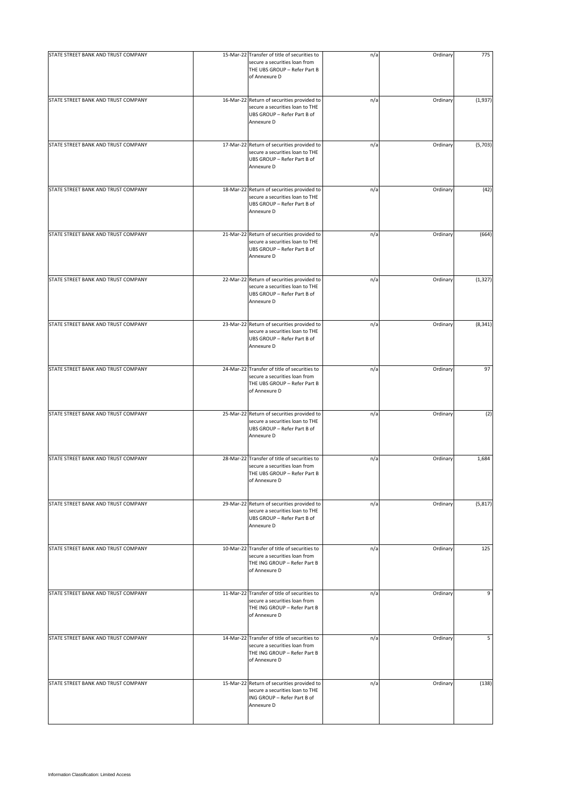| STATE STREET BANK AND TRUST COMPANY | 15-Mar-22 Transfer of title of securities to<br>secure a securities loan from<br>THE UBS GROUP - Refer Part B                  | n/a | Ordinary | 775      |
|-------------------------------------|--------------------------------------------------------------------------------------------------------------------------------|-----|----------|----------|
|                                     | of Annexure D                                                                                                                  |     |          |          |
| STATE STREET BANK AND TRUST COMPANY | 16-Mar-22 Return of securities provided to<br>secure a securities loan to THE<br>UBS GROUP - Refer Part B of<br>Annexure D     | n/a | Ordinary | (1,937)  |
| STATE STREET BANK AND TRUST COMPANY | 17-Mar-22 Return of securities provided to<br>secure a securities loan to THE<br>UBS GROUP - Refer Part B of<br>Annexure D     | n/a | Ordinary | (5,703)  |
| STATE STREET BANK AND TRUST COMPANY | 18-Mar-22 Return of securities provided to<br>secure a securities loan to THE<br>UBS GROUP - Refer Part B of<br>Annexure D     | n/a | Ordinary | (42)     |
| STATE STREET BANK AND TRUST COMPANY | 21-Mar-22 Return of securities provided to<br>secure a securities loan to THE<br>UBS GROUP - Refer Part B of<br>Annexure D     | n/a | Ordinary | (664)    |
| STATE STREET BANK AND TRUST COMPANY | 22-Mar-22 Return of securities provided to<br>secure a securities loan to THE<br>UBS GROUP - Refer Part B of<br>Annexure D     | n/a | Ordinary | (1, 327) |
| STATE STREET BANK AND TRUST COMPANY | 23-Mar-22 Return of securities provided to<br>secure a securities loan to THE<br>UBS GROUP - Refer Part B of<br>Annexure D     | n/a | Ordinary | (8, 341) |
| STATE STREET BANK AND TRUST COMPANY | 24-Mar-22 Transfer of title of securities to<br>secure a securities loan from<br>THE UBS GROUP - Refer Part B<br>of Annexure D | n/a | Ordinary | 97       |
| STATE STREET BANK AND TRUST COMPANY | 25-Mar-22 Return of securities provided to<br>secure a securities loan to THE<br>UBS GROUP - Refer Part B of<br>Annexure D     | n/a | Ordinary | (2)      |
| STATE STREET BANK AND TRUST COMPANY | 28-Mar-22 Transfer of title of securities to<br>secure a securities loan from<br>THE UBS GROUP - Refer Part B<br>of Annexure D | n/a | Ordinary | 1,684    |
| STATE STREET BANK AND TRUST COMPANY | 29-Mar-22 Return of securities provided to<br>secure a securities loan to THE<br>UBS GROUP - Refer Part B of<br>Annexure D     | n/a | Ordinary | (5, 817) |
| STATE STREET BANK AND TRUST COMPANY | 10-Mar-22 Transfer of title of securities to<br>secure a securities loan from<br>THE ING GROUP - Refer Part B<br>of Annexure D | n/a | Ordinary | 125      |
| STATE STREET BANK AND TRUST COMPANY | 11-Mar-22 Transfer of title of securities to<br>secure a securities loan from<br>THE ING GROUP - Refer Part B<br>of Annexure D | n/a | Ordinary | 9        |
| STATE STREET BANK AND TRUST COMPANY | 14-Mar-22 Transfer of title of securities to<br>secure a securities loan from<br>THE ING GROUP - Refer Part B<br>of Annexure D | n/a | Ordinary | 5        |
| STATE STREET BANK AND TRUST COMPANY | 15-Mar-22 Return of securities provided to<br>secure a securities loan to THE<br>ING GROUP - Refer Part B of<br>Annexure D     | n/a | Ordinary | (138)    |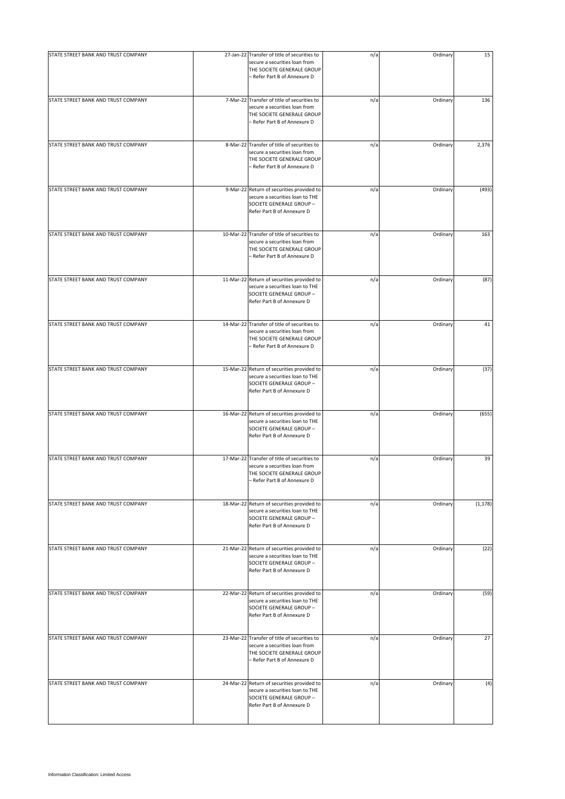| STATE STREET BANK AND TRUST COMPANY | 27-Jan-22 Transfer of title of securities to<br>secure a securities loan from                                                               | n/a | Ordinary | 15       |
|-------------------------------------|---------------------------------------------------------------------------------------------------------------------------------------------|-----|----------|----------|
|                                     | THE SOCIETE GENERALE GROUP<br>- Refer Part B of Annexure D                                                                                  |     |          |          |
| STATE STREET BANK AND TRUST COMPANY | 7-Mar-22 Transfer of title of securities to<br>secure a securities loan from<br>THE SOCIETE GENERALE GROUP<br>- Refer Part B of Annexure D  | n/a | Ordinary | 136      |
| STATE STREET BANK AND TRUST COMPANY | 8-Mar-22 Transfer of title of securities to<br>secure a securities loan from<br>THE SOCIETE GENERALE GROUP<br>– Refer Part B of Annexure D  | n/a | Ordinary | 2,376    |
| STATE STREET BANK AND TRUST COMPANY | 9-Mar-22 Return of securities provided to<br>secure a securities loan to THE<br>SOCIETE GENERALE GROUP -<br>Refer Part B of Annexure D      | n/a | Ordinary | (493)    |
| STATE STREET BANK AND TRUST COMPANY | 10-Mar-22 Transfer of title of securities to<br>secure a securities loan from<br>THE SOCIETE GENERALE GROUP<br>- Refer Part B of Annexure D | n/a | Ordinary | 163      |
| STATE STREET BANK AND TRUST COMPANY | 11-Mar-22 Return of securities provided to<br>secure a securities loan to THE<br>SOCIETE GENERALE GROUP -<br>Refer Part B of Annexure D     | n/a | Ordinary | (87)     |
| STATE STREET BANK AND TRUST COMPANY | 14-Mar-22 Transfer of title of securities to<br>secure a securities loan from<br>THE SOCIETE GENERALE GROUP<br>– Refer Part B of Annexure D | n/a | Ordinary | 41       |
| STATE STREET BANK AND TRUST COMPANY | 15-Mar-22 Return of securities provided to<br>secure a securities loan to THE<br>SOCIETE GENERALE GROUP -<br>Refer Part B of Annexure D     | n/a | Ordinary | (37)     |
| STATE STREET BANK AND TRUST COMPANY | 16-Mar-22 Return of securities provided to<br>secure a securities loan to THE<br>SOCIETE GENERALE GROUP -<br>Refer Part B of Annexure D     | n/a | Ordinary | (655)    |
| STATE STREET BANK AND TRUST COMPANY | 17-Mar-22 Transfer of title of securities to<br>secure a securities loan from<br>THE SOCIETE GENERALE GROUP<br>- Refer Part B of Annexure D | n/a | Ordinary | 39       |
| STATE STREET BANK AND TRUST COMPANY | 18-Mar-22 Return of securities provided to<br>secure a securities loan to THE<br>SOCIETE GENERALE GROUP -<br>Refer Part B of Annexure D     | n/a | Ordinary | (1, 178) |
| STATE STREET BANK AND TRUST COMPANY | 21-Mar-22 Return of securities provided to<br>secure a securities loan to THE<br>SOCIETE GENERALE GROUP -<br>Refer Part B of Annexure D     | n/a | Ordinary | (22)     |
| STATE STREET BANK AND TRUST COMPANY | 22-Mar-22 Return of securities provided to<br>secure a securities loan to THE<br>SOCIETE GENERALE GROUP -<br>Refer Part B of Annexure D     | n/a | Ordinary | (59)     |
| STATE STREET BANK AND TRUST COMPANY | 23-Mar-22 Transfer of title of securities to<br>secure a securities loan from<br>THE SOCIETE GENERALE GROUP<br>- Refer Part B of Annexure D | n/a | Ordinary | 27       |
| STATE STREET BANK AND TRUST COMPANY | 24-Mar-22 Return of securities provided to<br>secure a securities loan to THE<br>SOCIETE GENERALE GROUP -<br>Refer Part B of Annexure D     | n/a | Ordinary | (4)      |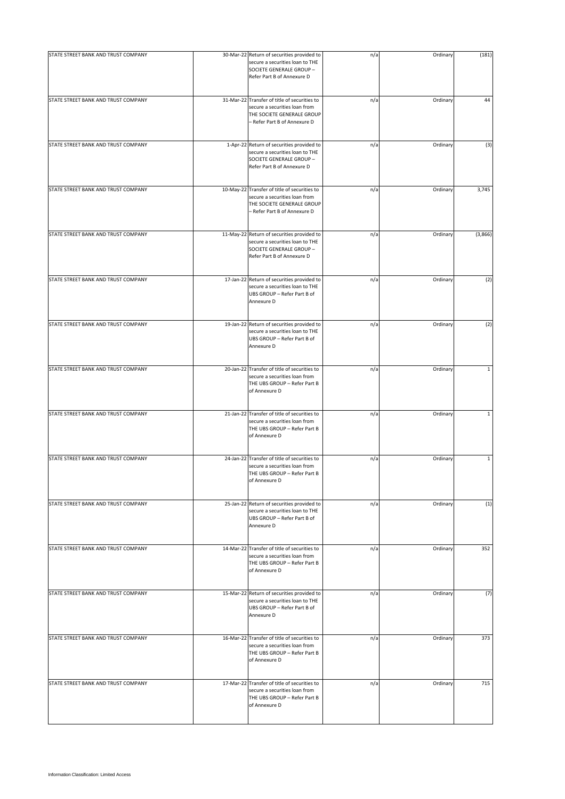| STATE STREET BANK AND TRUST COMPANY | 30-Mar-22 Return of securities provided to<br>secure a securities loan to THE<br>SOCIETE GENERALE GROUP -<br>Refer Part B of Annexure D     | n/a | Ordinary | (181)        |
|-------------------------------------|---------------------------------------------------------------------------------------------------------------------------------------------|-----|----------|--------------|
| STATE STREET BANK AND TRUST COMPANY | 31-Mar-22 Transfer of title of securities to<br>secure a securities loan from<br>THE SOCIETE GENERALE GROUP<br>- Refer Part B of Annexure D | n/a | Ordinary | 44           |
| STATE STREET BANK AND TRUST COMPANY | 1-Apr-22 Return of securities provided to<br>secure a securities loan to THE<br>SOCIETE GENERALE GROUP -<br>Refer Part B of Annexure D      | n/a | Ordinary | (3)          |
| STATE STREET BANK AND TRUST COMPANY | 10-May-22 Transfer of title of securities to<br>secure a securities loan from<br>THE SOCIETE GENERALE GROUP<br>- Refer Part B of Annexure D | n/a | Ordinary | 3,745        |
| STATE STREET BANK AND TRUST COMPANY | 11-May-22 Return of securities provided to<br>secure a securities loan to THE<br>SOCIETE GENERALE GROUP -<br>Refer Part B of Annexure D     | n/a | Ordinary | (3,866)      |
| STATE STREET BANK AND TRUST COMPANY | 17-Jan-22 Return of securities provided to<br>secure a securities loan to THE<br>UBS GROUP - Refer Part B of<br>Annexure D                  | n/a | Ordinary | (2)          |
| STATE STREET BANK AND TRUST COMPANY | 19-Jan-22 Return of securities provided to<br>secure a securities loan to THE<br>UBS GROUP - Refer Part B of<br>Annexure D                  | n/a | Ordinary | (2)          |
| STATE STREET BANK AND TRUST COMPANY | 20-Jan-22 Transfer of title of securities to<br>secure a securities loan from<br>THE UBS GROUP - Refer Part B<br>of Annexure D              | n/a | Ordinary | $\mathbf{1}$ |
| STATE STREET BANK AND TRUST COMPANY | 21-Jan-22 Transfer of title of securities to<br>secure a securities loan from<br>THE UBS GROUP - Refer Part B<br>of Annexure D              | n/a | Ordinary | $\mathbf{1}$ |
| STATE STREET BANK AND TRUST COMPANY | 24-Jan-22 Transfer of title of securities to<br>secure a securities loan from<br>THE UBS GROUP - Refer Part B<br>of Annexure D              | n/a | Ordinary | $\mathbf{1}$ |
| STATE STREET BANK AND TRUST COMPANY | 25-Jan-22 Return of securities provided to<br>secure a securities loan to THE<br>UBS GROUP - Refer Part B of<br>Annexure D                  | n/a | Ordinary | (1)          |
| STATE STREET BANK AND TRUST COMPANY | 14-Mar-22 Transfer of title of securities to<br>secure a securities loan from<br>THE UBS GROUP - Refer Part B<br>of Annexure D              | n/a | Ordinary | 352          |
| STATE STREET BANK AND TRUST COMPANY | 15-Mar-22 Return of securities provided to<br>secure a securities loan to THE<br>UBS GROUP - Refer Part B of<br>Annexure D                  | n/a | Ordinary | (7)          |
| STATE STREET BANK AND TRUST COMPANY | 16-Mar-22 Transfer of title of securities to<br>secure a securities loan from<br>THE UBS GROUP - Refer Part B<br>of Annexure D              | n/a | Ordinary | 373          |
| STATE STREET BANK AND TRUST COMPANY | 17-Mar-22 Transfer of title of securities to<br>secure a securities loan from<br>THE UBS GROUP - Refer Part B<br>of Annexure D              | n/a | Ordinary | 715          |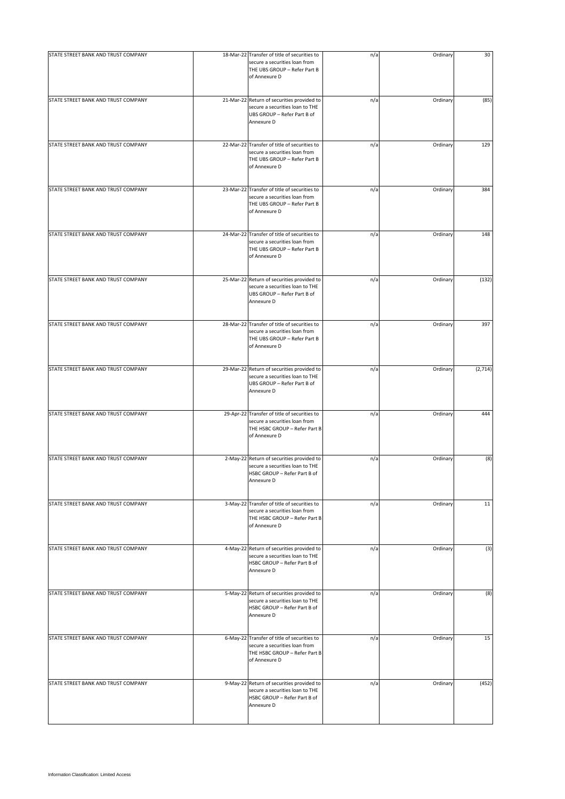| STATE STREET BANK AND TRUST COMPANY | 18-Mar-22 Transfer of title of securities to                                                                                    |     | Ordinary | 30      |
|-------------------------------------|---------------------------------------------------------------------------------------------------------------------------------|-----|----------|---------|
|                                     | secure a securities loan from<br>THE UBS GROUP - Refer Part B<br>of Annexure D                                                  | n/a |          |         |
| STATE STREET BANK AND TRUST COMPANY | 21-Mar-22 Return of securities provided to<br>secure a securities loan to THE<br>UBS GROUP - Refer Part B of<br>Annexure D      | n/a | Ordinary | (85)    |
| STATE STREET BANK AND TRUST COMPANY | 22-Mar-22 Transfer of title of securities to<br>secure a securities loan from<br>THE UBS GROUP - Refer Part B<br>of Annexure D  | n/a | Ordinary | 129     |
| STATE STREET BANK AND TRUST COMPANY | 23-Mar-22 Transfer of title of securities to<br>secure a securities loan from<br>THE UBS GROUP - Refer Part B<br>of Annexure D  | n/a | Ordinary | 384     |
| STATE STREET BANK AND TRUST COMPANY | 24-Mar-22 Transfer of title of securities to<br>secure a securities loan from<br>THE UBS GROUP - Refer Part B<br>of Annexure D  | n/a | Ordinary | 148     |
| STATE STREET BANK AND TRUST COMPANY | 25-Mar-22 Return of securities provided to<br>secure a securities loan to THE<br>UBS GROUP - Refer Part B of<br>Annexure D      | n/a | Ordinary | (132)   |
| STATE STREET BANK AND TRUST COMPANY | 28-Mar-22 Transfer of title of securities to<br>secure a securities loan from<br>THE UBS GROUP - Refer Part B<br>of Annexure D  | n/a | Ordinary | 397     |
| STATE STREET BANK AND TRUST COMPANY | 29-Mar-22 Return of securities provided to<br>secure a securities loan to THE<br>UBS GROUP - Refer Part B of<br>Annexure D      | n/a | Ordinary | (2,714) |
| STATE STREET BANK AND TRUST COMPANY | 29-Apr-22 Transfer of title of securities to<br>secure a securities loan from<br>THE HSBC GROUP - Refer Part B<br>of Annexure D | n/a | Ordinary | 444     |
| STATE STREET BANK AND TRUST COMPANY | 2-May-22 Return of securities provided to<br>secure a securities loan to THE<br>HSBC GROUP - Refer Part B of<br>Annexure D      | n/a | Ordinary | (8)     |
| STATE STREET BANK AND TRUST COMPANY | 3-May-22 Transfer of title of securities to<br>secure a securities loan from<br>THE HSBC GROUP - Refer Part B<br>of Annexure D  | n/a | Ordinary | 11      |
| STATE STREET BANK AND TRUST COMPANY | 4-May-22 Return of securities provided to<br>secure a securities loan to THE<br>HSBC GROUP - Refer Part B of<br>Annexure D      | n/a | Ordinary | (3)     |
| STATE STREET BANK AND TRUST COMPANY | 5-May-22 Return of securities provided to<br>secure a securities loan to THE<br>HSBC GROUP - Refer Part B of<br>Annexure D      | n/a | Ordinary | (8)     |
| STATE STREET BANK AND TRUST COMPANY | 6-May-22 Transfer of title of securities to<br>secure a securities loan from<br>THE HSBC GROUP - Refer Part B<br>of Annexure D  | n/a | Ordinary | 15      |
| STATE STREET BANK AND TRUST COMPANY | 9-May-22 Return of securities provided to<br>secure a securities loan to THE<br>HSBC GROUP - Refer Part B of<br>Annexure D      | n/a | Ordinary | (452)   |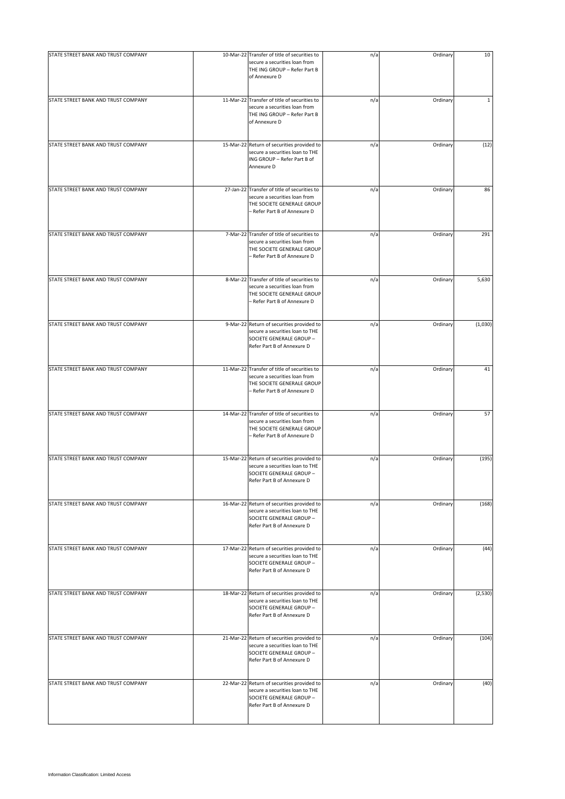| STATE STREET BANK AND TRUST COMPANY | 10-Mar-22 Transfer of title of securities to                                                                                                | n/a | Ordinary | 10           |
|-------------------------------------|---------------------------------------------------------------------------------------------------------------------------------------------|-----|----------|--------------|
|                                     | secure a securities loan from<br>THE ING GROUP - Refer Part B<br>of Annexure D                                                              |     |          |              |
| STATE STREET BANK AND TRUST COMPANY | 11-Mar-22 Transfer of title of securities to<br>secure a securities loan from<br>THE ING GROUP - Refer Part B<br>of Annexure D              | n/a | Ordinary | $\mathbf{1}$ |
| STATE STREET BANK AND TRUST COMPANY | 15-Mar-22 Return of securities provided to<br>secure a securities loan to THE<br>ING GROUP - Refer Part B of<br>Annexure D                  | n/a | Ordinary | (12)         |
| STATE STREET BANK AND TRUST COMPANY | 27-Jan-22 Transfer of title of securities to<br>secure a securities loan from<br>THE SOCIETE GENERALE GROUP<br>– Refer Part B of Annexure D | n/a | Ordinary | 86           |
| STATE STREET BANK AND TRUST COMPANY | 7-Mar-22 Transfer of title of securities to<br>secure a securities loan from<br>THE SOCIETE GENERALE GROUP<br>- Refer Part B of Annexure D  | n/a | Ordinary | 291          |
| STATE STREET BANK AND TRUST COMPANY | 8-Mar-22 Transfer of title of securities to<br>secure a securities loan from<br>THE SOCIETE GENERALE GROUP<br>– Refer Part B of Annexure D  | n/a | Ordinary | 5,630        |
| STATE STREET BANK AND TRUST COMPANY | 9-Mar-22 Return of securities provided to<br>secure a securities loan to THE<br>SOCIETE GENERALE GROUP -<br>Refer Part B of Annexure D      | n/a | Ordinary | (1,030)      |
| STATE STREET BANK AND TRUST COMPANY | 11-Mar-22 Transfer of title of securities to<br>secure a securities loan from<br>THE SOCIETE GENERALE GROUP<br>– Refer Part B of Annexure D | n/a | Ordinary | 41           |
| STATE STREET BANK AND TRUST COMPANY | 14-Mar-22 Transfer of title of securities to<br>secure a securities loan from<br>THE SOCIETE GENERALE GROUP<br>- Refer Part B of Annexure D | n/a | Ordinary | 57           |
| STATE STREET BANK AND TRUST COMPANY | 15-Mar-22 Return of securities provided to<br>secure a securities loan to THE<br>SOCIETE GENERALE GROUP -<br>Refer Part B of Annexure D     | n/a | Ordinary | (195)        |
| STATE STREET BANK AND TRUST COMPANY | 16-Mar-22 Return of securities provided to<br>secure a securities loan to THE<br>SOCIETE GENERALE GROUP -<br>Refer Part B of Annexure D     | n/a | Ordinary | (168)        |
| STATE STREET BANK AND TRUST COMPANY | 17-Mar-22 Return of securities provided to<br>secure a securities loan to THE<br>SOCIETE GENERALE GROUP -<br>Refer Part B of Annexure D     | n/a | Ordinary | (44)         |
| STATE STREET BANK AND TRUST COMPANY | 18-Mar-22 Return of securities provided to<br>secure a securities loan to THE<br>SOCIETE GENERALE GROUP -<br>Refer Part B of Annexure D     | n/a | Ordinary | (2,530)      |
| STATE STREET BANK AND TRUST COMPANY | 21-Mar-22 Return of securities provided to<br>secure a securities loan to THE<br>SOCIETE GENERALE GROUP -<br>Refer Part B of Annexure D     | n/a | Ordinary | (104)        |
| STATE STREET BANK AND TRUST COMPANY | 22-Mar-22 Return of securities provided to<br>secure a securities loan to THE<br>SOCIETE GENERALE GROUP -<br>Refer Part B of Annexure D     | n/a | Ordinary | (40)         |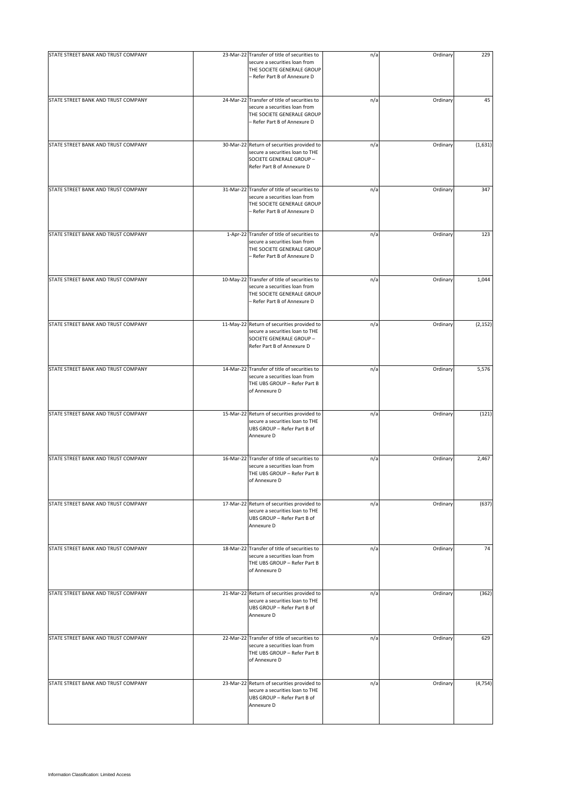| STATE STREET BANK AND TRUST COMPANY | 23-Mar-22 Transfer of title of securities to                                                                                                | n/a | Ordinary | 229      |
|-------------------------------------|---------------------------------------------------------------------------------------------------------------------------------------------|-----|----------|----------|
|                                     | secure a securities loan from<br>THE SOCIETE GENERALE GROUP<br>- Refer Part B of Annexure D                                                 |     |          |          |
| STATE STREET BANK AND TRUST COMPANY | 24-Mar-22 Transfer of title of securities to<br>secure a securities loan from<br>THE SOCIETE GENERALE GROUP<br>- Refer Part B of Annexure D | n/a | Ordinary | 45       |
| STATE STREET BANK AND TRUST COMPANY | 30-Mar-22 Return of securities provided to<br>secure a securities loan to THE<br>SOCIETE GENERALE GROUP -<br>Refer Part B of Annexure D     | n/a | Ordinary | (1,631)  |
| STATE STREET BANK AND TRUST COMPANY | 31-Mar-22 Transfer of title of securities to<br>secure a securities loan from<br>THE SOCIETE GENERALE GROUP<br>- Refer Part B of Annexure D | n/a | Ordinary | 347      |
| STATE STREET BANK AND TRUST COMPANY | 1-Apr-22 Transfer of title of securities to<br>secure a securities loan from<br>THE SOCIETE GENERALE GROUP<br>- Refer Part B of Annexure D  | n/a | Ordinary | 123      |
| STATE STREET BANK AND TRUST COMPANY | 10-May-22 Transfer of title of securities to<br>secure a securities loan from<br>THE SOCIETE GENERALE GROUP<br>- Refer Part B of Annexure D | n/a | Ordinary | 1,044    |
| STATE STREET BANK AND TRUST COMPANY | 11-May-22 Return of securities provided to<br>secure a securities loan to THE<br>SOCIETE GENERALE GROUP -<br>Refer Part B of Annexure D     | n/a | Ordinary | (2, 152) |
| STATE STREET BANK AND TRUST COMPANY | 14-Mar-22 Transfer of title of securities to<br>secure a securities loan from<br>THE UBS GROUP - Refer Part B<br>of Annexure D              | n/a | Ordinary | 5,576    |
| STATE STREET BANK AND TRUST COMPANY | 15-Mar-22 Return of securities provided to<br>secure a securities loan to THE<br>UBS GROUP - Refer Part B of<br>Annexure D                  | n/a | Ordinary | (121)    |
| STATE STREET BANK AND TRUST COMPANY | 16-Mar-22 Transfer of title of securities to<br>secure a securities loan from<br>THE UBS GROUP - Refer Part B<br>of Annexure D              | n/a | Ordinary | 2,467    |
| STATE STREET BANK AND TRUST COMPANY | 17-Mar-22 Return of securities provided to<br>secure a securities loan to THE<br>UBS GROUP - Refer Part B of<br>Annexure D                  | n/a | Ordinary | (637)    |
| STATE STREET BANK AND TRUST COMPANY | 18-Mar-22 Transfer of title of securities to<br>secure a securities loan from<br>THE UBS GROUP - Refer Part B<br>of Annexure D              | n/a | Ordinary | 74       |
| STATE STREET BANK AND TRUST COMPANY | 21-Mar-22 Return of securities provided to<br>secure a securities loan to THE<br>UBS GROUP - Refer Part B of<br>Annexure D                  | n/a | Ordinary | (362)    |
| STATE STREET BANK AND TRUST COMPANY | 22-Mar-22 Transfer of title of securities to<br>secure a securities loan from<br>THE UBS GROUP - Refer Part B<br>of Annexure D              | n/a | Ordinary | 629      |
| STATE STREET BANK AND TRUST COMPANY | 23-Mar-22 Return of securities provided to<br>secure a securities loan to THE<br>UBS GROUP - Refer Part B of<br>Annexure D                  | n/a | Ordinary | (4, 754) |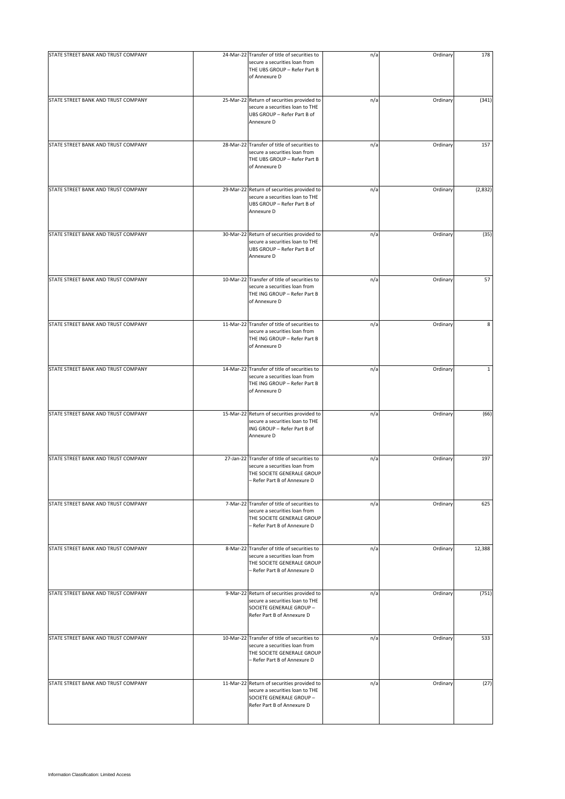| STATE STREET BANK AND TRUST COMPANY | 24-Mar-22 Transfer of title of securities to                                                                                                | n/a | Ordinary | 178          |
|-------------------------------------|---------------------------------------------------------------------------------------------------------------------------------------------|-----|----------|--------------|
|                                     | secure a securities loan from<br>THE UBS GROUP - Refer Part B<br>of Annexure D                                                              |     |          |              |
| STATE STREET BANK AND TRUST COMPANY | 25-Mar-22 Return of securities provided to<br>secure a securities loan to THE<br>UBS GROUP - Refer Part B of<br>Annexure D                  | n/a | Ordinary | (341)        |
| STATE STREET BANK AND TRUST COMPANY | 28-Mar-22 Transfer of title of securities to<br>secure a securities loan from<br>THE UBS GROUP - Refer Part B<br>of Annexure D              | n/a | Ordinary | 157          |
| STATE STREET BANK AND TRUST COMPANY | 29-Mar-22 Return of securities provided to<br>secure a securities loan to THE<br>UBS GROUP - Refer Part B of<br>Annexure D                  | n/a | Ordinary | (2,832)      |
| STATE STREET BANK AND TRUST COMPANY | 30-Mar-22 Return of securities provided to<br>secure a securities loan to THE<br>UBS GROUP - Refer Part B of<br>Annexure D                  | n/a | Ordinary | (35)         |
| STATE STREET BANK AND TRUST COMPANY | 10-Mar-22 Transfer of title of securities to<br>secure a securities loan from<br>THE ING GROUP - Refer Part B<br>of Annexure D              | n/a | Ordinary | 57           |
| STATE STREET BANK AND TRUST COMPANY | 11-Mar-22 Transfer of title of securities to<br>secure a securities loan from<br>THE ING GROUP - Refer Part B<br>of Annexure D              | n/a | Ordinary | 8            |
| STATE STREET BANK AND TRUST COMPANY | 14-Mar-22 Transfer of title of securities to<br>secure a securities loan from<br>THE ING GROUP - Refer Part B<br>of Annexure D              | n/a | Ordinary | $\mathbf{1}$ |
| STATE STREET BANK AND TRUST COMPANY | 15-Mar-22 Return of securities provided to<br>secure a securities loan to THE<br>ING GROUP - Refer Part B of<br>Annexure D                  | n/a | Ordinary | (66)         |
| STATE STREET BANK AND TRUST COMPANY | 27-Jan-22 Transfer of title of securities to<br>secure a securities loan from<br>THE SOCIETE GENERALE GROUP<br>Refer Part B of Annexure D   | n/a | Ordinary | 197          |
| STATE STREET BANK AND TRUST COMPANY | 7-Mar-22 Transfer of title of securities to<br>secure a securities loan from<br>THE SOCIETE GENERALE GROUP<br>- Refer Part B of Annexure D  | n/a | Ordinary | 625          |
| STATE STREET BANK AND TRUST COMPANY | 8-Mar-22 Transfer of title of securities to<br>secure a securities loan from<br>THE SOCIETE GENERALE GROUP<br>- Refer Part B of Annexure D  | n/a | Ordinary | 12,388       |
| STATE STREET BANK AND TRUST COMPANY | 9-Mar-22 Return of securities provided to<br>secure a securities loan to THE<br>SOCIETE GENERALE GROUP -<br>Refer Part B of Annexure D      | n/a | Ordinary | (751)        |
| STATE STREET BANK AND TRUST COMPANY | 10-Mar-22 Transfer of title of securities to<br>secure a securities loan from<br>THE SOCIETE GENERALE GROUP<br>- Refer Part B of Annexure D | n/a | Ordinary | 533          |
| STATE STREET BANK AND TRUST COMPANY | 11-Mar-22 Return of securities provided to<br>secure a securities loan to THE<br>SOCIETE GENERALE GROUP -<br>Refer Part B of Annexure D     | n/a | Ordinary | (27)         |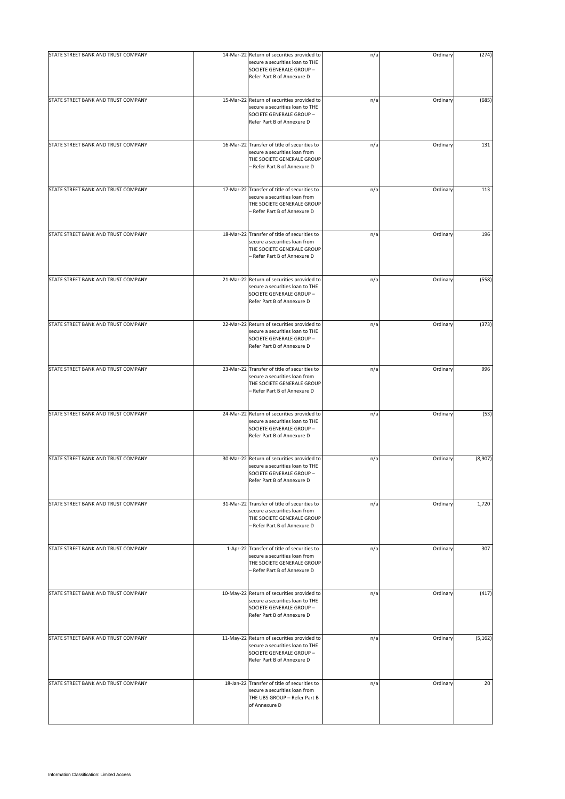| STATE STREET BANK AND TRUST COMPANY | 14-Mar-22 Return of securities provided to<br>secure a securities loan to THE<br>SOCIETE GENERALE GROUP -<br>Refer Part B of Annexure D     | n/a | Ordinary | (274)    |
|-------------------------------------|---------------------------------------------------------------------------------------------------------------------------------------------|-----|----------|----------|
| STATE STREET BANK AND TRUST COMPANY | 15-Mar-22 Return of securities provided to<br>secure a securities loan to THE<br>SOCIETE GENERALE GROUP -<br>Refer Part B of Annexure D     | n/a | Ordinary | (685)    |
| STATE STREET BANK AND TRUST COMPANY | 16-Mar-22 Transfer of title of securities to<br>secure a securities loan from<br>THE SOCIETE GENERALE GROUP<br>- Refer Part B of Annexure D | n/a | Ordinary | 131      |
| STATE STREET BANK AND TRUST COMPANY | 17-Mar-22 Transfer of title of securities to<br>secure a securities loan from<br>THE SOCIETE GENERALE GROUP<br>- Refer Part B of Annexure D | n/a | Ordinary | 113      |
| STATE STREET BANK AND TRUST COMPANY | 18-Mar-22 Transfer of title of securities to<br>secure a securities loan from<br>THE SOCIETE GENERALE GROUP<br>- Refer Part B of Annexure D | n/a | Ordinary | 196      |
| STATE STREET BANK AND TRUST COMPANY | 21-Mar-22 Return of securities provided to<br>secure a securities loan to THE<br>SOCIETE GENERALE GROUP -<br>Refer Part B of Annexure D     | n/a | Ordinary | (558)    |
| STATE STREET BANK AND TRUST COMPANY | 22-Mar-22 Return of securities provided to<br>secure a securities loan to THE<br>SOCIETE GENERALE GROUP -<br>Refer Part B of Annexure D     | n/a | Ordinary | (373)    |
| STATE STREET BANK AND TRUST COMPANY | 23-Mar-22 Transfer of title of securities to<br>secure a securities loan from<br>THE SOCIETE GENERALE GROUP<br>- Refer Part B of Annexure D | n/a | Ordinary | 996      |
| STATE STREET BANK AND TRUST COMPANY | 24-Mar-22 Return of securities provided to<br>secure a securities loan to THE<br>SOCIETE GENERALE GROUP -<br>Refer Part B of Annexure D     | n/a | Ordinary | (53)     |
| STATE STREET BANK AND TRUST COMPANY | 30-Mar-22 Return of securities provided to<br>secure a securities loan to THE<br>SOCIETE GENERALE GROUP -<br>Refer Part B of Annexure D     | n/a | Ordinary | (8,907)  |
| STATE STREET BANK AND TRUST COMPANY | 31-Mar-22 Transfer of title of securities to<br>secure a securities loan from<br>THE SOCIETE GENERALE GROUP<br>- Refer Part B of Annexure D | n/a | Ordinary | 1,720    |
| STATE STREET BANK AND TRUST COMPANY | 1-Apr-22 Transfer of title of securities to<br>secure a securities loan from<br>THE SOCIETE GENERALE GROUP<br>- Refer Part B of Annexure D  | n/a | Ordinary | 307      |
| STATE STREET BANK AND TRUST COMPANY | 10-May-22 Return of securities provided to<br>secure a securities loan to THE<br>SOCIETE GENERALE GROUP -<br>Refer Part B of Annexure D     | n/a | Ordinary | (417)    |
| STATE STREET BANK AND TRUST COMPANY | 11-May-22 Return of securities provided to<br>secure a securities loan to THE<br>SOCIETE GENERALE GROUP -<br>Refer Part B of Annexure D     | n/a | Ordinary | (5, 162) |
| STATE STREET BANK AND TRUST COMPANY | 18-Jan-22 Transfer of title of securities to<br>secure a securities loan from<br>THE UBS GROUP - Refer Part B<br>of Annexure D              | n/a | Ordinary | 20       |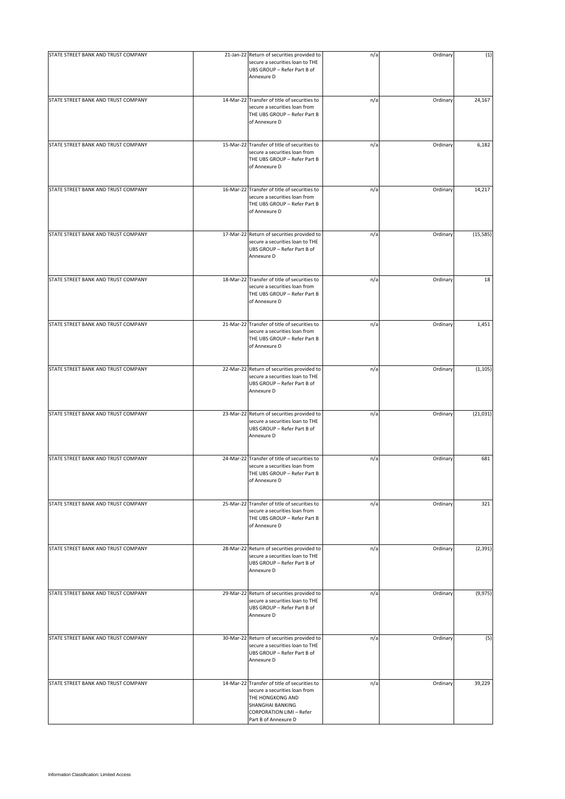| STATE STREET BANK AND TRUST COMPANY | 21-Jan-22 Return of securities provided to<br>secure a securities loan to THE<br>UBS GROUP - Refer Part B of<br>Annexure D                                                       | n/a | Ordinary | (1)       |
|-------------------------------------|----------------------------------------------------------------------------------------------------------------------------------------------------------------------------------|-----|----------|-----------|
| STATE STREET BANK AND TRUST COMPANY | 14-Mar-22 Transfer of title of securities to<br>secure a securities loan from<br>THE UBS GROUP - Refer Part B<br>of Annexure D                                                   | n/a | Ordinary | 24,167    |
| STATE STREET BANK AND TRUST COMPANY | 15-Mar-22 Transfer of title of securities to<br>secure a securities loan from<br>THE UBS GROUP - Refer Part B<br>of Annexure D                                                   | n/a | Ordinary | 6,182     |
| STATE STREET BANK AND TRUST COMPANY | 16-Mar-22 Transfer of title of securities to<br>secure a securities loan from<br>THE UBS GROUP - Refer Part B<br>of Annexure D                                                   | n/a | Ordinary | 14,217    |
| STATE STREET BANK AND TRUST COMPANY | 17-Mar-22 Return of securities provided to<br>secure a securities loan to THE<br>UBS GROUP - Refer Part B of<br>Annexure D                                                       | n/a | Ordinary | (15, 585) |
| STATE STREET BANK AND TRUST COMPANY | 18-Mar-22 Transfer of title of securities to<br>secure a securities loan from<br>THE UBS GROUP - Refer Part B<br>of Annexure D                                                   | n/a | Ordinary | 18        |
| STATE STREET BANK AND TRUST COMPANY | 21-Mar-22 Transfer of title of securities to<br>secure a securities loan from<br>THE UBS GROUP - Refer Part B<br>of Annexure D                                                   | n/a | Ordinary | 1,451     |
| STATE STREET BANK AND TRUST COMPANY | 22-Mar-22 Return of securities provided to<br>secure a securities loan to THE<br>UBS GROUP - Refer Part B of<br>Annexure D                                                       | n/a | Ordinary | (1, 105)  |
| STATE STREET BANK AND TRUST COMPANY | 23-Mar-22 Return of securities provided to<br>secure a securities loan to THE<br>UBS GROUP - Refer Part B of<br>Annexure D                                                       | n/a | Ordinary | (21, 031) |
| STATE STREET BANK AND TRUST COMPANY | 24-Mar-22 Transfer of title of securities to<br>secure a securities loan from<br>THE UBS GROUP - Refer Part B<br>of Annexure D                                                   | n/a | Ordinary | 681       |
| STATE STREET BANK AND TRUST COMPANY | 25-Mar-22 Transfer of title of securities to<br>secure a securities loan from<br>THE UBS GROUP - Refer Part B<br>of Annexure D                                                   | n/a | Ordinary | 321       |
| STATE STREET BANK AND TRUST COMPANY | 28-Mar-22 Return of securities provided to<br>secure a securities loan to THE<br>UBS GROUP - Refer Part B of<br>Annexure D                                                       | n/a | Ordinary | (2, 391)  |
| STATE STREET BANK AND TRUST COMPANY | 29-Mar-22 Return of securities provided to<br>secure a securities loan to THE<br>UBS GROUP - Refer Part B of<br>Annexure D                                                       | n/a | Ordinary | (9, 975)  |
| STATE STREET BANK AND TRUST COMPANY | 30-Mar-22 Return of securities provided to<br>secure a securities loan to THE<br>UBS GROUP - Refer Part B of<br>Annexure D                                                       | n/a | Ordinary | (5)       |
| STATE STREET BANK AND TRUST COMPANY | 14-Mar-22 Transfer of title of securities to<br>secure a securities loan from<br>THE HONGKONG AND<br>SHANGHAI BANKING<br><b>CORPORATION LIMI - Refer</b><br>Part B of Annexure D | n/a | Ordinary | 39,229    |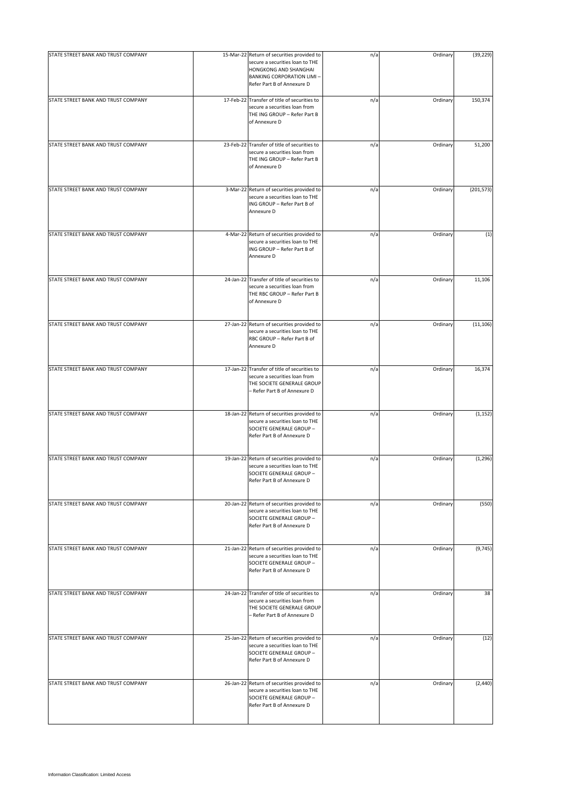| STATE STREET BANK AND TRUST COMPANY | 15-Mar-22 Return of securities provided to<br>secure a securities loan to THE<br>HONGKONG AND SHANGHAI<br><b>BANKING CORPORATION LIMI-</b><br>Refer Part B of Annexure D | n/a | Ordinary | (39, 229)  |
|-------------------------------------|--------------------------------------------------------------------------------------------------------------------------------------------------------------------------|-----|----------|------------|
| STATE STREET BANK AND TRUST COMPANY | 17-Feb-22 Transfer of title of securities to<br>secure a securities loan from<br>THE ING GROUP - Refer Part B<br>of Annexure D                                           | n/a | Ordinary | 150,374    |
| STATE STREET BANK AND TRUST COMPANY | 23-Feb-22 Transfer of title of securities to<br>secure a securities loan from<br>THE ING GROUP - Refer Part B<br>of Annexure D                                           | n/a | Ordinary | 51,200     |
| STATE STREET BANK AND TRUST COMPANY | 3-Mar-22 Return of securities provided to<br>secure a securities loan to THE<br>ING GROUP - Refer Part B of<br>Annexure D                                                | n/a | Ordinary | (201, 573) |
| STATE STREET BANK AND TRUST COMPANY | 4-Mar-22 Return of securities provided to<br>secure a securities loan to THE<br>ING GROUP - Refer Part B of<br>Annexure D                                                | n/a | Ordinary | (1)        |
| STATE STREET BANK AND TRUST COMPANY | 24-Jan-22 Transfer of title of securities to<br>secure a securities loan from<br>THE RBC GROUP - Refer Part B<br>of Annexure D                                           | n/a | Ordinary | 11,106     |
| STATE STREET BANK AND TRUST COMPANY | 27-Jan-22 Return of securities provided to<br>secure a securities loan to THE<br>RBC GROUP - Refer Part B of<br>Annexure D                                               | n/a | Ordinary | (11, 106)  |
| STATE STREET BANK AND TRUST COMPANY | 17-Jan-22 Transfer of title of securities to<br>secure a securities loan from<br>THE SOCIETE GENERALE GROUP<br>- Refer Part B of Annexure D                              | n/a | Ordinary | 16,374     |
| STATE STREET BANK AND TRUST COMPANY | 18-Jan-22 Return of securities provided to<br>secure a securities loan to THE<br>SOCIETE GENERALE GROUP -<br>Refer Part B of Annexure D                                  | n/a | Ordinary | (1, 152)   |
| STATE STREET BANK AND TRUST COMPANY | 19-Jan-22 Return of securities provided to<br>secure a securities loan to THE<br>SOCIETE GENERALE GROUP -<br>Refer Part B of Annexure D                                  | n/a | Ordinary | (1, 296)   |
| STATE STREET BANK AND TRUST COMPANY | 20-Jan-22 Return of securities provided to<br>secure a securities loan to THE<br>SOCIETE GENERALE GROUP -<br>Refer Part B of Annexure D                                  | n/a | Ordinary | (550)      |
| STATE STREET BANK AND TRUST COMPANY | 21-Jan-22 Return of securities provided to<br>secure a securities loan to THE<br>SOCIETE GENERALE GROUP -<br>Refer Part B of Annexure D                                  | n/a | Ordinary | (9,745)    |
| STATE STREET BANK AND TRUST COMPANY | 24-Jan-22 Transfer of title of securities to<br>secure a securities loan from<br>THE SOCIETE GENERALE GROUP<br>- Refer Part B of Annexure D                              | n/a | Ordinary | 38         |
| STATE STREET BANK AND TRUST COMPANY | 25-Jan-22 Return of securities provided to<br>secure a securities loan to THE<br>SOCIETE GENERALE GROUP -<br>Refer Part B of Annexure D                                  | n/a | Ordinary | (12)       |
| STATE STREET BANK AND TRUST COMPANY | 26-Jan-22 Return of securities provided to<br>secure a securities loan to THE<br>SOCIETE GENERALE GROUP -<br>Refer Part B of Annexure D                                  | n/a | Ordinary | (2, 440)   |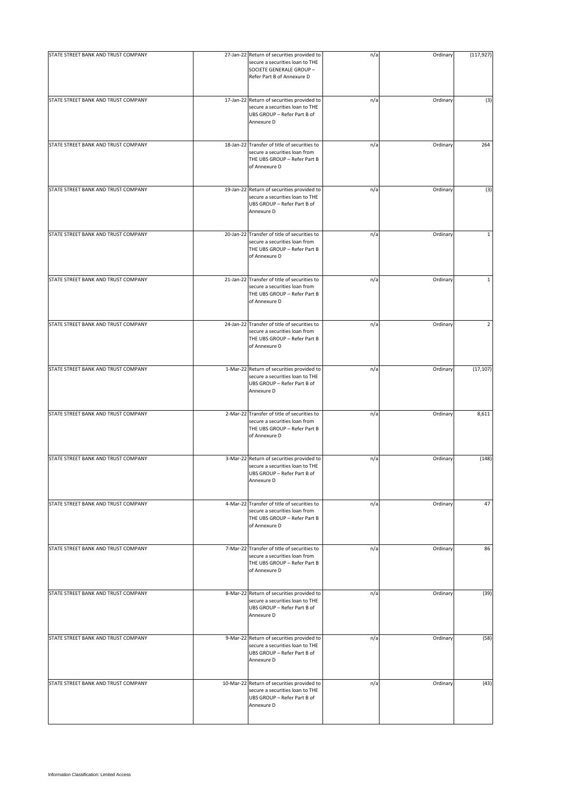| STATE STREET BANK AND TRUST COMPANY | 27-Jan-22 Return of securities provided to<br>secure a securities loan to THE<br>SOCIETE GENERALE GROUP -<br>Refer Part B of Annexure D | n/a | Ordinary | (117, 927)     |
|-------------------------------------|-----------------------------------------------------------------------------------------------------------------------------------------|-----|----------|----------------|
| STATE STREET BANK AND TRUST COMPANY | 17-Jan-22 Return of securities provided to<br>secure a securities loan to THE<br>UBS GROUP - Refer Part B of<br>Annexure D              | n/a | Ordinary | (3)            |
| STATE STREET BANK AND TRUST COMPANY | 18-Jan-22 Transfer of title of securities to<br>secure a securities loan from<br>THE UBS GROUP - Refer Part B<br>of Annexure D          | n/a | Ordinary | 264            |
| STATE STREET BANK AND TRUST COMPANY | 19-Jan-22 Return of securities provided to<br>secure a securities loan to THE<br>UBS GROUP - Refer Part B of<br>Annexure D              | n/a | Ordinary | (3)            |
| STATE STREET BANK AND TRUST COMPANY | 20-Jan-22 Transfer of title of securities to<br>secure a securities loan from<br>THE UBS GROUP - Refer Part B<br>of Annexure D          | n/a | Ordinary | $\mathbf{1}$   |
| STATE STREET BANK AND TRUST COMPANY | 21-Jan-22 Transfer of title of securities to<br>secure a securities loan from<br>THE UBS GROUP - Refer Part B<br>of Annexure D          | n/a | Ordinary | $\mathbf{1}$   |
| STATE STREET BANK AND TRUST COMPANY | 24-Jan-22 Transfer of title of securities to<br>secure a securities loan from<br>THE UBS GROUP - Refer Part B<br>of Annexure D          | n/a | Ordinary | $\overline{2}$ |
| STATE STREET BANK AND TRUST COMPANY | 1-Mar-22 Return of securities provided to<br>secure a securities loan to THE<br>UBS GROUP - Refer Part B of<br>Annexure D               | n/a | Ordinary | (17, 107)      |
| STATE STREET BANK AND TRUST COMPANY | 2-Mar-22 Transfer of title of securities to<br>secure a securities loan from<br>THE UBS GROUP - Refer Part B<br>of Annexure D           | n/a | Ordinary | 8,611          |
| STATE STREET BANK AND TRUST COMPANY | 3-Mar-22 Return of securities provided to<br>secure a securities loan to THE<br>UBS GROUP - Refer Part B of<br>Annexure D               | n/a | Ordinary | (148)          |
| STATE STREET BANK AND TRUST COMPANY | 4-Mar-22 Transfer of title of securities to<br>secure a securities loan from<br>THE UBS GROUP - Refer Part B<br>of Annexure D           | n/a | Ordinary | 47             |
| STATE STREET BANK AND TRUST COMPANY | 7-Mar-22 Transfer of title of securities to<br>secure a securities loan from<br>THE UBS GROUP - Refer Part B<br>of Annexure D           | n/a | Ordinary | 86             |
| STATE STREET BANK AND TRUST COMPANY | 8-Mar-22 Return of securities provided to<br>secure a securities loan to THE<br>UBS GROUP - Refer Part B of<br>Annexure D               | n/a | Ordinary | (39)           |
| STATE STREET BANK AND TRUST COMPANY | 9-Mar-22 Return of securities provided to<br>secure a securities loan to THE<br>UBS GROUP - Refer Part B of<br>Annexure D               | n/a | Ordinary | (58)           |
| STATE STREET BANK AND TRUST COMPANY | 10-Mar-22 Return of securities provided to<br>secure a securities loan to THE<br>UBS GROUP - Refer Part B of<br>Annexure D              | n/a | Ordinary | (43)           |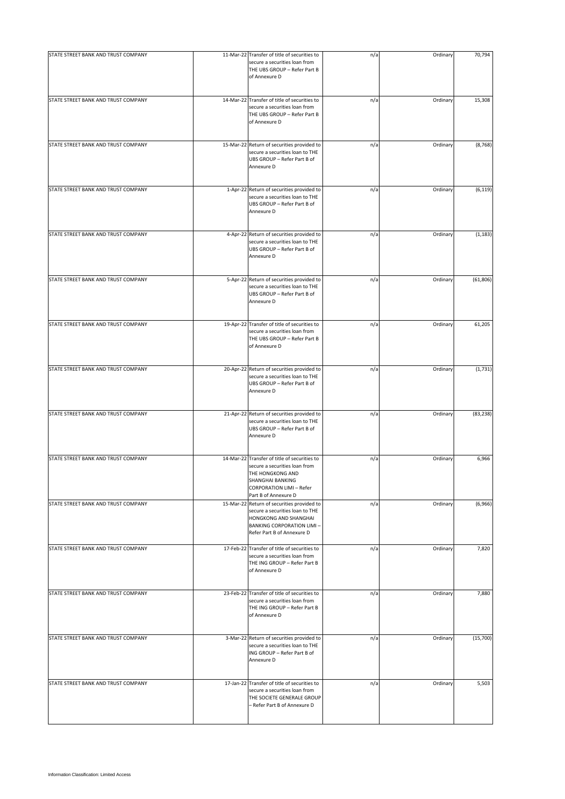| STATE STREET BANK AND TRUST COMPANY | 11-Mar-22 Transfer of title of securities to                                                                                                                                            | n/a | Ordinary | 70,794    |
|-------------------------------------|-----------------------------------------------------------------------------------------------------------------------------------------------------------------------------------------|-----|----------|-----------|
|                                     | secure a securities loan from<br>THE UBS GROUP - Refer Part B<br>of Annexure D                                                                                                          |     |          |           |
| STATE STREET BANK AND TRUST COMPANY | 14-Mar-22 Transfer of title of securities to<br>secure a securities loan from<br>THE UBS GROUP - Refer Part B<br>of Annexure D                                                          | n/a | Ordinary | 15,308    |
| STATE STREET BANK AND TRUST COMPANY | 15-Mar-22 Return of securities provided to<br>secure a securities loan to THE<br>UBS GROUP - Refer Part B of<br>Annexure D                                                              | n/a | Ordinary | (8, 768)  |
| STATE STREET BANK AND TRUST COMPANY | 1-Apr-22 Return of securities provided to<br>secure a securities loan to THE<br>UBS GROUP - Refer Part B of<br>Annexure D                                                               | n/a | Ordinary | (6, 119)  |
| STATE STREET BANK AND TRUST COMPANY | 4-Apr-22 Return of securities provided to<br>secure a securities loan to THE<br>UBS GROUP - Refer Part B of<br>Annexure D                                                               | n/a | Ordinary | (1, 183)  |
| STATE STREET BANK AND TRUST COMPANY | 5-Apr-22 Return of securities provided to<br>secure a securities loan to THE<br>UBS GROUP - Refer Part B of<br>Annexure D                                                               | n/a | Ordinary | (61, 806) |
| STATE STREET BANK AND TRUST COMPANY | 19-Apr-22 Transfer of title of securities to<br>secure a securities loan from<br>THE UBS GROUP - Refer Part B<br>of Annexure D                                                          | n/a | Ordinary | 61,205    |
| STATE STREET BANK AND TRUST COMPANY | 20-Apr-22 Return of securities provided to<br>secure a securities loan to THE<br>UBS GROUP - Refer Part B of<br>Annexure D                                                              | n/a | Ordinary | (1,731)   |
| STATE STREET BANK AND TRUST COMPANY | 21-Apr-22 Return of securities provided to<br>secure a securities loan to THE<br>UBS GROUP - Refer Part B of<br>Annexure D                                                              | n/a | Ordinary | (83, 238) |
| STATE STREET BANK AND TRUST COMPANY | 14-Mar-22 Transfer of title of securities to<br>secure a securities loan from<br>THE HONGKONG AND<br><b>SHANGHAI BANKING</b><br><b>CORPORATION LIMI - Refer</b><br>Part B of Annexure D | n/a | Ordinary | 6,966     |
| STATE STREET BANK AND TRUST COMPANY | 15-Mar-22 Return of securities provided to<br>secure a securities loan to THE<br>HONGKONG AND SHANGHAI<br><b>BANKING CORPORATION LIMI-</b><br>Refer Part B of Annexure D                | n/a | Ordinary | (6,966)   |
| STATE STREET BANK AND TRUST COMPANY | 17-Feb-22 Transfer of title of securities to<br>secure a securities loan from<br>THE ING GROUP - Refer Part B<br>of Annexure D                                                          | n/a | Ordinary | 7,820     |
| STATE STREET BANK AND TRUST COMPANY | 23-Feb-22 Transfer of title of securities to<br>secure a securities loan from<br>THE ING GROUP - Refer Part B<br>of Annexure D                                                          | n/a | Ordinary | 7,880     |
| STATE STREET BANK AND TRUST COMPANY | 3-Mar-22 Return of securities provided to<br>secure a securities loan to THE<br>ING GROUP - Refer Part B of<br>Annexure D                                                               | n/a | Ordinary | (15,700)  |
| STATE STREET BANK AND TRUST COMPANY | 17-Jan-22 Transfer of title of securities to<br>secure a securities loan from<br>THE SOCIETE GENERALE GROUP<br>- Refer Part B of Annexure D                                             | n/a | Ordinary | 5,503     |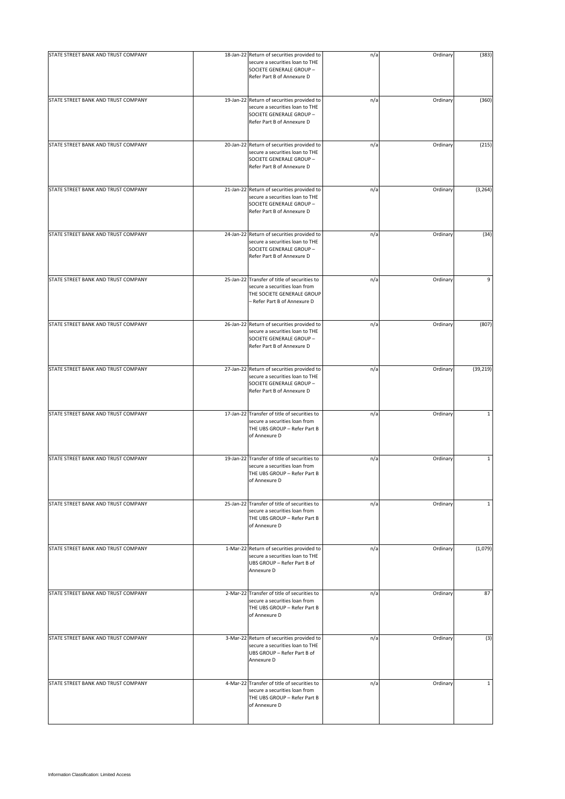| STATE STREET BANK AND TRUST COMPANY |                                                                                                                                             |     |          |              |
|-------------------------------------|---------------------------------------------------------------------------------------------------------------------------------------------|-----|----------|--------------|
|                                     | 18-Jan-22 Return of securities provided to<br>secure a securities loan to THE<br>SOCIETE GENERALE GROUP -<br>Refer Part B of Annexure D     | n/a | Ordinary | (383)        |
| STATE STREET BANK AND TRUST COMPANY | 19-Jan-22 Return of securities provided to<br>secure a securities loan to THE<br>SOCIETE GENERALE GROUP -<br>Refer Part B of Annexure D     | n/a | Ordinary | (360)        |
| STATE STREET BANK AND TRUST COMPANY | 20-Jan-22 Return of securities provided to<br>secure a securities loan to THE<br>SOCIETE GENERALE GROUP -<br>Refer Part B of Annexure D     | n/a | Ordinary | (215)        |
| STATE STREET BANK AND TRUST COMPANY | 21-Jan-22 Return of securities provided to<br>secure a securities loan to THE<br>SOCIETE GENERALE GROUP -<br>Refer Part B of Annexure D     | n/a | Ordinary | (3, 264)     |
| STATE STREET BANK AND TRUST COMPANY | 24-Jan-22 Return of securities provided to<br>secure a securities loan to THE<br>SOCIETE GENERALE GROUP -<br>Refer Part B of Annexure D     | n/a | Ordinary | (34)         |
| STATE STREET BANK AND TRUST COMPANY | 25-Jan-22 Transfer of title of securities to<br>secure a securities loan from<br>THE SOCIETE GENERALE GROUP<br>- Refer Part B of Annexure D | n/a | Ordinary | 9            |
| STATE STREET BANK AND TRUST COMPANY | 26-Jan-22 Return of securities provided to<br>secure a securities loan to THE<br>SOCIETE GENERALE GROUP -<br>Refer Part B of Annexure D     | n/a | Ordinary | (807)        |
| STATE STREET BANK AND TRUST COMPANY | 27-Jan-22 Return of securities provided to<br>secure a securities loan to THE<br>SOCIETE GENERALE GROUP -<br>Refer Part B of Annexure D     | n/a | Ordinary | (39, 219)    |
| STATE STREET BANK AND TRUST COMPANY | 17-Jan-22 Transfer of title of securities to<br>secure a securities loan from<br>THE UBS GROUP - Refer Part B<br>of Annexure D              | n/a | Ordinary | $\mathbf{1}$ |
| STATE STREET BANK AND TRUST COMPANY | 19-Jan-22 Transfer of title of securities to<br>secure a securities loan from<br>THE UBS GROUP - Refer Part B<br>of Annexure D              | n/a | Ordinary | $\mathbf{1}$ |
| STATE STREET BANK AND TRUST COMPANY | 25-Jan-22 Transfer of title of securities to<br>secure a securities loan from<br>THE UBS GROUP - Refer Part B<br>of Annexure D              | n/a | Ordinary | $\mathbf 1$  |
| STATE STREET BANK AND TRUST COMPANY | 1-Mar-22 Return of securities provided to<br>secure a securities loan to THE<br>UBS GROUP - Refer Part B of<br>Annexure D                   | n/a | Ordinary | (1,079)      |
| STATE STREET BANK AND TRUST COMPANY | 2-Mar-22 Transfer of title of securities to<br>secure a securities loan from<br>THE UBS GROUP - Refer Part B<br>of Annexure D               | n/a | Ordinary | 87           |
| STATE STREET BANK AND TRUST COMPANY | 3-Mar-22 Return of securities provided to<br>secure a securities loan to THE<br>UBS GROUP - Refer Part B of<br>Annexure D                   | n/a | Ordinary | (3)          |
| STATE STREET BANK AND TRUST COMPANY | 4-Mar-22 Transfer of title of securities to<br>secure a securities loan from<br>THE UBS GROUP - Refer Part B<br>of Annexure D               | n/a | Ordinary | $\mathbf{1}$ |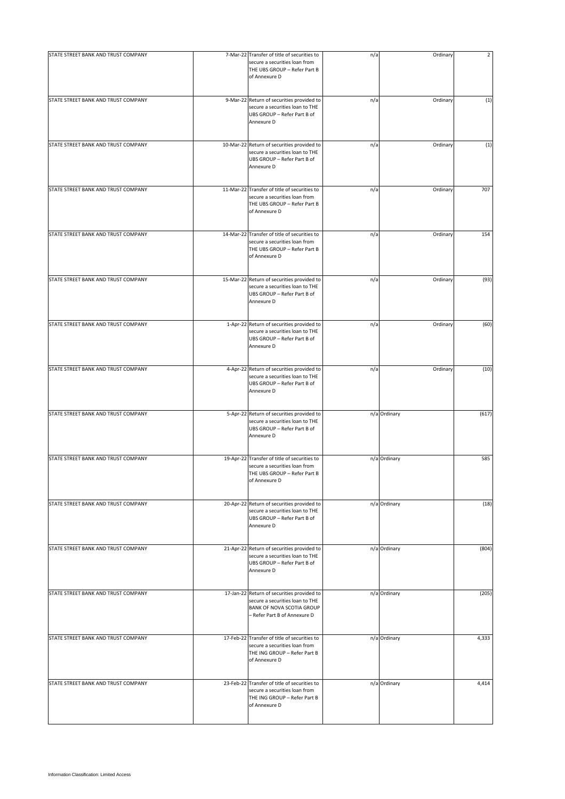| STATE STREET BANK AND TRUST COMPANY | 7-Mar-22 Transfer of title of securities to                                                                                                | n/a | Ordinary     | $\overline{2}$ |
|-------------------------------------|--------------------------------------------------------------------------------------------------------------------------------------------|-----|--------------|----------------|
|                                     | secure a securities loan from<br>THE UBS GROUP - Refer Part B<br>of Annexure D                                                             |     |              |                |
| STATE STREET BANK AND TRUST COMPANY | 9-Mar-22 Return of securities provided to<br>secure a securities loan to THE<br>UBS GROUP - Refer Part B of<br>Annexure D                  | n/a | Ordinary     | (1)            |
| STATE STREET BANK AND TRUST COMPANY | 10-Mar-22 Return of securities provided to<br>secure a securities loan to THE<br>UBS GROUP - Refer Part B of<br>Annexure D                 | n/a | Ordinary     | (1)            |
| STATE STREET BANK AND TRUST COMPANY | 11-Mar-22 Transfer of title of securities to<br>secure a securities loan from<br>THE UBS GROUP - Refer Part B<br>of Annexure D             | n/a | Ordinary     | 707            |
| STATE STREET BANK AND TRUST COMPANY | 14-Mar-22 Transfer of title of securities to<br>secure a securities loan from<br>THE UBS GROUP - Refer Part B<br>of Annexure D             | n/a | Ordinary     | 154            |
| STATE STREET BANK AND TRUST COMPANY | 15-Mar-22 Return of securities provided to<br>secure a securities loan to THE<br>UBS GROUP - Refer Part B of<br>Annexure D                 | n/a | Ordinary     | (93)           |
| STATE STREET BANK AND TRUST COMPANY | 1-Apr-22 Return of securities provided to<br>secure a securities loan to THE<br>UBS GROUP - Refer Part B of<br>Annexure D                  | n/a | Ordinary     | (60)           |
| STATE STREET BANK AND TRUST COMPANY | 4-Apr-22 Return of securities provided to<br>secure a securities loan to THE<br>UBS GROUP - Refer Part B of<br>Annexure D                  | n/a | Ordinary     | (10)           |
| STATE STREET BANK AND TRUST COMPANY | 5-Apr-22 Return of securities provided to<br>secure a securities loan to THE<br>UBS GROUP - Refer Part B of<br>Annexure D                  |     | n/a Ordinary | (617)          |
| STATE STREET BANK AND TRUST COMPANY | 19-Apr-22 Transfer of title of securities to<br>secure a securities loan from<br>THE UBS GROUP - Refer Part B<br>of Annexure D             |     | n/a Ordinary | 585            |
| STATE STREET BANK AND TRUST COMPANY | 20-Apr-22 Return of securities provided to<br>secure a securities loan to THE<br>UBS GROUP - Refer Part B of<br>Annexure D                 |     | n/a Ordinary | (18)           |
| STATE STREET BANK AND TRUST COMPANY | 21-Apr-22 Return of securities provided to<br>secure a securities loan to THE<br>UBS GROUP - Refer Part B of<br>Annexure D                 |     | n/a Ordinary | (804)          |
| STATE STREET BANK AND TRUST COMPANY | 17-Jan-22 Return of securities provided to<br>secure a securities loan to THE<br>BANK OF NOVA SCOTIA GROUP<br>- Refer Part B of Annexure D |     | n/a Ordinary | (205)          |
| STATE STREET BANK AND TRUST COMPANY | 17-Feb-22 Transfer of title of securities to<br>secure a securities loan from<br>THE ING GROUP - Refer Part B<br>of Annexure D             |     | n/a Ordinary | 4,333          |
| STATE STREET BANK AND TRUST COMPANY | 23-Feb-22 Transfer of title of securities to<br>secure a securities loan from<br>THE ING GROUP - Refer Part B<br>of Annexure D             |     | n/a Ordinary | 4,414          |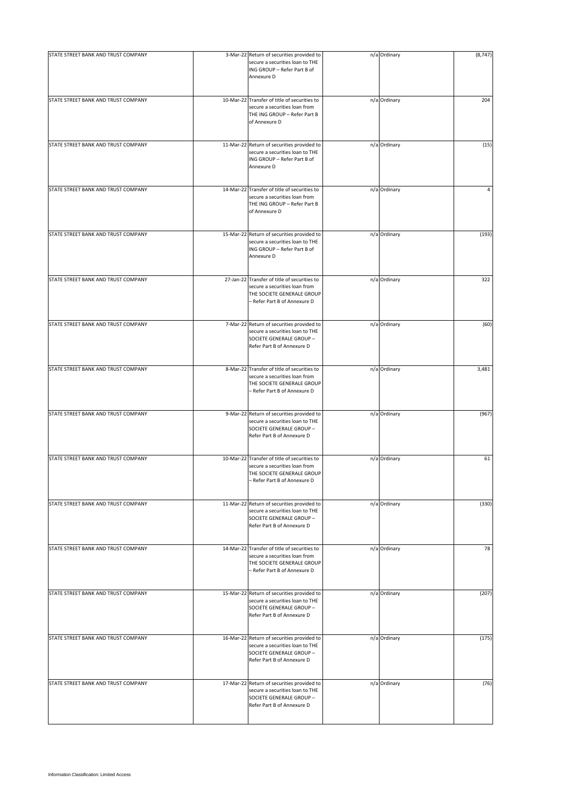| STATE STREET BANK AND TRUST COMPANY | 3-Mar-22 Return of securities provided to                                                                                                   | n/a Ordinary | (8, 747) |
|-------------------------------------|---------------------------------------------------------------------------------------------------------------------------------------------|--------------|----------|
|                                     | secure a securities loan to THE<br>ING GROUP - Refer Part B of<br>Annexure D                                                                |              |          |
| STATE STREET BANK AND TRUST COMPANY | 10-Mar-22 Transfer of title of securities to<br>secure a securities loan from<br>THE ING GROUP - Refer Part B<br>of Annexure D              | n/a Ordinary | 204      |
| STATE STREET BANK AND TRUST COMPANY | 11-Mar-22 Return of securities provided to<br>secure a securities loan to THE<br>ING GROUP - Refer Part B of<br>Annexure D                  | n/a Ordinary | (15)     |
| STATE STREET BANK AND TRUST COMPANY | 14-Mar-22 Transfer of title of securities to<br>secure a securities loan from<br>THE ING GROUP - Refer Part B<br>of Annexure D              | n/a Ordinary | 4        |
| STATE STREET BANK AND TRUST COMPANY | 15-Mar-22 Return of securities provided to<br>secure a securities loan to THE<br>ING GROUP - Refer Part B of<br>Annexure D                  | n/a Ordinary | (193)    |
| STATE STREET BANK AND TRUST COMPANY | 27-Jan-22 Transfer of title of securities to<br>secure a securities loan from<br>THE SOCIETE GENERALE GROUP<br>- Refer Part B of Annexure D | n/a Ordinary | 322      |
| STATE STREET BANK AND TRUST COMPANY | 7-Mar-22 Return of securities provided to<br>secure a securities loan to THE<br>SOCIETE GENERALE GROUP -<br>Refer Part B of Annexure D      | n/a Ordinary | (60)     |
| STATE STREET BANK AND TRUST COMPANY | 8-Mar-22 Transfer of title of securities to<br>secure a securities loan from<br>THE SOCIETE GENERALE GROUP<br>- Refer Part B of Annexure D  | n/a Ordinary | 3,481    |
| STATE STREET BANK AND TRUST COMPANY | 9-Mar-22 Return of securities provided to<br>secure a securities loan to THE<br>SOCIETE GENERALE GROUP -<br>Refer Part B of Annexure D      | n/a Ordinary | (967)    |
| STATE STREET BANK AND TRUST COMPANY | 10-Mar-22 Transfer of title of securities to<br>secure a securities loan from<br>THE SOCIETE GENERALE GROUP<br>- Refer Part B of Annexure D | n/a Ordinary | 61       |
| STATE STREET BANK AND TRUST COMPANY | 11-Mar-22 Return of securities provided to<br>secure a securities loan to THE<br>SOCIETE GENERALE GROUP -<br>Refer Part B of Annexure D     | n/a Ordinary | (330)    |
| STATE STREET BANK AND TRUST COMPANY | 14-Mar-22 Transfer of title of securities to<br>secure a securities loan from<br>THE SOCIETE GENERALE GROUP<br>- Refer Part B of Annexure D | n/a Ordinary | 78       |
| STATE STREET BANK AND TRUST COMPANY | 15-Mar-22 Return of securities provided to<br>secure a securities loan to THE<br>SOCIETE GENERALE GROUP -<br>Refer Part B of Annexure D     | n/a Ordinary | (207)    |
| STATE STREET BANK AND TRUST COMPANY | 16-Mar-22 Return of securities provided to<br>secure a securities loan to THE<br>SOCIETE GENERALE GROUP -<br>Refer Part B of Annexure D     | n/a Ordinary | (175)    |
| STATE STREET BANK AND TRUST COMPANY | 17-Mar-22 Return of securities provided to<br>secure a securities loan to THE<br>SOCIETE GENERALE GROUP -<br>Refer Part B of Annexure D     | n/a Ordinary | (76)     |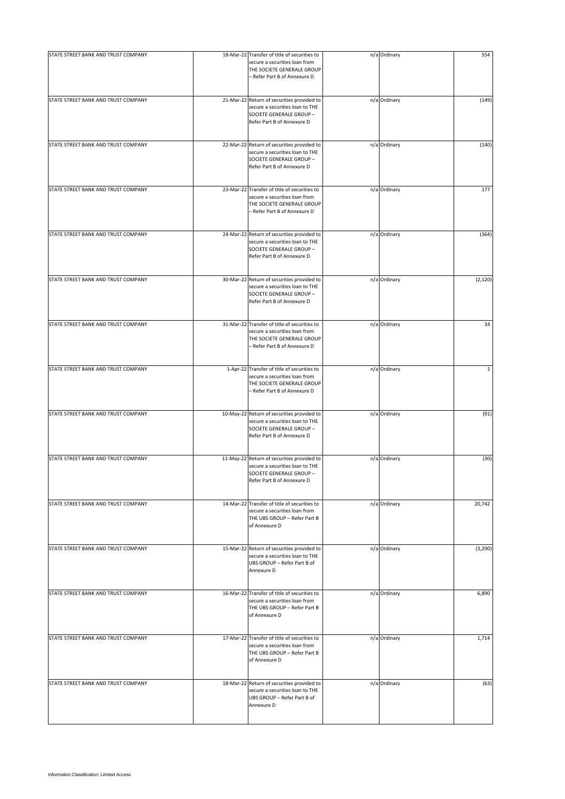| STATE STREET BANK AND TRUST COMPANY | 18-Mar-22 Transfer of title of securities to<br>secure a securities loan from<br>THE SOCIETE GENERALE GROUP<br>- Refer Part B of Annexure D | n/a Ordinary | 554          |
|-------------------------------------|---------------------------------------------------------------------------------------------------------------------------------------------|--------------|--------------|
| STATE STREET BANK AND TRUST COMPANY | 21-Mar-22 Return of securities provided to<br>secure a securities loan to THE<br>SOCIETE GENERALE GROUP -<br>Refer Part B of Annexure D     | n/a Ordinary | (149)        |
| STATE STREET BANK AND TRUST COMPANY | 22-Mar-22 Return of securities provided to<br>secure a securities loan to THE<br>SOCIETE GENERALE GROUP -<br>Refer Part B of Annexure D     | n/a Ordinary | (140)        |
| STATE STREET BANK AND TRUST COMPANY | 23-Mar-22 Transfer of title of securities to<br>secure a securities loan from<br>THE SOCIETE GENERALE GROUP<br>- Refer Part B of Annexure D | n/a Ordinary | 177          |
| STATE STREET BANK AND TRUST COMPANY | 24-Mar-22 Return of securities provided to<br>secure a securities loan to THE<br>SOCIETE GENERALE GROUP -<br>Refer Part B of Annexure D     | n/a Ordinary | (364)        |
| STATE STREET BANK AND TRUST COMPANY | 30-Mar-22 Return of securities provided to<br>secure a securities loan to THE<br>SOCIETE GENERALE GROUP -<br>Refer Part B of Annexure D     | n/a Ordinary | (2, 120)     |
| STATE STREET BANK AND TRUST COMPANY | 31-Mar-22 Transfer of title of securities to<br>secure a securities loan from<br>THE SOCIETE GENERALE GROUP<br>- Refer Part B of Annexure D | n/a Ordinary | 34           |
| STATE STREET BANK AND TRUST COMPANY | 1-Apr-22 Transfer of title of securities to<br>secure a securities loan from<br>THE SOCIETE GENERALE GROUP<br>- Refer Part B of Annexure D  | n/a Ordinary | $\mathbf{1}$ |
| STATE STREET BANK AND TRUST COMPANY | 10-May-22 Return of securities provided to<br>secure a securities loan to THE<br>SOCIETE GENERALE GROUP -<br>Refer Part B of Annexure D     | n/a Ordinary | (91)         |
| STATE STREET BANK AND TRUST COMPANY | 11-May-22 Return of securities provided to<br>secure a securities loan to THE<br>SOCIETE GENERALE GROUP -<br>Refer Part B of Annexure D     | n/a Ordinary | (30)         |
| STATE STREET BANK AND TRUST COMPANY | 14-Mar-22 Transfer of title of securities to<br>secure a securities loan from<br>THE UBS GROUP - Refer Part B<br>of Annexure D              | n/a Ordinary | 20,742       |
| STATE STREET BANK AND TRUST COMPANY | 15-Mar-22 Return of securities provided to<br>secure a securities loan to THE<br>UBS GROUP - Refer Part B of<br>Annexure D                  | n/a Ordinary | (3, 290)     |
| STATE STREET BANK AND TRUST COMPANY | 16-Mar-22 Transfer of title of securities to<br>secure a securities loan from<br>THE UBS GROUP - Refer Part B<br>of Annexure D              | n/a Ordinary | 6,890        |
| STATE STREET BANK AND TRUST COMPANY | 17-Mar-22 Transfer of title of securities to<br>secure a securities loan from<br>THE UBS GROUP - Refer Part B<br>of Annexure D              | n/a Ordinary | 1,714        |
| STATE STREET BANK AND TRUST COMPANY | 18-Mar-22 Return of securities provided to<br>secure a securities loan to THE<br>UBS GROUP - Refer Part B of<br>Annexure D                  | n/a Ordinary | (63)         |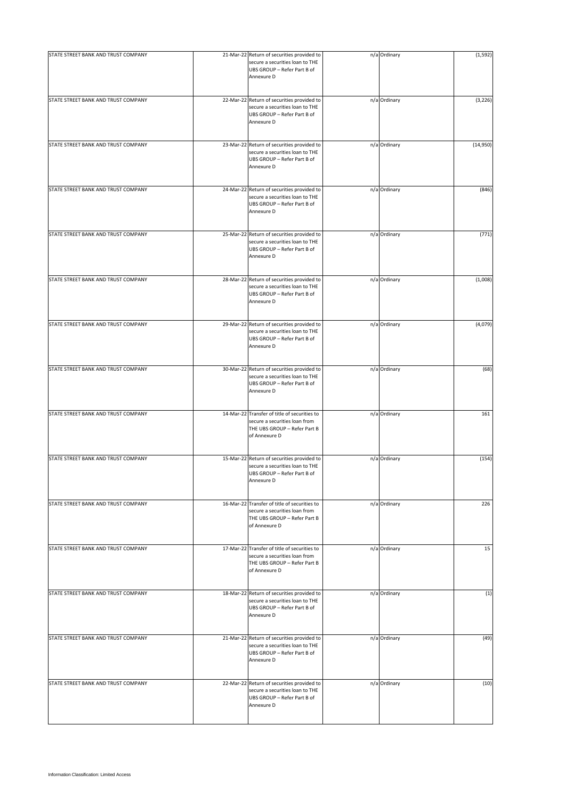| STATE STREET BANK AND TRUST COMPANY | 21-Mar-22 Return of securities provided to<br>secure a securities loan to THE<br>UBS GROUP - Refer Part B of<br>Annexure D     | n/a Ordinary | (1, 592) |
|-------------------------------------|--------------------------------------------------------------------------------------------------------------------------------|--------------|----------|
| STATE STREET BANK AND TRUST COMPANY | 22-Mar-22 Return of securities provided to<br>secure a securities loan to THE<br>UBS GROUP - Refer Part B of<br>Annexure D     | n/a Ordinary | (3, 226) |
| STATE STREET BANK AND TRUST COMPANY | 23-Mar-22 Return of securities provided to<br>secure a securities loan to THE<br>UBS GROUP - Refer Part B of<br>Annexure D     | n/a Ordinary | (14,950) |
| STATE STREET BANK AND TRUST COMPANY | 24-Mar-22 Return of securities provided to<br>secure a securities loan to THE<br>UBS GROUP - Refer Part B of<br>Annexure D     | n/a Ordinary | (846)    |
| STATE STREET BANK AND TRUST COMPANY | 25-Mar-22 Return of securities provided to<br>secure a securities loan to THE<br>UBS GROUP - Refer Part B of<br>Annexure D     | n/a Ordinary | (771)    |
| STATE STREET BANK AND TRUST COMPANY | 28-Mar-22 Return of securities provided to<br>secure a securities loan to THE<br>UBS GROUP - Refer Part B of<br>Annexure D     | n/a Ordinary | (1,008)  |
| STATE STREET BANK AND TRUST COMPANY | 29-Mar-22 Return of securities provided to<br>secure a securities loan to THE<br>UBS GROUP - Refer Part B of<br>Annexure D     | n/a Ordinary | (4,079)  |
| STATE STREET BANK AND TRUST COMPANY | 30-Mar-22 Return of securities provided to<br>secure a securities loan to THE<br>UBS GROUP - Refer Part B of<br>Annexure D     | n/a Ordinary | (68)     |
| STATE STREET BANK AND TRUST COMPANY | 14-Mar-22 Transfer of title of securities to<br>secure a securities loan from<br>THE UBS GROUP - Refer Part B<br>of Annexure D | n/a Ordinary | 161      |
| STATE STREET BANK AND TRUST COMPANY | 15-Mar-22 Return of securities provided to<br>secure a securities loan to THE<br>UBS GROUP - Refer Part B of<br>Annexure D     | n/a Ordinary | (154)    |
| STATE STREET BANK AND TRUST COMPANY | 16-Mar-22 Transfer of title of securities to<br>secure a securities loan from<br>THE UBS GROUP - Refer Part B<br>of Annexure D | n/a Ordinary | 226      |
| STATE STREET BANK AND TRUST COMPANY | 17-Mar-22 Transfer of title of securities to<br>secure a securities loan from<br>THE UBS GROUP - Refer Part B<br>of Annexure D | n/a Ordinary | 15       |
| STATE STREET BANK AND TRUST COMPANY | 18-Mar-22 Return of securities provided to<br>secure a securities loan to THE<br>UBS GROUP - Refer Part B of<br>Annexure D     | n/a Ordinary | (1)      |
| STATE STREET BANK AND TRUST COMPANY | 21-Mar-22 Return of securities provided to<br>secure a securities loan to THE<br>UBS GROUP - Refer Part B of<br>Annexure D     | n/a Ordinary | (49)     |
| STATE STREET BANK AND TRUST COMPANY | 22-Mar-22 Return of securities provided to<br>secure a securities loan to THE<br>UBS GROUP - Refer Part B of<br>Annexure D     | n/a Ordinary | (10)     |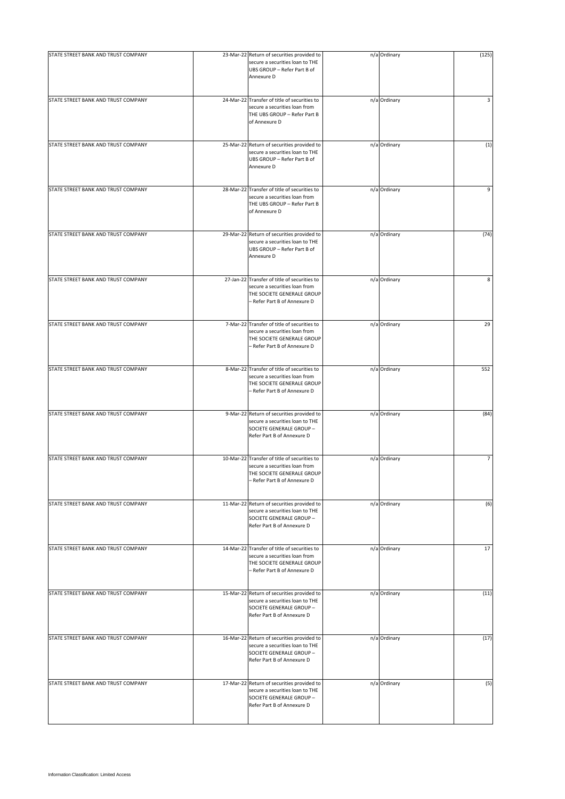| STATE STREET BANK AND TRUST COMPANY | 23-Mar-22 Return of securities provided to<br>secure a securities loan to THE<br>UBS GROUP - Refer Part B of<br>Annexure D                  | n/a Ordinary | (125)          |
|-------------------------------------|---------------------------------------------------------------------------------------------------------------------------------------------|--------------|----------------|
| STATE STREET BANK AND TRUST COMPANY | 24-Mar-22 Transfer of title of securities to<br>secure a securities loan from<br>THE UBS GROUP - Refer Part B<br>of Annexure D              | n/a Ordinary | 3              |
| STATE STREET BANK AND TRUST COMPANY | 25-Mar-22 Return of securities provided to<br>secure a securities loan to THE<br>UBS GROUP - Refer Part B of<br>Annexure D                  | n/a Ordinary | (1)            |
| STATE STREET BANK AND TRUST COMPANY | 28-Mar-22 Transfer of title of securities to<br>secure a securities loan from<br>THE UBS GROUP - Refer Part B<br>of Annexure D              | n/a Ordinary | 9              |
| STATE STREET BANK AND TRUST COMPANY | 29-Mar-22 Return of securities provided to<br>secure a securities loan to THE<br>UBS GROUP - Refer Part B of<br>Annexure D                  | n/a Ordinary | (74)           |
| STATE STREET BANK AND TRUST COMPANY | 27-Jan-22 Transfer of title of securities to<br>secure a securities loan from<br>THE SOCIETE GENERALE GROUP<br>- Refer Part B of Annexure D | n/a Ordinary | 8              |
| STATE STREET BANK AND TRUST COMPANY | 7-Mar-22 Transfer of title of securities to<br>secure a securities loan from<br>THE SOCIETE GENERALE GROUP<br>- Refer Part B of Annexure D  | n/a Ordinary | 29             |
| STATE STREET BANK AND TRUST COMPANY | 8-Mar-22 Transfer of title of securities to<br>secure a securities loan from<br>THE SOCIETE GENERALE GROUP<br>- Refer Part B of Annexure D  | n/a Ordinary | 552            |
| STATE STREET BANK AND TRUST COMPANY | 9-Mar-22 Return of securities provided to<br>secure a securities loan to THE<br>SOCIETE GENERALE GROUP -<br>Refer Part B of Annexure D      | n/a Ordinary | (84)           |
| STATE STREET BANK AND TRUST COMPANY | 10-Mar-22 Transfer of title of securities to<br>secure a securities loan from<br>THE SOCIETE GENERALE GROUP<br>- Refer Part B of Annexure D | n/a Ordinary | $\overline{7}$ |
| STATE STREET BANK AND TRUST COMPANY | 11-Mar-22 Return of securities provided to<br>secure a securities loan to THE<br>SOCIETE GENERALE GROUP -<br>Refer Part B of Annexure D     | n/a Ordinary | (6)            |
| STATE STREET BANK AND TRUST COMPANY | 14-Mar-22 Transfer of title of securities to<br>secure a securities loan from<br>THE SOCIETE GENERALE GROUP<br>- Refer Part B of Annexure D | n/a Ordinary | 17             |
| STATE STREET BANK AND TRUST COMPANY | 15-Mar-22 Return of securities provided to<br>secure a securities loan to THE<br>SOCIETE GENERALE GROUP -<br>Refer Part B of Annexure D     | n/a Ordinary | (11)           |
| STATE STREET BANK AND TRUST COMPANY | 16-Mar-22 Return of securities provided to<br>secure a securities loan to THE<br>SOCIETE GENERALE GROUP -<br>Refer Part B of Annexure D     | n/a Ordinary | (17)           |
| STATE STREET BANK AND TRUST COMPANY | 17-Mar-22 Return of securities provided to<br>secure a securities loan to THE<br>SOCIETE GENERALE GROUP -<br>Refer Part B of Annexure D     | n/a Ordinary | (5)            |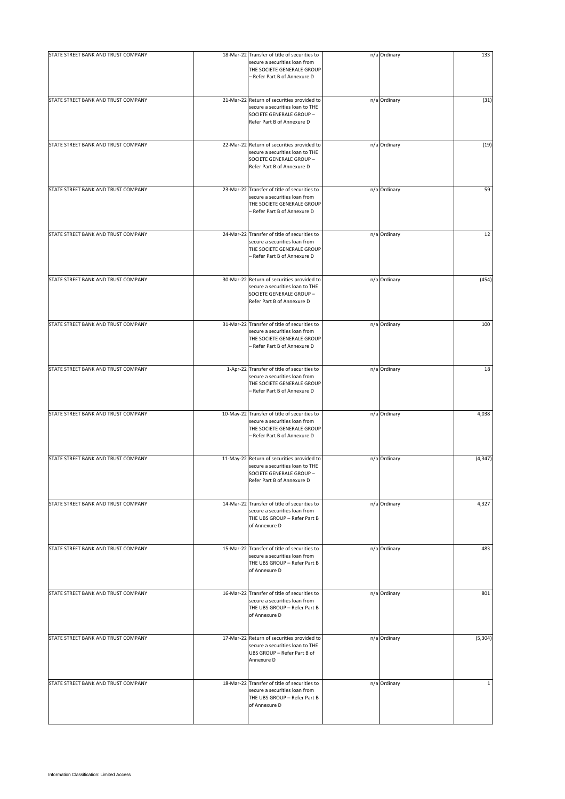| STATE STREET BANK AND TRUST COMPANY |                                                                                                                                             |              |              |
|-------------------------------------|---------------------------------------------------------------------------------------------------------------------------------------------|--------------|--------------|
|                                     | 18-Mar-22 Transfer of title of securities to<br>secure a securities loan from<br>THE SOCIETE GENERALE GROUP<br>- Refer Part B of Annexure D | n/a Ordinary | 133          |
| STATE STREET BANK AND TRUST COMPANY | 21-Mar-22 Return of securities provided to<br>secure a securities loan to THE<br>SOCIETE GENERALE GROUP -<br>Refer Part B of Annexure D     | n/a Ordinary | (31)         |
| STATE STREET BANK AND TRUST COMPANY | 22-Mar-22 Return of securities provided to<br>secure a securities loan to THE<br>SOCIETE GENERALE GROUP -<br>Refer Part B of Annexure D     | n/a Ordinary | (19)         |
| STATE STREET BANK AND TRUST COMPANY | 23-Mar-22 Transfer of title of securities to<br>secure a securities loan from<br>THE SOCIETE GENERALE GROUP<br>- Refer Part B of Annexure D | n/a Ordinary | 59           |
| STATE STREET BANK AND TRUST COMPANY | 24-Mar-22 Transfer of title of securities to<br>secure a securities loan from<br>THE SOCIETE GENERALE GROUP<br>- Refer Part B of Annexure D | n/a Ordinary | 12           |
| STATE STREET BANK AND TRUST COMPANY | 30-Mar-22 Return of securities provided to<br>secure a securities loan to THE<br>SOCIETE GENERALE GROUP -<br>Refer Part B of Annexure D     | n/a Ordinary | (454)        |
| STATE STREET BANK AND TRUST COMPANY | 31-Mar-22 Transfer of title of securities to<br>secure a securities loan from<br>THE SOCIETE GENERALE GROUP<br>- Refer Part B of Annexure D | n/a Ordinary | 100          |
| STATE STREET BANK AND TRUST COMPANY | 1-Apr-22 Transfer of title of securities to<br>secure a securities loan from<br>THE SOCIETE GENERALE GROUP<br>- Refer Part B of Annexure D  | n/a Ordinary | 18           |
| STATE STREET BANK AND TRUST COMPANY | 10-May-22 Transfer of title of securities to<br>secure a securities loan from<br>THE SOCIETE GENERALE GROUP<br>- Refer Part B of Annexure D | n/a Ordinary | 4,038        |
| STATE STREET BANK AND TRUST COMPANY | 11-May-22 Return of securities provided to<br>secure a securities loan to THE<br>SOCIETE GENERALE GROUP -<br>Refer Part B of Annexure D     | n/a Ordinary | (4, 347)     |
| STATE STREET BANK AND TRUST COMPANY | 14-Mar-22 Transfer of title of securities to<br>secure a securities loan from<br>THE UBS GROUP - Refer Part B<br>of Annexure D              | n/a Ordinary | 4,327        |
| STATE STREET BANK AND TRUST COMPANY | 15-Mar-22 Transfer of title of securities to<br>secure a securities loan from<br>THE UBS GROUP - Refer Part B<br>of Annexure D              | n/a Ordinary | 483          |
| STATE STREET BANK AND TRUST COMPANY | 16-Mar-22 Transfer of title of securities to<br>secure a securities loan from<br>THE UBS GROUP - Refer Part B<br>of Annexure D              | n/a Ordinary | 801          |
| STATE STREET BANK AND TRUST COMPANY | 17-Mar-22 Return of securities provided to<br>secure a securities loan to THE<br>UBS GROUP - Refer Part B of<br>Annexure D                  | n/a Ordinary | (5, 304)     |
| STATE STREET BANK AND TRUST COMPANY | 18-Mar-22 Transfer of title of securities to<br>secure a securities loan from<br>THE UBS GROUP - Refer Part B<br>of Annexure D              | n/a Ordinary | $\mathbf{1}$ |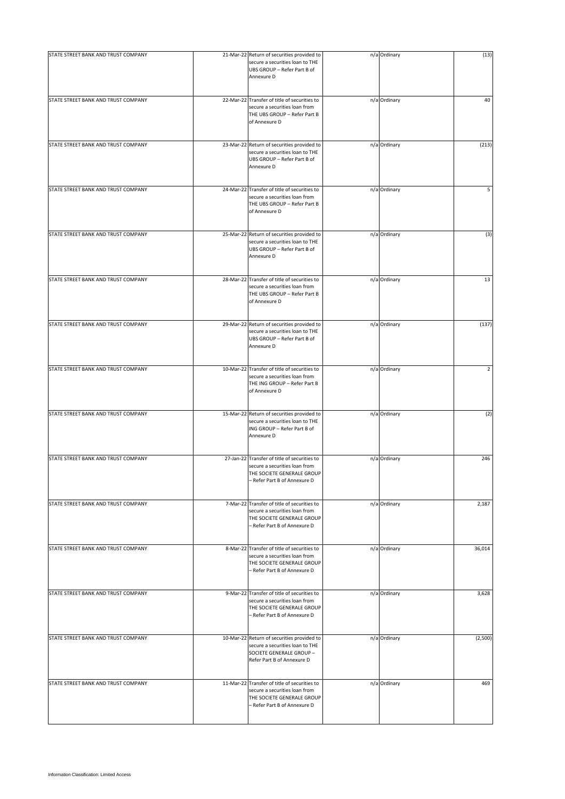| STATE STREET BANK AND TRUST COMPANY | 21-Mar-22 Return of securities provided to<br>secure a securities loan to THE<br>UBS GROUP - Refer Part B of<br>Annexure D                  | n/a Ordinary | (13)           |
|-------------------------------------|---------------------------------------------------------------------------------------------------------------------------------------------|--------------|----------------|
| STATE STREET BANK AND TRUST COMPANY | 22-Mar-22 Transfer of title of securities to<br>secure a securities loan from<br>THE UBS GROUP - Refer Part B<br>of Annexure D              | n/a Ordinary | 40             |
| STATE STREET BANK AND TRUST COMPANY | 23-Mar-22 Return of securities provided to<br>secure a securities loan to THE<br>UBS GROUP - Refer Part B of<br>Annexure D                  | n/a Ordinary | (213)          |
| STATE STREET BANK AND TRUST COMPANY | 24-Mar-22 Transfer of title of securities to<br>secure a securities loan from<br>THE UBS GROUP - Refer Part B<br>of Annexure D              | n/a Ordinary | 5              |
| STATE STREET BANK AND TRUST COMPANY | 25-Mar-22 Return of securities provided to<br>secure a securities loan to THE<br>UBS GROUP - Refer Part B of<br>Annexure D                  | n/a Ordinary | (3)            |
| STATE STREET BANK AND TRUST COMPANY | 28-Mar-22 Transfer of title of securities to<br>secure a securities loan from<br>THE UBS GROUP - Refer Part B<br>of Annexure D              | n/a Ordinary | 13             |
| STATE STREET BANK AND TRUST COMPANY | 29-Mar-22 Return of securities provided to<br>secure a securities loan to THE<br>UBS GROUP - Refer Part B of<br>Annexure D                  | n/a Ordinary | (137)          |
| STATE STREET BANK AND TRUST COMPANY | 10-Mar-22 Transfer of title of securities to<br>secure a securities loan from<br>THE ING GROUP - Refer Part B<br>of Annexure D              | n/a Ordinary | $\overline{2}$ |
| STATE STREET BANK AND TRUST COMPANY | 15-Mar-22 Return of securities provided to<br>secure a securities loan to THE<br>ING GROUP - Refer Part B of<br>Annexure D                  | n/a Ordinary | (2)            |
| STATE STREET BANK AND TRUST COMPANY | 27-Jan-22 Transfer of title of securities to<br>secure a securities loan from<br>THE SOCIETE GENERALE GROUP<br>- Refer Part B of Annexure D | n/a Ordinary | 246            |
| STATE STREET BANK AND TRUST COMPANY | 7-Mar-22 Transfer of title of securities to<br>secure a securities loan from<br>THE SOCIETE GENERALE GROUP<br>- Refer Part B of Annexure D  | n/a Ordinary | 2,187          |
| STATE STREET BANK AND TRUST COMPANY | 8-Mar-22 Transfer of title of securities to<br>secure a securities loan from<br>THE SOCIETE GENERALE GROUP<br>- Refer Part B of Annexure D  | n/a Ordinary | 36,014         |
| STATE STREET BANK AND TRUST COMPANY | 9-Mar-22 Transfer of title of securities to<br>secure a securities loan from<br>THE SOCIETE GENERALE GROUP<br>- Refer Part B of Annexure D  | n/a Ordinary | 3,628          |
| STATE STREET BANK AND TRUST COMPANY | 10-Mar-22 Return of securities provided to<br>secure a securities loan to THE<br>SOCIETE GENERALE GROUP -<br>Refer Part B of Annexure D     | n/a Ordinary | (2,500)        |
| STATE STREET BANK AND TRUST COMPANY | 11-Mar-22 Transfer of title of securities to<br>secure a securities loan from<br>THE SOCIETE GENERALE GROUP<br>- Refer Part B of Annexure D | n/a Ordinary | 469            |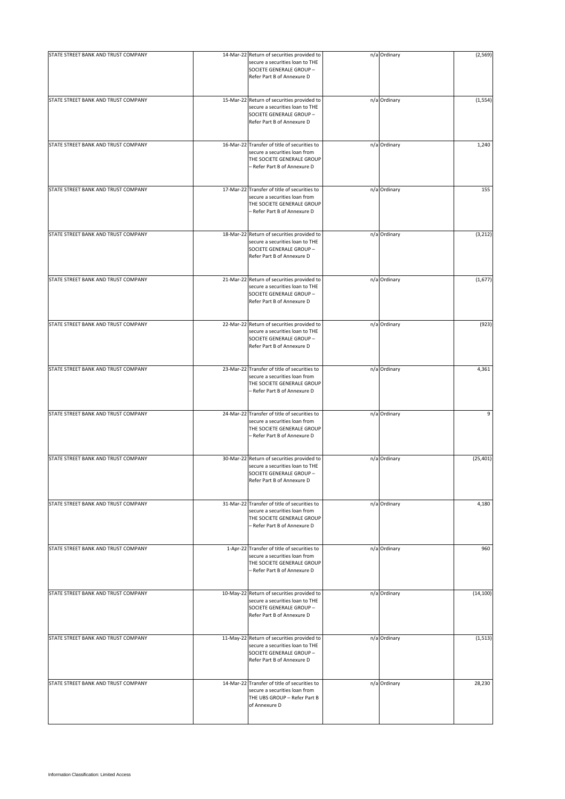| STATE STREET BANK AND TRUST COMPANY | 14-Mar-22 Return of securities provided to                                                                                                  |              | (2, 569)  |
|-------------------------------------|---------------------------------------------------------------------------------------------------------------------------------------------|--------------|-----------|
|                                     | secure a securities loan to THE<br>SOCIETE GENERALE GROUP -<br>Refer Part B of Annexure D                                                   | n/a Ordinary |           |
| STATE STREET BANK AND TRUST COMPANY | 15-Mar-22 Return of securities provided to<br>secure a securities loan to THE<br>SOCIETE GENERALE GROUP -<br>Refer Part B of Annexure D     | n/a Ordinary | (1, 554)  |
| STATE STREET BANK AND TRUST COMPANY | 16-Mar-22 Transfer of title of securities to<br>secure a securities loan from<br>THE SOCIETE GENERALE GROUP<br>- Refer Part B of Annexure D | n/a Ordinary | 1,240     |
| STATE STREET BANK AND TRUST COMPANY | 17-Mar-22 Transfer of title of securities to<br>secure a securities loan from<br>THE SOCIETE GENERALE GROUP<br>- Refer Part B of Annexure D | n/a Ordinary | 155       |
| STATE STREET BANK AND TRUST COMPANY | 18-Mar-22 Return of securities provided to<br>secure a securities loan to THE<br>SOCIETE GENERALE GROUP -<br>Refer Part B of Annexure D     | n/a Ordinary | (3, 212)  |
| STATE STREET BANK AND TRUST COMPANY | 21-Mar-22 Return of securities provided to<br>secure a securities loan to THE<br>SOCIETE GENERALE GROUP -<br>Refer Part B of Annexure D     | n/a Ordinary | (1,677)   |
| STATE STREET BANK AND TRUST COMPANY | 22-Mar-22 Return of securities provided to<br>secure a securities loan to THE<br>SOCIETE GENERALE GROUP -<br>Refer Part B of Annexure D     | n/a Ordinary | (923)     |
| STATE STREET BANK AND TRUST COMPANY | 23-Mar-22 Transfer of title of securities to<br>secure a securities loan from<br>THE SOCIETE GENERALE GROUP<br>- Refer Part B of Annexure D | n/a Ordinary | 4,361     |
| STATE STREET BANK AND TRUST COMPANY | 24-Mar-22 Transfer of title of securities to<br>secure a securities loan from<br>THE SOCIETE GENERALE GROUP<br>- Refer Part B of Annexure D | n/a Ordinary | 9         |
| STATE STREET BANK AND TRUST COMPANY | 30-Mar-22 Return of securities provided to<br>secure a securities loan to THE<br>SOCIETE GENERALE GROUP -<br>Refer Part B of Annexure D     | n/a Ordinary | (25, 401) |
| STATE STREET BANK AND TRUST COMPANY | 31-Mar-22 Transfer of title of securities to<br>secure a securities loan from<br>THE SOCIETE GENERALE GROUP<br>- Refer Part B of Annexure D | n/a Ordinary | 4,180     |
| STATE STREET BANK AND TRUST COMPANY | 1-Apr-22 Transfer of title of securities to<br>secure a securities loan from<br>THE SOCIETE GENERALE GROUP<br>- Refer Part B of Annexure D  | n/a Ordinary | 960       |
| STATE STREET BANK AND TRUST COMPANY | 10-May-22 Return of securities provided to<br>secure a securities loan to THE<br>SOCIETE GENERALE GROUP -<br>Refer Part B of Annexure D     | n/a Ordinary | (14, 100) |
| STATE STREET BANK AND TRUST COMPANY | 11-May-22 Return of securities provided to<br>secure a securities loan to THE<br>SOCIETE GENERALE GROUP -<br>Refer Part B of Annexure D     | n/a Ordinary | (1, 513)  |
| STATE STREET BANK AND TRUST COMPANY | 14-Mar-22 Transfer of title of securities to<br>secure a securities loan from<br>THE UBS GROUP - Refer Part B<br>of Annexure D              | n/a Ordinary | 28,230    |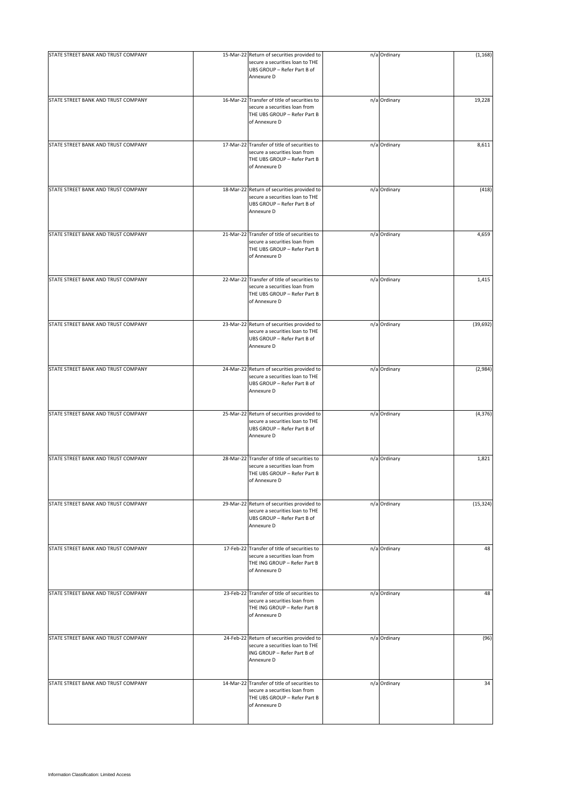| STATE STREET BANK AND TRUST COMPANY | 15-Mar-22 Return of securities provided to                                                                                     | n/a Ordinary | (1, 168)  |
|-------------------------------------|--------------------------------------------------------------------------------------------------------------------------------|--------------|-----------|
|                                     | secure a securities loan to THE<br>UBS GROUP - Refer Part B of<br>Annexure D                                                   |              |           |
| STATE STREET BANK AND TRUST COMPANY | 16-Mar-22 Transfer of title of securities to<br>secure a securities loan from<br>THE UBS GROUP - Refer Part B<br>of Annexure D | n/a Ordinary | 19,228    |
| STATE STREET BANK AND TRUST COMPANY | 17-Mar-22 Transfer of title of securities to<br>secure a securities loan from<br>THE UBS GROUP - Refer Part B<br>of Annexure D | n/a Ordinary | 8,611     |
| STATE STREET BANK AND TRUST COMPANY | 18-Mar-22 Return of securities provided to<br>secure a securities loan to THE<br>UBS GROUP - Refer Part B of<br>Annexure D     | n/a Ordinary | (418)     |
| STATE STREET BANK AND TRUST COMPANY | 21-Mar-22 Transfer of title of securities to<br>secure a securities loan from<br>THE UBS GROUP - Refer Part B<br>of Annexure D | n/a Ordinary | 4,659     |
| STATE STREET BANK AND TRUST COMPANY | 22-Mar-22 Transfer of title of securities to<br>secure a securities loan from<br>THE UBS GROUP - Refer Part B<br>of Annexure D | n/a Ordinary | 1,415     |
| STATE STREET BANK AND TRUST COMPANY | 23-Mar-22 Return of securities provided to<br>secure a securities loan to THE<br>UBS GROUP - Refer Part B of<br>Annexure D     | n/a Ordinary | (39, 692) |
| STATE STREET BANK AND TRUST COMPANY | 24-Mar-22 Return of securities provided to<br>secure a securities loan to THE<br>UBS GROUP - Refer Part B of<br>Annexure D     | n/a Ordinary | (2,984)   |
| STATE STREET BANK AND TRUST COMPANY | 25-Mar-22 Return of securities provided to<br>secure a securities loan to THE<br>UBS GROUP - Refer Part B of<br>Annexure D     | n/a Ordinary | (4, 376)  |
| STATE STREET BANK AND TRUST COMPANY | 28-Mar-22 Transfer of title of securities to<br>secure a securities loan from<br>THE UBS GROUP - Refer Part B<br>of Annexure D | n/a Ordinary | 1,821     |
| STATE STREET BANK AND TRUST COMPANY | 29-Mar-22 Return of securities provided to<br>secure a securities loan to THE<br>UBS GROUP - Refer Part B of<br>Annexure D     | n/a Ordinary | (15, 324) |
| STATE STREET BANK AND TRUST COMPANY | 17-Feb-22 Transfer of title of securities to<br>secure a securities loan from<br>THE ING GROUP - Refer Part B<br>of Annexure D | n/a Ordinary | 48        |
| STATE STREET BANK AND TRUST COMPANY | 23-Feb-22 Transfer of title of securities to<br>secure a securities loan from<br>THE ING GROUP - Refer Part B<br>of Annexure D | n/a Ordinary | 48        |
| STATE STREET BANK AND TRUST COMPANY | 24-Feb-22 Return of securities provided to<br>secure a securities loan to THE<br>ING GROUP - Refer Part B of<br>Annexure D     | n/a Ordinary | (96)      |
| STATE STREET BANK AND TRUST COMPANY | 14-Mar-22 Transfer of title of securities to<br>secure a securities loan from<br>THE UBS GROUP - Refer Part B<br>of Annexure D | n/a Ordinary | 34        |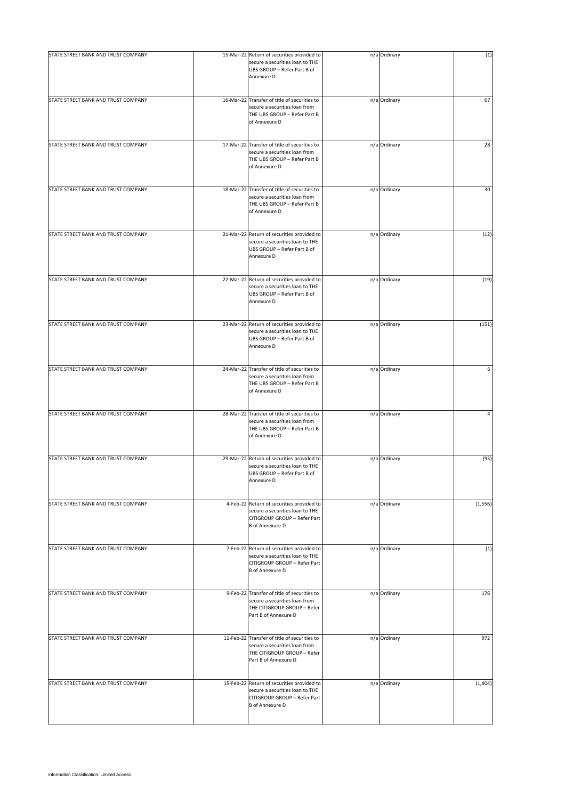| STATE STREET BANK AND TRUST COMPANY | 15-Mar-22 Return of securities provided to<br>secure a securities loan to THE<br>UBS GROUP - Refer Part B of<br>Annexure D              | n/a Ordinary | (1)      |
|-------------------------------------|-----------------------------------------------------------------------------------------------------------------------------------------|--------------|----------|
| STATE STREET BANK AND TRUST COMPANY | 16-Mar-22 Transfer of title of securities to<br>secure a securities loan from<br>THE UBS GROUP - Refer Part B<br>of Annexure D          | n/a Ordinary | 67       |
| STATE STREET BANK AND TRUST COMPANY | 17-Mar-22 Transfer of title of securities to<br>secure a securities loan from<br>THE UBS GROUP - Refer Part B<br>of Annexure D          | n/a Ordinary | 28       |
| STATE STREET BANK AND TRUST COMPANY | 18-Mar-22 Transfer of title of securities to<br>secure a securities loan from<br>THE UBS GROUP - Refer Part B<br>of Annexure D          | n/a Ordinary | 30       |
| STATE STREET BANK AND TRUST COMPANY | 21-Mar-22 Return of securities provided to<br>secure a securities loan to THE<br>UBS GROUP - Refer Part B of<br>Annexure D              | n/a Ordinary | (12)     |
| STATE STREET BANK AND TRUST COMPANY | 22-Mar-22 Return of securities provided to<br>secure a securities loan to THE<br>UBS GROUP - Refer Part B of<br>Annexure D              | n/a Ordinary | (19)     |
| STATE STREET BANK AND TRUST COMPANY | 23-Mar-22 Return of securities provided to<br>secure a securities loan to THE<br>UBS GROUP - Refer Part B of<br>Annexure D              | n/a Ordinary | (151)    |
| STATE STREET BANK AND TRUST COMPANY | 24-Mar-22 Transfer of title of securities to<br>secure a securities loan from<br>THE UBS GROUP - Refer Part B<br>of Annexure D          | n/a Ordinary | 6        |
| STATE STREET BANK AND TRUST COMPANY | 28-Mar-22 Transfer of title of securities to<br>secure a securities loan from<br>THE UBS GROUP - Refer Part B<br>of Annexure D          | n/a Ordinary | 4        |
| STATE STREET BANK AND TRUST COMPANY | 29-Mar-22 Return of securities provided to<br>secure a securities loan to THE<br>UBS GROUP - Refer Part B of<br>Annexure D              | n/a Ordinary | (93)     |
| STATE STREET BANK AND TRUST COMPANY | 4-Feb-22 Return of securities provided to<br>secure a securities loan to THE<br>CITIGROUP GROUP - Refer Part<br><b>B</b> of Annexure D  | n/a Ordinary | (1, 556) |
| STATE STREET BANK AND TRUST COMPANY | 7-Feb-22 Return of securities provided to<br>secure a securities loan to THE<br>CITIGROUP GROUP - Refer Part<br><b>B</b> of Annexure D  | n/a Ordinary | (1)      |
| STATE STREET BANK AND TRUST COMPANY | 9-Feb-22 Transfer of title of securities to<br>secure a securities loan from<br>THE CITIGROUP GROUP - Refer<br>Part B of Annexure D     | n/a Ordinary | 176      |
| STATE STREET BANK AND TRUST COMPANY | 11-Feb-22 Transfer of title of securities to<br>secure a securities loan from<br>THE CITIGROUP GROUP - Refer<br>Part B of Annexure D    | n/a Ordinary | 972      |
| STATE STREET BANK AND TRUST COMPANY | 15-Feb-22 Return of securities provided to<br>secure a securities loan to THE<br>CITIGROUP GROUP - Refer Part<br><b>B</b> of Annexure D | n/a Ordinary | (1,404)  |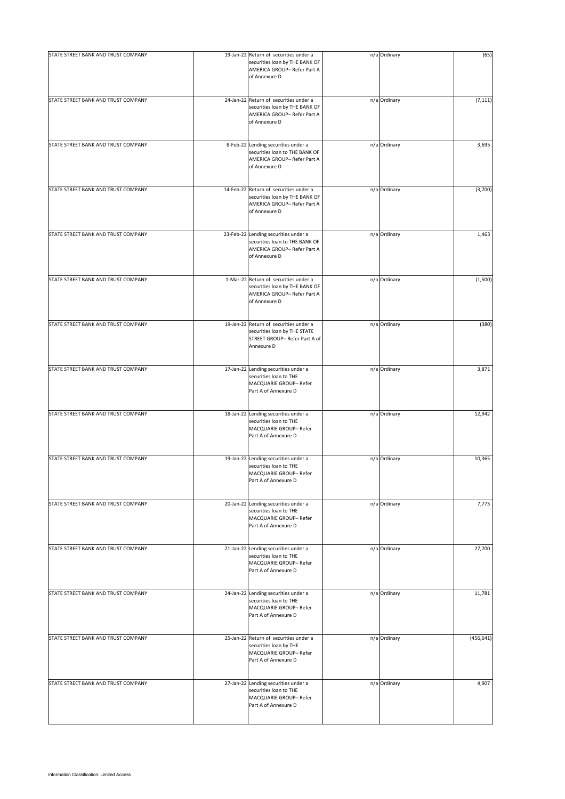| STATE STREET BANK AND TRUST COMPANY | 19-Jan-22 Return of securities under a<br>securities loan by THE BANK OF<br>AMERICA GROUP-Refer Part A<br>of Annexure D  | n/a Ordinary | (65)       |
|-------------------------------------|--------------------------------------------------------------------------------------------------------------------------|--------------|------------|
| STATE STREET BANK AND TRUST COMPANY | 24-Jan-22 Return of securities under a<br>securities loan by THE BANK OF<br>AMERICA GROUP- Refer Part A<br>of Annexure D | n/a Ordinary | (7, 111)   |
| STATE STREET BANK AND TRUST COMPANY | 8-Feb-22 Lending securities under a<br>securities loan to THE BANK OF<br>AMERICA GROUP- Refer Part A<br>of Annexure D    | n/a Ordinary | 3,695      |
| STATE STREET BANK AND TRUST COMPANY | 14-Feb-22 Return of securities under a<br>securities loan by THE BANK OF<br>AMERICA GROUP-Refer Part A<br>of Annexure D  | n/a Ordinary | (3,700)    |
| STATE STREET BANK AND TRUST COMPANY | 23-Feb-22 Lending securities under a<br>securities loan to THE BANK OF<br>AMERICA GROUP-Refer Part A<br>of Annexure D    | n/a Ordinary | 1,463      |
| STATE STREET BANK AND TRUST COMPANY | 1-Mar-22 Return of securities under a<br>securities loan by THE BANK OF<br>AMERICA GROUP- Refer Part A<br>of Annexure D  | n/a Ordinary | (1,500)    |
| STATE STREET BANK AND TRUST COMPANY | 19-Jan-22 Return of securities under a<br>securities loan by THE STATE<br>STREET GROUP- Refer Part A of<br>Annexure D    | n/a Ordinary | (380)      |
| STATE STREET BANK AND TRUST COMPANY | 17-Jan-22 Lending securities under a<br>securities loan to THE<br>MACQUARIE GROUP- Refer<br>Part A of Annexure D         | n/a Ordinary | 3,871      |
| STATE STREET BANK AND TRUST COMPANY | 18-Jan-22 Lending securities under a<br>securities loan to THE<br>MACQUARIE GROUP- Refer<br>Part A of Annexure D         | n/a Ordinary | 12,942     |
| STATE STREET BANK AND TRUST COMPANY | 19-Jan-22 Lending securities under a<br>securities loan to THE<br>MACQUARIE GROUP- Refer<br>Part A of Annexure D         | n/a Ordinary | 10,365     |
| STATE STREET BANK AND TRUST COMPANY | 20-Jan-22 Lending securities under a<br>securities loan to THE<br>MACQUARIE GROUP- Refer<br>Part A of Annexure D         | n/a Ordinary | 7,773      |
| STATE STREET BANK AND TRUST COMPANY | 21-Jan-22 Lending securities under a<br>securities loan to THE<br>MACQUARIE GROUP- Refer<br>Part A of Annexure D         | n/a Ordinary | 27,700     |
| STATE STREET BANK AND TRUST COMPANY | 24-Jan-22 Lending securities under a<br>securities loan to THE<br>MACQUARIE GROUP- Refer<br>Part A of Annexure D         | n/a Ordinary | 11,781     |
| STATE STREET BANK AND TRUST COMPANY | 25-Jan-22 Return of securities under a<br>securities loan by THE<br>MACQUARIE GROUP- Refer<br>Part A of Annexure D       | n/a Ordinary | (456, 641) |
| STATE STREET BANK AND TRUST COMPANY | 27-Jan-22 Lending securities under a<br>securities loan to THE<br>MACQUARIE GROUP- Refer<br>Part A of Annexure D         | n/a Ordinary | 4,907      |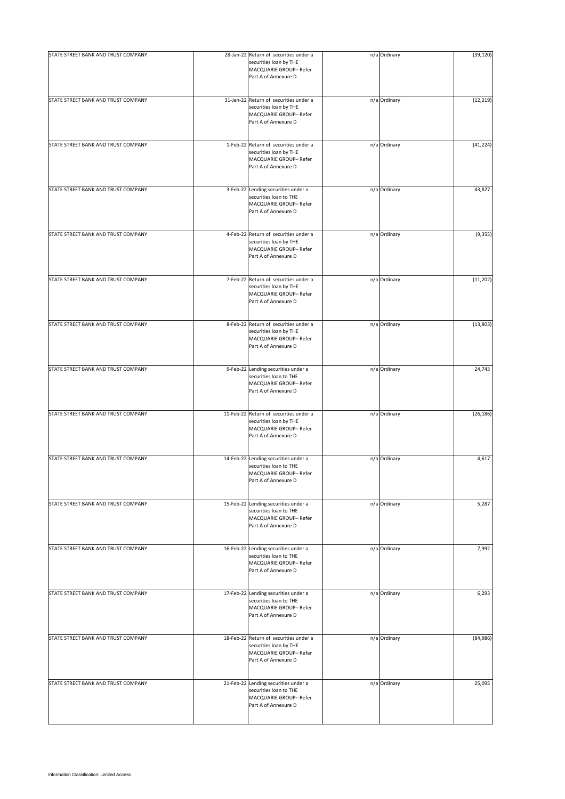| STATE STREET BANK AND TRUST COMPANY | 28-Jan-22 Return of securities under a<br>securities loan by THE<br>MACQUARIE GROUP- Refer<br>Part A of Annexure D | n/a Ordinary | (39, 120) |
|-------------------------------------|--------------------------------------------------------------------------------------------------------------------|--------------|-----------|
| STATE STREET BANK AND TRUST COMPANY | 31-Jan-22 Return of securities under a<br>securities loan by THE<br>MACQUARIE GROUP- Refer<br>Part A of Annexure D | n/a Ordinary | (12, 219) |
| STATE STREET BANK AND TRUST COMPANY | 1-Feb-22 Return of securities under a<br>securities loan by THE<br>MACQUARIE GROUP- Refer<br>Part A of Annexure D  | n/a Ordinary | (41, 224) |
| STATE STREET BANK AND TRUST COMPANY | 3-Feb-22 Lending securities under a<br>securities loan to THE<br>MACQUARIE GROUP- Refer<br>Part A of Annexure D    | n/a Ordinary | 43,827    |
| STATE STREET BANK AND TRUST COMPANY | 4-Feb-22 Return of securities under a<br>securities loan by THE<br>MACQUARIE GROUP- Refer<br>Part A of Annexure D  | n/a Ordinary | (9, 355)  |
| STATE STREET BANK AND TRUST COMPANY | 7-Feb-22 Return of securities under a<br>securities loan by THE<br>MACQUARIE GROUP- Refer<br>Part A of Annexure D  | n/a Ordinary | (11, 202) |
| STATE STREET BANK AND TRUST COMPANY | 8-Feb-22 Return of securities under a<br>securities loan by THE<br>MACQUARIE GROUP- Refer<br>Part A of Annexure D  | n/a Ordinary | (13, 803) |
| STATE STREET BANK AND TRUST COMPANY | 9-Feb-22 Lending securities under a<br>securities loan to THE<br>MACQUARIE GROUP- Refer<br>Part A of Annexure D    | n/a Ordinary | 24,743    |
| STATE STREET BANK AND TRUST COMPANY | 11-Feb-22 Return of securities under a<br>securities loan by THE<br>MACQUARIE GROUP- Refer<br>Part A of Annexure D | n/a Ordinary | (26, 186) |
| STATE STREET BANK AND TRUST COMPANY | 14-Feb-22 Lending securities under a<br>securities loan to THE<br>MACQUARIE GROUP- Refer<br>Part A of Annexure D   | n/a Ordinary | 4,617     |
| STATE STREET BANK AND TRUST COMPANY | 15-Feb-22 Lending securities under a<br>securities loan to THE<br>MACQUARIE GROUP- Refer<br>Part A of Annexure D   | n/a Ordinary | 5,287     |
| STATE STREET BANK AND TRUST COMPANY | 16-Feb-22 Lending securities under a<br>securities loan to THE<br>MACQUARIE GROUP- Refer<br>Part A of Annexure D   | n/a Ordinary | 7,992     |
| STATE STREET BANK AND TRUST COMPANY | 17-Feb-22 Lending securities under a<br>securities loan to THE<br>MACQUARIE GROUP- Refer<br>Part A of Annexure D   | n/a Ordinary | 6,293     |
| STATE STREET BANK AND TRUST COMPANY | 18-Feb-22 Return of securities under a<br>securities loan by THE<br>MACQUARIE GROUP- Refer<br>Part A of Annexure D | n/a Ordinary | (84, 986) |
| STATE STREET BANK AND TRUST COMPANY | 21-Feb-22 Lending securities under a<br>securities loan to THE<br>MACQUARIE GROUP- Refer<br>Part A of Annexure D   | n/a Ordinary | 25,095    |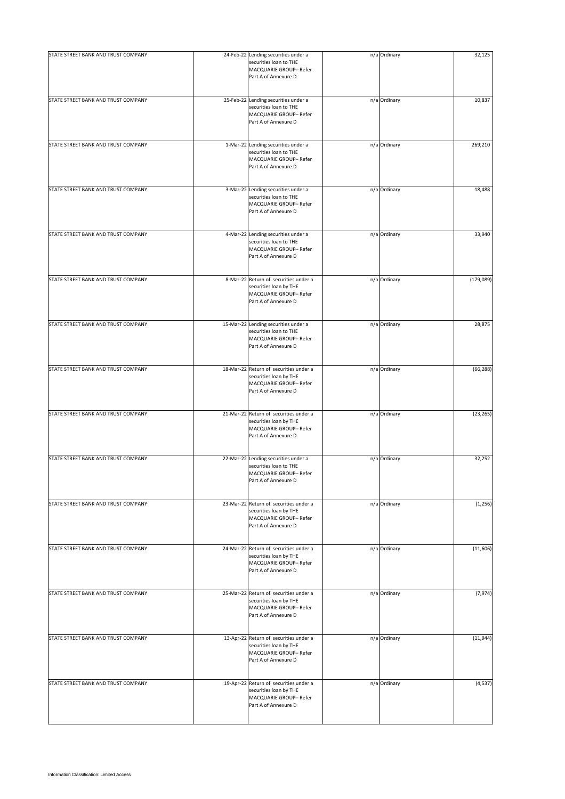| STATE STREET BANK AND TRUST COMPANY | 24-Feb-22 Lending securities under a<br>securities loan to THE<br>MACQUARIE GROUP- Refer<br>Part A of Annexure D   | n/a Ordinary | 32,125     |
|-------------------------------------|--------------------------------------------------------------------------------------------------------------------|--------------|------------|
| STATE STREET BANK AND TRUST COMPANY | 25-Feb-22 Lending securities under a<br>securities loan to THE<br>MACQUARIE GROUP- Refer<br>Part A of Annexure D   | n/a Ordinary | 10,837     |
| STATE STREET BANK AND TRUST COMPANY | 1-Mar-22 Lending securities under a<br>securities loan to THE<br>MACQUARIE GROUP- Refer<br>Part A of Annexure D    | n/a Ordinary | 269,210    |
| STATE STREET BANK AND TRUST COMPANY | 3-Mar-22 Lending securities under a<br>securities loan to THE<br>MACQUARIE GROUP- Refer<br>Part A of Annexure D    | n/a Ordinary | 18,488     |
| STATE STREET BANK AND TRUST COMPANY | 4-Mar-22 Lending securities under a<br>securities loan to THE<br>MACQUARIE GROUP- Refer<br>Part A of Annexure D    | n/a Ordinary | 33,940     |
| STATE STREET BANK AND TRUST COMPANY | 8-Mar-22 Return of securities under a<br>securities loan by THE<br>MACQUARIE GROUP-Refer<br>Part A of Annexure D   | n/a Ordinary | (179, 089) |
| STATE STREET BANK AND TRUST COMPANY | 15-Mar-22 Lending securities under a<br>securities loan to THE<br>MACQUARIE GROUP- Refer<br>Part A of Annexure D   | n/a Ordinary | 28,875     |
| STATE STREET BANK AND TRUST COMPANY | 18-Mar-22 Return of securities under a<br>securities loan by THE<br>MACQUARIE GROUP-Refer<br>Part A of Annexure D  | n/a Ordinary | (66, 288)  |
| STATE STREET BANK AND TRUST COMPANY | 21-Mar-22 Return of securities under a<br>securities loan by THE<br>MACQUARIE GROUP- Refer<br>Part A of Annexure D | n/a Ordinary | (23, 265)  |
| STATE STREET BANK AND TRUST COMPANY | 22-Mar-22 Lending securities under a<br>securities loan to THE<br>MACQUARIE GROUP- Refer<br>Part A of Annexure D   | n/a Ordinary | 32,252     |
| STATE STREET BANK AND TRUST COMPANY | 23-Mar-22 Return of securities under a<br>securities loan by THE<br>MACQUARIE GROUP- Refer<br>Part A of Annexure D | n/a Ordinary | (1, 256)   |
| STATE STREET BANK AND TRUST COMPANY | 24-Mar-22 Return of securities under a<br>securities loan by THE<br>MACQUARIE GROUP- Refer<br>Part A of Annexure D | n/a Ordinary | (11,606)   |
| STATE STREET BANK AND TRUST COMPANY | 25-Mar-22 Return of securities under a<br>securities loan by THE<br>MACQUARIE GROUP- Refer<br>Part A of Annexure D | n/a Ordinary | (7, 974)   |
| STATE STREET BANK AND TRUST COMPANY | 13-Apr-22 Return of securities under a<br>securities loan by THE<br>MACQUARIE GROUP- Refer<br>Part A of Annexure D | n/a Ordinary | (11, 944)  |
| STATE STREET BANK AND TRUST COMPANY | 19-Apr-22 Return of securities under a<br>securities loan by THE<br>MACQUARIE GROUP- Refer<br>Part A of Annexure D | n/a Ordinary | (4, 537)   |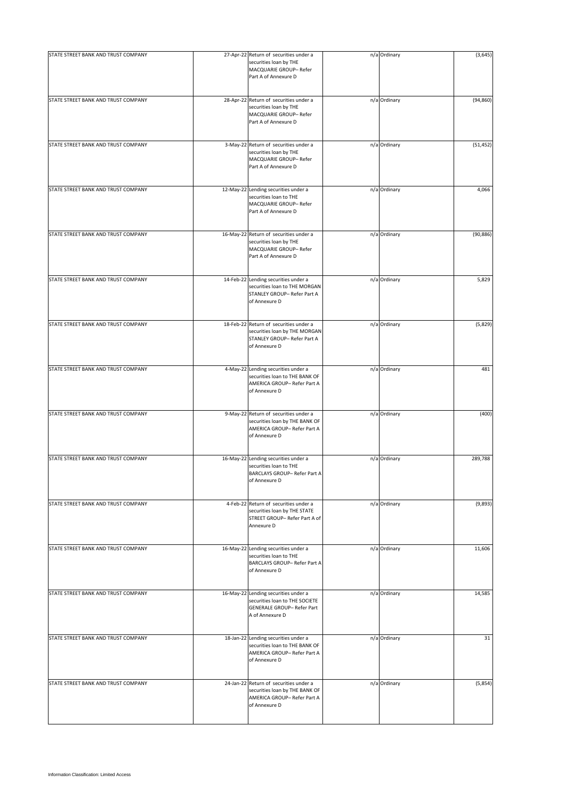| STATE STREET BANK AND TRUST COMPANY | 27-Apr-22 Return of securities under a<br>securities loan by THE                                                         | n/a Ordinary | (3,645)   |
|-------------------------------------|--------------------------------------------------------------------------------------------------------------------------|--------------|-----------|
|                                     | MACQUARIE GROUP- Refer<br>Part A of Annexure D                                                                           |              |           |
| STATE STREET BANK AND TRUST COMPANY | 28-Apr-22 Return of securities under a<br>securities loan by THE<br>MACQUARIE GROUP- Refer<br>Part A of Annexure D       | n/a Ordinary | (94, 860) |
| STATE STREET BANK AND TRUST COMPANY | 3-May-22 Return of securities under a<br>securities loan by THE<br>MACQUARIE GROUP- Refer<br>Part A of Annexure D        | n/a Ordinary | (51, 452) |
| STATE STREET BANK AND TRUST COMPANY | 12-May-22 Lending securities under a<br>securities loan to THE<br>MACQUARIE GROUP- Refer<br>Part A of Annexure D         | n/a Ordinary | 4,066     |
| STATE STREET BANK AND TRUST COMPANY | 16-May-22 Return of securities under a<br>securities loan by THE<br>MACQUARIE GROUP- Refer<br>Part A of Annexure D       | n/a Ordinary | (90, 886) |
| STATE STREET BANK AND TRUST COMPANY | 14-Feb-22 Lending securities under a<br>securities loan to THE MORGAN<br>STANLEY GROUP- Refer Part A<br>of Annexure D    | n/a Ordinary | 5,829     |
| STATE STREET BANK AND TRUST COMPANY | 18-Feb-22 Return of securities under a<br>securities loan by THE MORGAN<br>STANLEY GROUP- Refer Part A<br>of Annexure D  | n/a Ordinary | (5,829)   |
| STATE STREET BANK AND TRUST COMPANY | 4-May-22 Lending securities under a<br>securities loan to THE BANK OF<br>AMERICA GROUP- Refer Part A<br>of Annexure D    | n/a Ordinary | 481       |
| STATE STREET BANK AND TRUST COMPANY | 9-May-22 Return of securities under a<br>securities loan by THE BANK OF<br>AMERICA GROUP- Refer Part A<br>of Annexure D  | n/a Ordinary | (400)     |
| STATE STREET BANK AND TRUST COMPANY | 16-May-22 Lending securities under a<br>securities loan to THE<br>BARCLAYS GROUP- Refer Part A<br>of Annexure D          | n/a Ordinary | 289,788   |
| STATE STREET BANK AND TRUST COMPANY | 4-Feb-22 Return of securities under a<br>securities loan by THE STATE<br>STREET GROUP- Refer Part A of<br>Annexure D     | n/a Ordinary | (9,893)   |
| STATE STREET BANK AND TRUST COMPANY | 16-May-22 Lending securities under a<br>securities loan to THE<br>BARCLAYS GROUP- Refer Part A<br>of Annexure D          | n/a Ordinary | 11,606    |
| STATE STREET BANK AND TRUST COMPANY | 16-May-22 Lending securities under a<br>securities loan to THE SOCIETE<br>GENERALE GROUP- Refer Part<br>A of Annexure D  | n/a Ordinary | 14,585    |
| STATE STREET BANK AND TRUST COMPANY | 18-Jan-22 Lending securities under a<br>securities loan to THE BANK OF<br>AMERICA GROUP-Refer Part A<br>of Annexure D    | n/a Ordinary | 31        |
| STATE STREET BANK AND TRUST COMPANY | 24-Jan-22 Return of securities under a<br>securities loan by THE BANK OF<br>AMERICA GROUP- Refer Part A<br>of Annexure D | n/a Ordinary | (5,854)   |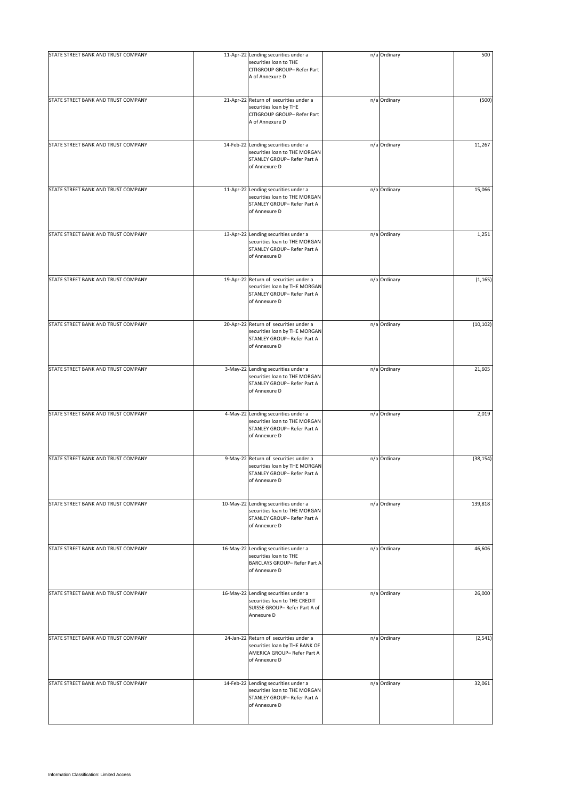| STATE STREET BANK AND TRUST COMPANY | 11-Apr-22 Lending securities under a<br>securities loan to THE                                                           | n/a Ordinary | 500       |
|-------------------------------------|--------------------------------------------------------------------------------------------------------------------------|--------------|-----------|
|                                     | CITIGROUP GROUP- Refer Part<br>A of Annexure D                                                                           |              |           |
| STATE STREET BANK AND TRUST COMPANY | 21-Apr-22 Return of securities under a<br>securities loan by THE<br>CITIGROUP GROUP- Refer Part<br>A of Annexure D       | n/a Ordinary | (500)     |
| STATE STREET BANK AND TRUST COMPANY | 14-Feb-22 Lending securities under a<br>securities loan to THE MORGAN<br>STANLEY GROUP- Refer Part A<br>of Annexure D    | n/a Ordinary | 11,267    |
| STATE STREET BANK AND TRUST COMPANY | 11-Apr-22 Lending securities under a<br>securities loan to THE MORGAN<br>STANLEY GROUP- Refer Part A<br>of Annexure D    | n/a Ordinary | 15,066    |
| STATE STREET BANK AND TRUST COMPANY | 13-Apr-22 Lending securities under a<br>securities loan to THE MORGAN<br>STANLEY GROUP- Refer Part A<br>of Annexure D    | n/a Ordinary | 1,251     |
| STATE STREET BANK AND TRUST COMPANY | 19-Apr-22 Return of securities under a<br>securities loan by THE MORGAN<br>STANLEY GROUP- Refer Part A<br>of Annexure D  | n/a Ordinary | (1, 165)  |
| STATE STREET BANK AND TRUST COMPANY | 20-Apr-22 Return of securities under a<br>securities loan by THE MORGAN<br>STANLEY GROUP- Refer Part A<br>of Annexure D  | n/a Ordinary | (10, 102) |
| STATE STREET BANK AND TRUST COMPANY | 3-May-22 Lending securities under a<br>securities loan to THE MORGAN<br>STANLEY GROUP- Refer Part A<br>of Annexure D     | n/a Ordinary | 21,605    |
| STATE STREET BANK AND TRUST COMPANY | 4-May-22 Lending securities under a<br>securities loan to THE MORGAN<br>STANLEY GROUP- Refer Part A<br>of Annexure D     | n/a Ordinary | 2,019     |
| STATE STREET BANK AND TRUST COMPANY | 9-May-22 Return of securities under a<br>securities loan by THE MORGAN<br>STANLEY GROUP- Refer Part A<br>of Annexure D   | n/a Ordinary | (38, 154) |
| STATE STREET BANK AND TRUST COMPANY | 10-May-22 Lending securities under a<br>securities loan to THE MORGAN<br>STANLEY GROUP- Refer Part A<br>of Annexure D    | n/a Ordinary | 139,818   |
| STATE STREET BANK AND TRUST COMPANY | 16-May-22 Lending securities under a<br>securities loan to THE<br>BARCLAYS GROUP- Refer Part A<br>of Annexure D          | n/a Ordinary | 46,606    |
| STATE STREET BANK AND TRUST COMPANY | 16-May-22 Lending securities under a<br>securities loan to THE CREDIT<br>SUISSE GROUP- Refer Part A of<br>Annexure D     | n/a Ordinary | 26,000    |
| STATE STREET BANK AND TRUST COMPANY | 24-Jan-22 Return of securities under a<br>securities loan by THE BANK OF<br>AMERICA GROUP- Refer Part A<br>of Annexure D | n/a Ordinary | (2, 541)  |
| STATE STREET BANK AND TRUST COMPANY | 14-Feb-22 Lending securities under a<br>securities loan to THE MORGAN<br>STANLEY GROUP- Refer Part A<br>of Annexure D    | n/a Ordinary | 32,061    |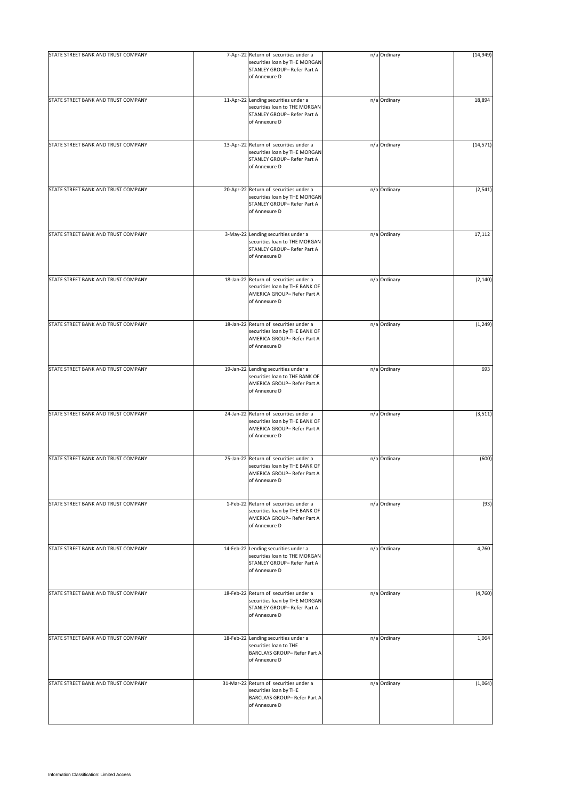| STATE STREET BANK AND TRUST COMPANY | 7-Apr-22 Return of securities under a<br>securities loan by THE MORGAN<br>STANLEY GROUP- Refer Part A<br>of Annexure D   | n/a Ordinary | (14, 949) |
|-------------------------------------|--------------------------------------------------------------------------------------------------------------------------|--------------|-----------|
| STATE STREET BANK AND TRUST COMPANY | 11-Apr-22 Lending securities under a<br>securities loan to THE MORGAN<br>STANLEY GROUP- Refer Part A<br>of Annexure D    | n/a Ordinary | 18,894    |
| STATE STREET BANK AND TRUST COMPANY | 13-Apr-22 Return of securities under a<br>securities loan by THE MORGAN<br>STANLEY GROUP- Refer Part A<br>of Annexure D  | n/a Ordinary | (14, 571) |
| STATE STREET BANK AND TRUST COMPANY | 20-Apr-22 Return of securities under a<br>securities loan by THE MORGAN<br>STANLEY GROUP- Refer Part A<br>of Annexure D  | n/a Ordinary | (2, 541)  |
| STATE STREET BANK AND TRUST COMPANY | 3-May-22 Lending securities under a<br>securities loan to THE MORGAN<br>STANLEY GROUP- Refer Part A<br>of Annexure D     | n/a Ordinary | 17,112    |
| STATE STREET BANK AND TRUST COMPANY | 18-Jan-22 Return of securities under a<br>securities loan by THE BANK OF<br>AMERICA GROUP- Refer Part A<br>of Annexure D | n/a Ordinary | (2, 140)  |
| STATE STREET BANK AND TRUST COMPANY | 18-Jan-22 Return of securities under a<br>securities loan by THE BANK OF<br>AMERICA GROUP- Refer Part A<br>of Annexure D | n/a Ordinary | (1, 249)  |
| STATE STREET BANK AND TRUST COMPANY | 19-Jan-22 Lending securities under a<br>securities loan to THE BANK OF<br>AMERICA GROUP- Refer Part A<br>of Annexure D   | n/a Ordinary | 693       |
| STATE STREET BANK AND TRUST COMPANY | 24-Jan-22 Return of securities under a<br>securities loan by THE BANK OF<br>AMERICA GROUP- Refer Part A<br>of Annexure D | n/a Ordinary | (3, 511)  |
| STATE STREET BANK AND TRUST COMPANY | 25-Jan-22 Return of securities under a<br>securities loan by THE BANK OF<br>AMERICA GROUP- Refer Part A<br>of Annexure D | n/a Ordinary | (600)     |
| STATE STREET BANK AND TRUST COMPANY | 1-Feb-22 Return of securities under a<br>securities loan by THE BANK OF<br>AMERICA GROUP- Refer Part A<br>of Annexure D  | n/a Ordinary | (93)      |
| STATE STREET BANK AND TRUST COMPANY | 14-Feb-22 Lending securities under a<br>securities loan to THE MORGAN<br>STANLEY GROUP- Refer Part A<br>of Annexure D    | n/a Ordinary | 4,760     |
| STATE STREET BANK AND TRUST COMPANY | 18-Feb-22 Return of securities under a<br>securities loan by THE MORGAN<br>STANLEY GROUP- Refer Part A<br>of Annexure D  | n/a Ordinary | (4,760)   |
| STATE STREET BANK AND TRUST COMPANY | 18-Feb-22 Lending securities under a<br>securities loan to THE<br>BARCLAYS GROUP- Refer Part A<br>of Annexure D          | n/a Ordinary | 1,064     |
| STATE STREET BANK AND TRUST COMPANY | 31-Mar-22 Return of securities under a<br>securities loan by THE<br>BARCLAYS GROUP- Refer Part A<br>of Annexure D        | n/a Ordinary | (1,064)   |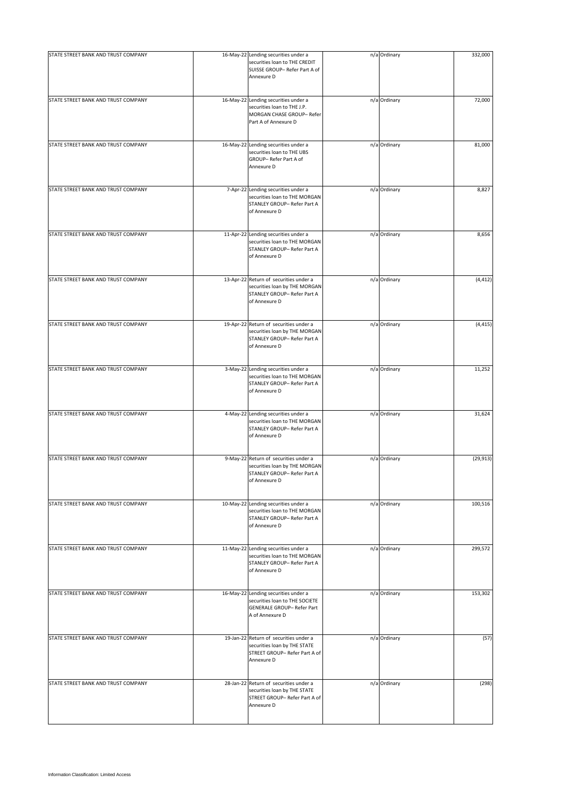| STATE STREET BANK AND TRUST COMPANY | 16-May-22 Lending securities under a                                                                                    | n/a Ordinary | 332,000   |
|-------------------------------------|-------------------------------------------------------------------------------------------------------------------------|--------------|-----------|
|                                     | securities loan to THE CREDIT<br>SUISSE GROUP- Refer Part A of<br>Annexure D                                            |              |           |
| STATE STREET BANK AND TRUST COMPANY | 16-May-22 Lending securities under a                                                                                    | n/a Ordinary | 72,000    |
|                                     | securities loan to THE J.P.<br>MORGAN CHASE GROUP- Refer<br>Part A of Annexure D                                        |              |           |
| STATE STREET BANK AND TRUST COMPANY | 16-May-22 Lending securities under a<br>securities loan to THE UBS<br>GROUP- Refer Part A of<br>Annexure D              | n/a Ordinary | 81,000    |
| STATE STREET BANK AND TRUST COMPANY | 7-Apr-22 Lending securities under a<br>securities loan to THE MORGAN<br>STANLEY GROUP- Refer Part A<br>of Annexure D    | n/a Ordinary | 8,827     |
| STATE STREET BANK AND TRUST COMPANY | 11-Apr-22 Lending securities under a<br>securities loan to THE MORGAN<br>STANLEY GROUP- Refer Part A<br>of Annexure D   | n/a Ordinary | 8,656     |
| STATE STREET BANK AND TRUST COMPANY | 13-Apr-22 Return of securities under a<br>securities loan by THE MORGAN<br>STANLEY GROUP- Refer Part A<br>of Annexure D | n/a Ordinary | (4, 412)  |
| STATE STREET BANK AND TRUST COMPANY | 19-Apr-22 Return of securities under a<br>securities loan by THE MORGAN<br>STANLEY GROUP- Refer Part A<br>of Annexure D | n/a Ordinary | (4, 415)  |
| STATE STREET BANK AND TRUST COMPANY | 3-May-22 Lending securities under a<br>securities loan to THE MORGAN<br>STANLEY GROUP- Refer Part A<br>of Annexure D    | n/a Ordinary | 11,252    |
| STATE STREET BANK AND TRUST COMPANY | 4-May-22 Lending securities under a<br>securities loan to THE MORGAN<br>STANLEY GROUP- Refer Part A<br>of Annexure D    | n/a Ordinary | 31,624    |
| STATE STREET BANK AND TRUST COMPANY | 9-May-22 Return of securities under a<br>securities loan by THE MORGAN<br>STANLEY GROUP- Refer Part A<br>of Annexure D  | n/a Ordinary | (29, 913) |
| STATE STREET BANK AND TRUST COMPANY | 10-May-22 Lending securities under a<br>securities loan to THE MORGAN<br>STANLEY GROUP- Refer Part A<br>of Annexure D   | n/a Ordinary | 100,516   |
| STATE STREET BANK AND TRUST COMPANY | 11-May-22 Lending securities under a<br>securities loan to THE MORGAN<br>STANLEY GROUP- Refer Part A<br>of Annexure D   | n/a Ordinary | 299,572   |
| STATE STREET BANK AND TRUST COMPANY | 16-May-22 Lending securities under a<br>securities loan to THE SOCIETE<br>GENERALE GROUP- Refer Part<br>A of Annexure D | n/a Ordinary | 153,302   |
| STATE STREET BANK AND TRUST COMPANY | 19-Jan-22 Return of securities under a<br>securities loan by THE STATE<br>STREET GROUP- Refer Part A of<br>Annexure D   | n/a Ordinary | (57)      |
| STATE STREET BANK AND TRUST COMPANY | 28-Jan-22 Return of securities under a<br>securities loan by THE STATE<br>STREET GROUP- Refer Part A of<br>Annexure D   | n/a Ordinary | (298)     |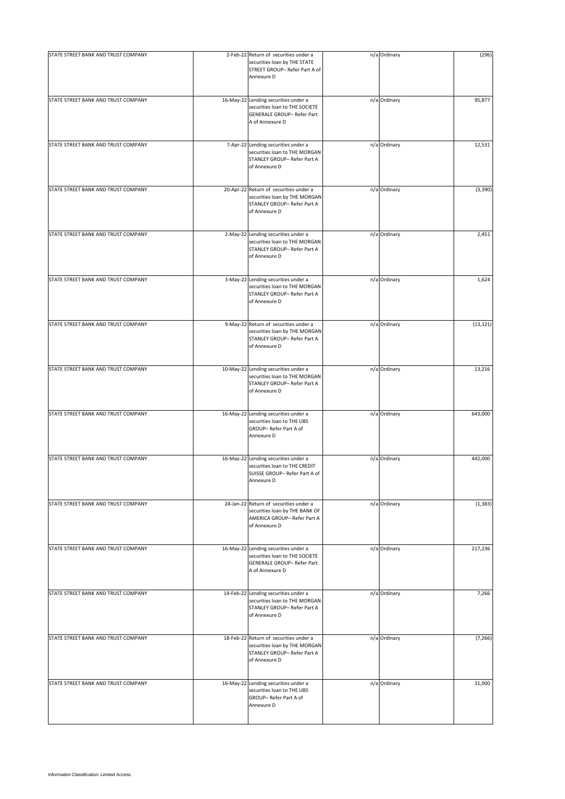| STATE STREET BANK AND TRUST COMPANY | 2-Feb-22 Return of securities under a                                                                                    | n/a Ordinary | (296)     |
|-------------------------------------|--------------------------------------------------------------------------------------------------------------------------|--------------|-----------|
|                                     | securities loan by THE STATE<br>STREET GROUP-Refer Part A of<br>Annexure D                                               |              |           |
| STATE STREET BANK AND TRUST COMPANY | 16-May-22 Lending securities under a<br>securities loan to THE SOCIETE<br>GENERALE GROUP- Refer Part<br>A of Annexure D  | n/a Ordinary | 95,877    |
| STATE STREET BANK AND TRUST COMPANY | 7-Apr-22 Lending securities under a<br>securities loan to THE MORGAN<br>STANLEY GROUP- Refer Part A<br>of Annexure D     | n/a Ordinary | 12,531    |
| STATE STREET BANK AND TRUST COMPANY | 20-Apr-22 Return of securities under a<br>securities loan by THE MORGAN<br>STANLEY GROUP- Refer Part A<br>of Annexure D  | n/a Ordinary | (3,390)   |
| STATE STREET BANK AND TRUST COMPANY | 2-May-22 Lending securities under a<br>securities loan to THE MORGAN<br>STANLEY GROUP- Refer Part A<br>of Annexure D     | n/a Ordinary | 2,451     |
| STATE STREET BANK AND TRUST COMPANY | 3-May-22 Lending securities under a<br>securities loan to THE MORGAN<br>STANLEY GROUP- Refer Part A<br>of Annexure D     | n/a Ordinary | 1,624     |
| STATE STREET BANK AND TRUST COMPANY | 9-May-22 Return of securities under a<br>securities loan by THE MORGAN<br>STANLEY GROUP- Refer Part A<br>of Annexure D   | n/a Ordinary | (13, 121) |
| STATE STREET BANK AND TRUST COMPANY | 10-May-22 Lending securities under a<br>securities loan to THE MORGAN<br>STANLEY GROUP- Refer Part A<br>of Annexure D    | n/a Ordinary | 13,216    |
| STATE STREET BANK AND TRUST COMPANY | 16-May-22 Lending securities under a<br>securities loan to THE UBS<br>GROUP-Refer Part A of<br>Annexure D                | n/a Ordinary | 643,000   |
| STATE STREET BANK AND TRUST COMPANY | 16-May-22 Lending securities under a<br>securities loan to THE CREDIT<br>SUISSE GROUP- Refer Part A of<br>Annexure D     | n/a Ordinary | 442,000   |
| STATE STREET BANK AND TRUST COMPANY | 24-Jan-22 Return of securities under a<br>securities loan by THE BANK OF<br>AMERICA GROUP- Refer Part A<br>of Annexure D | n/a Ordinary | (1, 383)  |
| STATE STREET BANK AND TRUST COMPANY | 16-May-22 Lending securities under a<br>securities loan to THE SOCIETE<br>GENERALE GROUP- Refer Part<br>A of Annexure D  | n/a Ordinary | 217,236   |
| STATE STREET BANK AND TRUST COMPANY | 14-Feb-22 Lending securities under a<br>securities loan to THE MORGAN<br>STANLEY GROUP- Refer Part A<br>of Annexure D    | n/a Ordinary | 7,266     |
| STATE STREET BANK AND TRUST COMPANY | 18-Feb-22 Return of securities under a<br>securities loan by THE MORGAN<br>STANLEY GROUP- Refer Part A<br>of Annexure D  | n/a Ordinary | (7, 266)  |
| STATE STREET BANK AND TRUST COMPANY | 16-May-22 Lending securities under a<br>securities loan to THE UBS<br>GROUP- Refer Part A of<br>Annexure D               | n/a Ordinary | 31,000    |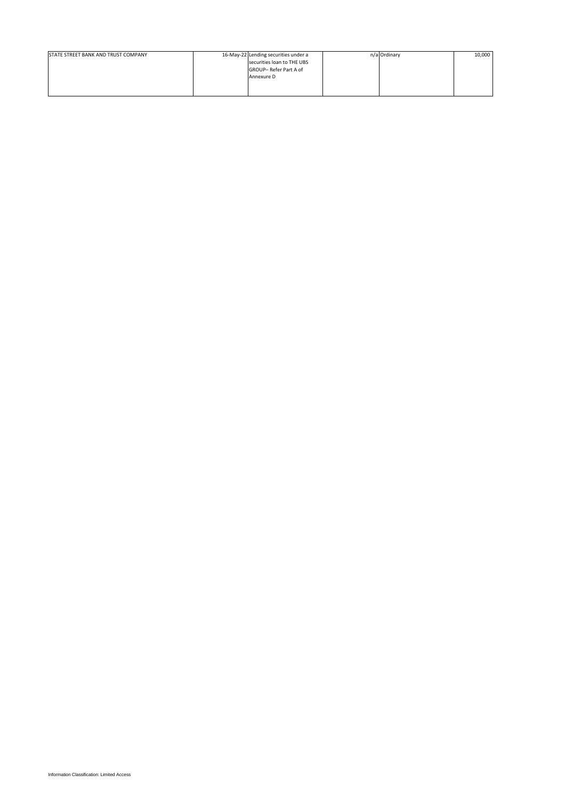| STATE STREET BANK AND TRUST COMPANY | 16-May-22 Lending securities under a | n/a Ordinary | 10,000 |
|-------------------------------------|--------------------------------------|--------------|--------|
|                                     | securities loan to THE UBS           |              |        |
|                                     | GROUP-Refer Part A of                |              |        |
|                                     | Annexure D                           |              |        |
|                                     |                                      |              |        |
|                                     |                                      |              |        |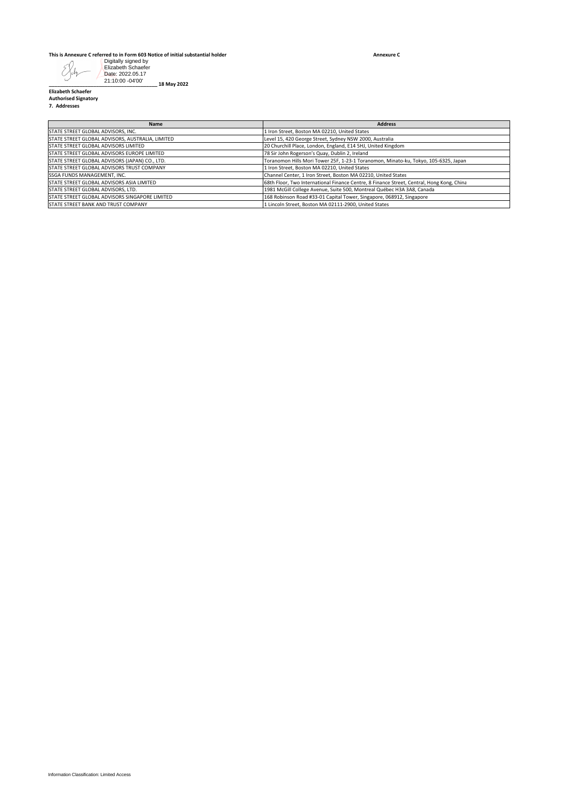## **This is Annexure C referred to in Form 603 Notice of initial substantial holder**

**Annexure C**

| <b>Address</b><br>Name<br>STATE STREET GLOBAL ADVISORS, INC.<br>1 Iron Street, Boston MA 02210, United States<br>Level 15, 420 George Street, Sydney NSW 2000, Australia<br>20 Churchill Place, London, England, E14 5HJ, United Kingdom<br>78 Sir John Rogerson's Quay, Dublin 2, Ireland<br>Toranomon Hills Mori Tower 25F, 1-23-1 Toranomon, Minato-ku, Tokyo, 105-6325, Japan<br>1 Iron Street, Boston MA 02210, United States<br>Channel Center, 1 Iron Street, Boston MA 02210, United States<br>68th Floor, Two International Finance Centre, 8 Finance Street, Central, Hong Kong, China<br>1981 McGill College Avenue, Suite 500, Montreal Québec H3A 3A8, Canada<br>168 Robinson Road #33-01 Capital Tower, Singapore, 068912, Singapore<br>1 Lincoln Street, Boston MA 02111-2900, United States |                                                                                                                                                                                                                                                                  |  |
|-------------------------------------------------------------------------------------------------------------------------------------------------------------------------------------------------------------------------------------------------------------------------------------------------------------------------------------------------------------------------------------------------------------------------------------------------------------------------------------------------------------------------------------------------------------------------------------------------------------------------------------------------------------------------------------------------------------------------------------------------------------------------------------------------------------|------------------------------------------------------------------------------------------------------------------------------------------------------------------------------------------------------------------------------------------------------------------|--|
| STATE STREET GLOBAL ADVISORS, AUSTRALIA, LIMITED                                                                                                                                                                                                                                                                                                                                                                                                                                                                                                                                                                                                                                                                                                                                                            |                                                                                                                                                                                                                                                                  |  |
| STATE STREET GLOBAL ADVISORS LIMITED<br>STATE STREET GLOBAL ADVISORS EUROPE LIMITED                                                                                                                                                                                                                                                                                                                                                                                                                                                                                                                                                                                                                                                                                                                         |                                                                                                                                                                                                                                                                  |  |
|                                                                                                                                                                                                                                                                                                                                                                                                                                                                                                                                                                                                                                                                                                                                                                                                             | STATE STREET GLOBAL ADVISORS (JAPAN) CO., LTD.<br>STATE STREET GLOBAL ADVISORS TRUST COMPANY<br>SSGA FUNDS MANAGEMENT, INC.<br>STATE STREET GLOBAL ADVISORS ASIA LIMITED<br>STATE STREET GLOBAL ADVISORS, LTD.<br>STATE STREET GLOBAL ADVISORS SINGAPORE LIMITED |  |
|                                                                                                                                                                                                                                                                                                                                                                                                                                                                                                                                                                                                                                                                                                                                                                                                             |                                                                                                                                                                                                                                                                  |  |
|                                                                                                                                                                                                                                                                                                                                                                                                                                                                                                                                                                                                                                                                                                                                                                                                             |                                                                                                                                                                                                                                                                  |  |
|                                                                                                                                                                                                                                                                                                                                                                                                                                                                                                                                                                                                                                                                                                                                                                                                             |                                                                                                                                                                                                                                                                  |  |
|                                                                                                                                                                                                                                                                                                                                                                                                                                                                                                                                                                                                                                                                                                                                                                                                             | STATE STREET BANK AND TRUST COMPANY                                                                                                                                                                                                                              |  |
|                                                                                                                                                                                                                                                                                                                                                                                                                                                                                                                                                                                                                                                                                                                                                                                                             |                                                                                                                                                                                                                                                                  |  |
|                                                                                                                                                                                                                                                                                                                                                                                                                                                                                                                                                                                                                                                                                                                                                                                                             |                                                                                                                                                                                                                                                                  |  |
|                                                                                                                                                                                                                                                                                                                                                                                                                                                                                                                                                                                                                                                                                                                                                                                                             | Information Classification: Limited Access                                                                                                                                                                                                                       |  |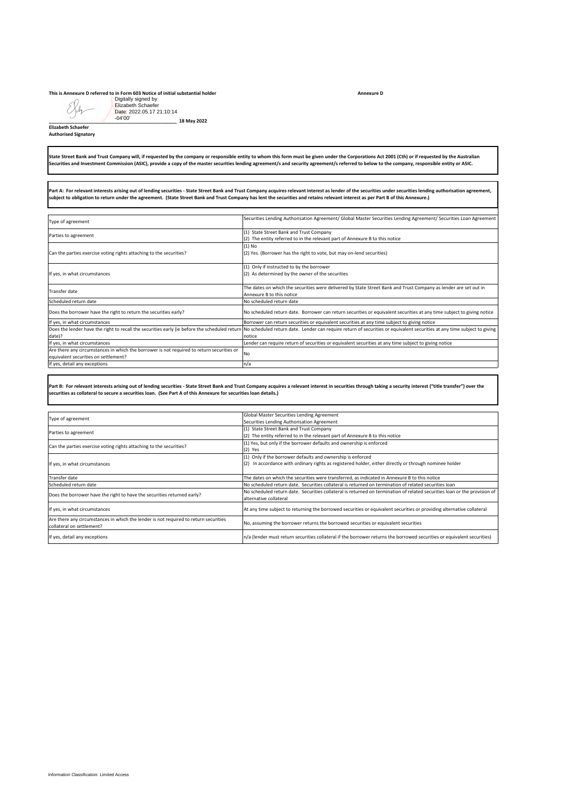## **This is Annexure D referred to in Form 603 Notice of initial substantial holder**

Beh **Elizabeth Schaefer**

| Digitally signed by<br>Elizabeth Schaefer<br>Date: 2022.05.17 21:10:14<br>$-04'00'$                                                                                              |                                                                                                                                                                                                                                                                                                                                                                                                        |
|----------------------------------------------------------------------------------------------------------------------------------------------------------------------------------|--------------------------------------------------------------------------------------------------------------------------------------------------------------------------------------------------------------------------------------------------------------------------------------------------------------------------------------------------------------------------------------------------------|
| 18 May 2022<br><b>Elizabeth Schaefer</b><br><b>Authorised Signatory</b>                                                                                                          |                                                                                                                                                                                                                                                                                                                                                                                                        |
|                                                                                                                                                                                  | State Street Bank and Trust Company will, if requested by the company or responsible entity to whom this form must be given under the Corporations Act 2001 (Cth) or if requested by the Australian<br>Securities and Investment Commission (ASIC), provide a copy of the master securities lending agreement/s and security agreement/s referred to below to the company, responsible entity or ASIC. |
|                                                                                                                                                                                  |                                                                                                                                                                                                                                                                                                                                                                                                        |
| subject to obligation to return under the agreement. (State Street Bank and Trust Company has lent the securities and retains relevant interest as per Part B of this Annexure.) | Part A: For relevant interests arising out of lending securities - State Street Bank and Trust Company acquires relevant interest as lender of the securities under securities lending authorisation agreement,                                                                                                                                                                                        |
| Type of agreement                                                                                                                                                                | Securities Lending Authorisation Agreement/ Global Master Securities Lending Agreement/ Securities Loan Agreement                                                                                                                                                                                                                                                                                      |
| Parties to agreement                                                                                                                                                             | (1) State Street Bank and Trust Company<br>(2) The entity referred to in the relevant part of Annexure B to this notice                                                                                                                                                                                                                                                                                |
| Can the parties exercise voting rights attaching to the securities?                                                                                                              | $(1)$ No<br>(2) Yes. (Borrower has the right to vote, but may on-lend securities)                                                                                                                                                                                                                                                                                                                      |
| If yes, in what circumstances                                                                                                                                                    | (1) Only if instructed to by the borrower<br>(2) As determined by the owner of the securities                                                                                                                                                                                                                                                                                                          |
| Transfer date                                                                                                                                                                    | The dates on which the securities were delivered by State Street Bank and Trust Company as lender are set out in                                                                                                                                                                                                                                                                                       |
| Scheduled return date                                                                                                                                                            | Annexure B to this notice<br>No scheduled return date                                                                                                                                                                                                                                                                                                                                                  |
| Does the borrower have the right to return the securities early?                                                                                                                 | No scheduled return date. Borrower can return securities or equivalent securities at any time subject to giving notice                                                                                                                                                                                                                                                                                 |
| If yes, in what circumstances<br>Does the lender have the right to recall the securities early (ie before the scheduled return                                                   | Borrower can return securities or equivalent securities at any time subject to giving notice<br>No scheduled return date. Lender can require return of securities or equivalent securities at any time subject to giving                                                                                                                                                                               |
| date)?<br>If yes, in what circumstances                                                                                                                                          | notice<br>Lender can require return of securities or equivalent securities at any time subject to giving notice                                                                                                                                                                                                                                                                                        |
| Are there any circumstances in which the borrower is not required to return securities or                                                                                        | No                                                                                                                                                                                                                                                                                                                                                                                                     |
| equivalent securities on settlement?<br>If yes, detail any exceptions                                                                                                            | n/a                                                                                                                                                                                                                                                                                                                                                                                                    |
|                                                                                                                                                                                  |                                                                                                                                                                                                                                                                                                                                                                                                        |
| securities as collateral to secure a securities Ioan. (See Part A of this Annexure for securities Ioan details.)                                                                 | Part B: For relevant interests arising out of lending securities - State Street Bank and Trust Company acquires a relevant interest in securities through taking a security interest ("title transfer") over the                                                                                                                                                                                       |
| Type of agreement                                                                                                                                                                | Global Master Securities Lending Agreement                                                                                                                                                                                                                                                                                                                                                             |
| Parties to agreement                                                                                                                                                             | Securities Lending Authorisation Agreement<br>(1) State Street Bank and Trust Company                                                                                                                                                                                                                                                                                                                  |
| Can the parties exercise voting rights attaching to the securities?                                                                                                              | (2) The entity referred to in the relevant part of Annexure B to this notice<br>(1) Yes, but only if the borrower defaults and ownership is enforced                                                                                                                                                                                                                                                   |
| If yes, in what circumstances                                                                                                                                                    | (2) Yes<br>(1) Only if the borrower defaults and ownership is enforced<br>(2) In accordance with ordinary rights as registered holder, either directly or through nominee holder                                                                                                                                                                                                                       |
| Transfer date                                                                                                                                                                    | The dates on which the securities were transferred, as indicated in Annexure B to this notice                                                                                                                                                                                                                                                                                                          |
| Scheduled return date                                                                                                                                                            | No scheduled return date. Securities collateral is returned on termination of related securities loan<br>No scheduled return date. Securities collateral is returned on termination of related securities loan or the provision of                                                                                                                                                                     |
| Does the borrower have the right to have the securities returned early?                                                                                                          | alternative collateral                                                                                                                                                                                                                                                                                                                                                                                 |
| If yes, in what circumstances                                                                                                                                                    | At any time subject to returning the borrowed securities or equivalent securities or providing alternative collateral                                                                                                                                                                                                                                                                                  |
| Are there any circumstances in which the lender is not required to return securities<br>collateral on settlement?                                                                | No, assuming the borrower returns the borrowed securities or equivalent securities                                                                                                                                                                                                                                                                                                                     |
| If yes, detail any exceptions                                                                                                                                                    | n/a (lender must return securities collateral if the borrower returns the borrowed securities or equivalent securities)                                                                                                                                                                                                                                                                                |
|                                                                                                                                                                                  |                                                                                                                                                                                                                                                                                                                                                                                                        |
| Information Classification: Limited Access                                                                                                                                       |                                                                                                                                                                                                                                                                                                                                                                                                        |

|                                                                                      | Global Master Securities Lending Agreement                                                                                |
|--------------------------------------------------------------------------------------|---------------------------------------------------------------------------------------------------------------------------|
| Type of agreement                                                                    | Securities Lending Authorisation Agreement                                                                                |
|                                                                                      | (1) State Street Bank and Trust Company                                                                                   |
| Parties to agreement                                                                 | (2) The entity referred to in the relevant part of Annexure B to this notice                                              |
|                                                                                      | (1) Yes, but only if the borrower defaults and ownership is enforced                                                      |
| Can the parties exercise voting rights attaching to the securities?                  | (2) Yes                                                                                                                   |
|                                                                                      | (1) Only if the borrower defaults and ownership is enforced                                                               |
| If yes, in what circumstances                                                        | (2) In accordance with ordinary rights as registered holder, either directly or through nominee holder                    |
|                                                                                      |                                                                                                                           |
| Transfer date                                                                        | The dates on which the securities were transferred, as indicated in Annexure B to this notice                             |
| Scheduled return date                                                                | No scheduled return date. Securities collateral is returned on termination of related securities loan                     |
| Does the borrower have the right to have the securities returned early?              | No scheduled return date. Securities collateral is returned on termination of related securities loan or the provision of |
|                                                                                      | alternative collateral                                                                                                    |
| If yes, in what circumstances                                                        | At any time subject to returning the borrowed securities or equivalent securities or providing alternative collateral     |
| Are there any circumstances in which the lender is not required to return securities | No, assuming the borrower returns the borrowed securities or equivalent securities                                        |
| collateral on settlement?                                                            |                                                                                                                           |
| If yes, detail any exceptions                                                        | n/a (lender must return securities collateral if the borrower returns the borrowed securities or equivalent securities)   |

**Annexure D**